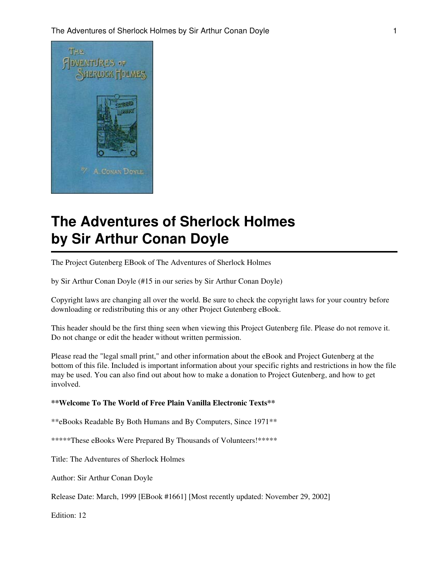

# **The Adventures of Sherlock Holmes by Sir Arthur Conan Doyle**

The Project Gutenberg EBook of The Adventures of Sherlock Holmes

by Sir Arthur Conan Doyle (#15 in our series by Sir Arthur Conan Doyle)

Copyright laws are changing all over the world. Be sure to check the copyright laws for your country before downloading or redistributing this or any other Project Gutenberg eBook.

This header should be the first thing seen when viewing this Project Gutenberg file. Please do not remove it. Do not change or edit the header without written permission.

Please read the "legal small print," and other information about the eBook and Project Gutenberg at the bottom of this file. Included is important information about your specific rights and restrictions in how the file may be used. You can also find out about how to make a donation to Project Gutenberg, and how to get involved.

#### **\*\*Welcome To The World of Free Plain Vanilla Electronic Texts\*\***

\*\*eBooks Readable By Both Humans and By Computers, Since 1971\*\*

\*\*\*\*\*These eBooks Were Prepared By Thousands of Volunteers!\*\*\*\*\*

Title: The Adventures of Sherlock Holmes

Author: Sir Arthur Conan Doyle

Release Date: March, 1999 [EBook #1661] [Most recently updated: November 29, 2002]

Edition: 12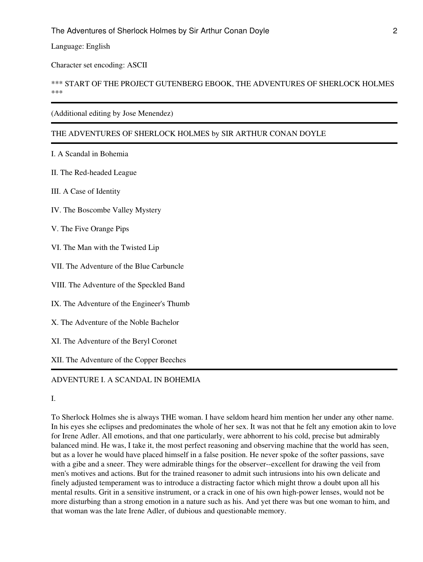Language: English

Character set encoding: ASCII

#### \*\*\* START OF THE PROJECT GUTENBERG EBOOK, THE ADVENTURES OF SHERLOCK HOLMES \*\*\*

#### (Additional editing by Jose Menendez)

#### THE ADVENTURES OF SHERLOCK HOLMES by SIR ARTHUR CONAN DOYLE

I. A Scandal in Bohemia

II. The Red-headed League

III. A Case of Identity

IV. The Boscombe Valley Mystery

V. The Five Orange Pips

VI. The Man with the Twisted Lip

VII. The Adventure of the Blue Carbuncle

VIII. The Adventure of the Speckled Band

IX. The Adventure of the Engineer's Thumb

X. The Adventure of the Noble Bachelor

XI. The Adventure of the Beryl Coronet

XII. The Adventure of the Copper Beeches

## ADVENTURE I. A SCANDAL IN BOHEMIA

I.

To Sherlock Holmes she is always THE woman. I have seldom heard him mention her under any other name. In his eyes she eclipses and predominates the whole of her sex. It was not that he felt any emotion akin to love for Irene Adler. All emotions, and that one particularly, were abhorrent to his cold, precise but admirably balanced mind. He was, I take it, the most perfect reasoning and observing machine that the world has seen, but as a lover he would have placed himself in a false position. He never spoke of the softer passions, save with a gibe and a sneer. They were admirable things for the observer--excellent for drawing the veil from men's motives and actions. But for the trained reasoner to admit such intrusions into his own delicate and finely adjusted temperament was to introduce a distracting factor which might throw a doubt upon all his mental results. Grit in a sensitive instrument, or a crack in one of his own high-power lenses, would not be more disturbing than a strong emotion in a nature such as his. And yet there was but one woman to him, and that woman was the late Irene Adler, of dubious and questionable memory.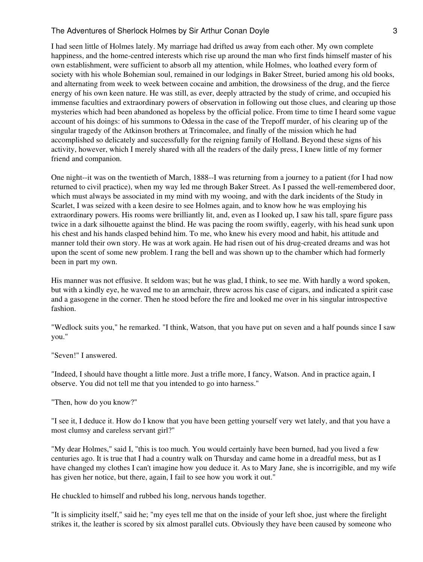I had seen little of Holmes lately. My marriage had drifted us away from each other. My own complete happiness, and the home-centred interests which rise up around the man who first finds himself master of his own establishment, were sufficient to absorb all my attention, while Holmes, who loathed every form of society with his whole Bohemian soul, remained in our lodgings in Baker Street, buried among his old books, and alternating from week to week between cocaine and ambition, the drowsiness of the drug, and the fierce energy of his own keen nature. He was still, as ever, deeply attracted by the study of crime, and occupied his immense faculties and extraordinary powers of observation in following out those clues, and clearing up those mysteries which had been abandoned as hopeless by the official police. From time to time I heard some vague account of his doings: of his summons to Odessa in the case of the Trepoff murder, of his clearing up of the singular tragedy of the Atkinson brothers at Trincomalee, and finally of the mission which he had accomplished so delicately and successfully for the reigning family of Holland. Beyond these signs of his activity, however, which I merely shared with all the readers of the daily press, I knew little of my former friend and companion.

One night--it was on the twentieth of March, 1888--I was returning from a journey to a patient (for I had now returned to civil practice), when my way led me through Baker Street. As I passed the well-remembered door, which must always be associated in my mind with my wooing, and with the dark incidents of the Study in Scarlet, I was seized with a keen desire to see Holmes again, and to know how he was employing his extraordinary powers. His rooms were brilliantly lit, and, even as I looked up, I saw his tall, spare figure pass twice in a dark silhouette against the blind. He was pacing the room swiftly, eagerly, with his head sunk upon his chest and his hands clasped behind him. To me, who knew his every mood and habit, his attitude and manner told their own story. He was at work again. He had risen out of his drug-created dreams and was hot upon the scent of some new problem. I rang the bell and was shown up to the chamber which had formerly been in part my own.

His manner was not effusive. It seldom was; but he was glad, I think, to see me. With hardly a word spoken, but with a kindly eye, he waved me to an armchair, threw across his case of cigars, and indicated a spirit case and a gasogene in the corner. Then he stood before the fire and looked me over in his singular introspective fashion.

"Wedlock suits you," he remarked. "I think, Watson, that you have put on seven and a half pounds since I saw you."

"Seven!" I answered.

"Indeed, I should have thought a little more. Just a trifle more, I fancy, Watson. And in practice again, I observe. You did not tell me that you intended to go into harness."

"Then, how do you know?"

"I see it, I deduce it. How do I know that you have been getting yourself very wet lately, and that you have a most clumsy and careless servant girl?"

"My dear Holmes," said I, "this is too much. You would certainly have been burned, had you lived a few centuries ago. It is true that I had a country walk on Thursday and came home in a dreadful mess, but as I have changed my clothes I can't imagine how you deduce it. As to Mary Jane, she is incorrigible, and my wife has given her notice, but there, again, I fail to see how you work it out."

He chuckled to himself and rubbed his long, nervous hands together.

"It is simplicity itself," said he; "my eyes tell me that on the inside of your left shoe, just where the firelight strikes it, the leather is scored by six almost parallel cuts. Obviously they have been caused by someone who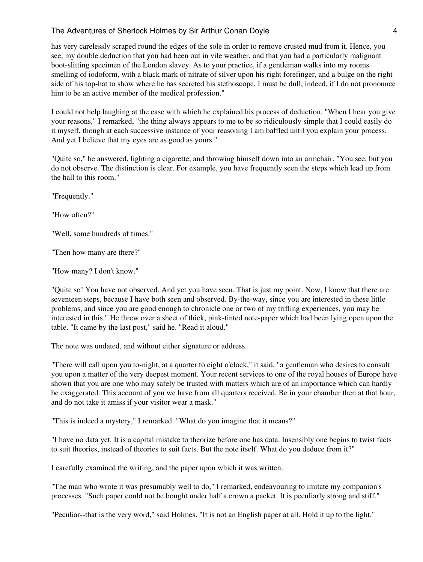has very carelessly scraped round the edges of the sole in order to remove crusted mud from it. Hence, you see, my double deduction that you had been out in vile weather, and that you had a particularly malignant boot-slitting specimen of the London slavey. As to your practice, if a gentleman walks into my rooms smelling of iodoform, with a black mark of nitrate of silver upon his right forefinger, and a bulge on the right side of his top-hat to show where he has secreted his stethoscope, I must be dull, indeed, if I do not pronounce him to be an active member of the medical profession."

I could not help laughing at the ease with which he explained his process of deduction. "When I hear you give your reasons," I remarked, "the thing always appears to me to be so ridiculously simple that I could easily do it myself, though at each successive instance of your reasoning I am baffled until you explain your process. And yet I believe that my eyes are as good as yours."

"Quite so," he answered, lighting a cigarette, and throwing himself down into an armchair. "You see, but you do not observe. The distinction is clear. For example, you have frequently seen the steps which lead up from the hall to this room."

"Frequently."

"How often?"

"Well, some hundreds of times."

"Then how many are there?"

"How many? I don't know."

"Quite so! You have not observed. And yet you have seen. That is just my point. Now, I know that there are seventeen steps, because I have both seen and observed. By-the-way, since you are interested in these little problems, and since you are good enough to chronicle one or two of my trifling experiences, you may be interested in this." He threw over a sheet of thick, pink-tinted note-paper which had been lying open upon the table. "It came by the last post," said he. "Read it aloud."

The note was undated, and without either signature or address.

"There will call upon you to-night, at a quarter to eight o'clock," it said, "a gentleman who desires to consult you upon a matter of the very deepest moment. Your recent services to one of the royal houses of Europe have shown that you are one who may safely be trusted with matters which are of an importance which can hardly be exaggerated. This account of you we have from all quarters received. Be in your chamber then at that hour, and do not take it amiss if your visitor wear a mask."

"This is indeed a mystery," I remarked. "What do you imagine that it means?"

"I have no data yet. It is a capital mistake to theorize before one has data. Insensibly one begins to twist facts to suit theories, instead of theories to suit facts. But the note itself. What do you deduce from it?"

I carefully examined the writing, and the paper upon which it was written.

"The man who wrote it was presumably well to do," I remarked, endeavouring to imitate my companion's processes. "Such paper could not be bought under half a crown a packet. It is peculiarly strong and stiff."

"Peculiar--that is the very word," said Holmes. "It is not an English paper at all. Hold it up to the light."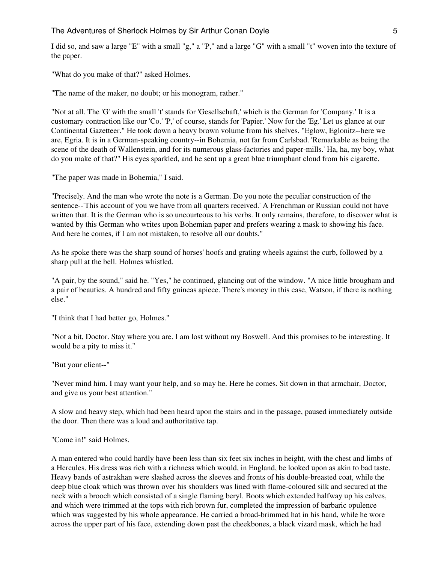I did so, and saw a large "E" with a small "g," a "P," and a large "G" with a small "t" woven into the texture of the paper.

"What do you make of that?" asked Holmes.

"The name of the maker, no doubt; or his monogram, rather."

"Not at all. The 'G' with the small 't' stands for 'Gesellschaft,' which is the German for 'Company.' It is a customary contraction like our 'Co.' 'P,' of course, stands for 'Papier.' Now for the 'Eg.' Let us glance at our Continental Gazetteer." He took down a heavy brown volume from his shelves. "Eglow, Eglonitz--here we are, Egria. It is in a German-speaking country--in Bohemia, not far from Carlsbad. 'Remarkable as being the scene of the death of Wallenstein, and for its numerous glass-factories and paper-mills.' Ha, ha, my boy, what do you make of that?" His eyes sparkled, and he sent up a great blue triumphant cloud from his cigarette.

"The paper was made in Bohemia," I said.

"Precisely. And the man who wrote the note is a German. Do you note the peculiar construction of the sentence--'This account of you we have from all quarters received.' A Frenchman or Russian could not have written that. It is the German who is so uncourteous to his verbs. It only remains, therefore, to discover what is wanted by this German who writes upon Bohemian paper and prefers wearing a mask to showing his face. And here he comes, if I am not mistaken, to resolve all our doubts."

As he spoke there was the sharp sound of horses' hoofs and grating wheels against the curb, followed by a sharp pull at the bell. Holmes whistled.

"A pair, by the sound," said he. "Yes," he continued, glancing out of the window. "A nice little brougham and a pair of beauties. A hundred and fifty guineas apiece. There's money in this case, Watson, if there is nothing else."

"I think that I had better go, Holmes."

"Not a bit, Doctor. Stay where you are. I am lost without my Boswell. And this promises to be interesting. It would be a pity to miss it."

"But your client--"

"Never mind him. I may want your help, and so may he. Here he comes. Sit down in that armchair, Doctor, and give us your best attention."

A slow and heavy step, which had been heard upon the stairs and in the passage, paused immediately outside the door. Then there was a loud and authoritative tap.

"Come in!" said Holmes.

A man entered who could hardly have been less than six feet six inches in height, with the chest and limbs of a Hercules. His dress was rich with a richness which would, in England, be looked upon as akin to bad taste. Heavy bands of astrakhan were slashed across the sleeves and fronts of his double-breasted coat, while the deep blue cloak which was thrown over his shoulders was lined with flame-coloured silk and secured at the neck with a brooch which consisted of a single flaming beryl. Boots which extended halfway up his calves, and which were trimmed at the tops with rich brown fur, completed the impression of barbaric opulence which was suggested by his whole appearance. He carried a broad-brimmed hat in his hand, while he wore across the upper part of his face, extending down past the cheekbones, a black vizard mask, which he had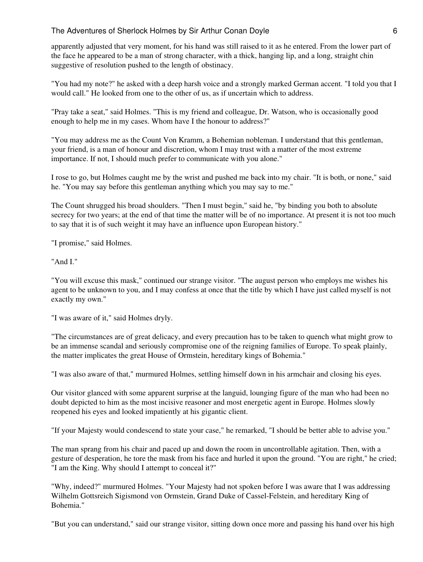apparently adjusted that very moment, for his hand was still raised to it as he entered. From the lower part of the face he appeared to be a man of strong character, with a thick, hanging lip, and a long, straight chin suggestive of resolution pushed to the length of obstinacy.

"You had my note?" he asked with a deep harsh voice and a strongly marked German accent. "I told you that I would call." He looked from one to the other of us, as if uncertain which to address.

"Pray take a seat," said Holmes. "This is my friend and colleague, Dr. Watson, who is occasionally good enough to help me in my cases. Whom have I the honour to address?"

"You may address me as the Count Von Kramm, a Bohemian nobleman. I understand that this gentleman, your friend, is a man of honour and discretion, whom I may trust with a matter of the most extreme importance. If not, I should much prefer to communicate with you alone."

I rose to go, but Holmes caught me by the wrist and pushed me back into my chair. "It is both, or none," said he. "You may say before this gentleman anything which you may say to me."

The Count shrugged his broad shoulders. "Then I must begin," said he, "by binding you both to absolute secrecy for two years; at the end of that time the matter will be of no importance. At present it is not too much to say that it is of such weight it may have an influence upon European history."

"I promise," said Holmes.

"And I."

"You will excuse this mask," continued our strange visitor. "The august person who employs me wishes his agent to be unknown to you, and I may confess at once that the title by which I have just called myself is not exactly my own."

"I was aware of it," said Holmes dryly.

"The circumstances are of great delicacy, and every precaution has to be taken to quench what might grow to be an immense scandal and seriously compromise one of the reigning families of Europe. To speak plainly, the matter implicates the great House of Ormstein, hereditary kings of Bohemia."

"I was also aware of that," murmured Holmes, settling himself down in his armchair and closing his eyes.

Our visitor glanced with some apparent surprise at the languid, lounging figure of the man who had been no doubt depicted to him as the most incisive reasoner and most energetic agent in Europe. Holmes slowly reopened his eyes and looked impatiently at his gigantic client.

"If your Majesty would condescend to state your case," he remarked, "I should be better able to advise you."

The man sprang from his chair and paced up and down the room in uncontrollable agitation. Then, with a gesture of desperation, he tore the mask from his face and hurled it upon the ground. "You are right," he cried; "I am the King. Why should I attempt to conceal it?"

"Why, indeed?" murmured Holmes. "Your Majesty had not spoken before I was aware that I was addressing Wilhelm Gottsreich Sigismond von Ormstein, Grand Duke of Cassel-Felstein, and hereditary King of Bohemia."

"But you can understand," said our strange visitor, sitting down once more and passing his hand over his high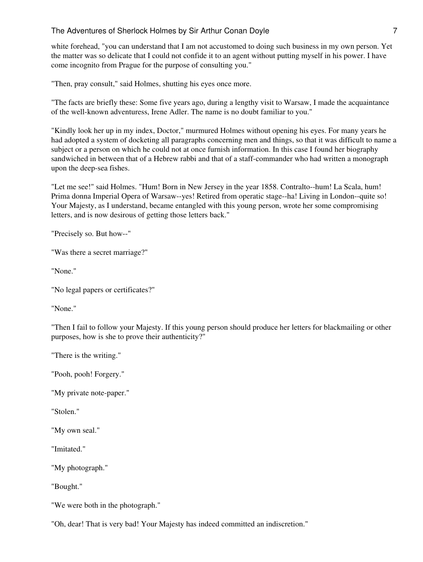white forehead, "you can understand that I am not accustomed to doing such business in my own person. Yet the matter was so delicate that I could not confide it to an agent without putting myself in his power. I have come incognito from Prague for the purpose of consulting you."

"Then, pray consult," said Holmes, shutting his eyes once more.

"The facts are briefly these: Some five years ago, during a lengthy visit to Warsaw, I made the acquaintance of the well-known adventuress, Irene Adler. The name is no doubt familiar to you."

"Kindly look her up in my index, Doctor," murmured Holmes without opening his eyes. For many years he had adopted a system of docketing all paragraphs concerning men and things, so that it was difficult to name a subject or a person on which he could not at once furnish information. In this case I found her biography sandwiched in between that of a Hebrew rabbi and that of a staff-commander who had written a monograph upon the deep-sea fishes.

"Let me see!" said Holmes. "Hum! Born in New Jersey in the year 1858. Contralto--hum! La Scala, hum! Prima donna Imperial Opera of Warsaw--yes! Retired from operatic stage--ha! Living in London--quite so! Your Majesty, as I understand, became entangled with this young person, wrote her some compromising letters, and is now desirous of getting those letters back."

"Precisely so. But how--"

"Was there a secret marriage?"

"None."

"No legal papers or certificates?"

"None."

"Then I fail to follow your Majesty. If this young person should produce her letters for blackmailing or other purposes, how is she to prove their authenticity?"

"There is the writing."

"Pooh, pooh! Forgery."

"My private note-paper."

"Stolen."

"My own seal."

"Imitated."

"My photograph."

"Bought."

"We were both in the photograph."

"Oh, dear! That is very bad! Your Majesty has indeed committed an indiscretion."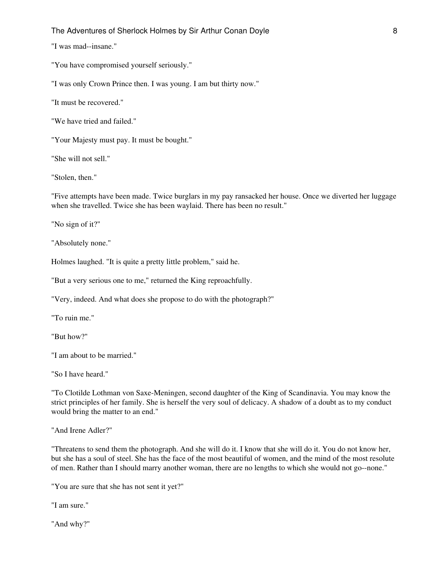"I was mad--insane."

"You have compromised yourself seriously."

"I was only Crown Prince then. I was young. I am but thirty now."

"It must be recovered."

"We have tried and failed."

"Your Majesty must pay. It must be bought."

"She will not sell."

"Stolen, then."

"Five attempts have been made. Twice burglars in my pay ransacked her house. Once we diverted her luggage when she travelled. Twice she has been waylaid. There has been no result."

"No sign of it?"

"Absolutely none."

Holmes laughed. "It is quite a pretty little problem," said he.

"But a very serious one to me," returned the King reproachfully.

"Very, indeed. And what does she propose to do with the photograph?"

"To ruin me."

"But how?"

"I am about to be married."

"So I have heard."

"To Clotilde Lothman von Saxe-Meningen, second daughter of the King of Scandinavia. You may know the strict principles of her family. She is herself the very soul of delicacy. A shadow of a doubt as to my conduct would bring the matter to an end."

"And Irene Adler?"

"Threatens to send them the photograph. And she will do it. I know that she will do it. You do not know her, but she has a soul of steel. She has the face of the most beautiful of women, and the mind of the most resolute of men. Rather than I should marry another woman, there are no lengths to which she would not go--none."

"You are sure that she has not sent it yet?"

"I am sure."

"And why?"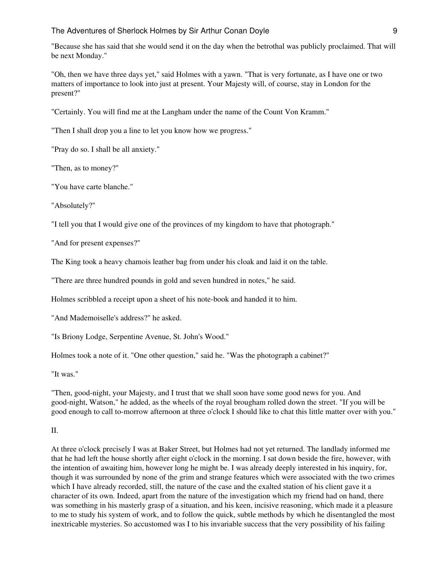"Because she has said that she would send it on the day when the betrothal was publicly proclaimed. That will be next Monday."

"Oh, then we have three days yet," said Holmes with a yawn. "That is very fortunate, as I have one or two matters of importance to look into just at present. Your Majesty will, of course, stay in London for the present?"

"Certainly. You will find me at the Langham under the name of the Count Von Kramm."

"Then I shall drop you a line to let you know how we progress."

"Pray do so. I shall be all anxiety."

"Then, as to money?"

"You have carte blanche."

"Absolutely?"

"I tell you that I would give one of the provinces of my kingdom to have that photograph."

"And for present expenses?"

The King took a heavy chamois leather bag from under his cloak and laid it on the table.

"There are three hundred pounds in gold and seven hundred in notes," he said.

Holmes scribbled a receipt upon a sheet of his note-book and handed it to him.

"And Mademoiselle's address?" he asked.

"Is Briony Lodge, Serpentine Avenue, St. John's Wood."

Holmes took a note of it. "One other question," said he. "Was the photograph a cabinet?"

"It was."

"Then, good-night, your Majesty, and I trust that we shall soon have some good news for you. And good-night, Watson," he added, as the wheels of the royal brougham rolled down the street. "If you will be good enough to call to-morrow afternoon at three o'clock I should like to chat this little matter over with you."

#### II.

At three o'clock precisely I was at Baker Street, but Holmes had not yet returned. The landlady informed me that he had left the house shortly after eight o'clock in the morning. I sat down beside the fire, however, with the intention of awaiting him, however long he might be. I was already deeply interested in his inquiry, for, though it was surrounded by none of the grim and strange features which were associated with the two crimes which I have already recorded, still, the nature of the case and the exalted station of his client gave it a character of its own. Indeed, apart from the nature of the investigation which my friend had on hand, there was something in his masterly grasp of a situation, and his keen, incisive reasoning, which made it a pleasure to me to study his system of work, and to follow the quick, subtle methods by which he disentangled the most inextricable mysteries. So accustomed was I to his invariable success that the very possibility of his failing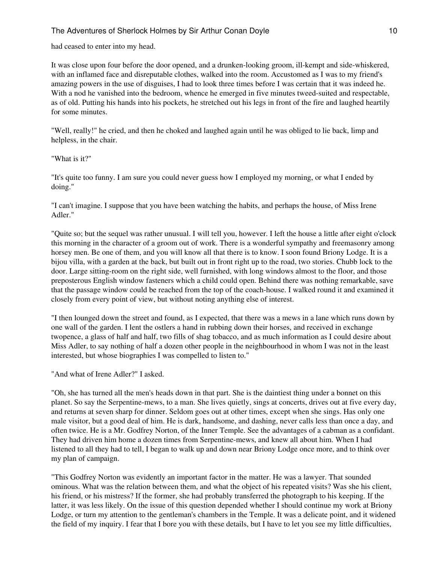had ceased to enter into my head.

It was close upon four before the door opened, and a drunken-looking groom, ill-kempt and side-whiskered, with an inflamed face and disreputable clothes, walked into the room. Accustomed as I was to my friend's amazing powers in the use of disguises, I had to look three times before I was certain that it was indeed he. With a nod he vanished into the bedroom, whence he emerged in five minutes tweed-suited and respectable, as of old. Putting his hands into his pockets, he stretched out his legs in front of the fire and laughed heartily for some minutes.

"Well, really!" he cried, and then he choked and laughed again until he was obliged to lie back, limp and helpless, in the chair.

"What is it?"

"It's quite too funny. I am sure you could never guess how I employed my morning, or what I ended by doing."

"I can't imagine. I suppose that you have been watching the habits, and perhaps the house, of Miss Irene Adler."

"Quite so; but the sequel was rather unusual. I will tell you, however. I left the house a little after eight o'clock this morning in the character of a groom out of work. There is a wonderful sympathy and freemasonry among horsey men. Be one of them, and you will know all that there is to know. I soon found Briony Lodge. It is a bijou villa, with a garden at the back, but built out in front right up to the road, two stories. Chubb lock to the door. Large sitting-room on the right side, well furnished, with long windows almost to the floor, and those preposterous English window fasteners which a child could open. Behind there was nothing remarkable, save that the passage window could be reached from the top of the coach-house. I walked round it and examined it closely from every point of view, but without noting anything else of interest.

"I then lounged down the street and found, as I expected, that there was a mews in a lane which runs down by one wall of the garden. I lent the ostlers a hand in rubbing down their horses, and received in exchange twopence, a glass of half and half, two fills of shag tobacco, and as much information as I could desire about Miss Adler, to say nothing of half a dozen other people in the neighbourhood in whom I was not in the least interested, but whose biographies I was compelled to listen to."

"And what of Irene Adler?" I asked.

"Oh, she has turned all the men's heads down in that part. She is the daintiest thing under a bonnet on this planet. So say the Serpentine-mews, to a man. She lives quietly, sings at concerts, drives out at five every day, and returns at seven sharp for dinner. Seldom goes out at other times, except when she sings. Has only one male visitor, but a good deal of him. He is dark, handsome, and dashing, never calls less than once a day, and often twice. He is a Mr. Godfrey Norton, of the Inner Temple. See the advantages of a cabman as a confidant. They had driven him home a dozen times from Serpentine-mews, and knew all about him. When I had listened to all they had to tell, I began to walk up and down near Briony Lodge once more, and to think over my plan of campaign.

"This Godfrey Norton was evidently an important factor in the matter. He was a lawyer. That sounded ominous. What was the relation between them, and what the object of his repeated visits? Was she his client, his friend, or his mistress? If the former, she had probably transferred the photograph to his keeping. If the latter, it was less likely. On the issue of this question depended whether I should continue my work at Briony Lodge, or turn my attention to the gentleman's chambers in the Temple. It was a delicate point, and it widened the field of my inquiry. I fear that I bore you with these details, but I have to let you see my little difficulties,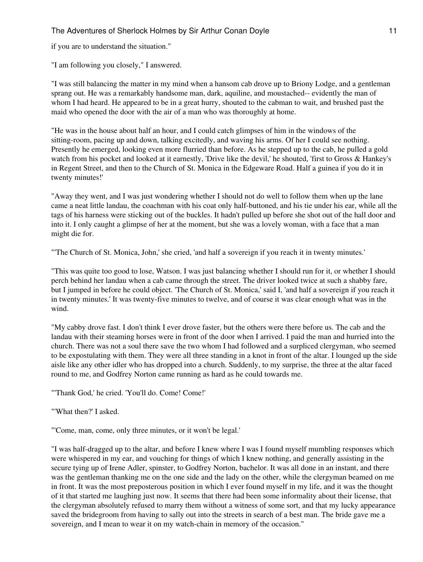if you are to understand the situation."

"I am following you closely," I answered.

"I was still balancing the matter in my mind when a hansom cab drove up to Briony Lodge, and a gentleman sprang out. He was a remarkably handsome man, dark, aquiline, and moustached-- evidently the man of whom I had heard. He appeared to be in a great hurry, shouted to the cabman to wait, and brushed past the maid who opened the door with the air of a man who was thoroughly at home.

"He was in the house about half an hour, and I could catch glimpses of him in the windows of the sitting-room, pacing up and down, talking excitedly, and waving his arms. Of her I could see nothing. Presently he emerged, looking even more flurried than before. As he stepped up to the cab, he pulled a gold watch from his pocket and looked at it earnestly, 'Drive like the devil,' he shouted, 'first to Gross & Hankey's in Regent Street, and then to the Church of St. Monica in the Edgeware Road. Half a guinea if you do it in twenty minutes!'

"Away they went, and I was just wondering whether I should not do well to follow them when up the lane came a neat little landau, the coachman with his coat only half-buttoned, and his tie under his ear, while all the tags of his harness were sticking out of the buckles. It hadn't pulled up before she shot out of the hall door and into it. I only caught a glimpse of her at the moment, but she was a lovely woman, with a face that a man might die for.

"'The Church of St. Monica, John,' she cried, 'and half a sovereign if you reach it in twenty minutes.'

"This was quite too good to lose, Watson. I was just balancing whether I should run for it, or whether I should perch behind her landau when a cab came through the street. The driver looked twice at such a shabby fare, but I jumped in before he could object. 'The Church of St. Monica,' said I, 'and half a sovereign if you reach it in twenty minutes.' It was twenty-five minutes to twelve, and of course it was clear enough what was in the wind.

"My cabby drove fast. I don't think I ever drove faster, but the others were there before us. The cab and the landau with their steaming horses were in front of the door when I arrived. I paid the man and hurried into the church. There was not a soul there save the two whom I had followed and a surpliced clergyman, who seemed to be expostulating with them. They were all three standing in a knot in front of the altar. I lounged up the side aisle like any other idler who has dropped into a church. Suddenly, to my surprise, the three at the altar faced round to me, and Godfrey Norton came running as hard as he could towards me.

"'Thank God,' he cried. 'You'll do. Come! Come!'

"'What then?' I asked.

"'Come, man, come, only three minutes, or it won't be legal.'

"I was half-dragged up to the altar, and before I knew where I was I found myself mumbling responses which were whispered in my ear, and vouching for things of which I knew nothing, and generally assisting in the secure tying up of Irene Adler, spinster, to Godfrey Norton, bachelor. It was all done in an instant, and there was the gentleman thanking me on the one side and the lady on the other, while the clergyman beamed on me in front. It was the most preposterous position in which I ever found myself in my life, and it was the thought of it that started me laughing just now. It seems that there had been some informality about their license, that the clergyman absolutely refused to marry them without a witness of some sort, and that my lucky appearance saved the bridegroom from having to sally out into the streets in search of a best man. The bride gave me a sovereign, and I mean to wear it on my watch-chain in memory of the occasion."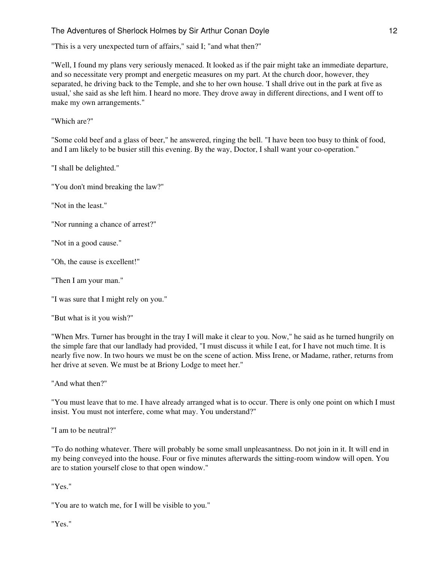"This is a very unexpected turn of affairs," said I; "and what then?"

"Well, I found my plans very seriously menaced. It looked as if the pair might take an immediate departure, and so necessitate very prompt and energetic measures on my part. At the church door, however, they separated, he driving back to the Temple, and she to her own house. 'I shall drive out in the park at five as usual,' she said as she left him. I heard no more. They drove away in different directions, and I went off to make my own arrangements."

"Which are?"

"Some cold beef and a glass of beer," he answered, ringing the bell. "I have been too busy to think of food, and I am likely to be busier still this evening. By the way, Doctor, I shall want your co-operation."

"I shall be delighted."

"You don't mind breaking the law?"

"Not in the least."

"Nor running a chance of arrest?"

"Not in a good cause."

"Oh, the cause is excellent!"

"Then I am your man."

"I was sure that I might rely on you."

"But what is it you wish?"

"When Mrs. Turner has brought in the tray I will make it clear to you. Now," he said as he turned hungrily on the simple fare that our landlady had provided, "I must discuss it while I eat, for I have not much time. It is nearly five now. In two hours we must be on the scene of action. Miss Irene, or Madame, rather, returns from her drive at seven. We must be at Briony Lodge to meet her."

"And what then?"

"You must leave that to me. I have already arranged what is to occur. There is only one point on which I must insist. You must not interfere, come what may. You understand?"

"I am to be neutral?"

"To do nothing whatever. There will probably be some small unpleasantness. Do not join in it. It will end in my being conveyed into the house. Four or five minutes afterwards the sitting-room window will open. You are to station yourself close to that open window."

"Yes."

"You are to watch me, for I will be visible to you."

"Yes."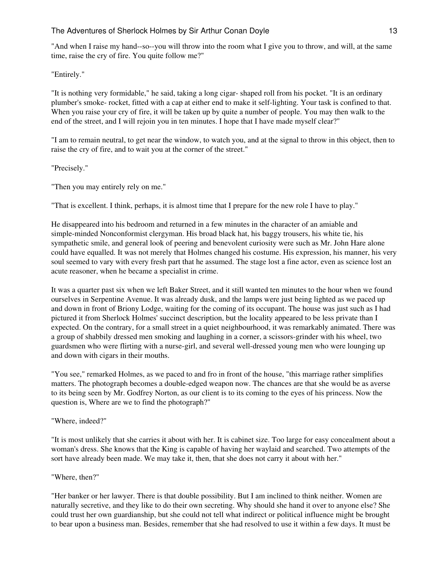"And when I raise my hand--so--you will throw into the room what I give you to throw, and will, at the same time, raise the cry of fire. You quite follow me?"

"Entirely."

"It is nothing very formidable," he said, taking a long cigar- shaped roll from his pocket. "It is an ordinary plumber's smoke- rocket, fitted with a cap at either end to make it self-lighting. Your task is confined to that. When you raise your cry of fire, it will be taken up by quite a number of people. You may then walk to the end of the street, and I will rejoin you in ten minutes. I hope that I have made myself clear?"

"I am to remain neutral, to get near the window, to watch you, and at the signal to throw in this object, then to raise the cry of fire, and to wait you at the corner of the street."

"Precisely."

"Then you may entirely rely on me."

"That is excellent. I think, perhaps, it is almost time that I prepare for the new role I have to play."

He disappeared into his bedroom and returned in a few minutes in the character of an amiable and simple-minded Nonconformist clergyman. His broad black hat, his baggy trousers, his white tie, his sympathetic smile, and general look of peering and benevolent curiosity were such as Mr. John Hare alone could have equalled. It was not merely that Holmes changed his costume. His expression, his manner, his very soul seemed to vary with every fresh part that he assumed. The stage lost a fine actor, even as science lost an acute reasoner, when he became a specialist in crime.

It was a quarter past six when we left Baker Street, and it still wanted ten minutes to the hour when we found ourselves in Serpentine Avenue. It was already dusk, and the lamps were just being lighted as we paced up and down in front of Briony Lodge, waiting for the coming of its occupant. The house was just such as I had pictured it from Sherlock Holmes' succinct description, but the locality appeared to be less private than I expected. On the contrary, for a small street in a quiet neighbourhood, it was remarkably animated. There was a group of shabbily dressed men smoking and laughing in a corner, a scissors-grinder with his wheel, two guardsmen who were flirting with a nurse-girl, and several well-dressed young men who were lounging up and down with cigars in their mouths.

"You see," remarked Holmes, as we paced to and fro in front of the house, "this marriage rather simplifies matters. The photograph becomes a double-edged weapon now. The chances are that she would be as averse to its being seen by Mr. Godfrey Norton, as our client is to its coming to the eyes of his princess. Now the question is, Where are we to find the photograph?"

#### "Where, indeed?"

"It is most unlikely that she carries it about with her. It is cabinet size. Too large for easy concealment about a woman's dress. She knows that the King is capable of having her waylaid and searched. Two attempts of the sort have already been made. We may take it, then, that she does not carry it about with her."

#### "Where, then?"

"Her banker or her lawyer. There is that double possibility. But I am inclined to think neither. Women are naturally secretive, and they like to do their own secreting. Why should she hand it over to anyone else? She could trust her own guardianship, but she could not tell what indirect or political influence might be brought to bear upon a business man. Besides, remember that she had resolved to use it within a few days. It must be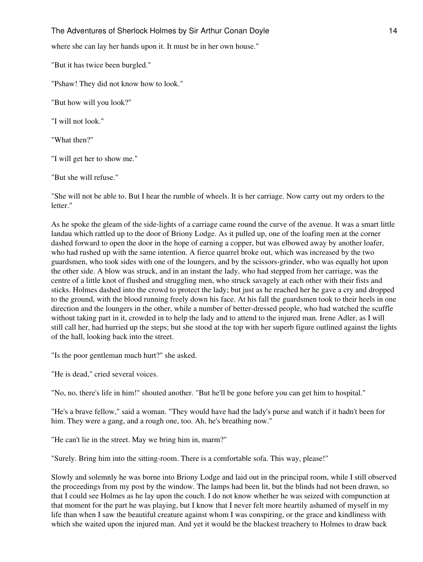where she can lay her hands upon it. It must be in her own house."

"But it has twice been burgled."

"Pshaw! They did not know how to look."

"But how will you look?"

"I will not look."

"What then?"

"I will get her to show me."

"But she will refuse."

"She will not be able to. But I hear the rumble of wheels. It is her carriage. Now carry out my orders to the letter."

As he spoke the gleam of the side-lights of a carriage came round the curve of the avenue. It was a smart little landau which rattled up to the door of Briony Lodge. As it pulled up, one of the loafing men at the corner dashed forward to open the door in the hope of earning a copper, but was elbowed away by another loafer, who had rushed up with the same intention. A fierce quarrel broke out, which was increased by the two guardsmen, who took sides with one of the loungers, and by the scissors-grinder, who was equally hot upon the other side. A blow was struck, and in an instant the lady, who had stepped from her carriage, was the centre of a little knot of flushed and struggling men, who struck savagely at each other with their fists and sticks. Holmes dashed into the crowd to protect the lady; but just as he reached her he gave a cry and dropped to the ground, with the blood running freely down his face. At his fall the guardsmen took to their heels in one direction and the loungers in the other, while a number of better-dressed people, who had watched the scuffle without taking part in it, crowded in to help the lady and to attend to the injured man. Irene Adler, as I will still call her, had hurried up the steps; but she stood at the top with her superb figure outlined against the lights of the hall, looking back into the street.

"Is the poor gentleman much hurt?" she asked.

"He is dead," cried several voices.

"No, no, there's life in him!" shouted another. "But he'll be gone before you can get him to hospital."

"He's a brave fellow," said a woman. "They would have had the lady's purse and watch if it hadn't been for him. They were a gang, and a rough one, too. Ah, he's breathing now."

"He can't lie in the street. May we bring him in, marm?"

"Surely. Bring him into the sitting-room. There is a comfortable sofa. This way, please!"

Slowly and solemnly he was borne into Briony Lodge and laid out in the principal room, while I still observed the proceedings from my post by the window. The lamps had been lit, but the blinds had not been drawn, so that I could see Holmes as he lay upon the couch. I do not know whether he was seized with compunction at that moment for the part he was playing, but I know that I never felt more heartily ashamed of myself in my life than when I saw the beautiful creature against whom I was conspiring, or the grace and kindliness with which she waited upon the injured man. And yet it would be the blackest treachery to Holmes to draw back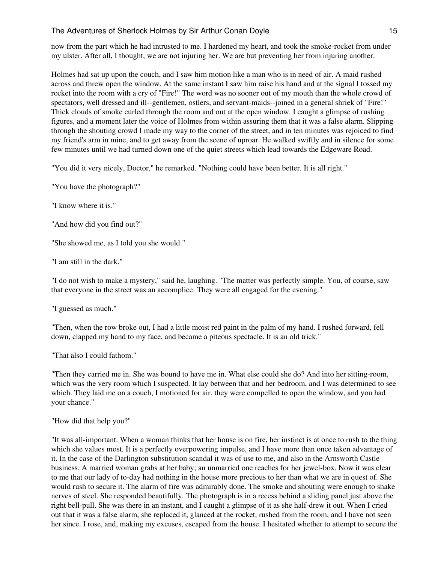now from the part which he had intrusted to me. I hardened my heart, and took the smoke-rocket from under my ulster. After all, I thought, we are not injuring her. We are but preventing her from injuring another.

Holmes had sat up upon the couch, and I saw him motion like a man who is in need of air. A maid rushed across and threw open the window. At the same instant I saw him raise his hand and at the signal I tossed my rocket into the room with a cry of "Fire!" The word was no sooner out of my mouth than the whole crowd of spectators, well dressed and ill--gentlemen, ostlers, and servant-maids--joined in a general shriek of "Fire!" Thick clouds of smoke curled through the room and out at the open window. I caught a glimpse of rushing figures, and a moment later the voice of Holmes from within assuring them that it was a false alarm. Slipping through the shouting crowd I made my way to the corner of the street, and in ten minutes was rejoiced to find my friend's arm in mine, and to get away from the scene of uproar. He walked swiftly and in silence for some few minutes until we had turned down one of the quiet streets which lead towards the Edgeware Road.

"You did it very nicely, Doctor," he remarked. "Nothing could have been better. It is all right."

"You have the photograph?"

"I know where it is."

"And how did you find out?"

"She showed me, as I told you she would."

"I am still in the dark."

"I do not wish to make a mystery," said he, laughing. "The matter was perfectly simple. You, of course, saw that everyone in the street was an accomplice. They were all engaged for the evening."

"I guessed as much."

"Then, when the row broke out, I had a little moist red paint in the palm of my hand. I rushed forward, fell down, clapped my hand to my face, and became a piteous spectacle. It is an old trick."

"That also I could fathom."

"Then they carried me in. She was bound to have me in. What else could she do? And into her sitting-room, which was the very room which I suspected. It lay between that and her bedroom, and I was determined to see which. They laid me on a couch, I motioned for air, they were compelled to open the window, and you had your chance."

"How did that help you?"

"It was all-important. When a woman thinks that her house is on fire, her instinct is at once to rush to the thing which she values most. It is a perfectly overpowering impulse, and I have more than once taken advantage of it. In the case of the Darlington substitution scandal it was of use to me, and also in the Arnsworth Castle business. A married woman grabs at her baby; an unmarried one reaches for her jewel-box. Now it was clear to me that our lady of to-day had nothing in the house more precious to her than what we are in quest of. She would rush to secure it. The alarm of fire was admirably done. The smoke and shouting were enough to shake nerves of steel. She responded beautifully. The photograph is in a recess behind a sliding panel just above the right bell-pull. She was there in an instant, and I caught a glimpse of it as she half-drew it out. When I cried out that it was a false alarm, she replaced it, glanced at the rocket, rushed from the room, and I have not seen her since. I rose, and, making my excuses, escaped from the house. I hesitated whether to attempt to secure the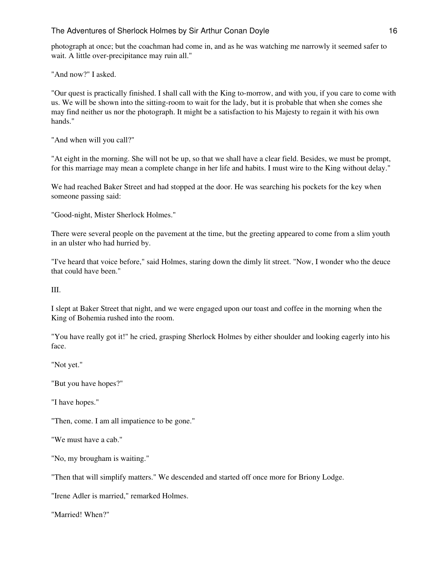photograph at once; but the coachman had come in, and as he was watching me narrowly it seemed safer to wait. A little over-precipitance may ruin all."

"And now?" I asked.

"Our quest is practically finished. I shall call with the King to-morrow, and with you, if you care to come with us. We will be shown into the sitting-room to wait for the lady, but it is probable that when she comes she may find neither us nor the photograph. It might be a satisfaction to his Majesty to regain it with his own hands."

"And when will you call?"

"At eight in the morning. She will not be up, so that we shall have a clear field. Besides, we must be prompt, for this marriage may mean a complete change in her life and habits. I must wire to the King without delay."

We had reached Baker Street and had stopped at the door. He was searching his pockets for the key when someone passing said:

"Good-night, Mister Sherlock Holmes."

There were several people on the pavement at the time, but the greeting appeared to come from a slim youth in an ulster who had hurried by.

"I've heard that voice before," said Holmes, staring down the dimly lit street. "Now, I wonder who the deuce that could have been."

III.

I slept at Baker Street that night, and we were engaged upon our toast and coffee in the morning when the King of Bohemia rushed into the room.

"You have really got it!" he cried, grasping Sherlock Holmes by either shoulder and looking eagerly into his face.

"Not yet."

"But you have hopes?"

"I have hopes."

"Then, come. I am all impatience to be gone."

"We must have a cab."

"No, my brougham is waiting."

"Then that will simplify matters." We descended and started off once more for Briony Lodge.

"Irene Adler is married," remarked Holmes.

"Married! When?"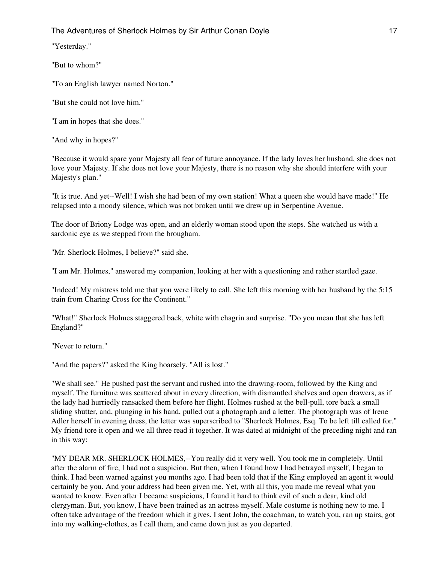"Yesterday."

"But to whom?"

"To an English lawyer named Norton."

"But she could not love him."

"I am in hopes that she does."

"And why in hopes?"

"Because it would spare your Majesty all fear of future annoyance. If the lady loves her husband, she does not love your Majesty. If she does not love your Majesty, there is no reason why she should interfere with your Majesty's plan."

"It is true. And yet--Well! I wish she had been of my own station! What a queen she would have made!" He relapsed into a moody silence, which was not broken until we drew up in Serpentine Avenue.

The door of Briony Lodge was open, and an elderly woman stood upon the steps. She watched us with a sardonic eye as we stepped from the brougham.

"Mr. Sherlock Holmes, I believe?" said she.

"I am Mr. Holmes," answered my companion, looking at her with a questioning and rather startled gaze.

"Indeed! My mistress told me that you were likely to call. She left this morning with her husband by the 5:15 train from Charing Cross for the Continent."

"What!" Sherlock Holmes staggered back, white with chagrin and surprise. "Do you mean that she has left England?"

"Never to return."

"And the papers?" asked the King hoarsely. "All is lost."

"We shall see." He pushed past the servant and rushed into the drawing-room, followed by the King and myself. The furniture was scattered about in every direction, with dismantled shelves and open drawers, as if the lady had hurriedly ransacked them before her flight. Holmes rushed at the bell-pull, tore back a small sliding shutter, and, plunging in his hand, pulled out a photograph and a letter. The photograph was of Irene Adler herself in evening dress, the letter was superscribed to "Sherlock Holmes, Esq. To be left till called for." My friend tore it open and we all three read it together. It was dated at midnight of the preceding night and ran in this way:

"MY DEAR MR. SHERLOCK HOLMES,--You really did it very well. You took me in completely. Until after the alarm of fire, I had not a suspicion. But then, when I found how I had betrayed myself, I began to think. I had been warned against you months ago. I had been told that if the King employed an agent it would certainly be you. And your address had been given me. Yet, with all this, you made me reveal what you wanted to know. Even after I became suspicious, I found it hard to think evil of such a dear, kind old clergyman. But, you know, I have been trained as an actress myself. Male costume is nothing new to me. I often take advantage of the freedom which it gives. I sent John, the coachman, to watch you, ran up stairs, got into my walking-clothes, as I call them, and came down just as you departed.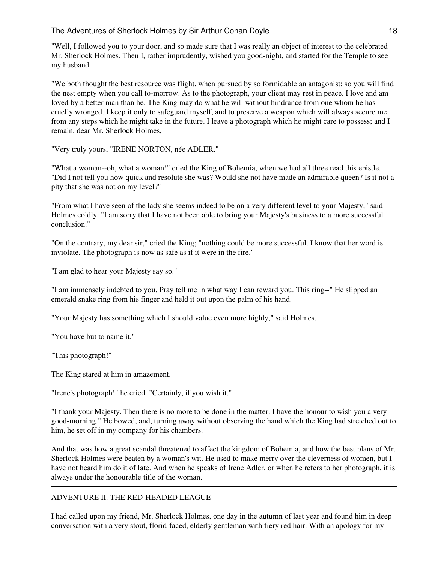"Well, I followed you to your door, and so made sure that I was really an object of interest to the celebrated Mr. Sherlock Holmes. Then I, rather imprudently, wished you good-night, and started for the Temple to see my husband.

"We both thought the best resource was flight, when pursued by so formidable an antagonist; so you will find the nest empty when you call to-morrow. As to the photograph, your client may rest in peace. I love and am loved by a better man than he. The King may do what he will without hindrance from one whom he has cruelly wronged. I keep it only to safeguard myself, and to preserve a weapon which will always secure me from any steps which he might take in the future. I leave a photograph which he might care to possess; and I remain, dear Mr. Sherlock Holmes,

"Very truly yours, "IRENE NORTON, née ADLER."

"What a woman--oh, what a woman!" cried the King of Bohemia, when we had all three read this epistle. "Did I not tell you how quick and resolute she was? Would she not have made an admirable queen? Is it not a pity that she was not on my level?"

"From what I have seen of the lady she seems indeed to be on a very different level to your Majesty," said Holmes coldly. "I am sorry that I have not been able to bring your Majesty's business to a more successful conclusion."

"On the contrary, my dear sir," cried the King; "nothing could be more successful. I know that her word is inviolate. The photograph is now as safe as if it were in the fire."

"I am glad to hear your Majesty say so."

"I am immensely indebted to you. Pray tell me in what way I can reward you. This ring--" He slipped an emerald snake ring from his finger and held it out upon the palm of his hand.

"Your Majesty has something which I should value even more highly," said Holmes.

"You have but to name it."

"This photograph!"

The King stared at him in amazement.

"Irene's photograph!" he cried. "Certainly, if you wish it."

"I thank your Majesty. Then there is no more to be done in the matter. I have the honour to wish you a very good-morning." He bowed, and, turning away without observing the hand which the King had stretched out to him, he set off in my company for his chambers.

And that was how a great scandal threatened to affect the kingdom of Bohemia, and how the best plans of Mr. Sherlock Holmes were beaten by a woman's wit. He used to make merry over the cleverness of women, but I have not heard him do it of late. And when he speaks of Irene Adler, or when he refers to her photograph, it is always under the honourable title of the woman.

# ADVENTURE II. THE RED-HEADED LEAGUE

I had called upon my friend, Mr. Sherlock Holmes, one day in the autumn of last year and found him in deep conversation with a very stout, florid-faced, elderly gentleman with fiery red hair. With an apology for my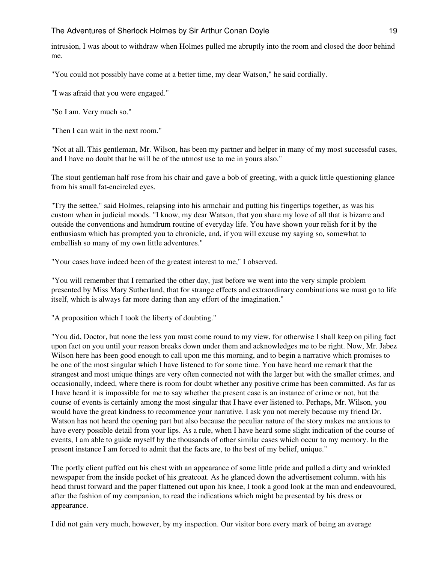intrusion, I was about to withdraw when Holmes pulled me abruptly into the room and closed the door behind me.

"You could not possibly have come at a better time, my dear Watson," he said cordially.

"I was afraid that you were engaged."

"So I am. Very much so."

"Then I can wait in the next room."

"Not at all. This gentleman, Mr. Wilson, has been my partner and helper in many of my most successful cases, and I have no doubt that he will be of the utmost use to me in yours also."

The stout gentleman half rose from his chair and gave a bob of greeting, with a quick little questioning glance from his small fat-encircled eyes.

"Try the settee," said Holmes, relapsing into his armchair and putting his fingertips together, as was his custom when in judicial moods. "I know, my dear Watson, that you share my love of all that is bizarre and outside the conventions and humdrum routine of everyday life. You have shown your relish for it by the enthusiasm which has prompted you to chronicle, and, if you will excuse my saying so, somewhat to embellish so many of my own little adventures."

"Your cases have indeed been of the greatest interest to me," I observed.

"You will remember that I remarked the other day, just before we went into the very simple problem presented by Miss Mary Sutherland, that for strange effects and extraordinary combinations we must go to life itself, which is always far more daring than any effort of the imagination."

"A proposition which I took the liberty of doubting."

"You did, Doctor, but none the less you must come round to my view, for otherwise I shall keep on piling fact upon fact on you until your reason breaks down under them and acknowledges me to be right. Now, Mr. Jabez Wilson here has been good enough to call upon me this morning, and to begin a narrative which promises to be one of the most singular which I have listened to for some time. You have heard me remark that the strangest and most unique things are very often connected not with the larger but with the smaller crimes, and occasionally, indeed, where there is room for doubt whether any positive crime has been committed. As far as I have heard it is impossible for me to say whether the present case is an instance of crime or not, but the course of events is certainly among the most singular that I have ever listened to. Perhaps, Mr. Wilson, you would have the great kindness to recommence your narrative. I ask you not merely because my friend Dr. Watson has not heard the opening part but also because the peculiar nature of the story makes me anxious to have every possible detail from your lips. As a rule, when I have heard some slight indication of the course of events, I am able to guide myself by the thousands of other similar cases which occur to my memory. In the present instance I am forced to admit that the facts are, to the best of my belief, unique."

The portly client puffed out his chest with an appearance of some little pride and pulled a dirty and wrinkled newspaper from the inside pocket of his greatcoat. As he glanced down the advertisement column, with his head thrust forward and the paper flattened out upon his knee, I took a good look at the man and endeavoured, after the fashion of my companion, to read the indications which might be presented by his dress or appearance.

I did not gain very much, however, by my inspection. Our visitor bore every mark of being an average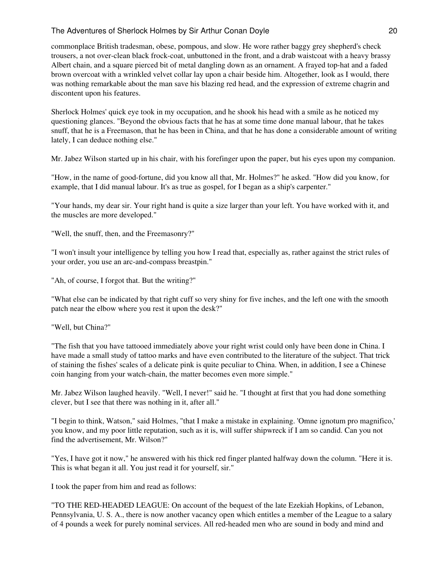commonplace British tradesman, obese, pompous, and slow. He wore rather baggy grey shepherd's check trousers, a not over-clean black frock-coat, unbuttoned in the front, and a drab waistcoat with a heavy brassy Albert chain, and a square pierced bit of metal dangling down as an ornament. A frayed top-hat and a faded brown overcoat with a wrinkled velvet collar lay upon a chair beside him. Altogether, look as I would, there was nothing remarkable about the man save his blazing red head, and the expression of extreme chagrin and discontent upon his features.

Sherlock Holmes' quick eye took in my occupation, and he shook his head with a smile as he noticed my questioning glances. "Beyond the obvious facts that he has at some time done manual labour, that he takes snuff, that he is a Freemason, that he has been in China, and that he has done a considerable amount of writing lately, I can deduce nothing else."

Mr. Jabez Wilson started up in his chair, with his forefinger upon the paper, but his eyes upon my companion.

"How, in the name of good-fortune, did you know all that, Mr. Holmes?" he asked. "How did you know, for example, that I did manual labour. It's as true as gospel, for I began as a ship's carpenter."

"Your hands, my dear sir. Your right hand is quite a size larger than your left. You have worked with it, and the muscles are more developed."

"Well, the snuff, then, and the Freemasonry?"

"I won't insult your intelligence by telling you how I read that, especially as, rather against the strict rules of your order, you use an arc-and-compass breastpin."

"Ah, of course, I forgot that. But the writing?"

"What else can be indicated by that right cuff so very shiny for five inches, and the left one with the smooth patch near the elbow where you rest it upon the desk?"

"Well, but China?"

"The fish that you have tattooed immediately above your right wrist could only have been done in China. I have made a small study of tattoo marks and have even contributed to the literature of the subject. That trick of staining the fishes' scales of a delicate pink is quite peculiar to China. When, in addition, I see a Chinese coin hanging from your watch-chain, the matter becomes even more simple."

Mr. Jabez Wilson laughed heavily. "Well, I never!" said he. "I thought at first that you had done something clever, but I see that there was nothing in it, after all."

"I begin to think, Watson," said Holmes, "that I make a mistake in explaining. 'Omne ignotum pro magnifico,' you know, and my poor little reputation, such as it is, will suffer shipwreck if I am so candid. Can you not find the advertisement, Mr. Wilson?"

"Yes, I have got it now," he answered with his thick red finger planted halfway down the column. "Here it is. This is what began it all. You just read it for yourself, sir."

I took the paper from him and read as follows:

"TO THE RED-HEADED LEAGUE: On account of the bequest of the late Ezekiah Hopkins, of Lebanon, Pennsylvania, U. S. A., there is now another vacancy open which entitles a member of the League to a salary of 4 pounds a week for purely nominal services. All red-headed men who are sound in body and mind and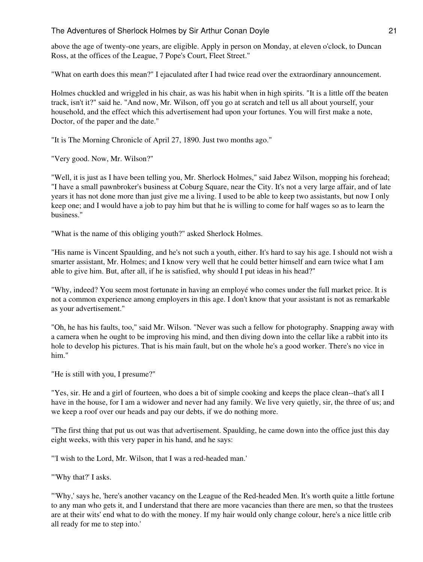above the age of twenty-one years, are eligible. Apply in person on Monday, at eleven o'clock, to Duncan Ross, at the offices of the League, 7 Pope's Court, Fleet Street."

"What on earth does this mean?" I ejaculated after I had twice read over the extraordinary announcement.

Holmes chuckled and wriggled in his chair, as was his habit when in high spirits. "It is a little off the beaten track, isn't it?" said he. "And now, Mr. Wilson, off you go at scratch and tell us all about yourself, your household, and the effect which this advertisement had upon your fortunes. You will first make a note, Doctor, of the paper and the date."

"It is The Morning Chronicle of April 27, 1890. Just two months ago."

"Very good. Now, Mr. Wilson?"

"Well, it is just as I have been telling you, Mr. Sherlock Holmes," said Jabez Wilson, mopping his forehead; "I have a small pawnbroker's business at Coburg Square, near the City. It's not a very large affair, and of late years it has not done more than just give me a living. I used to be able to keep two assistants, but now I only keep one; and I would have a job to pay him but that he is willing to come for half wages so as to learn the business."

"What is the name of this obliging youth?" asked Sherlock Holmes.

"His name is Vincent Spaulding, and he's not such a youth, either. It's hard to say his age. I should not wish a smarter assistant, Mr. Holmes; and I know very well that he could better himself and earn twice what I am able to give him. But, after all, if he is satisfied, why should I put ideas in his head?"

"Why, indeed? You seem most fortunate in having an employé who comes under the full market price. It is not a common experience among employers in this age. I don't know that your assistant is not as remarkable as your advertisement."

"Oh, he has his faults, too," said Mr. Wilson. "Never was such a fellow for photography. Snapping away with a camera when he ought to be improving his mind, and then diving down into the cellar like a rabbit into its hole to develop his pictures. That is his main fault, but on the whole he's a good worker. There's no vice in him."

"He is still with you, I presume?"

"Yes, sir. He and a girl of fourteen, who does a bit of simple cooking and keeps the place clean--that's all I have in the house, for I am a widower and never had any family. We live very quietly, sir, the three of us; and we keep a roof over our heads and pay our debts, if we do nothing more.

"The first thing that put us out was that advertisement. Spaulding, he came down into the office just this day eight weeks, with this very paper in his hand, and he says:

"'I wish to the Lord, Mr. Wilson, that I was a red-headed man.'

"'Why that?' I asks.

"'Why,' says he, 'here's another vacancy on the League of the Red-headed Men. It's worth quite a little fortune to any man who gets it, and I understand that there are more vacancies than there are men, so that the trustees are at their wits' end what to do with the money. If my hair would only change colour, here's a nice little crib all ready for me to step into.'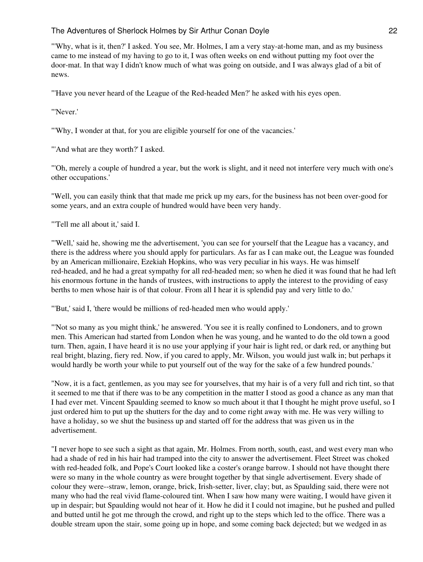"'Why, what is it, then?' I asked. You see, Mr. Holmes, I am a very stay-at-home man, and as my business came to me instead of my having to go to it, I was often weeks on end without putting my foot over the door-mat. In that way I didn't know much of what was going on outside, and I was always glad of a bit of news.

"'Have you never heard of the League of the Red-headed Men?' he asked with his eyes open.

"'Never.'

"'Why, I wonder at that, for you are eligible yourself for one of the vacancies.'

"'And what are they worth?' I asked.

"'Oh, merely a couple of hundred a year, but the work is slight, and it need not interfere very much with one's other occupations.'

"Well, you can easily think that that made me prick up my ears, for the business has not been over-good for some years, and an extra couple of hundred would have been very handy.

"'Tell me all about it,' said I.

"'Well,' said he, showing me the advertisement, 'you can see for yourself that the League has a vacancy, and there is the address where you should apply for particulars. As far as I can make out, the League was founded by an American millionaire, Ezekiah Hopkins, who was very peculiar in his ways. He was himself red-headed, and he had a great sympathy for all red-headed men; so when he died it was found that he had left his enormous fortune in the hands of trustees, with instructions to apply the interest to the providing of easy berths to men whose hair is of that colour. From all I hear it is splendid pay and very little to do.'

"'But,' said I, 'there would be millions of red-headed men who would apply.'

"'Not so many as you might think,' he answered. 'You see it is really confined to Londoners, and to grown men. This American had started from London when he was young, and he wanted to do the old town a good turn. Then, again, I have heard it is no use your applying if your hair is light red, or dark red, or anything but real bright, blazing, fiery red. Now, if you cared to apply, Mr. Wilson, you would just walk in; but perhaps it would hardly be worth your while to put yourself out of the way for the sake of a few hundred pounds.'

"Now, it is a fact, gentlemen, as you may see for yourselves, that my hair is of a very full and rich tint, so that it seemed to me that if there was to be any competition in the matter I stood as good a chance as any man that I had ever met. Vincent Spaulding seemed to know so much about it that I thought he might prove useful, so I just ordered him to put up the shutters for the day and to come right away with me. He was very willing to have a holiday, so we shut the business up and started off for the address that was given us in the advertisement.

"I never hope to see such a sight as that again, Mr. Holmes. From north, south, east, and west every man who had a shade of red in his hair had tramped into the city to answer the advertisement. Fleet Street was choked with red-headed folk, and Pope's Court looked like a coster's orange barrow. I should not have thought there were so many in the whole country as were brought together by that single advertisement. Every shade of colour they were--straw, lemon, orange, brick, Irish-setter, liver, clay; but, as Spaulding said, there were not many who had the real vivid flame-coloured tint. When I saw how many were waiting, I would have given it up in despair; but Spaulding would not hear of it. How he did it I could not imagine, but he pushed and pulled and butted until he got me through the crowd, and right up to the steps which led to the office. There was a double stream upon the stair, some going up in hope, and some coming back dejected; but we wedged in as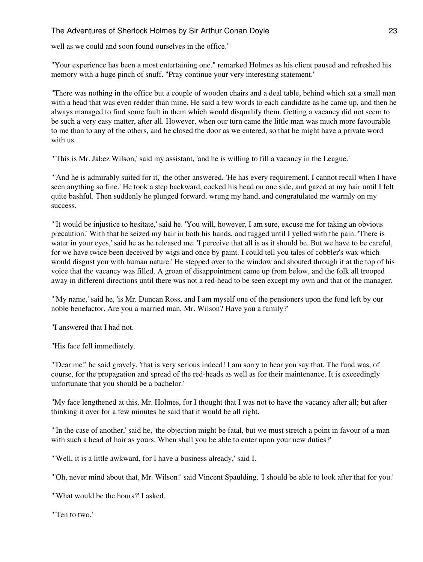well as we could and soon found ourselves in the office."

"Your experience has been a most entertaining one," remarked Holmes as his client paused and refreshed his memory with a huge pinch of snuff. "Pray continue your very interesting statement."

"There was nothing in the office but a couple of wooden chairs and a deal table, behind which sat a small man with a head that was even redder than mine. He said a few words to each candidate as he came up, and then he always managed to find some fault in them which would disqualify them. Getting a vacancy did not seem to be such a very easy matter, after all. However, when our turn came the little man was much more favourable to me than to any of the others, and he closed the door as we entered, so that he might have a private word with us.

"'This is Mr. Jabez Wilson,' said my assistant, 'and he is willing to fill a vacancy in the League.'

"'And he is admirably suited for it,' the other answered. 'He has every requirement. I cannot recall when I have seen anything so fine.' He took a step backward, cocked his head on one side, and gazed at my hair until I felt quite bashful. Then suddenly he plunged forward, wrung my hand, and congratulated me warmly on my success.

"'It would be injustice to hesitate,' said he. 'You will, however, I am sure, excuse me for taking an obvious precaution.' With that he seized my hair in both his hands, and tugged until I yelled with the pain. 'There is water in your eyes,' said he as he released me. 'I perceive that all is as it should be. But we have to be careful, for we have twice been deceived by wigs and once by paint. I could tell you tales of cobbler's wax which would disgust you with human nature.' He stepped over to the window and shouted through it at the top of his voice that the vacancy was filled. A groan of disappointment came up from below, and the folk all trooped away in different directions until there was not a red-head to be seen except my own and that of the manager.

"'My name,' said he, 'is Mr. Duncan Ross, and I am myself one of the pensioners upon the fund left by our noble benefactor. Are you a married man, Mr. Wilson? Have you a family?'

"I answered that I had not.

"His face fell immediately.

"'Dear me!' he said gravely, 'that is very serious indeed! I am sorry to hear you say that. The fund was, of course, for the propagation and spread of the red-heads as well as for their maintenance. It is exceedingly unfortunate that you should be a bachelor.'

"My face lengthened at this, Mr. Holmes, for I thought that I was not to have the vacancy after all; but after thinking it over for a few minutes he said that it would be all right.

"'In the case of another,' said he, 'the objection might be fatal, but we must stretch a point in favour of a man with such a head of hair as yours. When shall you be able to enter upon your new duties?'

"'Well, it is a little awkward, for I have a business already,' said I.

"'Oh, never mind about that, Mr. Wilson!' said Vincent Spaulding. 'I should be able to look after that for you.'

"'What would be the hours?' I asked.

"'Ten to two.'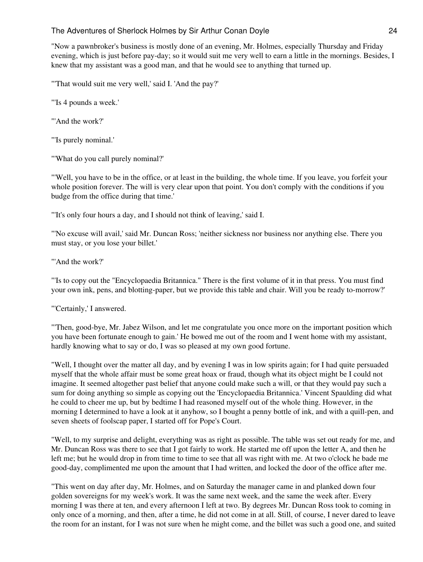"Now a pawnbroker's business is mostly done of an evening, Mr. Holmes, especially Thursday and Friday evening, which is just before pay-day; so it would suit me very well to earn a little in the mornings. Besides, I knew that my assistant was a good man, and that he would see to anything that turned up.

"'That would suit me very well,' said I. 'And the pay?'

"'Is 4 pounds a week.'

"'And the work?'

"'Is purely nominal.'

"'What do you call purely nominal?'

"'Well, you have to be in the office, or at least in the building, the whole time. If you leave, you forfeit your whole position forever. The will is very clear upon that point. You don't comply with the conditions if you budge from the office during that time.'

"'It's only four hours a day, and I should not think of leaving,' said I.

"'No excuse will avail,' said Mr. Duncan Ross; 'neither sickness nor business nor anything else. There you must stay, or you lose your billet.'

"'And the work?"

"'Is to copy out the "Encyclopaedia Britannica." There is the first volume of it in that press. You must find your own ink, pens, and blotting-paper, but we provide this table and chair. Will you be ready to-morrow?'

"'Certainly,' I answered.

"'Then, good-bye, Mr. Jabez Wilson, and let me congratulate you once more on the important position which you have been fortunate enough to gain.' He bowed me out of the room and I went home with my assistant, hardly knowing what to say or do, I was so pleased at my own good fortune.

"Well, I thought over the matter all day, and by evening I was in low spirits again; for I had quite persuaded myself that the whole affair must be some great hoax or fraud, though what its object might be I could not imagine. It seemed altogether past belief that anyone could make such a will, or that they would pay such a sum for doing anything so simple as copying out the 'Encyclopaedia Britannica.' Vincent Spaulding did what he could to cheer me up, but by bedtime I had reasoned myself out of the whole thing. However, in the morning I determined to have a look at it anyhow, so I bought a penny bottle of ink, and with a quill-pen, and seven sheets of foolscap paper, I started off for Pope's Court.

"Well, to my surprise and delight, everything was as right as possible. The table was set out ready for me, and Mr. Duncan Ross was there to see that I got fairly to work. He started me off upon the letter A, and then he left me; but he would drop in from time to time to see that all was right with me. At two o'clock he bade me good-day, complimented me upon the amount that I had written, and locked the door of the office after me.

"This went on day after day, Mr. Holmes, and on Saturday the manager came in and planked down four golden sovereigns for my week's work. It was the same next week, and the same the week after. Every morning I was there at ten, and every afternoon I left at two. By degrees Mr. Duncan Ross took to coming in only once of a morning, and then, after a time, he did not come in at all. Still, of course, I never dared to leave the room for an instant, for I was not sure when he might come, and the billet was such a good one, and suited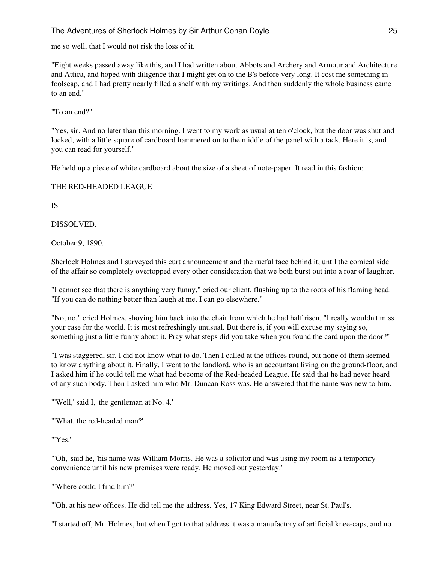me so well, that I would not risk the loss of it.

"Eight weeks passed away like this, and I had written about Abbots and Archery and Armour and Architecture and Attica, and hoped with diligence that I might get on to the B's before very long. It cost me something in foolscap, and I had pretty nearly filled a shelf with my writings. And then suddenly the whole business came to an end."

"To an end?"

"Yes, sir. And no later than this morning. I went to my work as usual at ten o'clock, but the door was shut and locked, with a little square of cardboard hammered on to the middle of the panel with a tack. Here it is, and you can read for yourself."

He held up a piece of white cardboard about the size of a sheet of note-paper. It read in this fashion:

## THE RED-HEADED LEAGUE

IS

DISSOLVED.

October 9, 1890.

Sherlock Holmes and I surveyed this curt announcement and the rueful face behind it, until the comical side of the affair so completely overtopped every other consideration that we both burst out into a roar of laughter.

"I cannot see that there is anything very funny," cried our client, flushing up to the roots of his flaming head. "If you can do nothing better than laugh at me, I can go elsewhere."

"No, no," cried Holmes, shoving him back into the chair from which he had half risen. "I really wouldn't miss your case for the world. It is most refreshingly unusual. But there is, if you will excuse my saying so, something just a little funny about it. Pray what steps did you take when you found the card upon the door?"

"I was staggered, sir. I did not know what to do. Then I called at the offices round, but none of them seemed to know anything about it. Finally, I went to the landlord, who is an accountant living on the ground-floor, and I asked him if he could tell me what had become of the Red-headed League. He said that he had never heard of any such body. Then I asked him who Mr. Duncan Ross was. He answered that the name was new to him.

"'Well,' said I, 'the gentleman at No. 4.'

"'What, the red-headed man?'

"'Yes.'

"'Oh,' said he, 'his name was William Morris. He was a solicitor and was using my room as a temporary convenience until his new premises were ready. He moved out yesterday.'

"'Where could I find him?'

"'Oh, at his new offices. He did tell me the address. Yes, 17 King Edward Street, near St. Paul's.'

"I started off, Mr. Holmes, but when I got to that address it was a manufactory of artificial knee-caps, and no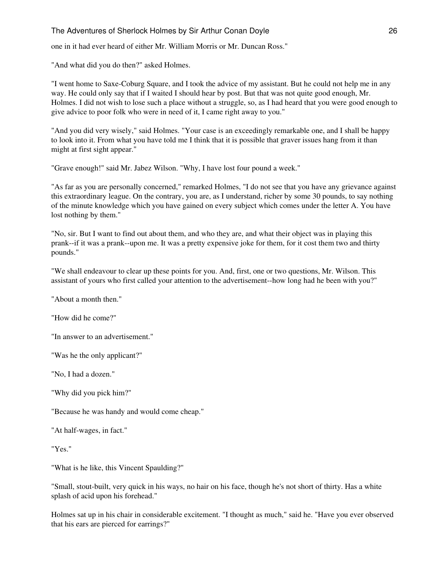one in it had ever heard of either Mr. William Morris or Mr. Duncan Ross."

"And what did you do then?" asked Holmes.

"I went home to Saxe-Coburg Square, and I took the advice of my assistant. But he could not help me in any way. He could only say that if I waited I should hear by post. But that was not quite good enough, Mr. Holmes. I did not wish to lose such a place without a struggle, so, as I had heard that you were good enough to give advice to poor folk who were in need of it, I came right away to you."

"And you did very wisely," said Holmes. "Your case is an exceedingly remarkable one, and I shall be happy to look into it. From what you have told me I think that it is possible that graver issues hang from it than might at first sight appear."

"Grave enough!" said Mr. Jabez Wilson. "Why, I have lost four pound a week."

"As far as you are personally concerned," remarked Holmes, "I do not see that you have any grievance against this extraordinary league. On the contrary, you are, as I understand, richer by some 30 pounds, to say nothing of the minute knowledge which you have gained on every subject which comes under the letter A. You have lost nothing by them."

"No, sir. But I want to find out about them, and who they are, and what their object was in playing this prank--if it was a prank--upon me. It was a pretty expensive joke for them, for it cost them two and thirty pounds."

"We shall endeavour to clear up these points for you. And, first, one or two questions, Mr. Wilson. This assistant of yours who first called your attention to the advertisement--how long had he been with you?"

"About a month then."

"How did he come?"

"In answer to an advertisement."

"Was he the only applicant?"

"No, I had a dozen."

"Why did you pick him?"

"Because he was handy and would come cheap."

"At half-wages, in fact."

"Yes."

"What is he like, this Vincent Spaulding?"

"Small, stout-built, very quick in his ways, no hair on his face, though he's not short of thirty. Has a white splash of acid upon his forehead."

Holmes sat up in his chair in considerable excitement. "I thought as much," said he. "Have you ever observed that his ears are pierced for earrings?"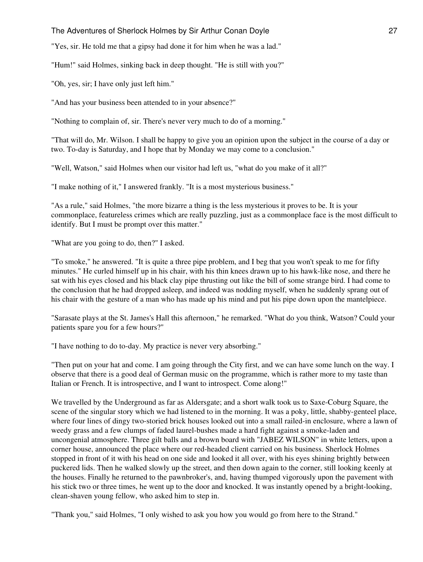"Yes, sir. He told me that a gipsy had done it for him when he was a lad."

"Hum!" said Holmes, sinking back in deep thought. "He is still with you?"

"Oh, yes, sir; I have only just left him."

"And has your business been attended to in your absence?"

"Nothing to complain of, sir. There's never very much to do of a morning."

"That will do, Mr. Wilson. I shall be happy to give you an opinion upon the subject in the course of a day or two. To-day is Saturday, and I hope that by Monday we may come to a conclusion."

"Well, Watson," said Holmes when our visitor had left us, "what do you make of it all?"

"I make nothing of it," I answered frankly. "It is a most mysterious business."

"As a rule," said Holmes, "the more bizarre a thing is the less mysterious it proves to be. It is your commonplace, featureless crimes which are really puzzling, just as a commonplace face is the most difficult to identify. But I must be prompt over this matter."

"What are you going to do, then?" I asked.

"To smoke," he answered. "It is quite a three pipe problem, and I beg that you won't speak to me for fifty minutes." He curled himself up in his chair, with his thin knees drawn up to his hawk-like nose, and there he sat with his eyes closed and his black clay pipe thrusting out like the bill of some strange bird. I had come to the conclusion that he had dropped asleep, and indeed was nodding myself, when he suddenly sprang out of his chair with the gesture of a man who has made up his mind and put his pipe down upon the mantelpiece.

"Sarasate plays at the St. James's Hall this afternoon," he remarked. "What do you think, Watson? Could your patients spare you for a few hours?"

"I have nothing to do to-day. My practice is never very absorbing."

"Then put on your hat and come. I am going through the City first, and we can have some lunch on the way. I observe that there is a good deal of German music on the programme, which is rather more to my taste than Italian or French. It is introspective, and I want to introspect. Come along!"

We travelled by the Underground as far as Aldersgate; and a short walk took us to Saxe-Coburg Square, the scene of the singular story which we had listened to in the morning. It was a poky, little, shabby-genteel place, where four lines of dingy two-storied brick houses looked out into a small railed-in enclosure, where a lawn of weedy grass and a few clumps of faded laurel-bushes made a hard fight against a smoke-laden and uncongenial atmosphere. Three gilt balls and a brown board with "JABEZ WILSON" in white letters, upon a corner house, announced the place where our red-headed client carried on his business. Sherlock Holmes stopped in front of it with his head on one side and looked it all over, with his eyes shining brightly between puckered lids. Then he walked slowly up the street, and then down again to the corner, still looking keenly at the houses. Finally he returned to the pawnbroker's, and, having thumped vigorously upon the pavement with his stick two or three times, he went up to the door and knocked. It was instantly opened by a bright-looking, clean-shaven young fellow, who asked him to step in.

"Thank you," said Holmes, "I only wished to ask you how you would go from here to the Strand."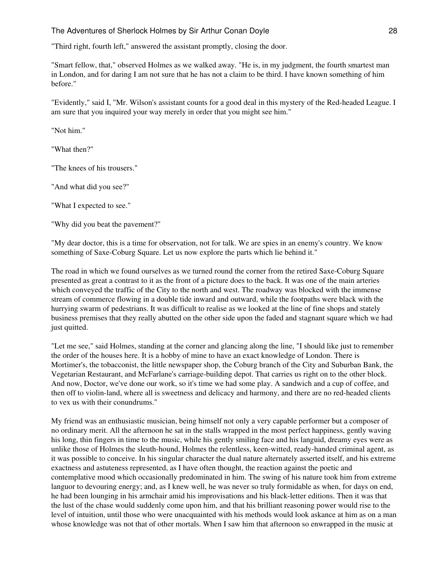"Third right, fourth left," answered the assistant promptly, closing the door.

"Smart fellow, that," observed Holmes as we walked away. "He is, in my judgment, the fourth smartest man in London, and for daring I am not sure that he has not a claim to be third. I have known something of him before."

"Evidently," said I, "Mr. Wilson's assistant counts for a good deal in this mystery of the Red-headed League. I am sure that you inquired your way merely in order that you might see him."

"Not him."

"What then?"

"The knees of his trousers."

"And what did you see?"

"What I expected to see."

"Why did you beat the pavement?"

"My dear doctor, this is a time for observation, not for talk. We are spies in an enemy's country. We know something of Saxe-Coburg Square. Let us now explore the parts which lie behind it."

The road in which we found ourselves as we turned round the corner from the retired Saxe-Coburg Square presented as great a contrast to it as the front of a picture does to the back. It was one of the main arteries which conveyed the traffic of the City to the north and west. The roadway was blocked with the immense stream of commerce flowing in a double tide inward and outward, while the footpaths were black with the hurrying swarm of pedestrians. It was difficult to realise as we looked at the line of fine shops and stately business premises that they really abutted on the other side upon the faded and stagnant square which we had just quitted.

"Let me see," said Holmes, standing at the corner and glancing along the line, "I should like just to remember the order of the houses here. It is a hobby of mine to have an exact knowledge of London. There is Mortimer's, the tobacconist, the little newspaper shop, the Coburg branch of the City and Suburban Bank, the Vegetarian Restaurant, and McFarlane's carriage-building depot. That carries us right on to the other block. And now, Doctor, we've done our work, so it's time we had some play. A sandwich and a cup of coffee, and then off to violin-land, where all is sweetness and delicacy and harmony, and there are no red-headed clients to vex us with their conundrums."

My friend was an enthusiastic musician, being himself not only a very capable performer but a composer of no ordinary merit. All the afternoon he sat in the stalls wrapped in the most perfect happiness, gently waving his long, thin fingers in time to the music, while his gently smiling face and his languid, dreamy eyes were as unlike those of Holmes the sleuth-hound, Holmes the relentless, keen-witted, ready-handed criminal agent, as it was possible to conceive. In his singular character the dual nature alternately asserted itself, and his extreme exactness and astuteness represented, as I have often thought, the reaction against the poetic and contemplative mood which occasionally predominated in him. The swing of his nature took him from extreme languor to devouring energy; and, as I knew well, he was never so truly formidable as when, for days on end, he had been lounging in his armchair amid his improvisations and his black-letter editions. Then it was that the lust of the chase would suddenly come upon him, and that his brilliant reasoning power would rise to the level of intuition, until those who were unacquainted with his methods would look askance at him as on a man whose knowledge was not that of other mortals. When I saw him that afternoon so enwrapped in the music at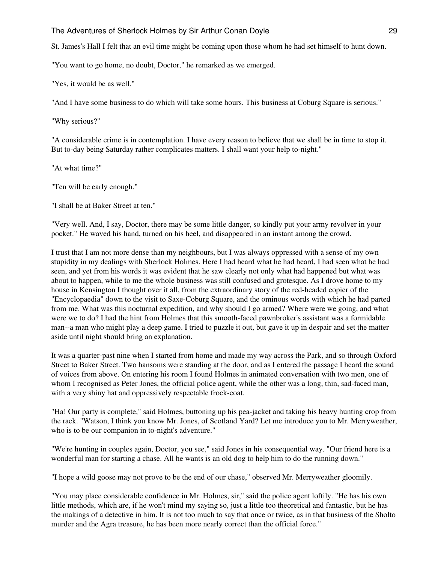St. James's Hall I felt that an evil time might be coming upon those whom he had set himself to hunt down.

"You want to go home, no doubt, Doctor," he remarked as we emerged.

"Yes, it would be as well."

"And I have some business to do which will take some hours. This business at Coburg Square is serious."

"Why serious?"

"A considerable crime is in contemplation. I have every reason to believe that we shall be in time to stop it. But to-day being Saturday rather complicates matters. I shall want your help to-night."

"At what time?"

"Ten will be early enough."

"I shall be at Baker Street at ten."

"Very well. And, I say, Doctor, there may be some little danger, so kindly put your army revolver in your pocket." He waved his hand, turned on his heel, and disappeared in an instant among the crowd.

I trust that I am not more dense than my neighbours, but I was always oppressed with a sense of my own stupidity in my dealings with Sherlock Holmes. Here I had heard what he had heard, I had seen what he had seen, and yet from his words it was evident that he saw clearly not only what had happened but what was about to happen, while to me the whole business was still confused and grotesque. As I drove home to my house in Kensington I thought over it all, from the extraordinary story of the red-headed copier of the "Encyclopaedia" down to the visit to Saxe-Coburg Square, and the ominous words with which he had parted from me. What was this nocturnal expedition, and why should I go armed? Where were we going, and what were we to do? I had the hint from Holmes that this smooth-faced pawnbroker's assistant was a formidable man--a man who might play a deep game. I tried to puzzle it out, but gave it up in despair and set the matter aside until night should bring an explanation.

It was a quarter-past nine when I started from home and made my way across the Park, and so through Oxford Street to Baker Street. Two hansoms were standing at the door, and as I entered the passage I heard the sound of voices from above. On entering his room I found Holmes in animated conversation with two men, one of whom I recognised as Peter Jones, the official police agent, while the other was a long, thin, sad-faced man, with a very shiny hat and oppressively respectable frock-coat.

"Ha! Our party is complete," said Holmes, buttoning up his pea-jacket and taking his heavy hunting crop from the rack. "Watson, I think you know Mr. Jones, of Scotland Yard? Let me introduce you to Mr. Merryweather, who is to be our companion in to-night's adventure."

"We're hunting in couples again, Doctor, you see," said Jones in his consequential way. "Our friend here is a wonderful man for starting a chase. All he wants is an old dog to help him to do the running down."

"I hope a wild goose may not prove to be the end of our chase," observed Mr. Merryweather gloomily.

"You may place considerable confidence in Mr. Holmes, sir," said the police agent loftily. "He has his own little methods, which are, if he won't mind my saying so, just a little too theoretical and fantastic, but he has the makings of a detective in him. It is not too much to say that once or twice, as in that business of the Sholto murder and the Agra treasure, he has been more nearly correct than the official force."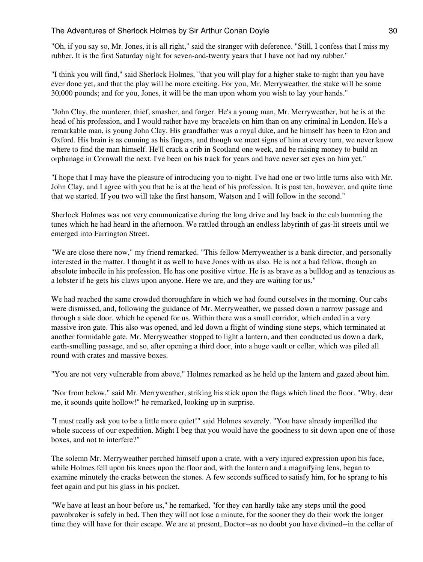"Oh, if you say so, Mr. Jones, it is all right," said the stranger with deference. "Still, I confess that I miss my rubber. It is the first Saturday night for seven-and-twenty years that I have not had my rubber."

"I think you will find," said Sherlock Holmes, "that you will play for a higher stake to-night than you have ever done yet, and that the play will be more exciting. For you, Mr. Merryweather, the stake will be some 30,000 pounds; and for you, Jones, it will be the man upon whom you wish to lay your hands."

"John Clay, the murderer, thief, smasher, and forger. He's a young man, Mr. Merryweather, but he is at the head of his profession, and I would rather have my bracelets on him than on any criminal in London. He's a remarkable man, is young John Clay. His grandfather was a royal duke, and he himself has been to Eton and Oxford. His brain is as cunning as his fingers, and though we meet signs of him at every turn, we never know where to find the man himself. He'll crack a crib in Scotland one week, and be raising money to build an orphanage in Cornwall the next. I've been on his track for years and have never set eyes on him yet."

"I hope that I may have the pleasure of introducing you to-night. I've had one or two little turns also with Mr. John Clay, and I agree with you that he is at the head of his profession. It is past ten, however, and quite time that we started. If you two will take the first hansom, Watson and I will follow in the second."

Sherlock Holmes was not very communicative during the long drive and lay back in the cab humming the tunes which he had heard in the afternoon. We rattled through an endless labyrinth of gas-lit streets until we emerged into Farrington Street.

"We are close there now," my friend remarked. "This fellow Merryweather is a bank director, and personally interested in the matter. I thought it as well to have Jones with us also. He is not a bad fellow, though an absolute imbecile in his profession. He has one positive virtue. He is as brave as a bulldog and as tenacious as a lobster if he gets his claws upon anyone. Here we are, and they are waiting for us."

We had reached the same crowded thoroughfare in which we had found ourselves in the morning. Our cabs were dismissed, and, following the guidance of Mr. Merryweather, we passed down a narrow passage and through a side door, which he opened for us. Within there was a small corridor, which ended in a very massive iron gate. This also was opened, and led down a flight of winding stone steps, which terminated at another formidable gate. Mr. Merryweather stopped to light a lantern, and then conducted us down a dark, earth-smelling passage, and so, after opening a third door, into a huge vault or cellar, which was piled all round with crates and massive boxes.

"You are not very vulnerable from above," Holmes remarked as he held up the lantern and gazed about him.

"Nor from below," said Mr. Merryweather, striking his stick upon the flags which lined the floor. "Why, dear me, it sounds quite hollow!" he remarked, looking up in surprise.

"I must really ask you to be a little more quiet!" said Holmes severely. "You have already imperilled the whole success of our expedition. Might I beg that you would have the goodness to sit down upon one of those boxes, and not to interfere?"

The solemn Mr. Merryweather perched himself upon a crate, with a very injured expression upon his face, while Holmes fell upon his knees upon the floor and, with the lantern and a magnifying lens, began to examine minutely the cracks between the stones. A few seconds sufficed to satisfy him, for he sprang to his feet again and put his glass in his pocket.

"We have at least an hour before us," he remarked, "for they can hardly take any steps until the good pawnbroker is safely in bed. Then they will not lose a minute, for the sooner they do their work the longer time they will have for their escape. We are at present, Doctor--as no doubt you have divined--in the cellar of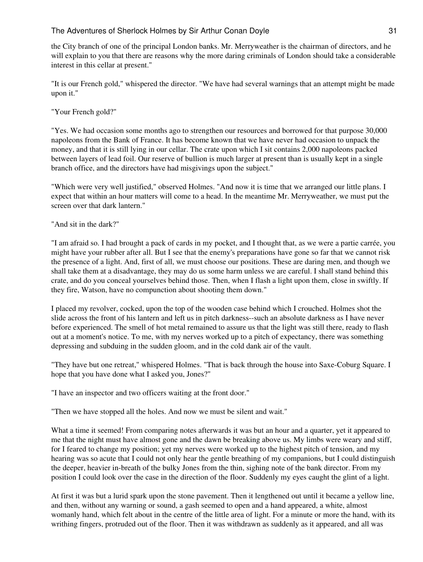the City branch of one of the principal London banks. Mr. Merryweather is the chairman of directors, and he will explain to you that there are reasons why the more daring criminals of London should take a considerable interest in this cellar at present."

"It is our French gold," whispered the director. "We have had several warnings that an attempt might be made upon it."

"Your French gold?"

"Yes. We had occasion some months ago to strengthen our resources and borrowed for that purpose 30,000 napoleons from the Bank of France. It has become known that we have never had occasion to unpack the money, and that it is still lying in our cellar. The crate upon which I sit contains 2,000 napoleons packed between layers of lead foil. Our reserve of bullion is much larger at present than is usually kept in a single branch office, and the directors have had misgivings upon the subject."

"Which were very well justified," observed Holmes. "And now it is time that we arranged our little plans. I expect that within an hour matters will come to a head. In the meantime Mr. Merryweather, we must put the screen over that dark lantern."

"And sit in the dark?"

"I am afraid so. I had brought a pack of cards in my pocket, and I thought that, as we were a partie carrée, you might have your rubber after all. But I see that the enemy's preparations have gone so far that we cannot risk the presence of a light. And, first of all, we must choose our positions. These are daring men, and though we shall take them at a disadvantage, they may do us some harm unless we are careful. I shall stand behind this crate, and do you conceal yourselves behind those. Then, when I flash a light upon them, close in swiftly. If they fire, Watson, have no compunction about shooting them down."

I placed my revolver, cocked, upon the top of the wooden case behind which I crouched. Holmes shot the slide across the front of his lantern and left us in pitch darkness--such an absolute darkness as I have never before experienced. The smell of hot metal remained to assure us that the light was still there, ready to flash out at a moment's notice. To me, with my nerves worked up to a pitch of expectancy, there was something depressing and subduing in the sudden gloom, and in the cold dank air of the vault.

"They have but one retreat," whispered Holmes. "That is back through the house into Saxe-Coburg Square. I hope that you have done what I asked you, Jones?"

"I have an inspector and two officers waiting at the front door."

"Then we have stopped all the holes. And now we must be silent and wait."

What a time it seemed! From comparing notes afterwards it was but an hour and a quarter, yet it appeared to me that the night must have almost gone and the dawn be breaking above us. My limbs were weary and stiff, for I feared to change my position; yet my nerves were worked up to the highest pitch of tension, and my hearing was so acute that I could not only hear the gentle breathing of my companions, but I could distinguish the deeper, heavier in-breath of the bulky Jones from the thin, sighing note of the bank director. From my position I could look over the case in the direction of the floor. Suddenly my eyes caught the glint of a light.

At first it was but a lurid spark upon the stone pavement. Then it lengthened out until it became a yellow line, and then, without any warning or sound, a gash seemed to open and a hand appeared, a white, almost womanly hand, which felt about in the centre of the little area of light. For a minute or more the hand, with its writhing fingers, protruded out of the floor. Then it was withdrawn as suddenly as it appeared, and all was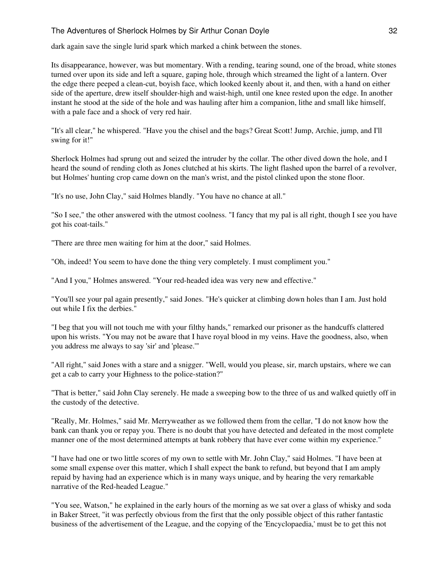dark again save the single lurid spark which marked a chink between the stones.

Its disappearance, however, was but momentary. With a rending, tearing sound, one of the broad, white stones turned over upon its side and left a square, gaping hole, through which streamed the light of a lantern. Over the edge there peeped a clean-cut, boyish face, which looked keenly about it, and then, with a hand on either side of the aperture, drew itself shoulder-high and waist-high, until one knee rested upon the edge. In another instant he stood at the side of the hole and was hauling after him a companion, lithe and small like himself, with a pale face and a shock of very red hair.

"It's all clear," he whispered. "Have you the chisel and the bags? Great Scott! Jump, Archie, jump, and I'll swing for it!"

Sherlock Holmes had sprung out and seized the intruder by the collar. The other dived down the hole, and I heard the sound of rending cloth as Jones clutched at his skirts. The light flashed upon the barrel of a revolver, but Holmes' hunting crop came down on the man's wrist, and the pistol clinked upon the stone floor.

"It's no use, John Clay," said Holmes blandly. "You have no chance at all."

"So I see," the other answered with the utmost coolness. "I fancy that my pal is all right, though I see you have got his coat-tails."

"There are three men waiting for him at the door," said Holmes.

"Oh, indeed! You seem to have done the thing very completely. I must compliment you."

"And I you," Holmes answered. "Your red-headed idea was very new and effective."

"You'll see your pal again presently," said Jones. "He's quicker at climbing down holes than I am. Just hold out while I fix the derbies."

"I beg that you will not touch me with your filthy hands," remarked our prisoner as the handcuffs clattered upon his wrists. "You may not be aware that I have royal blood in my veins. Have the goodness, also, when you address me always to say 'sir' and 'please.'"

"All right," said Jones with a stare and a snigger. "Well, would you please, sir, march upstairs, where we can get a cab to carry your Highness to the police-station?"

"That is better," said John Clay serenely. He made a sweeping bow to the three of us and walked quietly off in the custody of the detective.

"Really, Mr. Holmes," said Mr. Merryweather as we followed them from the cellar, "I do not know how the bank can thank you or repay you. There is no doubt that you have detected and defeated in the most complete manner one of the most determined attempts at bank robbery that have ever come within my experience."

"I have had one or two little scores of my own to settle with Mr. John Clay," said Holmes. "I have been at some small expense over this matter, which I shall expect the bank to refund, but beyond that I am amply repaid by having had an experience which is in many ways unique, and by hearing the very remarkable narrative of the Red-headed League."

"You see, Watson," he explained in the early hours of the morning as we sat over a glass of whisky and soda in Baker Street, "it was perfectly obvious from the first that the only possible object of this rather fantastic business of the advertisement of the League, and the copying of the 'Encyclopaedia,' must be to get this not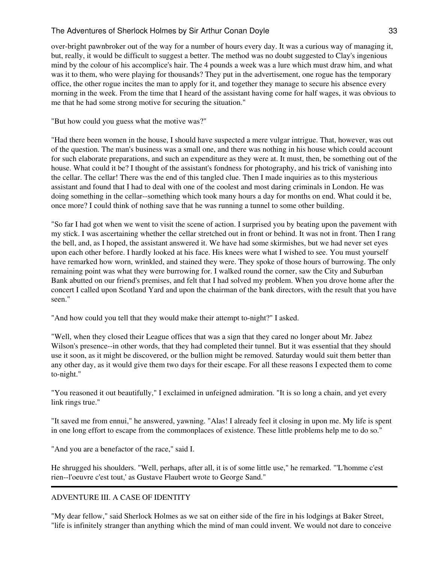over-bright pawnbroker out of the way for a number of hours every day. It was a curious way of managing it, but, really, it would be difficult to suggest a better. The method was no doubt suggested to Clay's ingenious mind by the colour of his accomplice's hair. The 4 pounds a week was a lure which must draw him, and what was it to them, who were playing for thousands? They put in the advertisement, one rogue has the temporary office, the other rogue incites the man to apply for it, and together they manage to secure his absence every morning in the week. From the time that I heard of the assistant having come for half wages, it was obvious to me that he had some strong motive for securing the situation."

"But how could you guess what the motive was?"

"Had there been women in the house, I should have suspected a mere vulgar intrigue. That, however, was out of the question. The man's business was a small one, and there was nothing in his house which could account for such elaborate preparations, and such an expenditure as they were at. It must, then, be something out of the house. What could it be? I thought of the assistant's fondness for photography, and his trick of vanishing into the cellar. The cellar! There was the end of this tangled clue. Then I made inquiries as to this mysterious assistant and found that I had to deal with one of the coolest and most daring criminals in London. He was doing something in the cellar--something which took many hours a day for months on end. What could it be, once more? I could think of nothing save that he was running a tunnel to some other building.

"So far I had got when we went to visit the scene of action. I surprised you by beating upon the pavement with my stick. I was ascertaining whether the cellar stretched out in front or behind. It was not in front. Then I rang the bell, and, as I hoped, the assistant answered it. We have had some skirmishes, but we had never set eyes upon each other before. I hardly looked at his face. His knees were what I wished to see. You must yourself have remarked how worn, wrinkled, and stained they were. They spoke of those hours of burrowing. The only remaining point was what they were burrowing for. I walked round the corner, saw the City and Suburban Bank abutted on our friend's premises, and felt that I had solved my problem. When you drove home after the concert I called upon Scotland Yard and upon the chairman of the bank directors, with the result that you have seen."

"And how could you tell that they would make their attempt to-night?" I asked.

"Well, when they closed their League offices that was a sign that they cared no longer about Mr. Jabez Wilson's presence--in other words, that they had completed their tunnel. But it was essential that they should use it soon, as it might be discovered, or the bullion might be removed. Saturday would suit them better than any other day, as it would give them two days for their escape. For all these reasons I expected them to come to-night."

"You reasoned it out beautifully," I exclaimed in unfeigned admiration. "It is so long a chain, and yet every link rings true."

"It saved me from ennui," he answered, yawning. "Alas! I already feel it closing in upon me. My life is spent in one long effort to escape from the commonplaces of existence. These little problems help me to do so."

"And you are a benefactor of the race," said I.

He shrugged his shoulders. "Well, perhaps, after all, it is of some little use," he remarked. "'L'homme c'est rien--l'oeuvre c'est tout,' as Gustave Flaubert wrote to George Sand."

# ADVENTURE III. A CASE OF IDENTITY

"My dear fellow," said Sherlock Holmes as we sat on either side of the fire in his lodgings at Baker Street, "life is infinitely stranger than anything which the mind of man could invent. We would not dare to conceive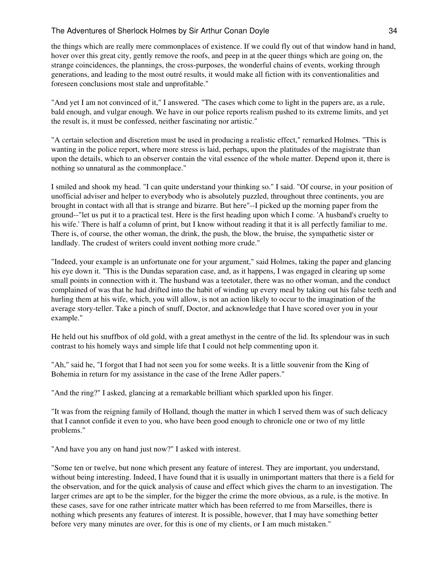the things which are really mere commonplaces of existence. If we could fly out of that window hand in hand, hover over this great city, gently remove the roofs, and peep in at the queer things which are going on, the strange coincidences, the plannings, the cross-purposes, the wonderful chains of events, working through generations, and leading to the most outré results, it would make all fiction with its conventionalities and foreseen conclusions most stale and unprofitable."

"And yet I am not convinced of it," I answered. "The cases which come to light in the papers are, as a rule, bald enough, and vulgar enough. We have in our police reports realism pushed to its extreme limits, and yet the result is, it must be confessed, neither fascinating nor artistic."

"A certain selection and discretion must be used in producing a realistic effect," remarked Holmes. "This is wanting in the police report, where more stress is laid, perhaps, upon the platitudes of the magistrate than upon the details, which to an observer contain the vital essence of the whole matter. Depend upon it, there is nothing so unnatural as the commonplace."

I smiled and shook my head. "I can quite understand your thinking so." I said. "Of course, in your position of unofficial adviser and helper to everybody who is absolutely puzzled, throughout three continents, you are brought in contact with all that is strange and bizarre. But here"--I picked up the morning paper from the ground--"let us put it to a practical test. Here is the first heading upon which I come. 'A husband's cruelty to his wife.' There is half a column of print, but I know without reading it that it is all perfectly familiar to me. There is, of course, the other woman, the drink, the push, the blow, the bruise, the sympathetic sister or landlady. The crudest of writers could invent nothing more crude."

"Indeed, your example is an unfortunate one for your argument," said Holmes, taking the paper and glancing his eye down it. "This is the Dundas separation case, and, as it happens, I was engaged in clearing up some small points in connection with it. The husband was a teetotaler, there was no other woman, and the conduct complained of was that he had drifted into the habit of winding up every meal by taking out his false teeth and hurling them at his wife, which, you will allow, is not an action likely to occur to the imagination of the average story-teller. Take a pinch of snuff, Doctor, and acknowledge that I have scored over you in your example."

He held out his snuffbox of old gold, with a great amethyst in the centre of the lid. Its splendour was in such contrast to his homely ways and simple life that I could not help commenting upon it.

"Ah," said he, "I forgot that I had not seen you for some weeks. It is a little souvenir from the King of Bohemia in return for my assistance in the case of the Irene Adler papers."

"And the ring?" I asked, glancing at a remarkable brilliant which sparkled upon his finger.

"It was from the reigning family of Holland, though the matter in which I served them was of such delicacy that I cannot confide it even to you, who have been good enough to chronicle one or two of my little problems."

"And have you any on hand just now?" I asked with interest.

"Some ten or twelve, but none which present any feature of interest. They are important, you understand, without being interesting. Indeed, I have found that it is usually in unimportant matters that there is a field for the observation, and for the quick analysis of cause and effect which gives the charm to an investigation. The larger crimes are apt to be the simpler, for the bigger the crime the more obvious, as a rule, is the motive. In these cases, save for one rather intricate matter which has been referred to me from Marseilles, there is nothing which presents any features of interest. It is possible, however, that I may have something better before very many minutes are over, for this is one of my clients, or I am much mistaken."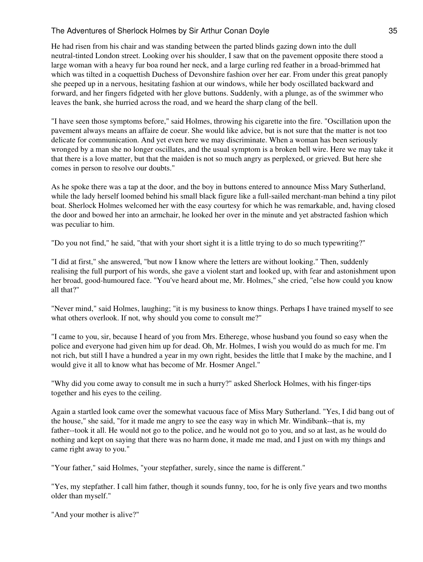He had risen from his chair and was standing between the parted blinds gazing down into the dull neutral-tinted London street. Looking over his shoulder, I saw that on the pavement opposite there stood a large woman with a heavy fur boa round her neck, and a large curling red feather in a broad-brimmed hat which was tilted in a coquettish Duchess of Devonshire fashion over her ear. From under this great panoply she peeped up in a nervous, hesitating fashion at our windows, while her body oscillated backward and forward, and her fingers fidgeted with her glove buttons. Suddenly, with a plunge, as of the swimmer who leaves the bank, she hurried across the road, and we heard the sharp clang of the bell.

"I have seen those symptoms before," said Holmes, throwing his cigarette into the fire. "Oscillation upon the pavement always means an affaire de coeur. She would like advice, but is not sure that the matter is not too delicate for communication. And yet even here we may discriminate. When a woman has been seriously wronged by a man she no longer oscillates, and the usual symptom is a broken bell wire. Here we may take it that there is a love matter, but that the maiden is not so much angry as perplexed, or grieved. But here she comes in person to resolve our doubts."

As he spoke there was a tap at the door, and the boy in buttons entered to announce Miss Mary Sutherland, while the lady herself loomed behind his small black figure like a full-sailed merchant-man behind a tiny pilot boat. Sherlock Holmes welcomed her with the easy courtesy for which he was remarkable, and, having closed the door and bowed her into an armchair, he looked her over in the minute and yet abstracted fashion which was peculiar to him.

"Do you not find," he said, "that with your short sight it is a little trying to do so much typewriting?"

"I did at first," she answered, "but now I know where the letters are without looking." Then, suddenly realising the full purport of his words, she gave a violent start and looked up, with fear and astonishment upon her broad, good-humoured face. "You've heard about me, Mr. Holmes," she cried, "else how could you know all that?"

"Never mind," said Holmes, laughing; "it is my business to know things. Perhaps I have trained myself to see what others overlook. If not, why should you come to consult me?"

"I came to you, sir, because I heard of you from Mrs. Etherege, whose husband you found so easy when the police and everyone had given him up for dead. Oh, Mr. Holmes, I wish you would do as much for me. I'm not rich, but still I have a hundred a year in my own right, besides the little that I make by the machine, and I would give it all to know what has become of Mr. Hosmer Angel."

"Why did you come away to consult me in such a hurry?" asked Sherlock Holmes, with his finger-tips together and his eyes to the ceiling.

Again a startled look came over the somewhat vacuous face of Miss Mary Sutherland. "Yes, I did bang out of the house," she said, "for it made me angry to see the easy way in which Mr. Windibank--that is, my father--took it all. He would not go to the police, and he would not go to you, and so at last, as he would do nothing and kept on saying that there was no harm done, it made me mad, and I just on with my things and came right away to you."

"Your father," said Holmes, "your stepfather, surely, since the name is different."

"Yes, my stepfather. I call him father, though it sounds funny, too, for he is only five years and two months older than myself."

"And your mother is alive?"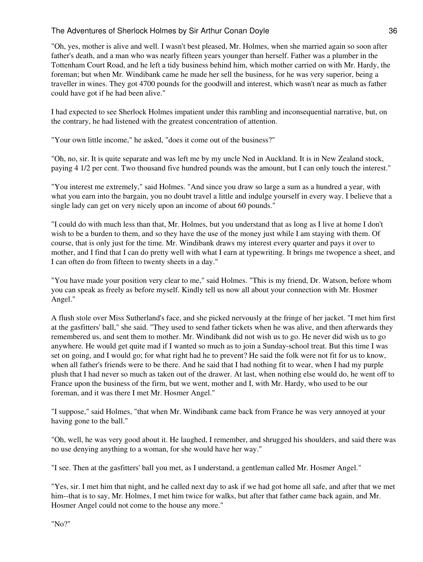"Oh, yes, mother is alive and well. I wasn't best pleased, Mr. Holmes, when she married again so soon after father's death, and a man who was nearly fifteen years younger than herself. Father was a plumber in the Tottenham Court Road, and he left a tidy business behind him, which mother carried on with Mr. Hardy, the foreman; but when Mr. Windibank came he made her sell the business, for he was very superior, being a traveller in wines. They got 4700 pounds for the goodwill and interest, which wasn't near as much as father could have got if he had been alive."

I had expected to see Sherlock Holmes impatient under this rambling and inconsequential narrative, but, on the contrary, he had listened with the greatest concentration of attention.

"Your own little income," he asked, "does it come out of the business?"

"Oh, no, sir. It is quite separate and was left me by my uncle Ned in Auckland. It is in New Zealand stock, paying 4 1/2 per cent. Two thousand five hundred pounds was the amount, but I can only touch the interest."

"You interest me extremely," said Holmes. "And since you draw so large a sum as a hundred a year, with what you earn into the bargain, you no doubt travel a little and indulge yourself in every way. I believe that a single lady can get on very nicely upon an income of about 60 pounds."

"I could do with much less than that, Mr. Holmes, but you understand that as long as I live at home I don't wish to be a burden to them, and so they have the use of the money just while I am staying with them. Of course, that is only just for the time. Mr. Windibank draws my interest every quarter and pays it over to mother, and I find that I can do pretty well with what I earn at typewriting. It brings me twopence a sheet, and I can often do from fifteen to twenty sheets in a day."

"You have made your position very clear to me," said Holmes. "This is my friend, Dr. Watson, before whom you can speak as freely as before myself. Kindly tell us now all about your connection with Mr. Hosmer Angel."

A flush stole over Miss Sutherland's face, and she picked nervously at the fringe of her jacket. "I met him first at the gasfitters' ball," she said. "They used to send father tickets when he was alive, and then afterwards they remembered us, and sent them to mother. Mr. Windibank did not wish us to go. He never did wish us to go anywhere. He would get quite mad if I wanted so much as to join a Sunday-school treat. But this time I was set on going, and I would go; for what right had he to prevent? He said the folk were not fit for us to know, when all father's friends were to be there. And he said that I had nothing fit to wear, when I had my purple plush that I had never so much as taken out of the drawer. At last, when nothing else would do, he went off to France upon the business of the firm, but we went, mother and I, with Mr. Hardy, who used to be our foreman, and it was there I met Mr. Hosmer Angel."

"I suppose," said Holmes, "that when Mr. Windibank came back from France he was very annoyed at your having gone to the ball."

"Oh, well, he was very good about it. He laughed, I remember, and shrugged his shoulders, and said there was no use denying anything to a woman, for she would have her way."

"I see. Then at the gasfitters' ball you met, as I understand, a gentleman called Mr. Hosmer Angel."

"Yes, sir. I met him that night, and he called next day to ask if we had got home all safe, and after that we met him--that is to say, Mr. Holmes, I met him twice for walks, but after that father came back again, and Mr. Hosmer Angel could not come to the house any more."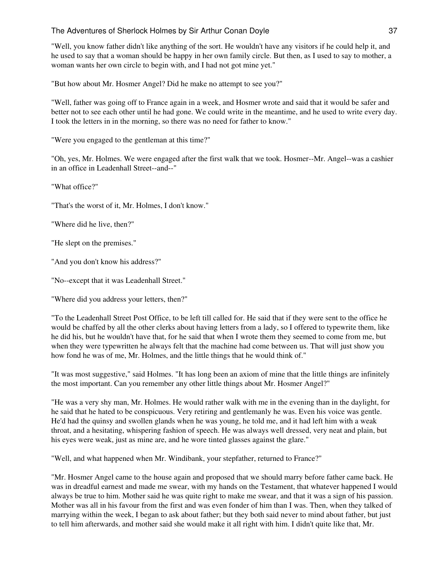"Well, you know father didn't like anything of the sort. He wouldn't have any visitors if he could help it, and he used to say that a woman should be happy in her own family circle. But then, as I used to say to mother, a woman wants her own circle to begin with, and I had not got mine yet."

"But how about Mr. Hosmer Angel? Did he make no attempt to see you?"

"Well, father was going off to France again in a week, and Hosmer wrote and said that it would be safer and better not to see each other until he had gone. We could write in the meantime, and he used to write every day. I took the letters in in the morning, so there was no need for father to know."

"Were you engaged to the gentleman at this time?"

"Oh, yes, Mr. Holmes. We were engaged after the first walk that we took. Hosmer--Mr. Angel--was a cashier in an office in Leadenhall Street--and--"

"What office?"

"That's the worst of it, Mr. Holmes, I don't know."

"Where did he live, then?"

"He slept on the premises."

"And you don't know his address?"

"No--except that it was Leadenhall Street."

"Where did you address your letters, then?"

"To the Leadenhall Street Post Office, to be left till called for. He said that if they were sent to the office he would be chaffed by all the other clerks about having letters from a lady, so I offered to typewrite them, like he did his, but he wouldn't have that, for he said that when I wrote them they seemed to come from me, but when they were typewritten he always felt that the machine had come between us. That will just show you how fond he was of me, Mr. Holmes, and the little things that he would think of."

"It was most suggestive," said Holmes. "It has long been an axiom of mine that the little things are infinitely the most important. Can you remember any other little things about Mr. Hosmer Angel?"

"He was a very shy man, Mr. Holmes. He would rather walk with me in the evening than in the daylight, for he said that he hated to be conspicuous. Very retiring and gentlemanly he was. Even his voice was gentle. He'd had the quinsy and swollen glands when he was young, he told me, and it had left him with a weak throat, and a hesitating, whispering fashion of speech. He was always well dressed, very neat and plain, but his eyes were weak, just as mine are, and he wore tinted glasses against the glare."

"Well, and what happened when Mr. Windibank, your stepfather, returned to France?"

"Mr. Hosmer Angel came to the house again and proposed that we should marry before father came back. He was in dreadful earnest and made me swear, with my hands on the Testament, that whatever happened I would always be true to him. Mother said he was quite right to make me swear, and that it was a sign of his passion. Mother was all in his favour from the first and was even fonder of him than I was. Then, when they talked of marrying within the week, I began to ask about father; but they both said never to mind about father, but just to tell him afterwards, and mother said she would make it all right with him. I didn't quite like that, Mr.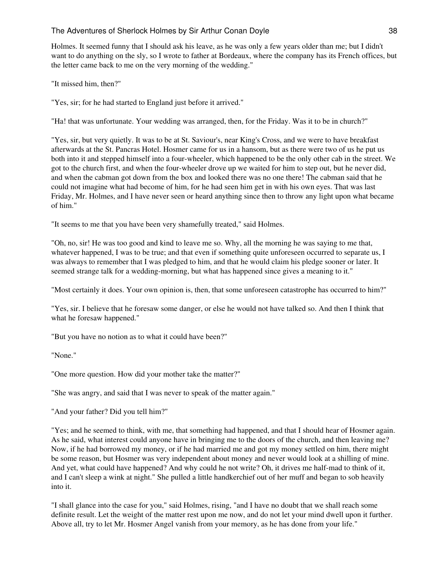Holmes. It seemed funny that I should ask his leave, as he was only a few years older than me; but I didn't want to do anything on the sly, so I wrote to father at Bordeaux, where the company has its French offices, but the letter came back to me on the very morning of the wedding."

"It missed him, then?"

"Yes, sir; for he had started to England just before it arrived."

"Ha! that was unfortunate. Your wedding was arranged, then, for the Friday. Was it to be in church?"

"Yes, sir, but very quietly. It was to be at St. Saviour's, near King's Cross, and we were to have breakfast afterwards at the St. Pancras Hotel. Hosmer came for us in a hansom, but as there were two of us he put us both into it and stepped himself into a four-wheeler, which happened to be the only other cab in the street. We got to the church first, and when the four-wheeler drove up we waited for him to step out, but he never did, and when the cabman got down from the box and looked there was no one there! The cabman said that he could not imagine what had become of him, for he had seen him get in with his own eyes. That was last Friday, Mr. Holmes, and I have never seen or heard anything since then to throw any light upon what became of him."

"It seems to me that you have been very shamefully treated," said Holmes.

"Oh, no, sir! He was too good and kind to leave me so. Why, all the morning he was saying to me that, whatever happened, I was to be true; and that even if something quite unforeseen occurred to separate us, I was always to remember that I was pledged to him, and that he would claim his pledge sooner or later. It seemed strange talk for a wedding-morning, but what has happened since gives a meaning to it."

"Most certainly it does. Your own opinion is, then, that some unforeseen catastrophe has occurred to him?"

"Yes, sir. I believe that he foresaw some danger, or else he would not have talked so. And then I think that what he foresaw happened."

"But you have no notion as to what it could have been?"

"None."

"One more question. How did your mother take the matter?"

"She was angry, and said that I was never to speak of the matter again."

"And your father? Did you tell him?"

"Yes; and he seemed to think, with me, that something had happened, and that I should hear of Hosmer again. As he said, what interest could anyone have in bringing me to the doors of the church, and then leaving me? Now, if he had borrowed my money, or if he had married me and got my money settled on him, there might be some reason, but Hosmer was very independent about money and never would look at a shilling of mine. And yet, what could have happened? And why could he not write? Oh, it drives me half-mad to think of it, and I can't sleep a wink at night." She pulled a little handkerchief out of her muff and began to sob heavily into it.

"I shall glance into the case for you," said Holmes, rising, "and I have no doubt that we shall reach some definite result. Let the weight of the matter rest upon me now, and do not let your mind dwell upon it further. Above all, try to let Mr. Hosmer Angel vanish from your memory, as he has done from your life."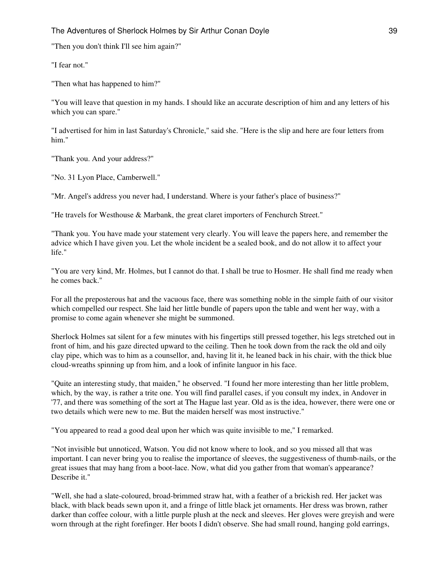"Then you don't think I'll see him again?"

"I fear not."

"Then what has happened to him?"

"You will leave that question in my hands. I should like an accurate description of him and any letters of his which you can spare."

"I advertised for him in last Saturday's Chronicle," said she. "Here is the slip and here are four letters from him."

"Thank you. And your address?"

"No. 31 Lyon Place, Camberwell."

"Mr. Angel's address you never had, I understand. Where is your father's place of business?"

"He travels for Westhouse & Marbank, the great claret importers of Fenchurch Street."

"Thank you. You have made your statement very clearly. You will leave the papers here, and remember the advice which I have given you. Let the whole incident be a sealed book, and do not allow it to affect your life."

"You are very kind, Mr. Holmes, but I cannot do that. I shall be true to Hosmer. He shall find me ready when he comes back."

For all the preposterous hat and the vacuous face, there was something noble in the simple faith of our visitor which compelled our respect. She laid her little bundle of papers upon the table and went her way, with a promise to come again whenever she might be summoned.

Sherlock Holmes sat silent for a few minutes with his fingertips still pressed together, his legs stretched out in front of him, and his gaze directed upward to the ceiling. Then he took down from the rack the old and oily clay pipe, which was to him as a counsellor, and, having lit it, he leaned back in his chair, with the thick blue cloud-wreaths spinning up from him, and a look of infinite languor in his face.

"Quite an interesting study, that maiden," he observed. "I found her more interesting than her little problem, which, by the way, is rather a trite one. You will find parallel cases, if you consult my index, in Andover in '77, and there was something of the sort at The Hague last year. Old as is the idea, however, there were one or two details which were new to me. But the maiden herself was most instructive."

"You appeared to read a good deal upon her which was quite invisible to me," I remarked.

"Not invisible but unnoticed, Watson. You did not know where to look, and so you missed all that was important. I can never bring you to realise the importance of sleeves, the suggestiveness of thumb-nails, or the great issues that may hang from a boot-lace. Now, what did you gather from that woman's appearance? Describe it."

"Well, she had a slate-coloured, broad-brimmed straw hat, with a feather of a brickish red. Her jacket was black, with black beads sewn upon it, and a fringe of little black jet ornaments. Her dress was brown, rather darker than coffee colour, with a little purple plush at the neck and sleeves. Her gloves were greyish and were worn through at the right forefinger. Her boots I didn't observe. She had small round, hanging gold earrings,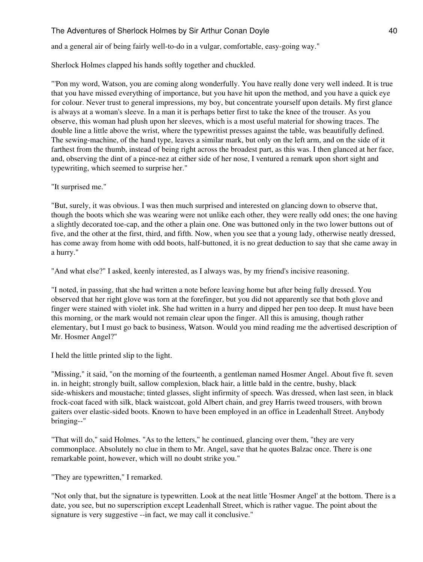and a general air of being fairly well-to-do in a vulgar, comfortable, easy-going way."

Sherlock Holmes clapped his hands softly together and chuckled.

"'Pon my word, Watson, you are coming along wonderfully. You have really done very well indeed. It is true that you have missed everything of importance, but you have hit upon the method, and you have a quick eye for colour. Never trust to general impressions, my boy, but concentrate yourself upon details. My first glance is always at a woman's sleeve. In a man it is perhaps better first to take the knee of the trouser. As you observe, this woman had plush upon her sleeves, which is a most useful material for showing traces. The double line a little above the wrist, where the typewritist presses against the table, was beautifully defined. The sewing-machine, of the hand type, leaves a similar mark, but only on the left arm, and on the side of it farthest from the thumb, instead of being right across the broadest part, as this was. I then glanced at her face, and, observing the dint of a pince-nez at either side of her nose, I ventured a remark upon short sight and typewriting, which seemed to surprise her."

"It surprised me."

"But, surely, it was obvious. I was then much surprised and interested on glancing down to observe that, though the boots which she was wearing were not unlike each other, they were really odd ones; the one having a slightly decorated toe-cap, and the other a plain one. One was buttoned only in the two lower buttons out of five, and the other at the first, third, and fifth. Now, when you see that a young lady, otherwise neatly dressed, has come away from home with odd boots, half-buttoned, it is no great deduction to say that she came away in a hurry."

"And what else?" I asked, keenly interested, as I always was, by my friend's incisive reasoning.

"I noted, in passing, that she had written a note before leaving home but after being fully dressed. You observed that her right glove was torn at the forefinger, but you did not apparently see that both glove and finger were stained with violet ink. She had written in a hurry and dipped her pen too deep. It must have been this morning, or the mark would not remain clear upon the finger. All this is amusing, though rather elementary, but I must go back to business, Watson. Would you mind reading me the advertised description of Mr. Hosmer Angel?"

I held the little printed slip to the light.

"Missing," it said, "on the morning of the fourteenth, a gentleman named Hosmer Angel. About five ft. seven in. in height; strongly built, sallow complexion, black hair, a little bald in the centre, bushy, black side-whiskers and moustache; tinted glasses, slight infirmity of speech. Was dressed, when last seen, in black frock-coat faced with silk, black waistcoat, gold Albert chain, and grey Harris tweed trousers, with brown gaiters over elastic-sided boots. Known to have been employed in an office in Leadenhall Street. Anybody bringing--"

"That will do," said Holmes. "As to the letters," he continued, glancing over them, "they are very commonplace. Absolutely no clue in them to Mr. Angel, save that he quotes Balzac once. There is one remarkable point, however, which will no doubt strike you."

"They are typewritten," I remarked.

"Not only that, but the signature is typewritten. Look at the neat little 'Hosmer Angel' at the bottom. There is a date, you see, but no superscription except Leadenhall Street, which is rather vague. The point about the signature is very suggestive --in fact, we may call it conclusive."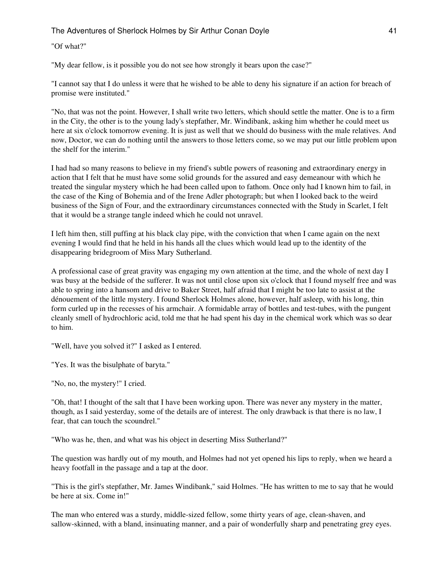"Of what?"

"My dear fellow, is it possible you do not see how strongly it bears upon the case?"

"I cannot say that I do unless it were that he wished to be able to deny his signature if an action for breach of promise were instituted."

"No, that was not the point. However, I shall write two letters, which should settle the matter. One is to a firm in the City, the other is to the young lady's stepfather, Mr. Windibank, asking him whether he could meet us here at six o'clock tomorrow evening. It is just as well that we should do business with the male relatives. And now, Doctor, we can do nothing until the answers to those letters come, so we may put our little problem upon the shelf for the interim."

I had had so many reasons to believe in my friend's subtle powers of reasoning and extraordinary energy in action that I felt that he must have some solid grounds for the assured and easy demeanour with which he treated the singular mystery which he had been called upon to fathom. Once only had I known him to fail, in the case of the King of Bohemia and of the Irene Adler photograph; but when I looked back to the weird business of the Sign of Four, and the extraordinary circumstances connected with the Study in Scarlet, I felt that it would be a strange tangle indeed which he could not unravel.

I left him then, still puffing at his black clay pipe, with the conviction that when I came again on the next evening I would find that he held in his hands all the clues which would lead up to the identity of the disappearing bridegroom of Miss Mary Sutherland.

A professional case of great gravity was engaging my own attention at the time, and the whole of next day I was busy at the bedside of the sufferer. It was not until close upon six o'clock that I found myself free and was able to spring into a hansom and drive to Baker Street, half afraid that I might be too late to assist at the dénouement of the little mystery. I found Sherlock Holmes alone, however, half asleep, with his long, thin form curled up in the recesses of his armchair. A formidable array of bottles and test-tubes, with the pungent cleanly smell of hydrochloric acid, told me that he had spent his day in the chemical work which was so dear to him.

"Well, have you solved it?" I asked as I entered.

"Yes. It was the bisulphate of baryta."

"No, no, the mystery!" I cried.

"Oh, that! I thought of the salt that I have been working upon. There was never any mystery in the matter, though, as I said yesterday, some of the details are of interest. The only drawback is that there is no law, I fear, that can touch the scoundrel."

"Who was he, then, and what was his object in deserting Miss Sutherland?"

The question was hardly out of my mouth, and Holmes had not yet opened his lips to reply, when we heard a heavy footfall in the passage and a tap at the door.

"This is the girl's stepfather, Mr. James Windibank," said Holmes. "He has written to me to say that he would be here at six. Come in!"

The man who entered was a sturdy, middle-sized fellow, some thirty years of age, clean-shaven, and sallow-skinned, with a bland, insinuating manner, and a pair of wonderfully sharp and penetrating grey eyes.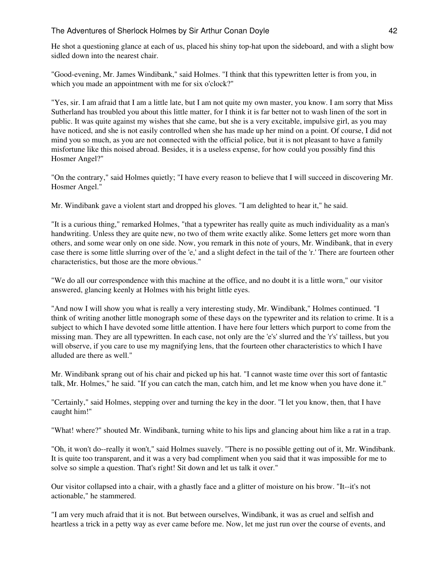He shot a questioning glance at each of us, placed his shiny top-hat upon the sideboard, and with a slight bow sidled down into the nearest chair.

"Good-evening, Mr. James Windibank," said Holmes. "I think that this typewritten letter is from you, in which you made an appointment with me for six o'clock?"

"Yes, sir. I am afraid that I am a little late, but I am not quite my own master, you know. I am sorry that Miss Sutherland has troubled you about this little matter, for I think it is far better not to wash linen of the sort in public. It was quite against my wishes that she came, but she is a very excitable, impulsive girl, as you may have noticed, and she is not easily controlled when she has made up her mind on a point. Of course, I did not mind you so much, as you are not connected with the official police, but it is not pleasant to have a family misfortune like this noised abroad. Besides, it is a useless expense, for how could you possibly find this Hosmer Angel?"

"On the contrary," said Holmes quietly; "I have every reason to believe that I will succeed in discovering Mr. Hosmer Angel."

Mr. Windibank gave a violent start and dropped his gloves. "I am delighted to hear it," he said.

"It is a curious thing," remarked Holmes, "that a typewriter has really quite as much individuality as a man's handwriting. Unless they are quite new, no two of them write exactly alike. Some letters get more worn than others, and some wear only on one side. Now, you remark in this note of yours, Mr. Windibank, that in every case there is some little slurring over of the 'e,' and a slight defect in the tail of the 'r.' There are fourteen other characteristics, but those are the more obvious."

"We do all our correspondence with this machine at the office, and no doubt it is a little worn," our visitor answered, glancing keenly at Holmes with his bright little eyes.

"And now I will show you what is really a very interesting study, Mr. Windibank," Holmes continued. "I think of writing another little monograph some of these days on the typewriter and its relation to crime. It is a subject to which I have devoted some little attention. I have here four letters which purport to come from the missing man. They are all typewritten. In each case, not only are the 'e's' slurred and the 'r's' tailless, but you will observe, if you care to use my magnifying lens, that the fourteen other characteristics to which I have alluded are there as well."

Mr. Windibank sprang out of his chair and picked up his hat. "I cannot waste time over this sort of fantastic talk, Mr. Holmes," he said. "If you can catch the man, catch him, and let me know when you have done it."

"Certainly," said Holmes, stepping over and turning the key in the door. "I let you know, then, that I have caught him!"

"What! where?" shouted Mr. Windibank, turning white to his lips and glancing about him like a rat in a trap.

"Oh, it won't do--really it won't," said Holmes suavely. "There is no possible getting out of it, Mr. Windibank. It is quite too transparent, and it was a very bad compliment when you said that it was impossible for me to solve so simple a question. That's right! Sit down and let us talk it over."

Our visitor collapsed into a chair, with a ghastly face and a glitter of moisture on his brow. "It--it's not actionable," he stammered.

"I am very much afraid that it is not. But between ourselves, Windibank, it was as cruel and selfish and heartless a trick in a petty way as ever came before me. Now, let me just run over the course of events, and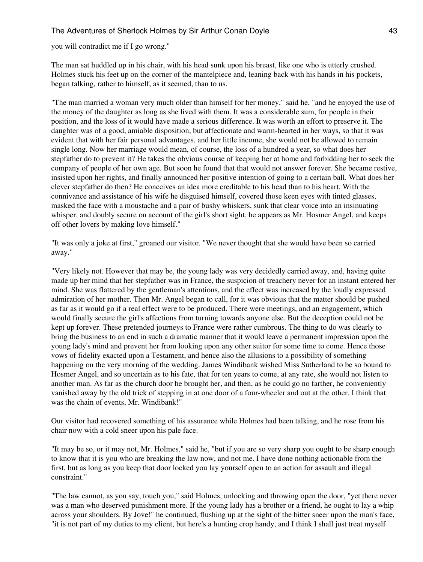you will contradict me if I go wrong."

The man sat huddled up in his chair, with his head sunk upon his breast, like one who is utterly crushed. Holmes stuck his feet up on the corner of the mantelpiece and, leaning back with his hands in his pockets, began talking, rather to himself, as it seemed, than to us.

"The man married a woman very much older than himself for her money," said he, "and he enjoyed the use of the money of the daughter as long as she lived with them. It was a considerable sum, for people in their position, and the loss of it would have made a serious difference. It was worth an effort to preserve it. The daughter was of a good, amiable disposition, but affectionate and warm-hearted in her ways, so that it was evident that with her fair personal advantages, and her little income, she would not be allowed to remain single long. Now her marriage would mean, of course, the loss of a hundred a year, so what does her stepfather do to prevent it? He takes the obvious course of keeping her at home and forbidding her to seek the company of people of her own age. But soon he found that that would not answer forever. She became restive, insisted upon her rights, and finally announced her positive intention of going to a certain ball. What does her clever stepfather do then? He conceives an idea more creditable to his head than to his heart. With the connivance and assistance of his wife he disguised himself, covered those keen eyes with tinted glasses, masked the face with a moustache and a pair of bushy whiskers, sunk that clear voice into an insinuating whisper, and doubly secure on account of the girl's short sight, he appears as Mr. Hosmer Angel, and keeps off other lovers by making love himself."

"It was only a joke at first," groaned our visitor. "We never thought that she would have been so carried away."

"Very likely not. However that may be, the young lady was very decidedly carried away, and, having quite made up her mind that her stepfather was in France, the suspicion of treachery never for an instant entered her mind. She was flattered by the gentleman's attentions, and the effect was increased by the loudly expressed admiration of her mother. Then Mr. Angel began to call, for it was obvious that the matter should be pushed as far as it would go if a real effect were to be produced. There were meetings, and an engagement, which would finally secure the girl's affections from turning towards anyone else. But the deception could not be kept up forever. These pretended journeys to France were rather cumbrous. The thing to do was clearly to bring the business to an end in such a dramatic manner that it would leave a permanent impression upon the young lady's mind and prevent her from looking upon any other suitor for some time to come. Hence those vows of fidelity exacted upon a Testament, and hence also the allusions to a possibility of something happening on the very morning of the wedding. James Windibank wished Miss Sutherland to be so bound to Hosmer Angel, and so uncertain as to his fate, that for ten years to come, at any rate, she would not listen to another man. As far as the church door he brought her, and then, as he could go no farther, he conveniently vanished away by the old trick of stepping in at one door of a four-wheeler and out at the other. I think that was the chain of events, Mr. Windibank!"

Our visitor had recovered something of his assurance while Holmes had been talking, and he rose from his chair now with a cold sneer upon his pale face.

"It may be so, or it may not, Mr. Holmes," said he, "but if you are so very sharp you ought to be sharp enough to know that it is you who are breaking the law now, and not me. I have done nothing actionable from the first, but as long as you keep that door locked you lay yourself open to an action for assault and illegal constraint."

"The law cannot, as you say, touch you," said Holmes, unlocking and throwing open the door, "yet there never was a man who deserved punishment more. If the young lady has a brother or a friend, he ought to lay a whip across your shoulders. By Jove!" he continued, flushing up at the sight of the bitter sneer upon the man's face, "it is not part of my duties to my client, but here's a hunting crop handy, and I think I shall just treat myself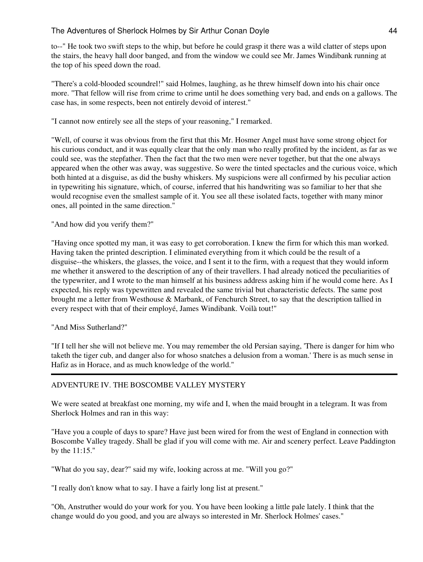to--" He took two swift steps to the whip, but before he could grasp it there was a wild clatter of steps upon the stairs, the heavy hall door banged, and from the window we could see Mr. James Windibank running at the top of his speed down the road.

"There's a cold-blooded scoundrel!" said Holmes, laughing, as he threw himself down into his chair once more. "That fellow will rise from crime to crime until he does something very bad, and ends on a gallows. The case has, in some respects, been not entirely devoid of interest."

"I cannot now entirely see all the steps of your reasoning," I remarked.

"Well, of course it was obvious from the first that this Mr. Hosmer Angel must have some strong object for his curious conduct, and it was equally clear that the only man who really profited by the incident, as far as we could see, was the stepfather. Then the fact that the two men were never together, but that the one always appeared when the other was away, was suggestive. So were the tinted spectacles and the curious voice, which both hinted at a disguise, as did the bushy whiskers. My suspicions were all confirmed by his peculiar action in typewriting his signature, which, of course, inferred that his handwriting was so familiar to her that she would recognise even the smallest sample of it. You see all these isolated facts, together with many minor ones, all pointed in the same direction."

"And how did you verify them?"

"Having once spotted my man, it was easy to get corroboration. I knew the firm for which this man worked. Having taken the printed description. I eliminated everything from it which could be the result of a disguise--the whiskers, the glasses, the voice, and I sent it to the firm, with a request that they would inform me whether it answered to the description of any of their travellers. I had already noticed the peculiarities of the typewriter, and I wrote to the man himself at his business address asking him if he would come here. As I expected, his reply was typewritten and revealed the same trivial but characteristic defects. The same post brought me a letter from Westhouse & Marbank, of Fenchurch Street, to say that the description tallied in every respect with that of their employé, James Windibank. Voilà tout!"

"And Miss Sutherland?"

"If I tell her she will not believe me. You may remember the old Persian saying, 'There is danger for him who taketh the tiger cub, and danger also for whoso snatches a delusion from a woman.' There is as much sense in Hafiz as in Horace, and as much knowledge of the world."

# ADVENTURE IV. THE BOSCOMBE VALLEY MYSTERY

We were seated at breakfast one morning, my wife and I, when the maid brought in a telegram. It was from Sherlock Holmes and ran in this way:

"Have you a couple of days to spare? Have just been wired for from the west of England in connection with Boscombe Valley tragedy. Shall be glad if you will come with me. Air and scenery perfect. Leave Paddington by the 11:15."

"What do you say, dear?" said my wife, looking across at me. "Will you go?"

"I really don't know what to say. I have a fairly long list at present."

"Oh, Anstruther would do your work for you. You have been looking a little pale lately. I think that the change would do you good, and you are always so interested in Mr. Sherlock Holmes' cases."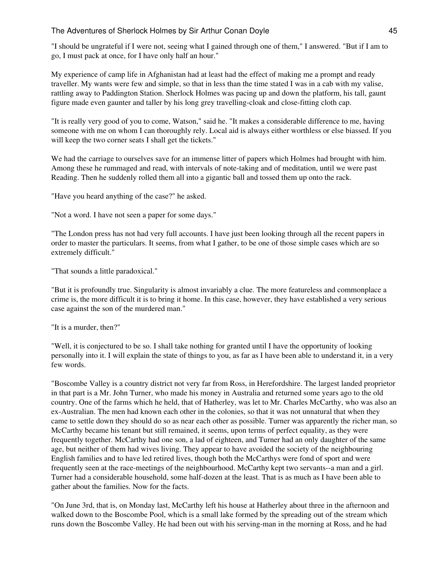"I should be ungrateful if I were not, seeing what I gained through one of them," I answered. "But if I am to go, I must pack at once, for I have only half an hour."

My experience of camp life in Afghanistan had at least had the effect of making me a prompt and ready traveller. My wants were few and simple, so that in less than the time stated I was in a cab with my valise, rattling away to Paddington Station. Sherlock Holmes was pacing up and down the platform, his tall, gaunt figure made even gaunter and taller by his long grey travelling-cloak and close-fitting cloth cap.

"It is really very good of you to come, Watson," said he. "It makes a considerable difference to me, having someone with me on whom I can thoroughly rely. Local aid is always either worthless or else biassed. If you will keep the two corner seats I shall get the tickets."

We had the carriage to ourselves save for an immense litter of papers which Holmes had brought with him. Among these he rummaged and read, with intervals of note-taking and of meditation, until we were past Reading. Then he suddenly rolled them all into a gigantic ball and tossed them up onto the rack.

"Have you heard anything of the case?" he asked.

"Not a word. I have not seen a paper for some days."

"The London press has not had very full accounts. I have just been looking through all the recent papers in order to master the particulars. It seems, from what I gather, to be one of those simple cases which are so extremely difficult."

"That sounds a little paradoxical."

"But it is profoundly true. Singularity is almost invariably a clue. The more featureless and commonplace a crime is, the more difficult it is to bring it home. In this case, however, they have established a very serious case against the son of the murdered man."

"It is a murder, then?"

"Well, it is conjectured to be so. I shall take nothing for granted until I have the opportunity of looking personally into it. I will explain the state of things to you, as far as I have been able to understand it, in a very few words.

"Boscombe Valley is a country district not very far from Ross, in Herefordshire. The largest landed proprietor in that part is a Mr. John Turner, who made his money in Australia and returned some years ago to the old country. One of the farms which he held, that of Hatherley, was let to Mr. Charles McCarthy, who was also an ex-Australian. The men had known each other in the colonies, so that it was not unnatural that when they came to settle down they should do so as near each other as possible. Turner was apparently the richer man, so McCarthy became his tenant but still remained, it seems, upon terms of perfect equality, as they were frequently together. McCarthy had one son, a lad of eighteen, and Turner had an only daughter of the same age, but neither of them had wives living. They appear to have avoided the society of the neighbouring English families and to have led retired lives, though both the McCarthys were fond of sport and were frequently seen at the race-meetings of the neighbourhood. McCarthy kept two servants--a man and a girl. Turner had a considerable household, some half-dozen at the least. That is as much as I have been able to gather about the families. Now for the facts.

"On June 3rd, that is, on Monday last, McCarthy left his house at Hatherley about three in the afternoon and walked down to the Boscombe Pool, which is a small lake formed by the spreading out of the stream which runs down the Boscombe Valley. He had been out with his serving-man in the morning at Ross, and he had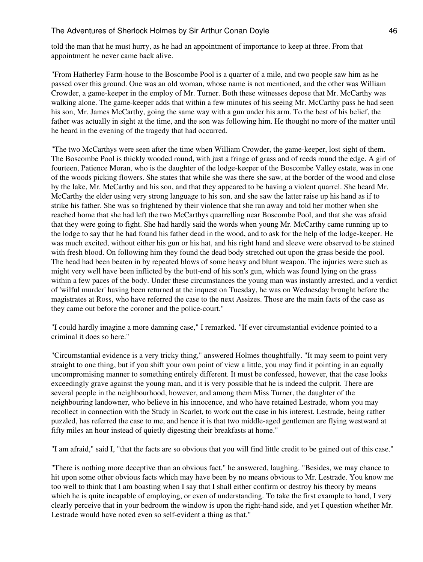told the man that he must hurry, as he had an appointment of importance to keep at three. From that appointment he never came back alive.

"From Hatherley Farm-house to the Boscombe Pool is a quarter of a mile, and two people saw him as he passed over this ground. One was an old woman, whose name is not mentioned, and the other was William Crowder, a game-keeper in the employ of Mr. Turner. Both these witnesses depose that Mr. McCarthy was walking alone. The game-keeper adds that within a few minutes of his seeing Mr. McCarthy pass he had seen his son, Mr. James McCarthy, going the same way with a gun under his arm. To the best of his belief, the father was actually in sight at the time, and the son was following him. He thought no more of the matter until he heard in the evening of the tragedy that had occurred.

"The two McCarthys were seen after the time when William Crowder, the game-keeper, lost sight of them. The Boscombe Pool is thickly wooded round, with just a fringe of grass and of reeds round the edge. A girl of fourteen, Patience Moran, who is the daughter of the lodge-keeper of the Boscombe Valley estate, was in one of the woods picking flowers. She states that while she was there she saw, at the border of the wood and close by the lake, Mr. McCarthy and his son, and that they appeared to be having a violent quarrel. She heard Mr. McCarthy the elder using very strong language to his son, and she saw the latter raise up his hand as if to strike his father. She was so frightened by their violence that she ran away and told her mother when she reached home that she had left the two McCarthys quarrelling near Boscombe Pool, and that she was afraid that they were going to fight. She had hardly said the words when young Mr. McCarthy came running up to the lodge to say that he had found his father dead in the wood, and to ask for the help of the lodge-keeper. He was much excited, without either his gun or his hat, and his right hand and sleeve were observed to be stained with fresh blood. On following him they found the dead body stretched out upon the grass beside the pool. The head had been beaten in by repeated blows of some heavy and blunt weapon. The injuries were such as might very well have been inflicted by the butt-end of his son's gun, which was found lying on the grass within a few paces of the body. Under these circumstances the young man was instantly arrested, and a verdict of 'wilful murder' having been returned at the inquest on Tuesday, he was on Wednesday brought before the magistrates at Ross, who have referred the case to the next Assizes. Those are the main facts of the case as they came out before the coroner and the police-court."

"I could hardly imagine a more damning case," I remarked. "If ever circumstantial evidence pointed to a criminal it does so here."

"Circumstantial evidence is a very tricky thing," answered Holmes thoughtfully. "It may seem to point very straight to one thing, but if you shift your own point of view a little, you may find it pointing in an equally uncompromising manner to something entirely different. It must be confessed, however, that the case looks exceedingly grave against the young man, and it is very possible that he is indeed the culprit. There are several people in the neighbourhood, however, and among them Miss Turner, the daughter of the neighbouring landowner, who believe in his innocence, and who have retained Lestrade, whom you may recollect in connection with the Study in Scarlet, to work out the case in his interest. Lestrade, being rather puzzled, has referred the case to me, and hence it is that two middle-aged gentlemen are flying westward at fifty miles an hour instead of quietly digesting their breakfasts at home."

"I am afraid," said I, "that the facts are so obvious that you will find little credit to be gained out of this case."

"There is nothing more deceptive than an obvious fact," he answered, laughing. "Besides, we may chance to hit upon some other obvious facts which may have been by no means obvious to Mr. Lestrade. You know me too well to think that I am boasting when I say that I shall either confirm or destroy his theory by means which he is quite incapable of employing, or even of understanding. To take the first example to hand, I very clearly perceive that in your bedroom the window is upon the right-hand side, and yet I question whether Mr. Lestrade would have noted even so self-evident a thing as that."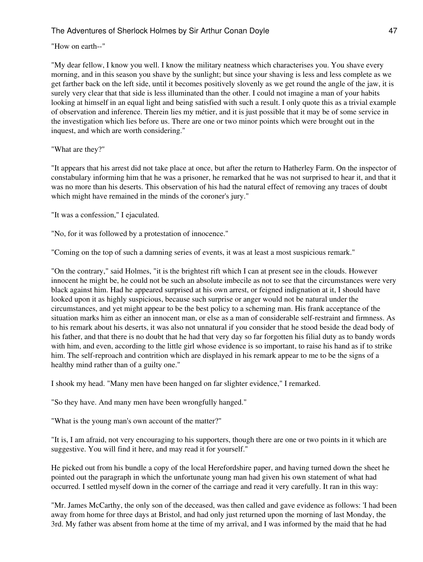#### "How on earth--"

"My dear fellow, I know you well. I know the military neatness which characterises you. You shave every morning, and in this season you shave by the sunlight; but since your shaving is less and less complete as we get farther back on the left side, until it becomes positively slovenly as we get round the angle of the jaw, it is surely very clear that that side is less illuminated than the other. I could not imagine a man of your habits looking at himself in an equal light and being satisfied with such a result. I only quote this as a trivial example of observation and inference. Therein lies my métier, and it is just possible that it may be of some service in the investigation which lies before us. There are one or two minor points which were brought out in the inquest, and which are worth considering."

"What are they?"

"It appears that his arrest did not take place at once, but after the return to Hatherley Farm. On the inspector of constabulary informing him that he was a prisoner, he remarked that he was not surprised to hear it, and that it was no more than his deserts. This observation of his had the natural effect of removing any traces of doubt which might have remained in the minds of the coroner's jury."

"It was a confession," I ejaculated.

"No, for it was followed by a protestation of innocence."

"Coming on the top of such a damning series of events, it was at least a most suspicious remark."

"On the contrary," said Holmes, "it is the brightest rift which I can at present see in the clouds. However innocent he might be, he could not be such an absolute imbecile as not to see that the circumstances were very black against him. Had he appeared surprised at his own arrest, or feigned indignation at it, I should have looked upon it as highly suspicious, because such surprise or anger would not be natural under the circumstances, and yet might appear to be the best policy to a scheming man. His frank acceptance of the situation marks him as either an innocent man, or else as a man of considerable self-restraint and firmness. As to his remark about his deserts, it was also not unnatural if you consider that he stood beside the dead body of his father, and that there is no doubt that he had that very day so far forgotten his filial duty as to bandy words with him, and even, according to the little girl whose evidence is so important, to raise his hand as if to strike him. The self-reproach and contrition which are displayed in his remark appear to me to be the signs of a healthy mind rather than of a guilty one."

I shook my head. "Many men have been hanged on far slighter evidence," I remarked.

"So they have. And many men have been wrongfully hanged."

"What is the young man's own account of the matter?"

"It is, I am afraid, not very encouraging to his supporters, though there are one or two points in it which are suggestive. You will find it here, and may read it for yourself."

He picked out from his bundle a copy of the local Herefordshire paper, and having turned down the sheet he pointed out the paragraph in which the unfortunate young man had given his own statement of what had occurred. I settled myself down in the corner of the carriage and read it very carefully. It ran in this way:

"Mr. James McCarthy, the only son of the deceased, was then called and gave evidence as follows: 'I had been away from home for three days at Bristol, and had only just returned upon the morning of last Monday, the 3rd. My father was absent from home at the time of my arrival, and I was informed by the maid that he had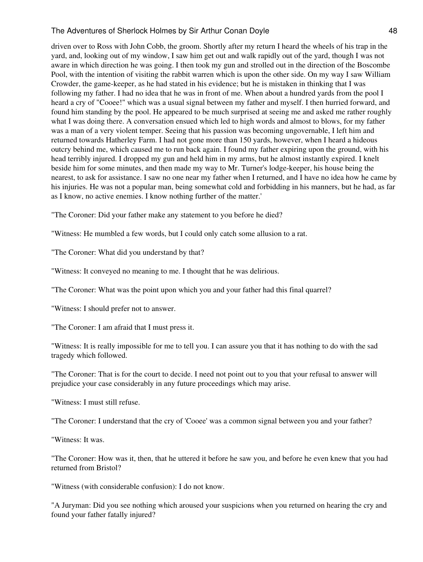driven over to Ross with John Cobb, the groom. Shortly after my return I heard the wheels of his trap in the yard, and, looking out of my window, I saw him get out and walk rapidly out of the yard, though I was not aware in which direction he was going. I then took my gun and strolled out in the direction of the Boscombe Pool, with the intention of visiting the rabbit warren which is upon the other side. On my way I saw William Crowder, the game-keeper, as he had stated in his evidence; but he is mistaken in thinking that I was following my father. I had no idea that he was in front of me. When about a hundred yards from the pool I heard a cry of "Cooee!" which was a usual signal between my father and myself. I then hurried forward, and found him standing by the pool. He appeared to be much surprised at seeing me and asked me rather roughly what I was doing there. A conversation ensued which led to high words and almost to blows, for my father was a man of a very violent temper. Seeing that his passion was becoming ungovernable, I left him and returned towards Hatherley Farm. I had not gone more than 150 yards, however, when I heard a hideous outcry behind me, which caused me to run back again. I found my father expiring upon the ground, with his head terribly injured. I dropped my gun and held him in my arms, but he almost instantly expired. I knelt beside him for some minutes, and then made my way to Mr. Turner's lodge-keeper, his house being the nearest, to ask for assistance. I saw no one near my father when I returned, and I have no idea how he came by his injuries. He was not a popular man, being somewhat cold and forbidding in his manners, but he had, as far as I know, no active enemies. I know nothing further of the matter.'

"The Coroner: Did your father make any statement to you before he died?

"Witness: He mumbled a few words, but I could only catch some allusion to a rat.

"The Coroner: What did you understand by that?

"Witness: It conveyed no meaning to me. I thought that he was delirious.

"The Coroner: What was the point upon which you and your father had this final quarrel?

"Witness: I should prefer not to answer.

"The Coroner: I am afraid that I must press it.

"Witness: It is really impossible for me to tell you. I can assure you that it has nothing to do with the sad tragedy which followed.

"The Coroner: That is for the court to decide. I need not point out to you that your refusal to answer will prejudice your case considerably in any future proceedings which may arise.

"Witness: I must still refuse.

"The Coroner: I understand that the cry of 'Cooee' was a common signal between you and your father?

"Witness: It was.

"The Coroner: How was it, then, that he uttered it before he saw you, and before he even knew that you had returned from Bristol?

"Witness (with considerable confusion): I do not know.

"A Juryman: Did you see nothing which aroused your suspicions when you returned on hearing the cry and found your father fatally injured?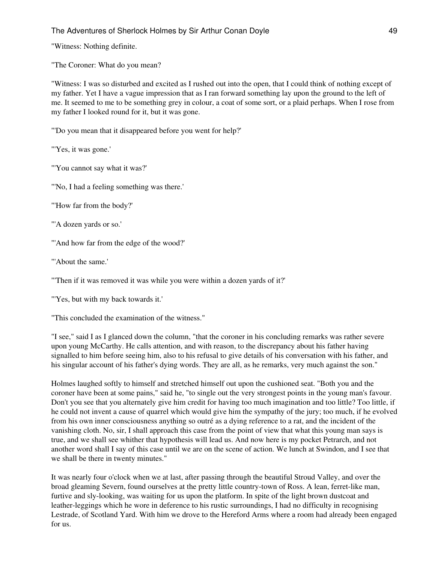"Witness: Nothing definite.

"The Coroner: What do you mean?

"Witness: I was so disturbed and excited as I rushed out into the open, that I could think of nothing except of my father. Yet I have a vague impression that as I ran forward something lay upon the ground to the left of me. It seemed to me to be something grey in colour, a coat of some sort, or a plaid perhaps. When I rose from my father I looked round for it, but it was gone.

"'Do you mean that it disappeared before you went for help?'

"'Yes, it was gone.'

"'You cannot say what it was?'

"'No, I had a feeling something was there.'

"'How far from the body?'

"'A dozen yards or so.'

"'And how far from the edge of the wood?'

"'About the same.'

"'Then if it was removed it was while you were within a dozen yards of it?'

"'Yes, but with my back towards it.'

"This concluded the examination of the witness."

"I see," said I as I glanced down the column, "that the coroner in his concluding remarks was rather severe upon young McCarthy. He calls attention, and with reason, to the discrepancy about his father having signalled to him before seeing him, also to his refusal to give details of his conversation with his father, and his singular account of his father's dying words. They are all, as he remarks, very much against the son."

Holmes laughed softly to himself and stretched himself out upon the cushioned seat. "Both you and the coroner have been at some pains," said he, "to single out the very strongest points in the young man's favour. Don't you see that you alternately give him credit for having too much imagination and too little? Too little, if he could not invent a cause of quarrel which would give him the sympathy of the jury; too much, if he evolved from his own inner consciousness anything so outré as a dying reference to a rat, and the incident of the vanishing cloth. No, sir, I shall approach this case from the point of view that what this young man says is true, and we shall see whither that hypothesis will lead us. And now here is my pocket Petrarch, and not another word shall I say of this case until we are on the scene of action. We lunch at Swindon, and I see that we shall be there in twenty minutes."

It was nearly four o'clock when we at last, after passing through the beautiful Stroud Valley, and over the broad gleaming Severn, found ourselves at the pretty little country-town of Ross. A lean, ferret-like man, furtive and sly-looking, was waiting for us upon the platform. In spite of the light brown dustcoat and leather-leggings which he wore in deference to his rustic surroundings, I had no difficulty in recognising Lestrade, of Scotland Yard. With him we drove to the Hereford Arms where a room had already been engaged for us.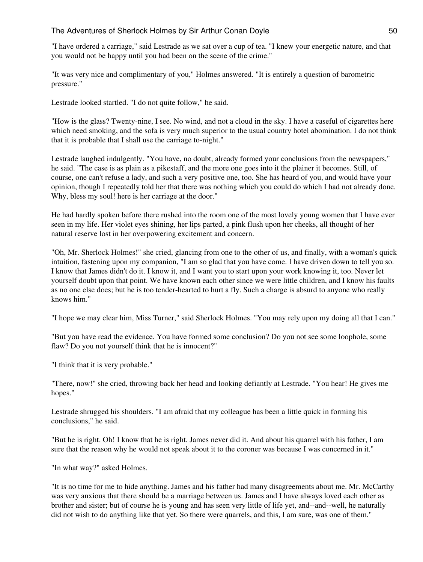"I have ordered a carriage," said Lestrade as we sat over a cup of tea. "I knew your energetic nature, and that you would not be happy until you had been on the scene of the crime."

"It was very nice and complimentary of you," Holmes answered. "It is entirely a question of barometric pressure."

Lestrade looked startled. "I do not quite follow," he said.

"How is the glass? Twenty-nine, I see. No wind, and not a cloud in the sky. I have a caseful of cigarettes here which need smoking, and the sofa is very much superior to the usual country hotel abomination. I do not think that it is probable that I shall use the carriage to-night."

Lestrade laughed indulgently. "You have, no doubt, already formed your conclusions from the newspapers," he said. "The case is as plain as a pikestaff, and the more one goes into it the plainer it becomes. Still, of course, one can't refuse a lady, and such a very positive one, too. She has heard of you, and would have your opinion, though I repeatedly told her that there was nothing which you could do which I had not already done. Why, bless my soul! here is her carriage at the door."

He had hardly spoken before there rushed into the room one of the most lovely young women that I have ever seen in my life. Her violet eyes shining, her lips parted, a pink flush upon her cheeks, all thought of her natural reserve lost in her overpowering excitement and concern.

"Oh, Mr. Sherlock Holmes!" she cried, glancing from one to the other of us, and finally, with a woman's quick intuition, fastening upon my companion, "I am so glad that you have come. I have driven down to tell you so. I know that James didn't do it. I know it, and I want you to start upon your work knowing it, too. Never let yourself doubt upon that point. We have known each other since we were little children, and I know his faults as no one else does; but he is too tender-hearted to hurt a fly. Such a charge is absurd to anyone who really knows him."

"I hope we may clear him, Miss Turner," said Sherlock Holmes. "You may rely upon my doing all that I can."

"But you have read the evidence. You have formed some conclusion? Do you not see some loophole, some flaw? Do you not yourself think that he is innocent?"

"I think that it is very probable."

"There, now!" she cried, throwing back her head and looking defiantly at Lestrade. "You hear! He gives me hopes."

Lestrade shrugged his shoulders. "I am afraid that my colleague has been a little quick in forming his conclusions," he said.

"But he is right. Oh! I know that he is right. James never did it. And about his quarrel with his father, I am sure that the reason why he would not speak about it to the coroner was because I was concerned in it."

"In what way?" asked Holmes.

"It is no time for me to hide anything. James and his father had many disagreements about me. Mr. McCarthy was very anxious that there should be a marriage between us. James and I have always loved each other as brother and sister; but of course he is young and has seen very little of life yet, and--and--well, he naturally did not wish to do anything like that yet. So there were quarrels, and this, I am sure, was one of them."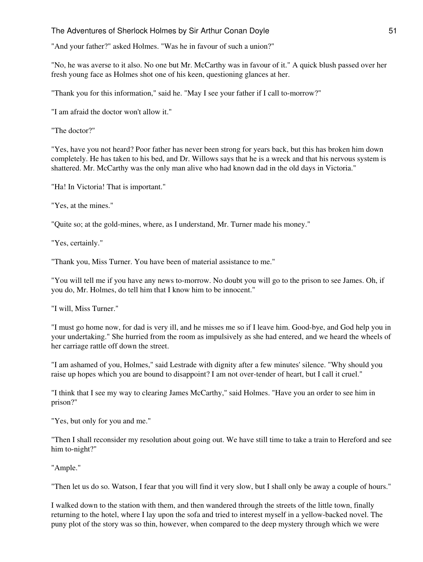"And your father?" asked Holmes. "Was he in favour of such a union?"

"No, he was averse to it also. No one but Mr. McCarthy was in favour of it." A quick blush passed over her fresh young face as Holmes shot one of his keen, questioning glances at her.

"Thank you for this information," said he. "May I see your father if I call to-morrow?"

"I am afraid the doctor won't allow it."

"The doctor?"

"Yes, have you not heard? Poor father has never been strong for years back, but this has broken him down completely. He has taken to his bed, and Dr. Willows says that he is a wreck and that his nervous system is shattered. Mr. McCarthy was the only man alive who had known dad in the old days in Victoria."

"Ha! In Victoria! That is important."

"Yes, at the mines."

"Quite so; at the gold-mines, where, as I understand, Mr. Turner made his money."

"Yes, certainly."

"Thank you, Miss Turner. You have been of material assistance to me."

"You will tell me if you have any news to-morrow. No doubt you will go to the prison to see James. Oh, if you do, Mr. Holmes, do tell him that I know him to be innocent."

"I will, Miss Turner."

"I must go home now, for dad is very ill, and he misses me so if I leave him. Good-bye, and God help you in your undertaking." She hurried from the room as impulsively as she had entered, and we heard the wheels of her carriage rattle off down the street.

"I am ashamed of you, Holmes," said Lestrade with dignity after a few minutes' silence. "Why should you raise up hopes which you are bound to disappoint? I am not over-tender of heart, but I call it cruel."

"I think that I see my way to clearing James McCarthy," said Holmes. "Have you an order to see him in prison?"

"Yes, but only for you and me."

"Then I shall reconsider my resolution about going out. We have still time to take a train to Hereford and see him to-night?"

"Ample."

"Then let us do so. Watson, I fear that you will find it very slow, but I shall only be away a couple of hours."

I walked down to the station with them, and then wandered through the streets of the little town, finally returning to the hotel, where I lay upon the sofa and tried to interest myself in a yellow-backed novel. The puny plot of the story was so thin, however, when compared to the deep mystery through which we were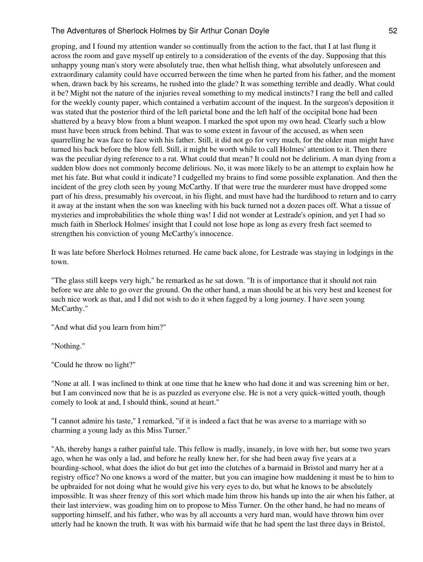groping, and I found my attention wander so continually from the action to the fact, that I at last flung it across the room and gave myself up entirely to a consideration of the events of the day. Supposing that this unhappy young man's story were absolutely true, then what hellish thing, what absolutely unforeseen and extraordinary calamity could have occurred between the time when he parted from his father, and the moment when, drawn back by his screams, he rushed into the glade? It was something terrible and deadly. What could it be? Might not the nature of the injuries reveal something to my medical instincts? I rang the bell and called for the weekly county paper, which contained a verbatim account of the inquest. In the surgeon's deposition it was stated that the posterior third of the left parietal bone and the left half of the occipital bone had been shattered by a heavy blow from a blunt weapon. I marked the spot upon my own head. Clearly such a blow must have been struck from behind. That was to some extent in favour of the accused, as when seen quarrelling he was face to face with his father. Still, it did not go for very much, for the older man might have turned his back before the blow fell. Still, it might be worth while to call Holmes' attention to it. Then there was the peculiar dying reference to a rat. What could that mean? It could not be delirium. A man dying from a sudden blow does not commonly become delirious. No, it was more likely to be an attempt to explain how he met his fate. But what could it indicate? I cudgelled my brains to find some possible explanation. And then the incident of the grey cloth seen by young McCarthy. If that were true the murderer must have dropped some part of his dress, presumably his overcoat, in his flight, and must have had the hardihood to return and to carry it away at the instant when the son was kneeling with his back turned not a dozen paces off. What a tissue of mysteries and improbabilities the whole thing was! I did not wonder at Lestrade's opinion, and yet I had so much faith in Sherlock Holmes' insight that I could not lose hope as long as every fresh fact seemed to strengthen his conviction of young McCarthy's innocence.

It was late before Sherlock Holmes returned. He came back alone, for Lestrade was staying in lodgings in the town.

"The glass still keeps very high," he remarked as he sat down. "It is of importance that it should not rain before we are able to go over the ground. On the other hand, a man should be at his very best and keenest for such nice work as that, and I did not wish to do it when fagged by a long journey. I have seen young McCarthy."

"And what did you learn from him?"

"Nothing."

"Could he throw no light?"

"None at all. I was inclined to think at one time that he knew who had done it and was screening him or her, but I am convinced now that he is as puzzled as everyone else. He is not a very quick-witted youth, though comely to look at and, I should think, sound at heart."

"I cannot admire his taste," I remarked, "if it is indeed a fact that he was averse to a marriage with so charming a young lady as this Miss Turner."

"Ah, thereby hangs a rather painful tale. This fellow is madly, insanely, in love with her, but some two years ago, when he was only a lad, and before he really knew her, for she had been away five years at a boarding-school, what does the idiot do but get into the clutches of a barmaid in Bristol and marry her at a registry office? No one knows a word of the matter, but you can imagine how maddening it must be to him to be upbraided for not doing what he would give his very eyes to do, but what he knows to be absolutely impossible. It was sheer frenzy of this sort which made him throw his hands up into the air when his father, at their last interview, was goading him on to propose to Miss Turner. On the other hand, he had no means of supporting himself, and his father, who was by all accounts a very hard man, would have thrown him over utterly had he known the truth. It was with his barmaid wife that he had spent the last three days in Bristol,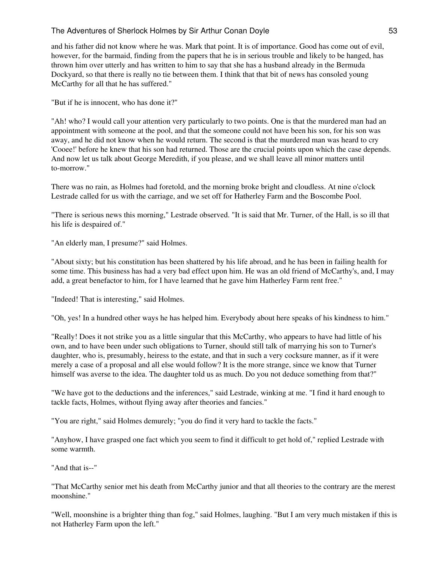and his father did not know where he was. Mark that point. It is of importance. Good has come out of evil, however, for the barmaid, finding from the papers that he is in serious trouble and likely to be hanged, has thrown him over utterly and has written to him to say that she has a husband already in the Bermuda Dockyard, so that there is really no tie between them. I think that that bit of news has consoled young McCarthy for all that he has suffered."

"But if he is innocent, who has done it?"

"Ah! who? I would call your attention very particularly to two points. One is that the murdered man had an appointment with someone at the pool, and that the someone could not have been his son, for his son was away, and he did not know when he would return. The second is that the murdered man was heard to cry 'Cooee!' before he knew that his son had returned. Those are the crucial points upon which the case depends. And now let us talk about George Meredith, if you please, and we shall leave all minor matters until to-morrow."

There was no rain, as Holmes had foretold, and the morning broke bright and cloudless. At nine o'clock Lestrade called for us with the carriage, and we set off for Hatherley Farm and the Boscombe Pool.

"There is serious news this morning," Lestrade observed. "It is said that Mr. Turner, of the Hall, is so ill that his life is despaired of."

"An elderly man, I presume?" said Holmes.

"About sixty; but his constitution has been shattered by his life abroad, and he has been in failing health for some time. This business has had a very bad effect upon him. He was an old friend of McCarthy's, and, I may add, a great benefactor to him, for I have learned that he gave him Hatherley Farm rent free."

"Indeed! That is interesting," said Holmes.

"Oh, yes! In a hundred other ways he has helped him. Everybody about here speaks of his kindness to him."

"Really! Does it not strike you as a little singular that this McCarthy, who appears to have had little of his own, and to have been under such obligations to Turner, should still talk of marrying his son to Turner's daughter, who is, presumably, heiress to the estate, and that in such a very cocksure manner, as if it were merely a case of a proposal and all else would follow? It is the more strange, since we know that Turner himself was averse to the idea. The daughter told us as much. Do you not deduce something from that?"

"We have got to the deductions and the inferences," said Lestrade, winking at me. "I find it hard enough to tackle facts, Holmes, without flying away after theories and fancies."

"You are right," said Holmes demurely; "you do find it very hard to tackle the facts."

"Anyhow, I have grasped one fact which you seem to find it difficult to get hold of," replied Lestrade with some warmth.

"And that is--"

"That McCarthy senior met his death from McCarthy junior and that all theories to the contrary are the merest moonshine."

"Well, moonshine is a brighter thing than fog," said Holmes, laughing. "But I am very much mistaken if this is not Hatherley Farm upon the left."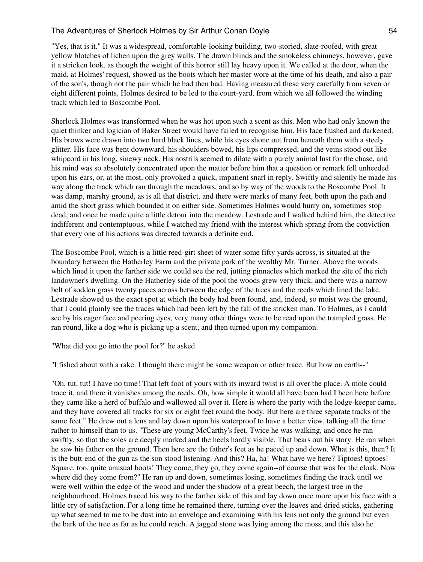"Yes, that is it." It was a widespread, comfortable-looking building, two-storied, slate-roofed, with great yellow blotches of lichen upon the grey walls. The drawn blinds and the smokeless chimneys, however, gave it a stricken look, as though the weight of this horror still lay heavy upon it. We called at the door, when the maid, at Holmes' request, showed us the boots which her master wore at the time of his death, and also a pair of the son's, though not the pair which he had then had. Having measured these very carefully from seven or eight different points, Holmes desired to be led to the court-yard, from which we all followed the winding track which led to Boscombe Pool.

Sherlock Holmes was transformed when he was hot upon such a scent as this. Men who had only known the quiet thinker and logician of Baker Street would have failed to recognise him. His face flushed and darkened. His brows were drawn into two hard black lines, while his eyes shone out from beneath them with a steely glitter. His face was bent downward, his shoulders bowed, his lips compressed, and the veins stood out like whipcord in his long, sinewy neck. His nostrils seemed to dilate with a purely animal lust for the chase, and his mind was so absolutely concentrated upon the matter before him that a question or remark fell unheeded upon his ears, or, at the most, only provoked a quick, impatient snarl in reply. Swiftly and silently he made his way along the track which ran through the meadows, and so by way of the woods to the Boscombe Pool. It was damp, marshy ground, as is all that district, and there were marks of many feet, both upon the path and amid the short grass which bounded it on either side. Sometimes Holmes would hurry on, sometimes stop dead, and once he made quite a little detour into the meadow. Lestrade and I walked behind him, the detective indifferent and contemptuous, while I watched my friend with the interest which sprang from the conviction that every one of his actions was directed towards a definite end.

The Boscombe Pool, which is a little reed-girt sheet of water some fifty yards across, is situated at the boundary between the Hatherley Farm and the private park of the wealthy Mr. Turner. Above the woods which lined it upon the farther side we could see the red, jutting pinnacles which marked the site of the rich landowner's dwelling. On the Hatherley side of the pool the woods grew very thick, and there was a narrow belt of sodden grass twenty paces across between the edge of the trees and the reeds which lined the lake. Lestrade showed us the exact spot at which the body had been found, and, indeed, so moist was the ground, that I could plainly see the traces which had been left by the fall of the stricken man. To Holmes, as I could see by his eager face and peering eyes, very many other things were to be read upon the trampled grass. He ran round, like a dog who is picking up a scent, and then turned upon my companion.

"What did you go into the pool for?" he asked.

"I fished about with a rake. I thought there might be some weapon or other trace. But how on earth--"

"Oh, tut, tut! I have no time! That left foot of yours with its inward twist is all over the place. A mole could trace it, and there it vanishes among the reeds. Oh, how simple it would all have been had I been here before they came like a herd of buffalo and wallowed all over it. Here is where the party with the lodge-keeper came, and they have covered all tracks for six or eight feet round the body. But here are three separate tracks of the same feet." He drew out a lens and lay down upon his waterproof to have a better view, talking all the time rather to himself than to us. "These are young McCarthy's feet. Twice he was walking, and once he ran swiftly, so that the soles are deeply marked and the heels hardly visible. That bears out his story. He ran when he saw his father on the ground. Then here are the father's feet as he paced up and down. What is this, then? It is the butt-end of the gun as the son stood listening. And this? Ha, ha! What have we here? Tiptoes! tiptoes! Square, too, quite unusual boots! They come, they go, they come again--of course that was for the cloak. Now where did they come from?" He ran up and down, sometimes losing, sometimes finding the track until we were well within the edge of the wood and under the shadow of a great beech, the largest tree in the neighbourhood. Holmes traced his way to the farther side of this and lay down once more upon his face with a little cry of satisfaction. For a long time he remained there, turning over the leaves and dried sticks, gathering up what seemed to me to be dust into an envelope and examining with his lens not only the ground but even the bark of the tree as far as he could reach. A jagged stone was lying among the moss, and this also he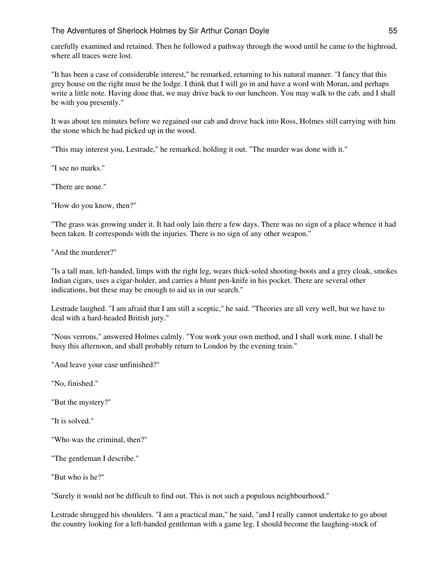carefully examined and retained. Then he followed a pathway through the wood until he came to the highroad, where all traces were lost.

"It has been a case of considerable interest," he remarked, returning to his natural manner. "I fancy that this grey house on the right must be the lodge. I think that I will go in and have a word with Moran, and perhaps write a little note. Having done that, we may drive back to our luncheon. You may walk to the cab, and I shall be with you presently."

It was about ten minutes before we regained our cab and drove back into Ross, Holmes still carrying with him the stone which he had picked up in the wood.

"This may interest you, Lestrade," he remarked, holding it out. "The murder was done with it."

"I see no marks."

"There are none."

"How do you know, then?"

"The grass was growing under it. It had only lain there a few days. There was no sign of a place whence it had been taken. It corresponds with the injuries. There is no sign of any other weapon."

"And the murderer?"

"Is a tall man, left-handed, limps with the right leg, wears thick-soled shooting-boots and a grey cloak, smokes Indian cigars, uses a cigar-holder, and carries a blunt pen-knife in his pocket. There are several other indications, but these may be enough to aid us in our search."

Lestrade laughed. "I am afraid that I am still a sceptic," he said. "Theories are all very well, but we have to deal with a hard-headed British jury."

"Nous verrons," answered Holmes calmly. "You work your own method, and I shall work mine. I shall be busy this afternoon, and shall probably return to London by the evening train."

"And leave your case unfinished?"

"No, finished."

"But the mystery?"

"It is solved."

"Who was the criminal, then?"

"The gentleman I describe."

"But who is he?"

"Surely it would not be difficult to find out. This is not such a populous neighbourhood."

Lestrade shrugged his shoulders. "I am a practical man," he said, "and I really cannot undertake to go about the country looking for a left-handed gentleman with a game leg. I should become the laughing-stock of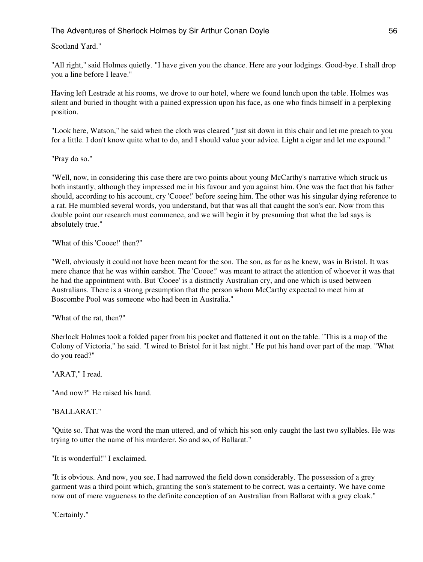## Scotland Yard."

"All right," said Holmes quietly. "I have given you the chance. Here are your lodgings. Good-bye. I shall drop you a line before I leave."

Having left Lestrade at his rooms, we drove to our hotel, where we found lunch upon the table. Holmes was silent and buried in thought with a pained expression upon his face, as one who finds himself in a perplexing position.

"Look here, Watson," he said when the cloth was cleared "just sit down in this chair and let me preach to you for a little. I don't know quite what to do, and I should value your advice. Light a cigar and let me expound."

"Pray do so."

"Well, now, in considering this case there are two points about young McCarthy's narrative which struck us both instantly, although they impressed me in his favour and you against him. One was the fact that his father should, according to his account, cry 'Cooee!' before seeing him. The other was his singular dying reference to a rat. He mumbled several words, you understand, but that was all that caught the son's ear. Now from this double point our research must commence, and we will begin it by presuming that what the lad says is absolutely true."

"What of this 'Cooee!' then?"

"Well, obviously it could not have been meant for the son. The son, as far as he knew, was in Bristol. It was mere chance that he was within earshot. The 'Cooee!' was meant to attract the attention of whoever it was that he had the appointment with. But 'Cooee' is a distinctly Australian cry, and one which is used between Australians. There is a strong presumption that the person whom McCarthy expected to meet him at Boscombe Pool was someone who had been in Australia."

"What of the rat, then?"

Sherlock Holmes took a folded paper from his pocket and flattened it out on the table. "This is a map of the Colony of Victoria," he said. "I wired to Bristol for it last night." He put his hand over part of the map. "What do you read?"

"ARAT," I read.

"And now?" He raised his hand.

#### "BALLARAT."

"Quite so. That was the word the man uttered, and of which his son only caught the last two syllables. He was trying to utter the name of his murderer. So and so, of Ballarat."

"It is wonderful!" I exclaimed.

"It is obvious. And now, you see, I had narrowed the field down considerably. The possession of a grey garment was a third point which, granting the son's statement to be correct, was a certainty. We have come now out of mere vagueness to the definite conception of an Australian from Ballarat with a grey cloak."

"Certainly."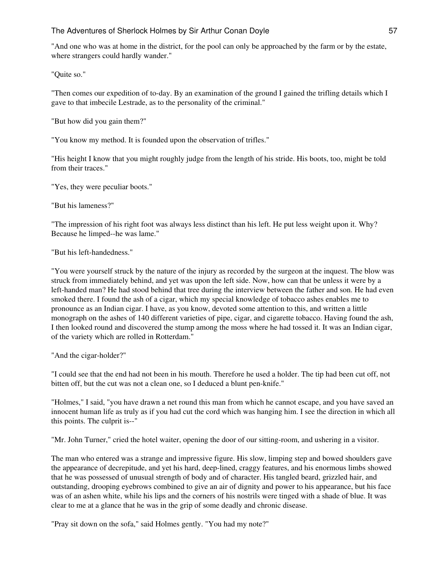"And one who was at home in the district, for the pool can only be approached by the farm or by the estate, where strangers could hardly wander."

"Quite so."

"Then comes our expedition of to-day. By an examination of the ground I gained the trifling details which I gave to that imbecile Lestrade, as to the personality of the criminal."

"But how did you gain them?"

"You know my method. It is founded upon the observation of trifles."

"His height I know that you might roughly judge from the length of his stride. His boots, too, might be told from their traces."

"Yes, they were peculiar boots."

"But his lameness?"

"The impression of his right foot was always less distinct than his left. He put less weight upon it. Why? Because he limped--he was lame."

"But his left-handedness."

"You were yourself struck by the nature of the injury as recorded by the surgeon at the inquest. The blow was struck from immediately behind, and yet was upon the left side. Now, how can that be unless it were by a left-handed man? He had stood behind that tree during the interview between the father and son. He had even smoked there. I found the ash of a cigar, which my special knowledge of tobacco ashes enables me to pronounce as an Indian cigar. I have, as you know, devoted some attention to this, and written a little monograph on the ashes of 140 different varieties of pipe, cigar, and cigarette tobacco. Having found the ash, I then looked round and discovered the stump among the moss where he had tossed it. It was an Indian cigar, of the variety which are rolled in Rotterdam."

"And the cigar-holder?"

"I could see that the end had not been in his mouth. Therefore he used a holder. The tip had been cut off, not bitten off, but the cut was not a clean one, so I deduced a blunt pen-knife."

"Holmes," I said, "you have drawn a net round this man from which he cannot escape, and you have saved an innocent human life as truly as if you had cut the cord which was hanging him. I see the direction in which all this points. The culprit is--"

"Mr. John Turner," cried the hotel waiter, opening the door of our sitting-room, and ushering in a visitor.

The man who entered was a strange and impressive figure. His slow, limping step and bowed shoulders gave the appearance of decrepitude, and yet his hard, deep-lined, craggy features, and his enormous limbs showed that he was possessed of unusual strength of body and of character. His tangled beard, grizzled hair, and outstanding, drooping eyebrows combined to give an air of dignity and power to his appearance, but his face was of an ashen white, while his lips and the corners of his nostrils were tinged with a shade of blue. It was clear to me at a glance that he was in the grip of some deadly and chronic disease.

"Pray sit down on the sofa," said Holmes gently. "You had my note?"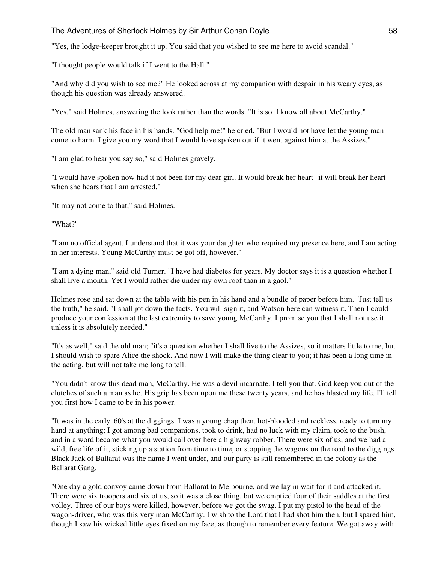"Yes, the lodge-keeper brought it up. You said that you wished to see me here to avoid scandal."

"I thought people would talk if I went to the Hall."

"And why did you wish to see me?" He looked across at my companion with despair in his weary eyes, as though his question was already answered.

"Yes," said Holmes, answering the look rather than the words. "It is so. I know all about McCarthy."

The old man sank his face in his hands. "God help me!" he cried. "But I would not have let the young man come to harm. I give you my word that I would have spoken out if it went against him at the Assizes."

"I am glad to hear you say so," said Holmes gravely.

"I would have spoken now had it not been for my dear girl. It would break her heart--it will break her heart when she hears that I am arrested."

"It may not come to that," said Holmes.

"What?"

"I am no official agent. I understand that it was your daughter who required my presence here, and I am acting in her interests. Young McCarthy must be got off, however."

"I am a dying man," said old Turner. "I have had diabetes for years. My doctor says it is a question whether I shall live a month. Yet I would rather die under my own roof than in a gaol."

Holmes rose and sat down at the table with his pen in his hand and a bundle of paper before him. "Just tell us the truth," he said. "I shall jot down the facts. You will sign it, and Watson here can witness it. Then I could produce your confession at the last extremity to save young McCarthy. I promise you that I shall not use it unless it is absolutely needed."

"It's as well," said the old man; "it's a question whether I shall live to the Assizes, so it matters little to me, but I should wish to spare Alice the shock. And now I will make the thing clear to you; it has been a long time in the acting, but will not take me long to tell.

"You didn't know this dead man, McCarthy. He was a devil incarnate. I tell you that. God keep you out of the clutches of such a man as he. His grip has been upon me these twenty years, and he has blasted my life. I'll tell you first how I came to be in his power.

"It was in the early '60's at the diggings. I was a young chap then, hot-blooded and reckless, ready to turn my hand at anything; I got among bad companions, took to drink, had no luck with my claim, took to the bush, and in a word became what you would call over here a highway robber. There were six of us, and we had a wild, free life of it, sticking up a station from time to time, or stopping the wagons on the road to the diggings. Black Jack of Ballarat was the name I went under, and our party is still remembered in the colony as the Ballarat Gang.

"One day a gold convoy came down from Ballarat to Melbourne, and we lay in wait for it and attacked it. There were six troopers and six of us, so it was a close thing, but we emptied four of their saddles at the first volley. Three of our boys were killed, however, before we got the swag. I put my pistol to the head of the wagon-driver, who was this very man McCarthy. I wish to the Lord that I had shot him then, but I spared him, though I saw his wicked little eyes fixed on my face, as though to remember every feature. We got away with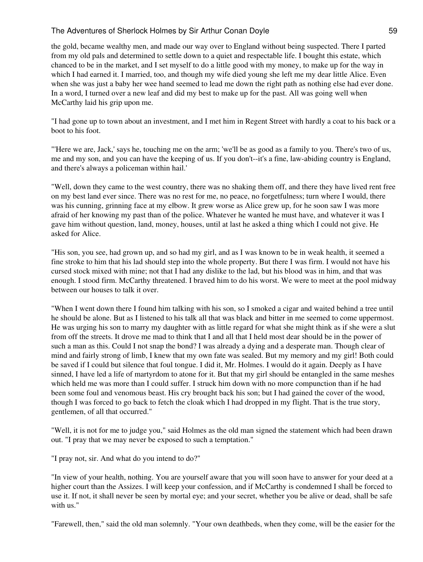the gold, became wealthy men, and made our way over to England without being suspected. There I parted from my old pals and determined to settle down to a quiet and respectable life. I bought this estate, which chanced to be in the market, and I set myself to do a little good with my money, to make up for the way in which I had earned it. I married, too, and though my wife died young she left me my dear little Alice. Even when she was just a baby her wee hand seemed to lead me down the right path as nothing else had ever done. In a word, I turned over a new leaf and did my best to make up for the past. All was going well when McCarthy laid his grip upon me.

"I had gone up to town about an investment, and I met him in Regent Street with hardly a coat to his back or a boot to his foot.

"'Here we are, Jack,' says he, touching me on the arm; 'we'll be as good as a family to you. There's two of us, me and my son, and you can have the keeping of us. If you don't--it's a fine, law-abiding country is England, and there's always a policeman within hail.'

"Well, down they came to the west country, there was no shaking them off, and there they have lived rent free on my best land ever since. There was no rest for me, no peace, no forgetfulness; turn where I would, there was his cunning, grinning face at my elbow. It grew worse as Alice grew up, for he soon saw I was more afraid of her knowing my past than of the police. Whatever he wanted he must have, and whatever it was I gave him without question, land, money, houses, until at last he asked a thing which I could not give. He asked for Alice.

"His son, you see, had grown up, and so had my girl, and as I was known to be in weak health, it seemed a fine stroke to him that his lad should step into the whole property. But there I was firm. I would not have his cursed stock mixed with mine; not that I had any dislike to the lad, but his blood was in him, and that was enough. I stood firm. McCarthy threatened. I braved him to do his worst. We were to meet at the pool midway between our houses to talk it over.

"When I went down there I found him talking with his son, so I smoked a cigar and waited behind a tree until he should be alone. But as I listened to his talk all that was black and bitter in me seemed to come uppermost. He was urging his son to marry my daughter with as little regard for what she might think as if she were a slut from off the streets. It drove me mad to think that I and all that I held most dear should be in the power of such a man as this. Could I not snap the bond? I was already a dying and a desperate man. Though clear of mind and fairly strong of limb, I knew that my own fate was sealed. But my memory and my girl! Both could be saved if I could but silence that foul tongue. I did it, Mr. Holmes. I would do it again. Deeply as I have sinned, I have led a life of martyrdom to atone for it. But that my girl should be entangled in the same meshes which held me was more than I could suffer. I struck him down with no more compunction than if he had been some foul and venomous beast. His cry brought back his son; but I had gained the cover of the wood, though I was forced to go back to fetch the cloak which I had dropped in my flight. That is the true story, gentlemen, of all that occurred."

"Well, it is not for me to judge you," said Holmes as the old man signed the statement which had been drawn out. "I pray that we may never be exposed to such a temptation."

"I pray not, sir. And what do you intend to do?"

"In view of your health, nothing. You are yourself aware that you will soon have to answer for your deed at a higher court than the Assizes. I will keep your confession, and if McCarthy is condemned I shall be forced to use it. If not, it shall never be seen by mortal eye; and your secret, whether you be alive or dead, shall be safe with us."

"Farewell, then," said the old man solemnly. "Your own deathbeds, when they come, will be the easier for the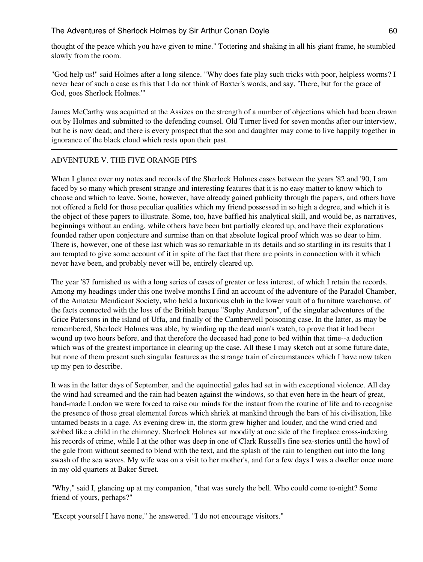thought of the peace which you have given to mine." Tottering and shaking in all his giant frame, he stumbled slowly from the room.

"God help us!" said Holmes after a long silence. "Why does fate play such tricks with poor, helpless worms? I never hear of such a case as this that I do not think of Baxter's words, and say, 'There, but for the grace of God, goes Sherlock Holmes.'"

James McCarthy was acquitted at the Assizes on the strength of a number of objections which had been drawn out by Holmes and submitted to the defending counsel. Old Turner lived for seven months after our interview, but he is now dead; and there is every prospect that the son and daughter may come to live happily together in ignorance of the black cloud which rests upon their past.

# ADVENTURE V. THE FIVE ORANGE PIPS

When I glance over my notes and records of the Sherlock Holmes cases between the years '82 and '90, I am faced by so many which present strange and interesting features that it is no easy matter to know which to choose and which to leave. Some, however, have already gained publicity through the papers, and others have not offered a field for those peculiar qualities which my friend possessed in so high a degree, and which it is the object of these papers to illustrate. Some, too, have baffled his analytical skill, and would be, as narratives, beginnings without an ending, while others have been but partially cleared up, and have their explanations founded rather upon conjecture and surmise than on that absolute logical proof which was so dear to him. There is, however, one of these last which was so remarkable in its details and so startling in its results that I am tempted to give some account of it in spite of the fact that there are points in connection with it which never have been, and probably never will be, entirely cleared up.

The year '87 furnished us with a long series of cases of greater or less interest, of which I retain the records. Among my headings under this one twelve months I find an account of the adventure of the Paradol Chamber, of the Amateur Mendicant Society, who held a luxurious club in the lower vault of a furniture warehouse, of the facts connected with the loss of the British barque "Sophy Anderson", of the singular adventures of the Grice Patersons in the island of Uffa, and finally of the Camberwell poisoning case. In the latter, as may be remembered, Sherlock Holmes was able, by winding up the dead man's watch, to prove that it had been wound up two hours before, and that therefore the deceased had gone to bed within that time--a deduction which was of the greatest importance in clearing up the case. All these I may sketch out at some future date, but none of them present such singular features as the strange train of circumstances which I have now taken up my pen to describe.

It was in the latter days of September, and the equinoctial gales had set in with exceptional violence. All day the wind had screamed and the rain had beaten against the windows, so that even here in the heart of great, hand-made London we were forced to raise our minds for the instant from the routine of life and to recognise the presence of those great elemental forces which shriek at mankind through the bars of his civilisation, like untamed beasts in a cage. As evening drew in, the storm grew higher and louder, and the wind cried and sobbed like a child in the chimney. Sherlock Holmes sat moodily at one side of the fireplace cross-indexing his records of crime, while I at the other was deep in one of Clark Russell's fine sea-stories until the howl of the gale from without seemed to blend with the text, and the splash of the rain to lengthen out into the long swash of the sea waves. My wife was on a visit to her mother's, and for a few days I was a dweller once more in my old quarters at Baker Street.

"Why," said I, glancing up at my companion, "that was surely the bell. Who could come to-night? Some friend of yours, perhaps?"

"Except yourself I have none," he answered. "I do not encourage visitors."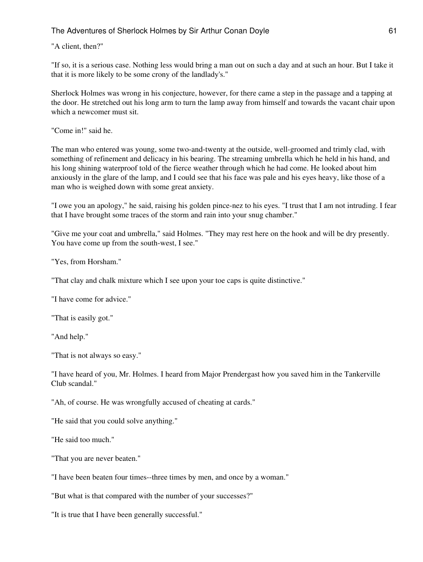## "A client, then?"

"If so, it is a serious case. Nothing less would bring a man out on such a day and at such an hour. But I take it that it is more likely to be some crony of the landlady's."

Sherlock Holmes was wrong in his conjecture, however, for there came a step in the passage and a tapping at the door. He stretched out his long arm to turn the lamp away from himself and towards the vacant chair upon which a newcomer must sit.

"Come in!" said he.

The man who entered was young, some two-and-twenty at the outside, well-groomed and trimly clad, with something of refinement and delicacy in his bearing. The streaming umbrella which he held in his hand, and his long shining waterproof told of the fierce weather through which he had come. He looked about him anxiously in the glare of the lamp, and I could see that his face was pale and his eyes heavy, like those of a man who is weighed down with some great anxiety.

"I owe you an apology," he said, raising his golden pince-nez to his eyes. "I trust that I am not intruding. I fear that I have brought some traces of the storm and rain into your snug chamber."

"Give me your coat and umbrella," said Holmes. "They may rest here on the hook and will be dry presently. You have come up from the south-west, I see."

"Yes, from Horsham."

"That clay and chalk mixture which I see upon your toe caps is quite distinctive."

"I have come for advice."

"That is easily got."

"And help."

"That is not always so easy."

"I have heard of you, Mr. Holmes. I heard from Major Prendergast how you saved him in the Tankerville Club scandal."

"Ah, of course. He was wrongfully accused of cheating at cards."

"He said that you could solve anything."

"He said too much."

"That you are never beaten."

"I have been beaten four times--three times by men, and once by a woman."

"But what is that compared with the number of your successes?"

"It is true that I have been generally successful."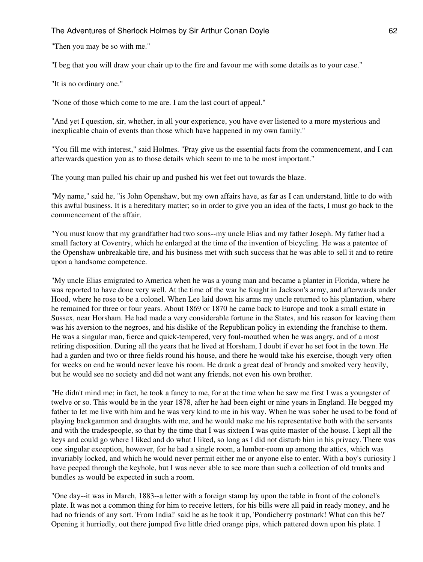"Then you may be so with me."

"I beg that you will draw your chair up to the fire and favour me with some details as to your case."

"It is no ordinary one."

"None of those which come to me are. I am the last court of appeal."

"And yet I question, sir, whether, in all your experience, you have ever listened to a more mysterious and inexplicable chain of events than those which have happened in my own family."

"You fill me with interest," said Holmes. "Pray give us the essential facts from the commencement, and I can afterwards question you as to those details which seem to me to be most important."

The young man pulled his chair up and pushed his wet feet out towards the blaze.

"My name," said he, "is John Openshaw, but my own affairs have, as far as I can understand, little to do with this awful business. It is a hereditary matter; so in order to give you an idea of the facts, I must go back to the commencement of the affair.

"You must know that my grandfather had two sons--my uncle Elias and my father Joseph. My father had a small factory at Coventry, which he enlarged at the time of the invention of bicycling. He was a patentee of the Openshaw unbreakable tire, and his business met with such success that he was able to sell it and to retire upon a handsome competence.

"My uncle Elias emigrated to America when he was a young man and became a planter in Florida, where he was reported to have done very well. At the time of the war he fought in Jackson's army, and afterwards under Hood, where he rose to be a colonel. When Lee laid down his arms my uncle returned to his plantation, where he remained for three or four years. About 1869 or 1870 he came back to Europe and took a small estate in Sussex, near Horsham. He had made a very considerable fortune in the States, and his reason for leaving them was his aversion to the negroes, and his dislike of the Republican policy in extending the franchise to them. He was a singular man, fierce and quick-tempered, very foul-mouthed when he was angry, and of a most retiring disposition. During all the years that he lived at Horsham, I doubt if ever he set foot in the town. He had a garden and two or three fields round his house, and there he would take his exercise, though very often for weeks on end he would never leave his room. He drank a great deal of brandy and smoked very heavily, but he would see no society and did not want any friends, not even his own brother.

"He didn't mind me; in fact, he took a fancy to me, for at the time when he saw me first I was a youngster of twelve or so. This would be in the year 1878, after he had been eight or nine years in England. He begged my father to let me live with him and he was very kind to me in his way. When he was sober he used to be fond of playing backgammon and draughts with me, and he would make me his representative both with the servants and with the tradespeople, so that by the time that I was sixteen I was quite master of the house. I kept all the keys and could go where I liked and do what I liked, so long as I did not disturb him in his privacy. There was one singular exception, however, for he had a single room, a lumber-room up among the attics, which was invariably locked, and which he would never permit either me or anyone else to enter. With a boy's curiosity I have peeped through the keyhole, but I was never able to see more than such a collection of old trunks and bundles as would be expected in such a room.

"One day--it was in March, 1883--a letter with a foreign stamp lay upon the table in front of the colonel's plate. It was not a common thing for him to receive letters, for his bills were all paid in ready money, and he had no friends of any sort. 'From India!' said he as he took it up, 'Pondicherry postmark! What can this be?' Opening it hurriedly, out there jumped five little dried orange pips, which pattered down upon his plate. I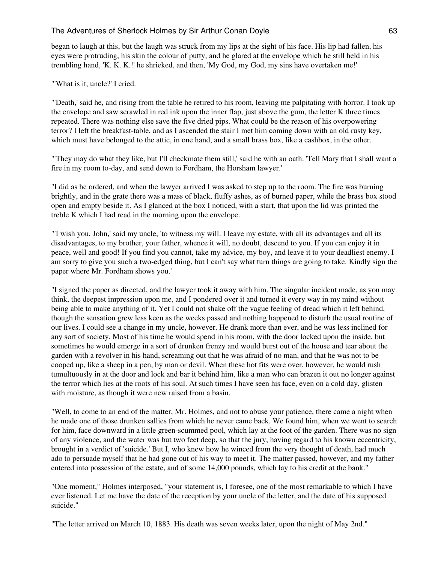began to laugh at this, but the laugh was struck from my lips at the sight of his face. His lip had fallen, his eyes were protruding, his skin the colour of putty, and he glared at the envelope which he still held in his trembling hand, 'K. K. K.!' he shrieked, and then, 'My God, my God, my sins have overtaken me!'

"'What is it, uncle?' I cried.

"'Death,' said he, and rising from the table he retired to his room, leaving me palpitating with horror. I took up the envelope and saw scrawled in red ink upon the inner flap, just above the gum, the letter K three times repeated. There was nothing else save the five dried pips. What could be the reason of his overpowering terror? I left the breakfast-table, and as I ascended the stair I met him coming down with an old rusty key, which must have belonged to the attic, in one hand, and a small brass box, like a cashbox, in the other.

"'They may do what they like, but I'll checkmate them still,' said he with an oath. 'Tell Mary that I shall want a fire in my room to-day, and send down to Fordham, the Horsham lawyer.'

"I did as he ordered, and when the lawyer arrived I was asked to step up to the room. The fire was burning brightly, and in the grate there was a mass of black, fluffy ashes, as of burned paper, while the brass box stood open and empty beside it. As I glanced at the box I noticed, with a start, that upon the lid was printed the treble K which I had read in the morning upon the envelope.

"'I wish you, John,' said my uncle, 'to witness my will. I leave my estate, with all its advantages and all its disadvantages, to my brother, your father, whence it will, no doubt, descend to you. If you can enjoy it in peace, well and good! If you find you cannot, take my advice, my boy, and leave it to your deadliest enemy. I am sorry to give you such a two-edged thing, but I can't say what turn things are going to take. Kindly sign the paper where Mr. Fordham shows you.'

"I signed the paper as directed, and the lawyer took it away with him. The singular incident made, as you may think, the deepest impression upon me, and I pondered over it and turned it every way in my mind without being able to make anything of it. Yet I could not shake off the vague feeling of dread which it left behind, though the sensation grew less keen as the weeks passed and nothing happened to disturb the usual routine of our lives. I could see a change in my uncle, however. He drank more than ever, and he was less inclined for any sort of society. Most of his time he would spend in his room, with the door locked upon the inside, but sometimes he would emerge in a sort of drunken frenzy and would burst out of the house and tear about the garden with a revolver in his hand, screaming out that he was afraid of no man, and that he was not to be cooped up, like a sheep in a pen, by man or devil. When these hot fits were over, however, he would rush tumultuously in at the door and lock and bar it behind him, like a man who can brazen it out no longer against the terror which lies at the roots of his soul. At such times I have seen his face, even on a cold day, glisten with moisture, as though it were new raised from a basin.

"Well, to come to an end of the matter, Mr. Holmes, and not to abuse your patience, there came a night when he made one of those drunken sallies from which he never came back. We found him, when we went to search for him, face downward in a little green-scummed pool, which lay at the foot of the garden. There was no sign of any violence, and the water was but two feet deep, so that the jury, having regard to his known eccentricity, brought in a verdict of 'suicide.' But I, who knew how he winced from the very thought of death, had much ado to persuade myself that he had gone out of his way to meet it. The matter passed, however, and my father entered into possession of the estate, and of some 14,000 pounds, which lay to his credit at the bank."

"One moment," Holmes interposed, "your statement is, I foresee, one of the most remarkable to which I have ever listened. Let me have the date of the reception by your uncle of the letter, and the date of his supposed suicide."

"The letter arrived on March 10, 1883. His death was seven weeks later, upon the night of May 2nd."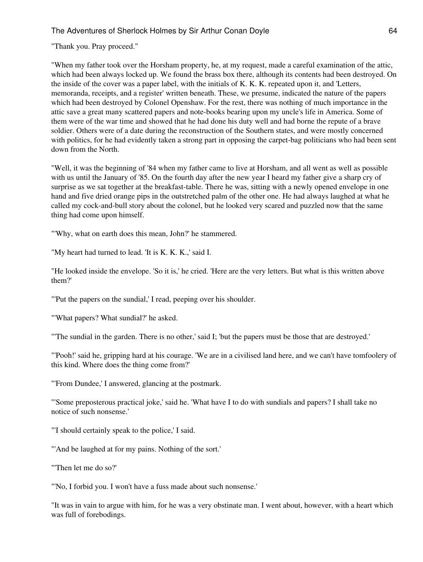"Thank you. Pray proceed."

"When my father took over the Horsham property, he, at my request, made a careful examination of the attic, which had been always locked up. We found the brass box there, although its contents had been destroyed. On the inside of the cover was a paper label, with the initials of K. K. K. repeated upon it, and 'Letters, memoranda, receipts, and a register' written beneath. These, we presume, indicated the nature of the papers which had been destroyed by Colonel Openshaw. For the rest, there was nothing of much importance in the attic save a great many scattered papers and note-books bearing upon my uncle's life in America. Some of them were of the war time and showed that he had done his duty well and had borne the repute of a brave soldier. Others were of a date during the reconstruction of the Southern states, and were mostly concerned with politics, for he had evidently taken a strong part in opposing the carpet-bag politicians who had been sent down from the North.

"Well, it was the beginning of '84 when my father came to live at Horsham, and all went as well as possible with us until the January of '85. On the fourth day after the new year I heard my father give a sharp cry of surprise as we sat together at the breakfast-table. There he was, sitting with a newly opened envelope in one hand and five dried orange pips in the outstretched palm of the other one. He had always laughed at what he called my cock-and-bull story about the colonel, but he looked very scared and puzzled now that the same thing had come upon himself.

"'Why, what on earth does this mean, John?' he stammered.

"My heart had turned to lead. 'It is K. K. K.,' said I.

"He looked inside the envelope. 'So it is,' he cried. 'Here are the very letters. But what is this written above them?'

"'Put the papers on the sundial,' I read, peeping over his shoulder.

"'What papers? What sundial?' he asked.

"'The sundial in the garden. There is no other,' said I; 'but the papers must be those that are destroyed.'

"'Pooh!' said he, gripping hard at his courage. 'We are in a civilised land here, and we can't have tomfoolery of this kind. Where does the thing come from?'

"'From Dundee,' I answered, glancing at the postmark.

"'Some preposterous practical joke,' said he. 'What have I to do with sundials and papers? I shall take no notice of such nonsense.'

"'I should certainly speak to the police,' I said.

"'And be laughed at for my pains. Nothing of the sort."

"'Then let me do so?'

"'No, I forbid you. I won't have a fuss made about such nonsense.'

"It was in vain to argue with him, for he was a very obstinate man. I went about, however, with a heart which was full of forebodings.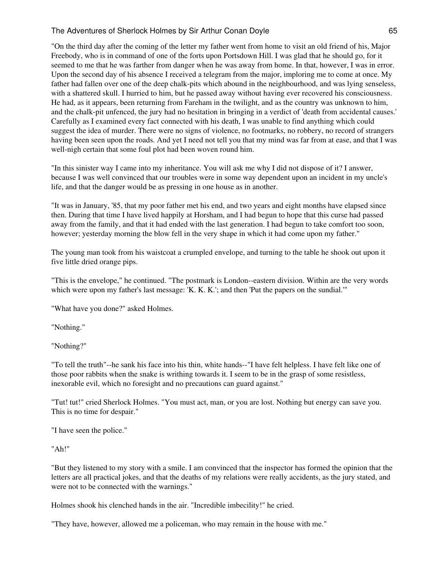"On the third day after the coming of the letter my father went from home to visit an old friend of his, Major Freebody, who is in command of one of the forts upon Portsdown Hill. I was glad that he should go, for it seemed to me that he was farther from danger when he was away from home. In that, however, I was in error. Upon the second day of his absence I received a telegram from the major, imploring me to come at once. My father had fallen over one of the deep chalk-pits which abound in the neighbourhood, and was lying senseless, with a shattered skull. I hurried to him, but he passed away without having ever recovered his consciousness. He had, as it appears, been returning from Fareham in the twilight, and as the country was unknown to him, and the chalk-pit unfenced, the jury had no hesitation in bringing in a verdict of 'death from accidental causes.' Carefully as I examined every fact connected with his death, I was unable to find anything which could suggest the idea of murder. There were no signs of violence, no footmarks, no robbery, no record of strangers having been seen upon the roads. And yet I need not tell you that my mind was far from at ease, and that I was well-nigh certain that some foul plot had been woven round him.

"In this sinister way I came into my inheritance. You will ask me why I did not dispose of it? I answer, because I was well convinced that our troubles were in some way dependent upon an incident in my uncle's life, and that the danger would be as pressing in one house as in another.

"It was in January, '85, that my poor father met his end, and two years and eight months have elapsed since then. During that time I have lived happily at Horsham, and I had begun to hope that this curse had passed away from the family, and that it had ended with the last generation. I had begun to take comfort too soon, however; yesterday morning the blow fell in the very shape in which it had come upon my father."

The young man took from his waistcoat a crumpled envelope, and turning to the table he shook out upon it five little dried orange pips.

"This is the envelope," he continued. "The postmark is London--eastern division. Within are the very words which were upon my father's last message: 'K. K. K.'; and then 'Put the papers on the sundial.'"

"What have you done?" asked Holmes.

"Nothing."

"Nothing?"

"To tell the truth"--he sank his face into his thin, white hands--"I have felt helpless. I have felt like one of those poor rabbits when the snake is writhing towards it. I seem to be in the grasp of some resistless, inexorable evil, which no foresight and no precautions can guard against."

"Tut! tut!" cried Sherlock Holmes. "You must act, man, or you are lost. Nothing but energy can save you. This is no time for despair."

"I have seen the police."

"Ah!"

"But they listened to my story with a smile. I am convinced that the inspector has formed the opinion that the letters are all practical jokes, and that the deaths of my relations were really accidents, as the jury stated, and were not to be connected with the warnings."

Holmes shook his clenched hands in the air. "Incredible imbecility!" he cried.

"They have, however, allowed me a policeman, who may remain in the house with me."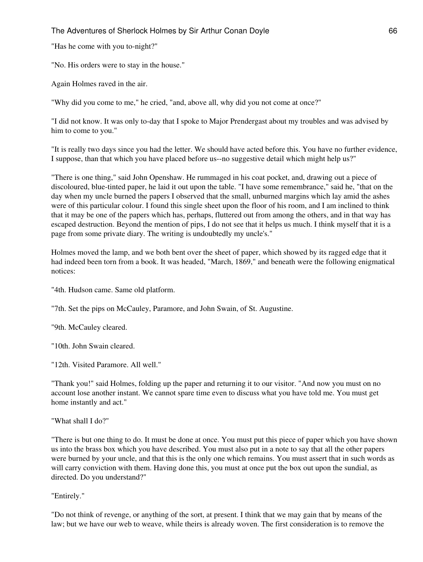"Has he come with you to-night?"

"No. His orders were to stay in the house."

Again Holmes raved in the air.

"Why did you come to me," he cried, "and, above all, why did you not come at once?"

"I did not know. It was only to-day that I spoke to Major Prendergast about my troubles and was advised by him to come to you."

"It is really two days since you had the letter. We should have acted before this. You have no further evidence, I suppose, than that which you have placed before us--no suggestive detail which might help us?"

"There is one thing," said John Openshaw. He rummaged in his coat pocket, and, drawing out a piece of discoloured, blue-tinted paper, he laid it out upon the table. "I have some remembrance," said he, "that on the day when my uncle burned the papers I observed that the small, unburned margins which lay amid the ashes were of this particular colour. I found this single sheet upon the floor of his room, and I am inclined to think that it may be one of the papers which has, perhaps, fluttered out from among the others, and in that way has escaped destruction. Beyond the mention of pips, I do not see that it helps us much. I think myself that it is a page from some private diary. The writing is undoubtedly my uncle's."

Holmes moved the lamp, and we both bent over the sheet of paper, which showed by its ragged edge that it had indeed been torn from a book. It was headed, "March, 1869," and beneath were the following enigmatical notices:

"4th. Hudson came. Same old platform.

"7th. Set the pips on McCauley, Paramore, and John Swain, of St. Augustine.

"9th. McCauley cleared.

"10th. John Swain cleared.

"12th. Visited Paramore. All well."

"Thank you!" said Holmes, folding up the paper and returning it to our visitor. "And now you must on no account lose another instant. We cannot spare time even to discuss what you have told me. You must get home instantly and act."

"What shall I do?"

"There is but one thing to do. It must be done at once. You must put this piece of paper which you have shown us into the brass box which you have described. You must also put in a note to say that all the other papers were burned by your uncle, and that this is the only one which remains. You must assert that in such words as will carry conviction with them. Having done this, you must at once put the box out upon the sundial, as directed. Do you understand?"

"Entirely."

"Do not think of revenge, or anything of the sort, at present. I think that we may gain that by means of the law; but we have our web to weave, while theirs is already woven. The first consideration is to remove the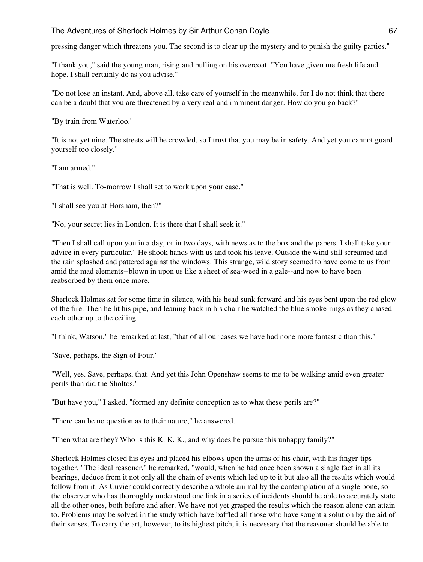pressing danger which threatens you. The second is to clear up the mystery and to punish the guilty parties."

"I thank you," said the young man, rising and pulling on his overcoat. "You have given me fresh life and hope. I shall certainly do as you advise."

"Do not lose an instant. And, above all, take care of yourself in the meanwhile, for I do not think that there can be a doubt that you are threatened by a very real and imminent danger. How do you go back?"

"By train from Waterloo."

"It is not yet nine. The streets will be crowded, so I trust that you may be in safety. And yet you cannot guard yourself too closely."

"I am armed."

"That is well. To-morrow I shall set to work upon your case."

"I shall see you at Horsham, then?"

"No, your secret lies in London. It is there that I shall seek it."

"Then I shall call upon you in a day, or in two days, with news as to the box and the papers. I shall take your advice in every particular." He shook hands with us and took his leave. Outside the wind still screamed and the rain splashed and pattered against the windows. This strange, wild story seemed to have come to us from amid the mad elements--blown in upon us like a sheet of sea-weed in a gale--and now to have been reabsorbed by them once more.

Sherlock Holmes sat for some time in silence, with his head sunk forward and his eyes bent upon the red glow of the fire. Then he lit his pipe, and leaning back in his chair he watched the blue smoke-rings as they chased each other up to the ceiling.

"I think, Watson," he remarked at last, "that of all our cases we have had none more fantastic than this."

"Save, perhaps, the Sign of Four."

"Well, yes. Save, perhaps, that. And yet this John Openshaw seems to me to be walking amid even greater perils than did the Sholtos."

"But have you," I asked, "formed any definite conception as to what these perils are?"

"There can be no question as to their nature," he answered.

"Then what are they? Who is this K. K. K., and why does he pursue this unhappy family?"

Sherlock Holmes closed his eyes and placed his elbows upon the arms of his chair, with his finger-tips together. "The ideal reasoner," he remarked, "would, when he had once been shown a single fact in all its bearings, deduce from it not only all the chain of events which led up to it but also all the results which would follow from it. As Cuvier could correctly describe a whole animal by the contemplation of a single bone, so the observer who has thoroughly understood one link in a series of incidents should be able to accurately state all the other ones, both before and after. We have not yet grasped the results which the reason alone can attain to. Problems may be solved in the study which have baffled all those who have sought a solution by the aid of their senses. To carry the art, however, to its highest pitch, it is necessary that the reasoner should be able to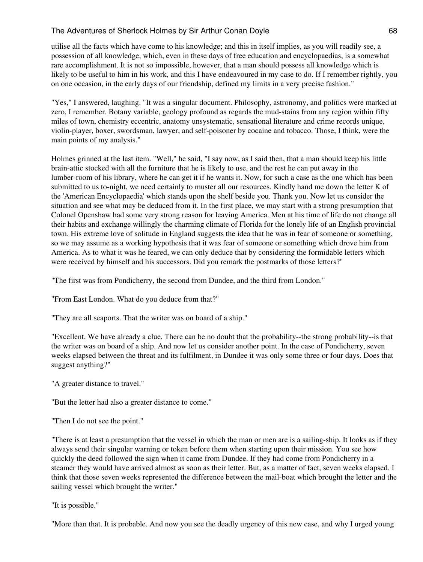utilise all the facts which have come to his knowledge; and this in itself implies, as you will readily see, a possession of all knowledge, which, even in these days of free education and encyclopaedias, is a somewhat rare accomplishment. It is not so impossible, however, that a man should possess all knowledge which is likely to be useful to him in his work, and this I have endeavoured in my case to do. If I remember rightly, you on one occasion, in the early days of our friendship, defined my limits in a very precise fashion."

"Yes," I answered, laughing. "It was a singular document. Philosophy, astronomy, and politics were marked at zero, I remember. Botany variable, geology profound as regards the mud-stains from any region within fifty miles of town, chemistry eccentric, anatomy unsystematic, sensational literature and crime records unique, violin-player, boxer, swordsman, lawyer, and self-poisoner by cocaine and tobacco. Those, I think, were the main points of my analysis."

Holmes grinned at the last item. "Well," he said, "I say now, as I said then, that a man should keep his little brain-attic stocked with all the furniture that he is likely to use, and the rest he can put away in the lumber-room of his library, where he can get it if he wants it. Now, for such a case as the one which has been submitted to us to-night, we need certainly to muster all our resources. Kindly hand me down the letter K of the 'American Encyclopaedia' which stands upon the shelf beside you. Thank you. Now let us consider the situation and see what may be deduced from it. In the first place, we may start with a strong presumption that Colonel Openshaw had some very strong reason for leaving America. Men at his time of life do not change all their habits and exchange willingly the charming climate of Florida for the lonely life of an English provincial town. His extreme love of solitude in England suggests the idea that he was in fear of someone or something, so we may assume as a working hypothesis that it was fear of someone or something which drove him from America. As to what it was he feared, we can only deduce that by considering the formidable letters which were received by himself and his successors. Did you remark the postmarks of those letters?"

"The first was from Pondicherry, the second from Dundee, and the third from London."

"From East London. What do you deduce from that?"

"They are all seaports. That the writer was on board of a ship."

"Excellent. We have already a clue. There can be no doubt that the probability--the strong probability--is that the writer was on board of a ship. And now let us consider another point. In the case of Pondicherry, seven weeks elapsed between the threat and its fulfilment, in Dundee it was only some three or four days. Does that suggest anything?"

"A greater distance to travel."

"But the letter had also a greater distance to come."

"Then I do not see the point."

"There is at least a presumption that the vessel in which the man or men are is a sailing-ship. It looks as if they always send their singular warning or token before them when starting upon their mission. You see how quickly the deed followed the sign when it came from Dundee. If they had come from Pondicherry in a steamer they would have arrived almost as soon as their letter. But, as a matter of fact, seven weeks elapsed. I think that those seven weeks represented the difference between the mail-boat which brought the letter and the sailing vessel which brought the writer."

"It is possible."

"More than that. It is probable. And now you see the deadly urgency of this new case, and why I urged young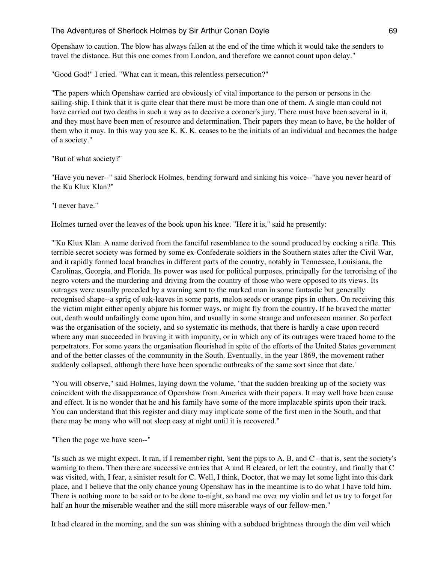Openshaw to caution. The blow has always fallen at the end of the time which it would take the senders to travel the distance. But this one comes from London, and therefore we cannot count upon delay."

"Good God!" I cried. "What can it mean, this relentless persecution?"

"The papers which Openshaw carried are obviously of vital importance to the person or persons in the sailing-ship. I think that it is quite clear that there must be more than one of them. A single man could not have carried out two deaths in such a way as to deceive a coroner's jury. There must have been several in it, and they must have been men of resource and determination. Their papers they mean to have, be the holder of them who it may. In this way you see K. K. K. ceases to be the initials of an individual and becomes the badge of a society."

"But of what society?"

"Have you never--" said Sherlock Holmes, bending forward and sinking his voice--"have you never heard of the Ku Klux Klan?"

"I never have."

Holmes turned over the leaves of the book upon his knee. "Here it is," said he presently:

"'Ku Klux Klan. A name derived from the fanciful resemblance to the sound produced by cocking a rifle. This terrible secret society was formed by some ex-Confederate soldiers in the Southern states after the Civil War, and it rapidly formed local branches in different parts of the country, notably in Tennessee, Louisiana, the Carolinas, Georgia, and Florida. Its power was used for political purposes, principally for the terrorising of the negro voters and the murdering and driving from the country of those who were opposed to its views. Its outrages were usually preceded by a warning sent to the marked man in some fantastic but generally recognised shape--a sprig of oak-leaves in some parts, melon seeds or orange pips in others. On receiving this the victim might either openly abjure his former ways, or might fly from the country. If he braved the matter out, death would unfailingly come upon him, and usually in some strange and unforeseen manner. So perfect was the organisation of the society, and so systematic its methods, that there is hardly a case upon record where any man succeeded in braving it with impunity, or in which any of its outrages were traced home to the perpetrators. For some years the organisation flourished in spite of the efforts of the United States government and of the better classes of the community in the South. Eventually, in the year 1869, the movement rather suddenly collapsed, although there have been sporadic outbreaks of the same sort since that date.'

"You will observe," said Holmes, laying down the volume, "that the sudden breaking up of the society was coincident with the disappearance of Openshaw from America with their papers. It may well have been cause and effect. It is no wonder that he and his family have some of the more implacable spirits upon their track. You can understand that this register and diary may implicate some of the first men in the South, and that there may be many who will not sleep easy at night until it is recovered."

"Then the page we have seen--"

"Is such as we might expect. It ran, if I remember right, 'sent the pips to A, B, and C'--that is, sent the society's warning to them. Then there are successive entries that A and B cleared, or left the country, and finally that C was visited, with, I fear, a sinister result for C. Well, I think, Doctor, that we may let some light into this dark place, and I believe that the only chance young Openshaw has in the meantime is to do what I have told him. There is nothing more to be said or to be done to-night, so hand me over my violin and let us try to forget for half an hour the miserable weather and the still more miserable ways of our fellow-men."

It had cleared in the morning, and the sun was shining with a subdued brightness through the dim veil which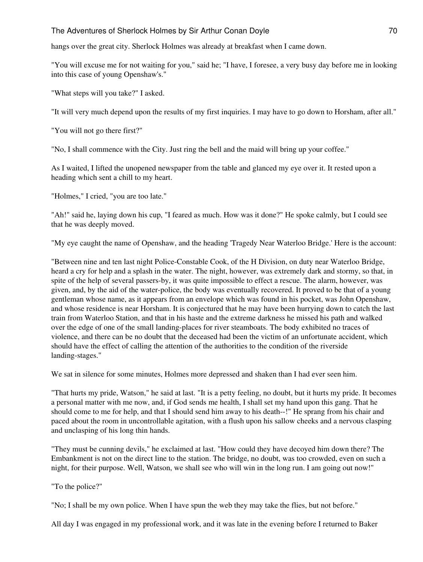hangs over the great city. Sherlock Holmes was already at breakfast when I came down.

"You will excuse me for not waiting for you," said he; "I have, I foresee, a very busy day before me in looking into this case of young Openshaw's."

"What steps will you take?" I asked.

"It will very much depend upon the results of my first inquiries. I may have to go down to Horsham, after all."

"You will not go there first?"

"No, I shall commence with the City. Just ring the bell and the maid will bring up your coffee."

As I waited, I lifted the unopened newspaper from the table and glanced my eye over it. It rested upon a heading which sent a chill to my heart.

"Holmes," I cried, "you are too late."

"Ah!" said he, laying down his cup, "I feared as much. How was it done?" He spoke calmly, but I could see that he was deeply moved.

"My eye caught the name of Openshaw, and the heading 'Tragedy Near Waterloo Bridge.' Here is the account:

"Between nine and ten last night Police-Constable Cook, of the H Division, on duty near Waterloo Bridge, heard a cry for help and a splash in the water. The night, however, was extremely dark and stormy, so that, in spite of the help of several passers-by, it was quite impossible to effect a rescue. The alarm, however, was given, and, by the aid of the water-police, the body was eventually recovered. It proved to be that of a young gentleman whose name, as it appears from an envelope which was found in his pocket, was John Openshaw, and whose residence is near Horsham. It is conjectured that he may have been hurrying down to catch the last train from Waterloo Station, and that in his haste and the extreme darkness he missed his path and walked over the edge of one of the small landing-places for river steamboats. The body exhibited no traces of violence, and there can be no doubt that the deceased had been the victim of an unfortunate accident, which should have the effect of calling the attention of the authorities to the condition of the riverside landing-stages."

We sat in silence for some minutes, Holmes more depressed and shaken than I had ever seen him.

"That hurts my pride, Watson," he said at last. "It is a petty feeling, no doubt, but it hurts my pride. It becomes a personal matter with me now, and, if God sends me health, I shall set my hand upon this gang. That he should come to me for help, and that I should send him away to his death--!" He sprang from his chair and paced about the room in uncontrollable agitation, with a flush upon his sallow cheeks and a nervous clasping and unclasping of his long thin hands.

"They must be cunning devils," he exclaimed at last. "How could they have decoyed him down there? The Embankment is not on the direct line to the station. The bridge, no doubt, was too crowded, even on such a night, for their purpose. Well, Watson, we shall see who will win in the long run. I am going out now!"

"To the police?"

"No; I shall be my own police. When I have spun the web they may take the flies, but not before."

All day I was engaged in my professional work, and it was late in the evening before I returned to Baker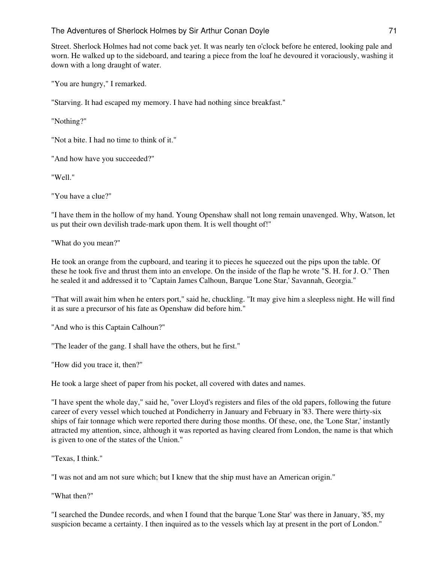Street. Sherlock Holmes had not come back yet. It was nearly ten o'clock before he entered, looking pale and worn. He walked up to the sideboard, and tearing a piece from the loaf he devoured it voraciously, washing it down with a long draught of water.

"You are hungry," I remarked.

"Starving. It had escaped my memory. I have had nothing since breakfast."

"Nothing?"

"Not a bite. I had no time to think of it."

"And how have you succeeded?"

"Well."

"You have a clue?"

"I have them in the hollow of my hand. Young Openshaw shall not long remain unavenged. Why, Watson, let us put their own devilish trade-mark upon them. It is well thought of!"

"What do you mean?"

He took an orange from the cupboard, and tearing it to pieces he squeezed out the pips upon the table. Of these he took five and thrust them into an envelope. On the inside of the flap he wrote "S. H. for J. O." Then he sealed it and addressed it to "Captain James Calhoun, Barque 'Lone Star,' Savannah, Georgia."

"That will await him when he enters port," said he, chuckling. "It may give him a sleepless night. He will find it as sure a precursor of his fate as Openshaw did before him."

"And who is this Captain Calhoun?"

"The leader of the gang. I shall have the others, but he first."

"How did you trace it, then?"

He took a large sheet of paper from his pocket, all covered with dates and names.

"I have spent the whole day," said he, "over Lloyd's registers and files of the old papers, following the future career of every vessel which touched at Pondicherry in January and February in '83. There were thirty-six ships of fair tonnage which were reported there during those months. Of these, one, the 'Lone Star,' instantly attracted my attention, since, although it was reported as having cleared from London, the name is that which is given to one of the states of the Union."

"Texas, I think."

"I was not and am not sure which; but I knew that the ship must have an American origin."

"What then?"

"I searched the Dundee records, and when I found that the barque 'Lone Star' was there in January, '85, my suspicion became a certainty. I then inquired as to the vessels which lay at present in the port of London."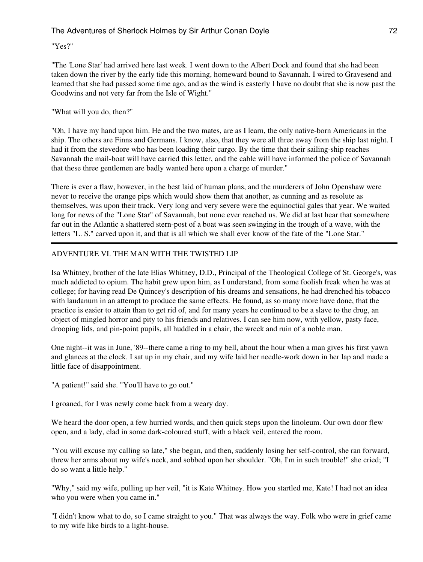"Yes?"

"The 'Lone Star' had arrived here last week. I went down to the Albert Dock and found that she had been taken down the river by the early tide this morning, homeward bound to Savannah. I wired to Gravesend and learned that she had passed some time ago, and as the wind is easterly I have no doubt that she is now past the Goodwins and not very far from the Isle of Wight."

## "What will you do, then?"

"Oh, I have my hand upon him. He and the two mates, are as I learn, the only native-born Americans in the ship. The others are Finns and Germans. I know, also, that they were all three away from the ship last night. I had it from the stevedore who has been loading their cargo. By the time that their sailing-ship reaches Savannah the mail-boat will have carried this letter, and the cable will have informed the police of Savannah that these three gentlemen are badly wanted here upon a charge of murder."

There is ever a flaw, however, in the best laid of human plans, and the murderers of John Openshaw were never to receive the orange pips which would show them that another, as cunning and as resolute as themselves, was upon their track. Very long and very severe were the equinoctial gales that year. We waited long for news of the "Lone Star" of Savannah, but none ever reached us. We did at last hear that somewhere far out in the Atlantic a shattered stern-post of a boat was seen swinging in the trough of a wave, with the letters "L. S." carved upon it, and that is all which we shall ever know of the fate of the "Lone Star."

# ADVENTURE VI. THE MAN WITH THE TWISTED LIP

Isa Whitney, brother of the late Elias Whitney, D.D., Principal of the Theological College of St. George's, was much addicted to opium. The habit grew upon him, as I understand, from some foolish freak when he was at college; for having read De Quincey's description of his dreams and sensations, he had drenched his tobacco with laudanum in an attempt to produce the same effects. He found, as so many more have done, that the practice is easier to attain than to get rid of, and for many years he continued to be a slave to the drug, an object of mingled horror and pity to his friends and relatives. I can see him now, with yellow, pasty face, drooping lids, and pin-point pupils, all huddled in a chair, the wreck and ruin of a noble man.

One night--it was in June, '89--there came a ring to my bell, about the hour when a man gives his first yawn and glances at the clock. I sat up in my chair, and my wife laid her needle-work down in her lap and made a little face of disappointment.

"A patient!" said she. "You'll have to go out."

I groaned, for I was newly come back from a weary day.

We heard the door open, a few hurried words, and then quick steps upon the linoleum. Our own door flew open, and a lady, clad in some dark-coloured stuff, with a black veil, entered the room.

"You will excuse my calling so late," she began, and then, suddenly losing her self-control, she ran forward, threw her arms about my wife's neck, and sobbed upon her shoulder. "Oh, I'm in such trouble!" she cried; "I do so want a little help."

"Why," said my wife, pulling up her veil, "it is Kate Whitney. How you startled me, Kate! I had not an idea who you were when you came in."

"I didn't know what to do, so I came straight to you." That was always the way. Folk who were in grief came to my wife like birds to a light-house.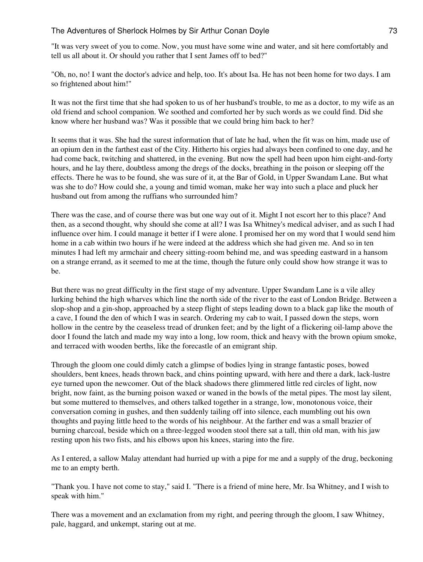"It was very sweet of you to come. Now, you must have some wine and water, and sit here comfortably and tell us all about it. Or should you rather that I sent James off to bed?"

"Oh, no, no! I want the doctor's advice and help, too. It's about Isa. He has not been home for two days. I am so frightened about him!"

It was not the first time that she had spoken to us of her husband's trouble, to me as a doctor, to my wife as an old friend and school companion. We soothed and comforted her by such words as we could find. Did she know where her husband was? Was it possible that we could bring him back to her?

It seems that it was. She had the surest information that of late he had, when the fit was on him, made use of an opium den in the farthest east of the City. Hitherto his orgies had always been confined to one day, and he had come back, twitching and shattered, in the evening. But now the spell had been upon him eight-and-forty hours, and he lay there, doubtless among the dregs of the docks, breathing in the poison or sleeping off the effects. There he was to be found, she was sure of it, at the Bar of Gold, in Upper Swandam Lane. But what was she to do? How could she, a young and timid woman, make her way into such a place and pluck her husband out from among the ruffians who surrounded him?

There was the case, and of course there was but one way out of it. Might I not escort her to this place? And then, as a second thought, why should she come at all? I was Isa Whitney's medical adviser, and as such I had influence over him. I could manage it better if I were alone. I promised her on my word that I would send him home in a cab within two hours if he were indeed at the address which she had given me. And so in ten minutes I had left my armchair and cheery sitting-room behind me, and was speeding eastward in a hansom on a strange errand, as it seemed to me at the time, though the future only could show how strange it was to be.

But there was no great difficulty in the first stage of my adventure. Upper Swandam Lane is a vile alley lurking behind the high wharves which line the north side of the river to the east of London Bridge. Between a slop-shop and a gin-shop, approached by a steep flight of steps leading down to a black gap like the mouth of a cave, I found the den of which I was in search. Ordering my cab to wait, I passed down the steps, worn hollow in the centre by the ceaseless tread of drunken feet; and by the light of a flickering oil-lamp above the door I found the latch and made my way into a long, low room, thick and heavy with the brown opium smoke, and terraced with wooden berths, like the forecastle of an emigrant ship.

Through the gloom one could dimly catch a glimpse of bodies lying in strange fantastic poses, bowed shoulders, bent knees, heads thrown back, and chins pointing upward, with here and there a dark, lack-lustre eye turned upon the newcomer. Out of the black shadows there glimmered little red circles of light, now bright, now faint, as the burning poison waxed or waned in the bowls of the metal pipes. The most lay silent, but some muttered to themselves, and others talked together in a strange, low, monotonous voice, their conversation coming in gushes, and then suddenly tailing off into silence, each mumbling out his own thoughts and paying little heed to the words of his neighbour. At the farther end was a small brazier of burning charcoal, beside which on a three-legged wooden stool there sat a tall, thin old man, with his jaw resting upon his two fists, and his elbows upon his knees, staring into the fire.

As I entered, a sallow Malay attendant had hurried up with a pipe for me and a supply of the drug, beckoning me to an empty berth.

"Thank you. I have not come to stay," said I. "There is a friend of mine here, Mr. Isa Whitney, and I wish to speak with him."

There was a movement and an exclamation from my right, and peering through the gloom, I saw Whitney, pale, haggard, and unkempt, staring out at me.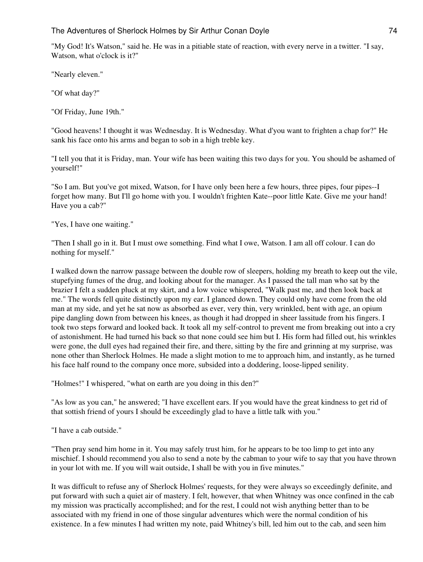"My God! It's Watson," said he. He was in a pitiable state of reaction, with every nerve in a twitter. "I say, Watson, what o'clock is it?"

"Nearly eleven."

"Of what day?"

"Of Friday, June 19th."

"Good heavens! I thought it was Wednesday. It is Wednesday. What d'you want to frighten a chap for?" He sank his face onto his arms and began to sob in a high treble key.

"I tell you that it is Friday, man. Your wife has been waiting this two days for you. You should be ashamed of yourself!"

"So I am. But you've got mixed, Watson, for I have only been here a few hours, three pipes, four pipes--I forget how many. But I'll go home with you. I wouldn't frighten Kate--poor little Kate. Give me your hand! Have you a cab?"

"Yes, I have one waiting."

"Then I shall go in it. But I must owe something. Find what I owe, Watson. I am all off colour. I can do nothing for myself."

I walked down the narrow passage between the double row of sleepers, holding my breath to keep out the vile, stupefying fumes of the drug, and looking about for the manager. As I passed the tall man who sat by the brazier I felt a sudden pluck at my skirt, and a low voice whispered, "Walk past me, and then look back at me." The words fell quite distinctly upon my ear. I glanced down. They could only have come from the old man at my side, and yet he sat now as absorbed as ever, very thin, very wrinkled, bent with age, an opium pipe dangling down from between his knees, as though it had dropped in sheer lassitude from his fingers. I took two steps forward and looked back. It took all my self-control to prevent me from breaking out into a cry of astonishment. He had turned his back so that none could see him but I. His form had filled out, his wrinkles were gone, the dull eyes had regained their fire, and there, sitting by the fire and grinning at my surprise, was none other than Sherlock Holmes. He made a slight motion to me to approach him, and instantly, as he turned his face half round to the company once more, subsided into a doddering, loose-lipped senility.

"Holmes!" I whispered, "what on earth are you doing in this den?"

"As low as you can," he answered; "I have excellent ears. If you would have the great kindness to get rid of that sottish friend of yours I should be exceedingly glad to have a little talk with you."

"I have a cab outside."

"Then pray send him home in it. You may safely trust him, for he appears to be too limp to get into any mischief. I should recommend you also to send a note by the cabman to your wife to say that you have thrown in your lot with me. If you will wait outside, I shall be with you in five minutes."

It was difficult to refuse any of Sherlock Holmes' requests, for they were always so exceedingly definite, and put forward with such a quiet air of mastery. I felt, however, that when Whitney was once confined in the cab my mission was practically accomplished; and for the rest, I could not wish anything better than to be associated with my friend in one of those singular adventures which were the normal condition of his existence. In a few minutes I had written my note, paid Whitney's bill, led him out to the cab, and seen him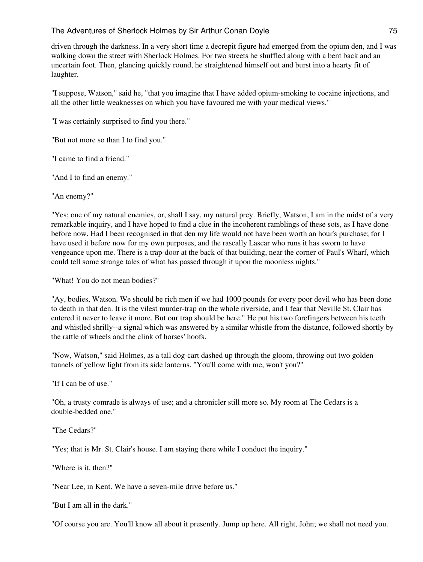driven through the darkness. In a very short time a decrepit figure had emerged from the opium den, and I was walking down the street with Sherlock Holmes. For two streets he shuffled along with a bent back and an uncertain foot. Then, glancing quickly round, he straightened himself out and burst into a hearty fit of laughter.

"I suppose, Watson," said he, "that you imagine that I have added opium-smoking to cocaine injections, and all the other little weaknesses on which you have favoured me with your medical views."

"I was certainly surprised to find you there."

"But not more so than I to find you."

"I came to find a friend."

"And I to find an enemy."

"An enemy?"

"Yes; one of my natural enemies, or, shall I say, my natural prey. Briefly, Watson, I am in the midst of a very remarkable inquiry, and I have hoped to find a clue in the incoherent ramblings of these sots, as I have done before now. Had I been recognised in that den my life would not have been worth an hour's purchase; for I have used it before now for my own purposes, and the rascally Lascar who runs it has sworn to have vengeance upon me. There is a trap-door at the back of that building, near the corner of Paul's Wharf, which could tell some strange tales of what has passed through it upon the moonless nights."

"What! You do not mean bodies?"

"Ay, bodies, Watson. We should be rich men if we had 1000 pounds for every poor devil who has been done to death in that den. It is the vilest murder-trap on the whole riverside, and I fear that Neville St. Clair has entered it never to leave it more. But our trap should be here." He put his two forefingers between his teeth and whistled shrilly--a signal which was answered by a similar whistle from the distance, followed shortly by the rattle of wheels and the clink of horses' hoofs.

"Now, Watson," said Holmes, as a tall dog-cart dashed up through the gloom, throwing out two golden tunnels of yellow light from its side lanterns. "You'll come with me, won't you?"

"If I can be of use."

"Oh, a trusty comrade is always of use; and a chronicler still more so. My room at The Cedars is a double-bedded one."

"The Cedars?"

"Yes; that is Mr. St. Clair's house. I am staying there while I conduct the inquiry."

"Where is it, then?"

"Near Lee, in Kent. We have a seven-mile drive before us."

"But I am all in the dark."

"Of course you are. You'll know all about it presently. Jump up here. All right, John; we shall not need you.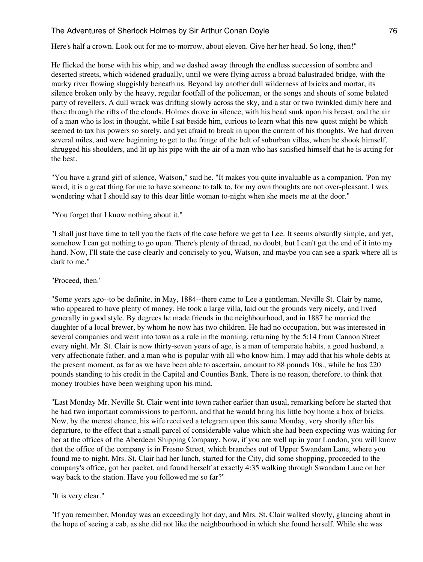Here's half a crown. Look out for me to-morrow, about eleven. Give her her head. So long, then!"

He flicked the horse with his whip, and we dashed away through the endless succession of sombre and deserted streets, which widened gradually, until we were flying across a broad balustraded bridge, with the murky river flowing sluggishly beneath us. Beyond lay another dull wilderness of bricks and mortar, its silence broken only by the heavy, regular footfall of the policeman, or the songs and shouts of some belated party of revellers. A dull wrack was drifting slowly across the sky, and a star or two twinkled dimly here and there through the rifts of the clouds. Holmes drove in silence, with his head sunk upon his breast, and the air of a man who is lost in thought, while I sat beside him, curious to learn what this new quest might be which seemed to tax his powers so sorely, and yet afraid to break in upon the current of his thoughts. We had driven several miles, and were beginning to get to the fringe of the belt of suburban villas, when he shook himself, shrugged his shoulders, and lit up his pipe with the air of a man who has satisfied himself that he is acting for the best.

"You have a grand gift of silence, Watson," said he. "It makes you quite invaluable as a companion. 'Pon my word, it is a great thing for me to have someone to talk to, for my own thoughts are not over-pleasant. I was wondering what I should say to this dear little woman to-night when she meets me at the door."

"You forget that I know nothing about it."

"I shall just have time to tell you the facts of the case before we get to Lee. It seems absurdly simple, and yet, somehow I can get nothing to go upon. There's plenty of thread, no doubt, but I can't get the end of it into my hand. Now, I'll state the case clearly and concisely to you, Watson, and maybe you can see a spark where all is dark to me."

"Proceed, then."

"Some years ago--to be definite, in May, 1884--there came to Lee a gentleman, Neville St. Clair by name, who appeared to have plenty of money. He took a large villa, laid out the grounds very nicely, and lived generally in good style. By degrees he made friends in the neighbourhood, and in 1887 he married the daughter of a local brewer, by whom he now has two children. He had no occupation, but was interested in several companies and went into town as a rule in the morning, returning by the 5:14 from Cannon Street every night. Mr. St. Clair is now thirty-seven years of age, is a man of temperate habits, a good husband, a very affectionate father, and a man who is popular with all who know him. I may add that his whole debts at the present moment, as far as we have been able to ascertain, amount to 88 pounds 10s., while he has 220 pounds standing to his credit in the Capital and Counties Bank. There is no reason, therefore, to think that money troubles have been weighing upon his mind.

"Last Monday Mr. Neville St. Clair went into town rather earlier than usual, remarking before he started that he had two important commissions to perform, and that he would bring his little boy home a box of bricks. Now, by the merest chance, his wife received a telegram upon this same Monday, very shortly after his departure, to the effect that a small parcel of considerable value which she had been expecting was waiting for her at the offices of the Aberdeen Shipping Company. Now, if you are well up in your London, you will know that the office of the company is in Fresno Street, which branches out of Upper Swandam Lane, where you found me to-night. Mrs. St. Clair had her lunch, started for the City, did some shopping, proceeded to the company's office, got her packet, and found herself at exactly 4:35 walking through Swandam Lane on her way back to the station. Have you followed me so far?"

"It is very clear."

"If you remember, Monday was an exceedingly hot day, and Mrs. St. Clair walked slowly, glancing about in the hope of seeing a cab, as she did not like the neighbourhood in which she found herself. While she was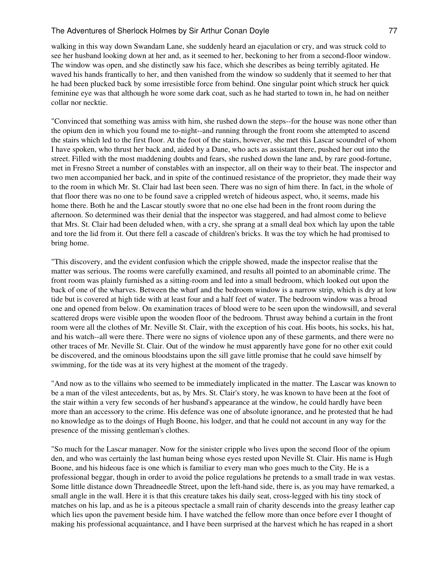walking in this way down Swandam Lane, she suddenly heard an ejaculation or cry, and was struck cold to see her husband looking down at her and, as it seemed to her, beckoning to her from a second-floor window. The window was open, and she distinctly saw his face, which she describes as being terribly agitated. He waved his hands frantically to her, and then vanished from the window so suddenly that it seemed to her that he had been plucked back by some irresistible force from behind. One singular point which struck her quick feminine eye was that although he wore some dark coat, such as he had started to town in, he had on neither collar nor necktie.

"Convinced that something was amiss with him, she rushed down the steps--for the house was none other than the opium den in which you found me to-night--and running through the front room she attempted to ascend the stairs which led to the first floor. At the foot of the stairs, however, she met this Lascar scoundrel of whom I have spoken, who thrust her back and, aided by a Dane, who acts as assistant there, pushed her out into the street. Filled with the most maddening doubts and fears, she rushed down the lane and, by rare good-fortune, met in Fresno Street a number of constables with an inspector, all on their way to their beat. The inspector and two men accompanied her back, and in spite of the continued resistance of the proprietor, they made their way to the room in which Mr. St. Clair had last been seen. There was no sign of him there. In fact, in the whole of that floor there was no one to be found save a crippled wretch of hideous aspect, who, it seems, made his home there. Both he and the Lascar stoutly swore that no one else had been in the front room during the afternoon. So determined was their denial that the inspector was staggered, and had almost come to believe that Mrs. St. Clair had been deluded when, with a cry, she sprang at a small deal box which lay upon the table and tore the lid from it. Out there fell a cascade of children's bricks. It was the toy which he had promised to bring home.

"This discovery, and the evident confusion which the cripple showed, made the inspector realise that the matter was serious. The rooms were carefully examined, and results all pointed to an abominable crime. The front room was plainly furnished as a sitting-room and led into a small bedroom, which looked out upon the back of one of the wharves. Between the wharf and the bedroom window is a narrow strip, which is dry at low tide but is covered at high tide with at least four and a half feet of water. The bedroom window was a broad one and opened from below. On examination traces of blood were to be seen upon the windowsill, and several scattered drops were visible upon the wooden floor of the bedroom. Thrust away behind a curtain in the front room were all the clothes of Mr. Neville St. Clair, with the exception of his coat. His boots, his socks, his hat, and his watch--all were there. There were no signs of violence upon any of these garments, and there were no other traces of Mr. Neville St. Clair. Out of the window he must apparently have gone for no other exit could be discovered, and the ominous bloodstains upon the sill gave little promise that he could save himself by swimming, for the tide was at its very highest at the moment of the tragedy.

"And now as to the villains who seemed to be immediately implicated in the matter. The Lascar was known to be a man of the vilest antecedents, but as, by Mrs. St. Clair's story, he was known to have been at the foot of the stair within a very few seconds of her husband's appearance at the window, he could hardly have been more than an accessory to the crime. His defence was one of absolute ignorance, and he protested that he had no knowledge as to the doings of Hugh Boone, his lodger, and that he could not account in any way for the presence of the missing gentleman's clothes.

"So much for the Lascar manager. Now for the sinister cripple who lives upon the second floor of the opium den, and who was certainly the last human being whose eyes rested upon Neville St. Clair. His name is Hugh Boone, and his hideous face is one which is familiar to every man who goes much to the City. He is a professional beggar, though in order to avoid the police regulations he pretends to a small trade in wax vestas. Some little distance down Threadneedle Street, upon the left-hand side, there is, as you may have remarked, a small angle in the wall. Here it is that this creature takes his daily seat, cross-legged with his tiny stock of matches on his lap, and as he is a piteous spectacle a small rain of charity descends into the greasy leather cap which lies upon the pavement beside him. I have watched the fellow more than once before ever I thought of making his professional acquaintance, and I have been surprised at the harvest which he has reaped in a short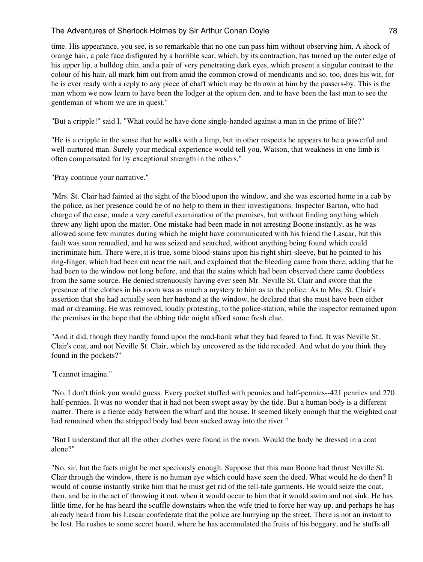time. His appearance, you see, is so remarkable that no one can pass him without observing him. A shock of orange hair, a pale face disfigured by a horrible scar, which, by its contraction, has turned up the outer edge of his upper lip, a bulldog chin, and a pair of very penetrating dark eyes, which present a singular contrast to the colour of his hair, all mark him out from amid the common crowd of mendicants and so, too, does his wit, for he is ever ready with a reply to any piece of chaff which may be thrown at him by the passers-by. This is the man whom we now learn to have been the lodger at the opium den, and to have been the last man to see the gentleman of whom we are in quest."

"But a cripple!" said I. "What could he have done single-handed against a man in the prime of life?"

"He is a cripple in the sense that he walks with a limp; but in other respects he appears to be a powerful and well-nurtured man. Surely your medical experience would tell you, Watson, that weakness in one limb is often compensated for by exceptional strength in the others."

"Pray continue your narrative."

"Mrs. St. Clair had fainted at the sight of the blood upon the window, and she was escorted home in a cab by the police, as her presence could be of no help to them in their investigations. Inspector Barton, who had charge of the case, made a very careful examination of the premises, but without finding anything which threw any light upon the matter. One mistake had been made in not arresting Boone instantly, as he was allowed some few minutes during which he might have communicated with his friend the Lascar, but this fault was soon remedied, and he was seized and searched, without anything being found which could incriminate him. There were, it is true, some blood-stains upon his right shirt-sleeve, but he pointed to his ring-finger, which had been cut near the nail, and explained that the bleeding came from there, adding that he had been to the window not long before, and that the stains which had been observed there came doubtless from the same source. He denied strenuously having ever seen Mr. Neville St. Clair and swore that the presence of the clothes in his room was as much a mystery to him as to the police. As to Mrs. St. Clair's assertion that she had actually seen her husband at the window, he declared that she must have been either mad or dreaming. He was removed, loudly protesting, to the police-station, while the inspector remained upon the premises in the hope that the ebbing tide might afford some fresh clue.

"And it did, though they hardly found upon the mud-bank what they had feared to find. It was Neville St. Clair's coat, and not Neville St. Clair, which lay uncovered as the tide receded. And what do you think they found in the pockets?"

"I cannot imagine."

"No, I don't think you would guess. Every pocket stuffed with pennies and half-pennies--421 pennies and 270 half-pennies. It was no wonder that it had not been swept away by the tide. But a human body is a different matter. There is a fierce eddy between the wharf and the house. It seemed likely enough that the weighted coat had remained when the stripped body had been sucked away into the river."

"But I understand that all the other clothes were found in the room. Would the body be dressed in a coat alone?"

"No, sir, but the facts might be met speciously enough. Suppose that this man Boone had thrust Neville St. Clair through the window, there is no human eye which could have seen the deed. What would he do then? It would of course instantly strike him that he must get rid of the tell-tale garments. He would seize the coat, then, and be in the act of throwing it out, when it would occur to him that it would swim and not sink. He has little time, for he has heard the scuffle downstairs when the wife tried to force her way up, and perhaps he has already heard from his Lascar confederate that the police are hurrying up the street. There is not an instant to be lost. He rushes to some secret hoard, where he has accumulated the fruits of his beggary, and he stuffs all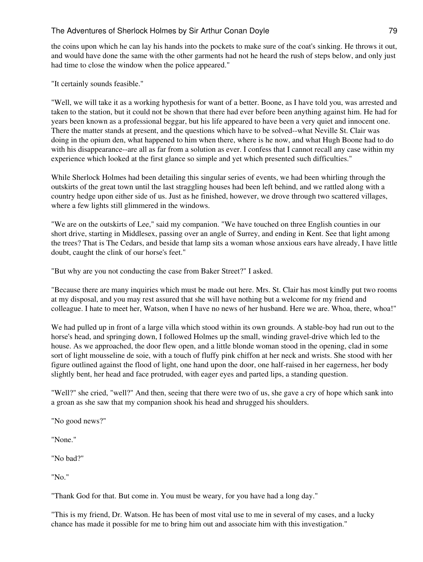the coins upon which he can lay his hands into the pockets to make sure of the coat's sinking. He throws it out, and would have done the same with the other garments had not he heard the rush of steps below, and only just had time to close the window when the police appeared."

"It certainly sounds feasible."

"Well, we will take it as a working hypothesis for want of a better. Boone, as I have told you, was arrested and taken to the station, but it could not be shown that there had ever before been anything against him. He had for years been known as a professional beggar, but his life appeared to have been a very quiet and innocent one. There the matter stands at present, and the questions which have to be solved--what Neville St. Clair was doing in the opium den, what happened to him when there, where is he now, and what Hugh Boone had to do with his disappearance--are all as far from a solution as ever. I confess that I cannot recall any case within my experience which looked at the first glance so simple and yet which presented such difficulties."

While Sherlock Holmes had been detailing this singular series of events, we had been whirling through the outskirts of the great town until the last straggling houses had been left behind, and we rattled along with a country hedge upon either side of us. Just as he finished, however, we drove through two scattered villages, where a few lights still glimmered in the windows.

"We are on the outskirts of Lee," said my companion. "We have touched on three English counties in our short drive, starting in Middlesex, passing over an angle of Surrey, and ending in Kent. See that light among the trees? That is The Cedars, and beside that lamp sits a woman whose anxious ears have already, I have little doubt, caught the clink of our horse's feet."

"But why are you not conducting the case from Baker Street?" I asked.

"Because there are many inquiries which must be made out here. Mrs. St. Clair has most kindly put two rooms at my disposal, and you may rest assured that she will have nothing but a welcome for my friend and colleague. I hate to meet her, Watson, when I have no news of her husband. Here we are. Whoa, there, whoa!"

We had pulled up in front of a large villa which stood within its own grounds. A stable-boy had run out to the horse's head, and springing down, I followed Holmes up the small, winding gravel-drive which led to the house. As we approached, the door flew open, and a little blonde woman stood in the opening, clad in some sort of light mousseline de soie, with a touch of fluffy pink chiffon at her neck and wrists. She stood with her figure outlined against the flood of light, one hand upon the door, one half-raised in her eagerness, her body slightly bent, her head and face protruded, with eager eyes and parted lips, a standing question.

"Well?" she cried, "well?" And then, seeing that there were two of us, she gave a cry of hope which sank into a groan as she saw that my companion shook his head and shrugged his shoulders.

"No good news?"

"None."

"No bad?"

"No."

"Thank God for that. But come in. You must be weary, for you have had a long day."

"This is my friend, Dr. Watson. He has been of most vital use to me in several of my cases, and a lucky chance has made it possible for me to bring him out and associate him with this investigation."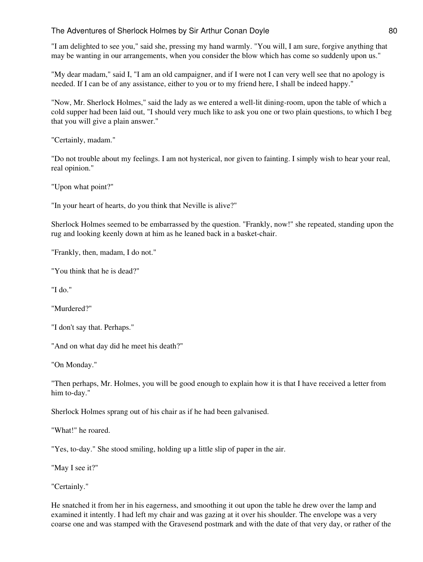"I am delighted to see you," said she, pressing my hand warmly. "You will, I am sure, forgive anything that may be wanting in our arrangements, when you consider the blow which has come so suddenly upon us."

"My dear madam," said I, "I am an old campaigner, and if I were not I can very well see that no apology is needed. If I can be of any assistance, either to you or to my friend here, I shall be indeed happy."

"Now, Mr. Sherlock Holmes," said the lady as we entered a well-lit dining-room, upon the table of which a cold supper had been laid out, "I should very much like to ask you one or two plain questions, to which I beg that you will give a plain answer."

"Certainly, madam."

"Do not trouble about my feelings. I am not hysterical, nor given to fainting. I simply wish to hear your real, real opinion."

"Upon what point?"

"In your heart of hearts, do you think that Neville is alive?"

Sherlock Holmes seemed to be embarrassed by the question. "Frankly, now!" she repeated, standing upon the rug and looking keenly down at him as he leaned back in a basket-chair.

"Frankly, then, madam, I do not."

"You think that he is dead?"

"I do."

"Murdered?"

"I don't say that. Perhaps."

"And on what day did he meet his death?"

"On Monday."

"Then perhaps, Mr. Holmes, you will be good enough to explain how it is that I have received a letter from him to-day."

Sherlock Holmes sprang out of his chair as if he had been galvanised.

"What!" he roared.

"Yes, to-day." She stood smiling, holding up a little slip of paper in the air.

"May I see it?"

"Certainly."

He snatched it from her in his eagerness, and smoothing it out upon the table he drew over the lamp and examined it intently. I had left my chair and was gazing at it over his shoulder. The envelope was a very coarse one and was stamped with the Gravesend postmark and with the date of that very day, or rather of the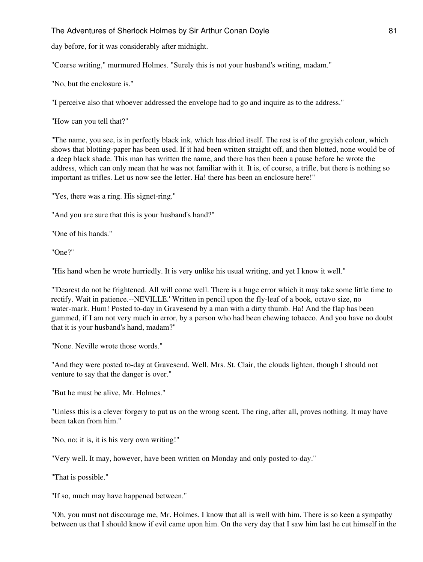day before, for it was considerably after midnight.

"Coarse writing," murmured Holmes. "Surely this is not your husband's writing, madam."

"No, but the enclosure is."

"I perceive also that whoever addressed the envelope had to go and inquire as to the address."

"How can you tell that?"

"The name, you see, is in perfectly black ink, which has dried itself. The rest is of the greyish colour, which shows that blotting-paper has been used. If it had been written straight off, and then blotted, none would be of a deep black shade. This man has written the name, and there has then been a pause before he wrote the address, which can only mean that he was not familiar with it. It is, of course, a trifle, but there is nothing so important as trifles. Let us now see the letter. Ha! there has been an enclosure here!"

"Yes, there was a ring. His signet-ring."

"And you are sure that this is your husband's hand?"

"One of his hands."

"One?"

"His hand when he wrote hurriedly. It is very unlike his usual writing, and yet I know it well."

"'Dearest do not be frightened. All will come well. There is a huge error which it may take some little time to rectify. Wait in patience.--NEVILLE.' Written in pencil upon the fly-leaf of a book, octavo size, no water-mark. Hum! Posted to-day in Gravesend by a man with a dirty thumb. Ha! And the flap has been gummed, if I am not very much in error, by a person who had been chewing tobacco. And you have no doubt that it is your husband's hand, madam?"

"None. Neville wrote those words."

"And they were posted to-day at Gravesend. Well, Mrs. St. Clair, the clouds lighten, though I should not venture to say that the danger is over."

"But he must be alive, Mr. Holmes."

"Unless this is a clever forgery to put us on the wrong scent. The ring, after all, proves nothing. It may have been taken from him."

"No, no; it is, it is his very own writing!"

"Very well. It may, however, have been written on Monday and only posted to-day."

"That is possible."

"If so, much may have happened between."

"Oh, you must not discourage me, Mr. Holmes. I know that all is well with him. There is so keen a sympathy between us that I should know if evil came upon him. On the very day that I saw him last he cut himself in the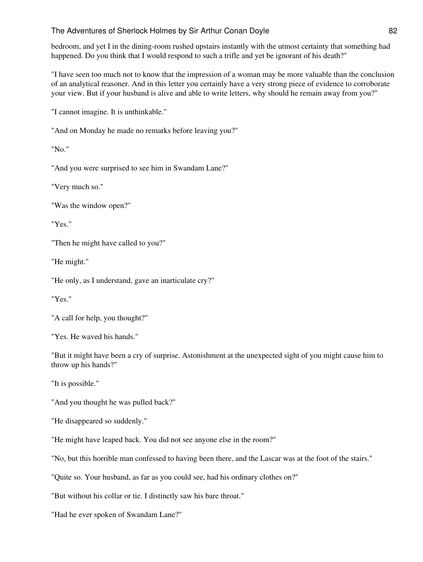bedroom, and yet I in the dining-room rushed upstairs instantly with the utmost certainty that something had happened. Do you think that I would respond to such a trifle and yet be ignorant of his death?"

"I have seen too much not to know that the impression of a woman may be more valuable than the conclusion of an analytical reasoner. And in this letter you certainly have a very strong piece of evidence to corroborate your view. But if your husband is alive and able to write letters, why should he remain away from you?"

"I cannot imagine. It is unthinkable."

"And on Monday he made no remarks before leaving you?"

"No."

"And you were surprised to see him in Swandam Lane?"

"Very much so."

"Was the window open?"

"Yes."

"Then he might have called to you?"

"He might."

"He only, as I understand, gave an inarticulate cry?"

"Yes."

"A call for help, you thought?"

"Yes. He waved his hands."

"But it might have been a cry of surprise. Astonishment at the unexpected sight of you might cause him to throw up his hands?"

"It is possible."

"And you thought he was pulled back?"

"He disappeared so suddenly."

"He might have leaped back. You did not see anyone else in the room?"

"No, but this horrible man confessed to having been there, and the Lascar was at the foot of the stairs."

"Quite so. Your husband, as far as you could see, had his ordinary clothes on?"

"But without his collar or tie. I distinctly saw his bare throat."

"Had he ever spoken of Swandam Lane?"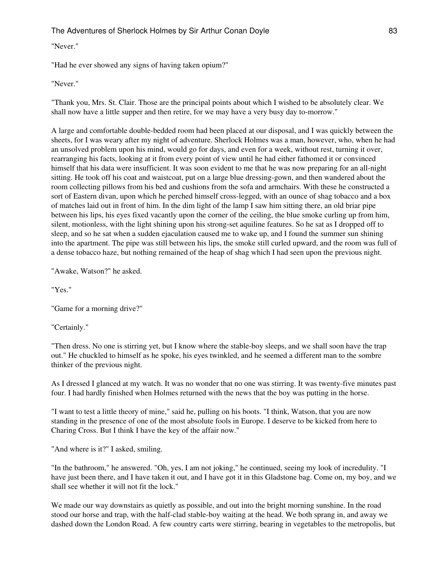### "Never."

"Had he ever showed any signs of having taken opium?"

# "Never."

"Thank you, Mrs. St. Clair. Those are the principal points about which I wished to be absolutely clear. We shall now have a little supper and then retire, for we may have a very busy day to-morrow."

A large and comfortable double-bedded room had been placed at our disposal, and I was quickly between the sheets, for I was weary after my night of adventure. Sherlock Holmes was a man, however, who, when he had an unsolved problem upon his mind, would go for days, and even for a week, without rest, turning it over, rearranging his facts, looking at it from every point of view until he had either fathomed it or convinced himself that his data were insufficient. It was soon evident to me that he was now preparing for an all-night sitting. He took off his coat and waistcoat, put on a large blue dressing-gown, and then wandered about the room collecting pillows from his bed and cushions from the sofa and armchairs. With these he constructed a sort of Eastern divan, upon which he perched himself cross-legged, with an ounce of shag tobacco and a box of matches laid out in front of him. In the dim light of the lamp I saw him sitting there, an old briar pipe between his lips, his eyes fixed vacantly upon the corner of the ceiling, the blue smoke curling up from him, silent, motionless, with the light shining upon his strong-set aquiline features. So he sat as I dropped off to sleep, and so he sat when a sudden ejaculation caused me to wake up, and I found the summer sun shining into the apartment. The pipe was still between his lips, the smoke still curled upward, and the room was full of a dense tobacco haze, but nothing remained of the heap of shag which I had seen upon the previous night.

"Awake, Watson?" he asked.

"Yes."

"Game for a morning drive?"

"Certainly."

"Then dress. No one is stirring yet, but I know where the stable-boy sleeps, and we shall soon have the trap out." He chuckled to himself as he spoke, his eyes twinkled, and he seemed a different man to the sombre thinker of the previous night.

As I dressed I glanced at my watch. It was no wonder that no one was stirring. It was twenty-five minutes past four. I had hardly finished when Holmes returned with the news that the boy was putting in the horse.

"I want to test a little theory of mine," said he, pulling on his boots. "I think, Watson, that you are now standing in the presence of one of the most absolute fools in Europe. I deserve to be kicked from here to Charing Cross. But I think I have the key of the affair now."

"And where is it?" I asked, smiling.

"In the bathroom," he answered. "Oh, yes, I am not joking," he continued, seeing my look of incredulity. "I have just been there, and I have taken it out, and I have got it in this Gladstone bag. Come on, my boy, and we shall see whether it will not fit the lock."

We made our way downstairs as quietly as possible, and out into the bright morning sunshine. In the road stood our horse and trap, with the half-clad stable-boy waiting at the head. We both sprang in, and away we dashed down the London Road. A few country carts were stirring, bearing in vegetables to the metropolis, but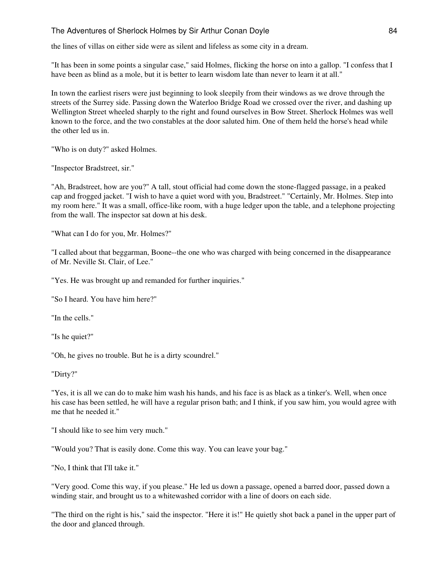the lines of villas on either side were as silent and lifeless as some city in a dream.

"It has been in some points a singular case," said Holmes, flicking the horse on into a gallop. "I confess that I have been as blind as a mole, but it is better to learn wisdom late than never to learn it at all."

In town the earliest risers were just beginning to look sleepily from their windows as we drove through the streets of the Surrey side. Passing down the Waterloo Bridge Road we crossed over the river, and dashing up Wellington Street wheeled sharply to the right and found ourselves in Bow Street. Sherlock Holmes was well known to the force, and the two constables at the door saluted him. One of them held the horse's head while the other led us in.

"Who is on duty?" asked Holmes.

"Inspector Bradstreet, sir."

"Ah, Bradstreet, how are you?" A tall, stout official had come down the stone-flagged passage, in a peaked cap and frogged jacket. "I wish to have a quiet word with you, Bradstreet." "Certainly, Mr. Holmes. Step into my room here." It was a small, office-like room, with a huge ledger upon the table, and a telephone projecting from the wall. The inspector sat down at his desk.

"What can I do for you, Mr. Holmes?"

"I called about that beggarman, Boone--the one who was charged with being concerned in the disappearance of Mr. Neville St. Clair, of Lee."

"Yes. He was brought up and remanded for further inquiries."

"So I heard. You have him here?"

"In the cells."

"Is he quiet?"

"Oh, he gives no trouble. But he is a dirty scoundrel."

"Dirty?"

"Yes, it is all we can do to make him wash his hands, and his face is as black as a tinker's. Well, when once his case has been settled, he will have a regular prison bath; and I think, if you saw him, you would agree with me that he needed it."

"I should like to see him very much."

"Would you? That is easily done. Come this way. You can leave your bag."

"No, I think that I'll take it."

"Very good. Come this way, if you please." He led us down a passage, opened a barred door, passed down a winding stair, and brought us to a whitewashed corridor with a line of doors on each side.

"The third on the right is his," said the inspector. "Here it is!" He quietly shot back a panel in the upper part of the door and glanced through.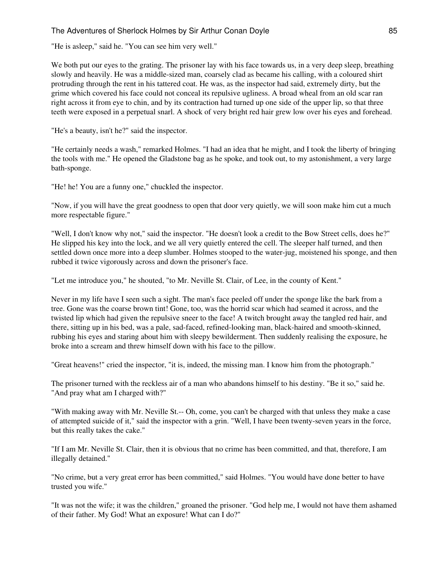"He is asleep," said he. "You can see him very well."

We both put our eyes to the grating. The prisoner lay with his face towards us, in a very deep sleep, breathing slowly and heavily. He was a middle-sized man, coarsely clad as became his calling, with a coloured shirt protruding through the rent in his tattered coat. He was, as the inspector had said, extremely dirty, but the grime which covered his face could not conceal its repulsive ugliness. A broad wheal from an old scar ran right across it from eye to chin, and by its contraction had turned up one side of the upper lip, so that three teeth were exposed in a perpetual snarl. A shock of very bright red hair grew low over his eyes and forehead.

"He's a beauty, isn't he?" said the inspector.

"He certainly needs a wash," remarked Holmes. "I had an idea that he might, and I took the liberty of bringing the tools with me." He opened the Gladstone bag as he spoke, and took out, to my astonishment, a very large bath-sponge.

"He! he! You are a funny one," chuckled the inspector.

"Now, if you will have the great goodness to open that door very quietly, we will soon make him cut a much more respectable figure."

"Well, I don't know why not," said the inspector. "He doesn't look a credit to the Bow Street cells, does he?" He slipped his key into the lock, and we all very quietly entered the cell. The sleeper half turned, and then settled down once more into a deep slumber. Holmes stooped to the water-jug, moistened his sponge, and then rubbed it twice vigorously across and down the prisoner's face.

"Let me introduce you," he shouted, "to Mr. Neville St. Clair, of Lee, in the county of Kent."

Never in my life have I seen such a sight. The man's face peeled off under the sponge like the bark from a tree. Gone was the coarse brown tint! Gone, too, was the horrid scar which had seamed it across, and the twisted lip which had given the repulsive sneer to the face! A twitch brought away the tangled red hair, and there, sitting up in his bed, was a pale, sad-faced, refined-looking man, black-haired and smooth-skinned, rubbing his eyes and staring about him with sleepy bewilderment. Then suddenly realising the exposure, he broke into a scream and threw himself down with his face to the pillow.

"Great heavens!" cried the inspector, "it is, indeed, the missing man. I know him from the photograph."

The prisoner turned with the reckless air of a man who abandons himself to his destiny. "Be it so," said he. "And pray what am I charged with?"

"With making away with Mr. Neville St.-- Oh, come, you can't be charged with that unless they make a case of attempted suicide of it," said the inspector with a grin. "Well, I have been twenty-seven years in the force, but this really takes the cake."

"If I am Mr. Neville St. Clair, then it is obvious that no crime has been committed, and that, therefore, I am illegally detained."

"No crime, but a very great error has been committed," said Holmes. "You would have done better to have trusted you wife."

"It was not the wife; it was the children," groaned the prisoner. "God help me, I would not have them ashamed of their father. My God! What an exposure! What can I do?"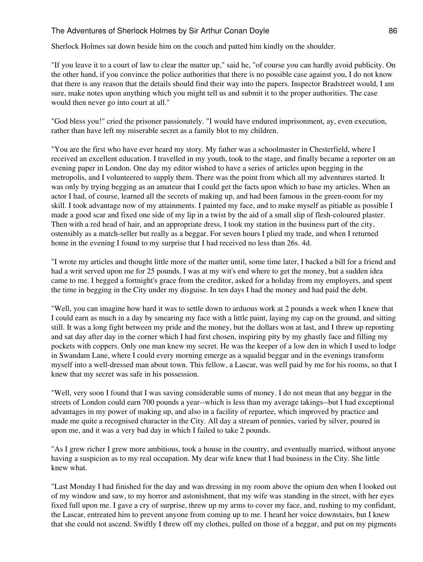Sherlock Holmes sat down beside him on the couch and patted him kindly on the shoulder.

"If you leave it to a court of law to clear the matter up," said he, "of course you can hardly avoid publicity. On the other hand, if you convince the police authorities that there is no possible case against you, I do not know that there is any reason that the details should find their way into the papers. Inspector Bradstreet would, I am sure, make notes upon anything which you might tell us and submit it to the proper authorities. The case would then never go into court at all."

"God bless you!" cried the prisoner passionately. "I would have endured imprisonment, ay, even execution, rather than have left my miserable secret as a family blot to my children.

"You are the first who have ever heard my story. My father was a schoolmaster in Chesterfield, where I received an excellent education. I travelled in my youth, took to the stage, and finally became a reporter on an evening paper in London. One day my editor wished to have a series of articles upon begging in the metropolis, and I volunteered to supply them. There was the point from which all my adventures started. It was only by trying begging as an amateur that I could get the facts upon which to base my articles. When an actor I had, of course, learned all the secrets of making up, and had been famous in the green-room for my skill. I took advantage now of my attainments. I painted my face, and to make myself as pitiable as possible I made a good scar and fixed one side of my lip in a twist by the aid of a small slip of flesh-coloured plaster. Then with a red head of hair, and an appropriate dress, I took my station in the business part of the city, ostensibly as a match-seller but really as a beggar. For seven hours I plied my trade, and when I returned home in the evening I found to my surprise that I had received no less than 26s. 4d.

"I wrote my articles and thought little more of the matter until, some time later, I backed a bill for a friend and had a writ served upon me for 25 pounds. I was at my wit's end where to get the money, but a sudden idea came to me. I begged a fortnight's grace from the creditor, asked for a holiday from my employers, and spent the time in begging in the City under my disguise. In ten days I had the money and had paid the debt.

"Well, you can imagine how hard it was to settle down to arduous work at 2 pounds a week when I knew that I could earn as much in a day by smearing my face with a little paint, laying my cap on the ground, and sitting still. It was a long fight between my pride and the money, but the dollars won at last, and I threw up reporting and sat day after day in the corner which I had first chosen, inspiring pity by my ghastly face and filling my pockets with coppers. Only one man knew my secret. He was the keeper of a low den in which I used to lodge in Swandam Lane, where I could every morning emerge as a squalid beggar and in the evenings transform myself into a well-dressed man about town. This fellow, a Lascar, was well paid by me for his rooms, so that I knew that my secret was safe in his possession.

"Well, very soon I found that I was saving considerable sums of money. I do not mean that any beggar in the streets of London could earn 700 pounds a year--which is less than my average takings--but I had exceptional advantages in my power of making up, and also in a facility of repartee, which improved by practice and made me quite a recognised character in the City. All day a stream of pennies, varied by silver, poured in upon me, and it was a very bad day in which I failed to take 2 pounds.

"As I grew richer I grew more ambitious, took a house in the country, and eventually married, without anyone having a suspicion as to my real occupation. My dear wife knew that I had business in the City. She little knew what.

"Last Monday I had finished for the day and was dressing in my room above the opium den when I looked out of my window and saw, to my horror and astonishment, that my wife was standing in the street, with her eyes fixed full upon me. I gave a cry of surprise, threw up my arms to cover my face, and, rushing to my confidant, the Lascar, entreated him to prevent anyone from coming up to me. I heard her voice downstairs, but I knew that she could not ascend. Swiftly I threw off my clothes, pulled on those of a beggar, and put on my pigments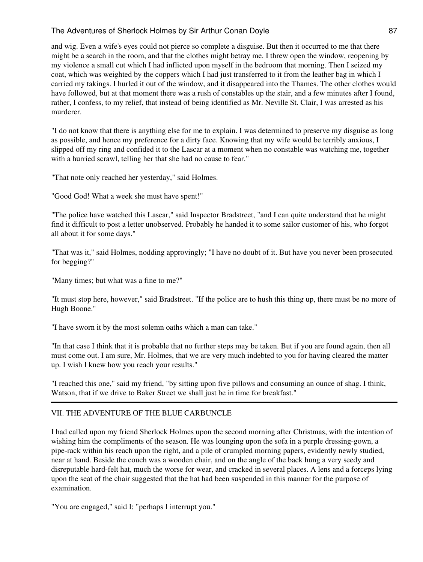and wig. Even a wife's eyes could not pierce so complete a disguise. But then it occurred to me that there might be a search in the room, and that the clothes might betray me. I threw open the window, reopening by my violence a small cut which I had inflicted upon myself in the bedroom that morning. Then I seized my coat, which was weighted by the coppers which I had just transferred to it from the leather bag in which I carried my takings. I hurled it out of the window, and it disappeared into the Thames. The other clothes would have followed, but at that moment there was a rush of constables up the stair, and a few minutes after I found, rather, I confess, to my relief, that instead of being identified as Mr. Neville St. Clair, I was arrested as his murderer.

"I do not know that there is anything else for me to explain. I was determined to preserve my disguise as long as possible, and hence my preference for a dirty face. Knowing that my wife would be terribly anxious, I slipped off my ring and confided it to the Lascar at a moment when no constable was watching me, together with a hurried scrawl, telling her that she had no cause to fear."

"That note only reached her yesterday," said Holmes.

"Good God! What a week she must have spent!"

"The police have watched this Lascar," said Inspector Bradstreet, "and I can quite understand that he might find it difficult to post a letter unobserved. Probably he handed it to some sailor customer of his, who forgot all about it for some days."

"That was it," said Holmes, nodding approvingly; "I have no doubt of it. But have you never been prosecuted for begging?"

"Many times; but what was a fine to me?"

"It must stop here, however," said Bradstreet. "If the police are to hush this thing up, there must be no more of Hugh Boone."

"I have sworn it by the most solemn oaths which a man can take."

"In that case I think that it is probable that no further steps may be taken. But if you are found again, then all must come out. I am sure, Mr. Holmes, that we are very much indebted to you for having cleared the matter up. I wish I knew how you reach your results."

"I reached this one," said my friend, "by sitting upon five pillows and consuming an ounce of shag. I think, Watson, that if we drive to Baker Street we shall just be in time for breakfast."

#### VII. THE ADVENTURE OF THE BLUE CARBUNCLE

I had called upon my friend Sherlock Holmes upon the second morning after Christmas, with the intention of wishing him the compliments of the season. He was lounging upon the sofa in a purple dressing-gown, a pipe-rack within his reach upon the right, and a pile of crumpled morning papers, evidently newly studied, near at hand. Beside the couch was a wooden chair, and on the angle of the back hung a very seedy and disreputable hard-felt hat, much the worse for wear, and cracked in several places. A lens and a forceps lying upon the seat of the chair suggested that the hat had been suspended in this manner for the purpose of examination.

"You are engaged," said I; "perhaps I interrupt you."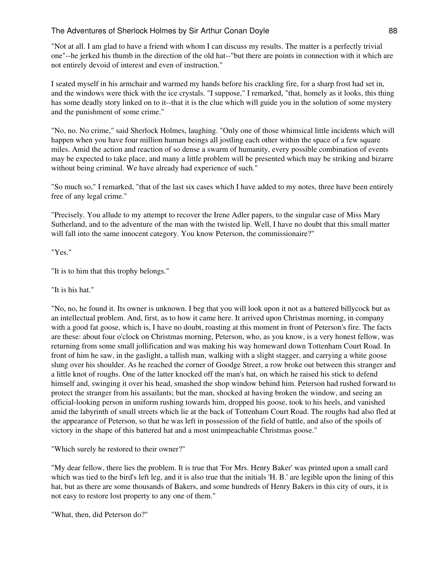"Not at all. I am glad to have a friend with whom I can discuss my results. The matter is a perfectly trivial one"--he jerked his thumb in the direction of the old hat--"but there are points in connection with it which are not entirely devoid of interest and even of instruction."

I seated myself in his armchair and warmed my hands before his crackling fire, for a sharp frost had set in, and the windows were thick with the ice crystals. "I suppose," I remarked, "that, homely as it looks, this thing has some deadly story linked on to it--that it is the clue which will guide you in the solution of some mystery and the punishment of some crime."

"No, no. No crime," said Sherlock Holmes, laughing. "Only one of those whimsical little incidents which will happen when you have four million human beings all jostling each other within the space of a few square miles. Amid the action and reaction of so dense a swarm of humanity, every possible combination of events may be expected to take place, and many a little problem will be presented which may be striking and bizarre without being criminal. We have already had experience of such."

"So much so," I remarked, "that of the last six cases which I have added to my notes, three have been entirely free of any legal crime."

"Precisely. You allude to my attempt to recover the Irene Adler papers, to the singular case of Miss Mary Sutherland, and to the adventure of the man with the twisted lip. Well, I have no doubt that this small matter will fall into the same innocent category. You know Peterson, the commissionaire?"

"Yes."

"It is to him that this trophy belongs."

"It is his hat."

"No, no, he found it. Its owner is unknown. I beg that you will look upon it not as a battered billycock but as an intellectual problem. And, first, as to how it came here. It arrived upon Christmas morning, in company with a good fat goose, which is, I have no doubt, roasting at this moment in front of Peterson's fire. The facts are these: about four o'clock on Christmas morning, Peterson, who, as you know, is a very honest fellow, was returning from some small jollification and was making his way homeward down Tottenham Court Road. In front of him he saw, in the gaslight, a tallish man, walking with a slight stagger, and carrying a white goose slung over his shoulder. As he reached the corner of Goodge Street, a row broke out between this stranger and a little knot of roughs. One of the latter knocked off the man's hat, on which he raised his stick to defend himself and, swinging it over his head, smashed the shop window behind him. Peterson had rushed forward to protect the stranger from his assailants; but the man, shocked at having broken the window, and seeing an official-looking person in uniform rushing towards him, dropped his goose, took to his heels, and vanished amid the labyrinth of small streets which lie at the back of Tottenham Court Road. The roughs had also fled at the appearance of Peterson, so that he was left in possession of the field of battle, and also of the spoils of victory in the shape of this battered hat and a most unimpeachable Christmas goose."

"Which surely he restored to their owner?"

"My dear fellow, there lies the problem. It is true that 'For Mrs. Henry Baker' was printed upon a small card which was tied to the bird's left leg, and it is also true that the initials 'H. B.' are legible upon the lining of this hat, but as there are some thousands of Bakers, and some hundreds of Henry Bakers in this city of ours, it is not easy to restore lost property to any one of them."

"What, then, did Peterson do?"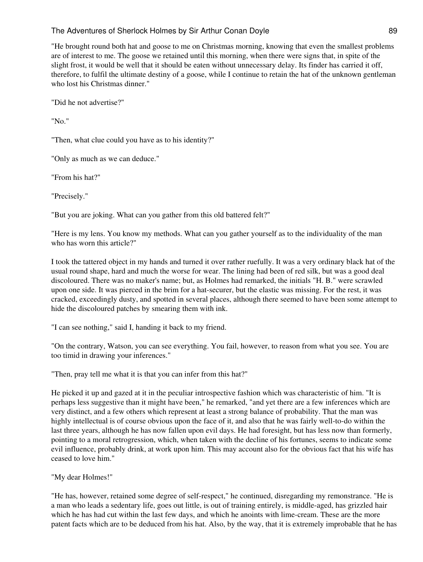"He brought round both hat and goose to me on Christmas morning, knowing that even the smallest problems are of interest to me. The goose we retained until this morning, when there were signs that, in spite of the slight frost, it would be well that it should be eaten without unnecessary delay. Its finder has carried it off, therefore, to fulfil the ultimate destiny of a goose, while I continue to retain the hat of the unknown gentleman who lost his Christmas dinner."

"Did he not advertise?"

"No."

"Then, what clue could you have as to his identity?"

"Only as much as we can deduce."

"From his hat?"

"Precisely."

"But you are joking. What can you gather from this old battered felt?"

"Here is my lens. You know my methods. What can you gather yourself as to the individuality of the man who has worn this article?"

I took the tattered object in my hands and turned it over rather ruefully. It was a very ordinary black hat of the usual round shape, hard and much the worse for wear. The lining had been of red silk, but was a good deal discoloured. There was no maker's name; but, as Holmes had remarked, the initials "H. B." were scrawled upon one side. It was pierced in the brim for a hat-securer, but the elastic was missing. For the rest, it was cracked, exceedingly dusty, and spotted in several places, although there seemed to have been some attempt to hide the discoloured patches by smearing them with ink.

"I can see nothing," said I, handing it back to my friend.

"On the contrary, Watson, you can see everything. You fail, however, to reason from what you see. You are too timid in drawing your inferences."

"Then, pray tell me what it is that you can infer from this hat?"

He picked it up and gazed at it in the peculiar introspective fashion which was characteristic of him. "It is perhaps less suggestive than it might have been," he remarked, "and yet there are a few inferences which are very distinct, and a few others which represent at least a strong balance of probability. That the man was highly intellectual is of course obvious upon the face of it, and also that he was fairly well-to-do within the last three years, although he has now fallen upon evil days. He had foresight, but has less now than formerly, pointing to a moral retrogression, which, when taken with the decline of his fortunes, seems to indicate some evil influence, probably drink, at work upon him. This may account also for the obvious fact that his wife has ceased to love him."

"My dear Holmes!"

"He has, however, retained some degree of self-respect," he continued, disregarding my remonstrance. "He is a man who leads a sedentary life, goes out little, is out of training entirely, is middle-aged, has grizzled hair which he has had cut within the last few days, and which he anoints with lime-cream. These are the more patent facts which are to be deduced from his hat. Also, by the way, that it is extremely improbable that he has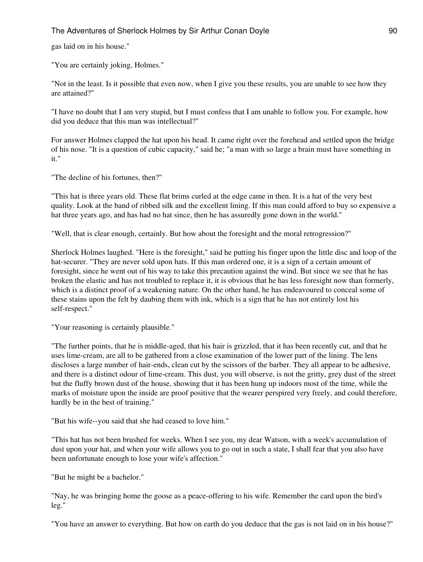gas laid on in his house."

"You are certainly joking, Holmes."

"Not in the least. Is it possible that even now, when I give you these results, you are unable to see how they are attained?"

"I have no doubt that I am very stupid, but I must confess that I am unable to follow you. For example, how did you deduce that this man was intellectual?"

For answer Holmes clapped the hat upon his head. It came right over the forehead and settled upon the bridge of his nose. "It is a question of cubic capacity," said he; "a man with so large a brain must have something in it."

"The decline of his fortunes, then?"

"This hat is three years old. These flat brims curled at the edge came in then. It is a hat of the very best quality. Look at the band of ribbed silk and the excellent lining. If this man could afford to buy so expensive a hat three years ago, and has had no hat since, then he has assuredly gone down in the world."

"Well, that is clear enough, certainly. But how about the foresight and the moral retrogression?"

Sherlock Holmes laughed. "Here is the foresight," said he putting his finger upon the little disc and loop of the hat-securer. "They are never sold upon hats. If this man ordered one, it is a sign of a certain amount of foresight, since he went out of his way to take this precaution against the wind. But since we see that he has broken the elastic and has not troubled to replace it, it is obvious that he has less foresight now than formerly, which is a distinct proof of a weakening nature. On the other hand, he has endeavoured to conceal some of these stains upon the felt by daubing them with ink, which is a sign that he has not entirely lost his self-respect."

"Your reasoning is certainly plausible."

"The further points, that he is middle-aged, that his hair is grizzled, that it has been recently cut, and that he uses lime-cream, are all to be gathered from a close examination of the lower part of the lining. The lens discloses a large number of hair-ends, clean cut by the scissors of the barber. They all appear to be adhesive, and there is a distinct odour of lime-cream. This dust, you will observe, is not the gritty, grey dust of the street but the fluffy brown dust of the house, showing that it has been hung up indoors most of the time, while the marks of moisture upon the inside are proof positive that the wearer perspired very freely, and could therefore, hardly be in the best of training."

"But his wife--you said that she had ceased to love him."

"This hat has not been brushed for weeks. When I see you, my dear Watson, with a week's accumulation of dust upon your hat, and when your wife allows you to go out in such a state, I shall fear that you also have been unfortunate enough to lose your wife's affection."

"But he might be a bachelor."

"Nay, he was bringing home the goose as a peace-offering to his wife. Remember the card upon the bird's leg."

"You have an answer to everything. But how on earth do you deduce that the gas is not laid on in his house?"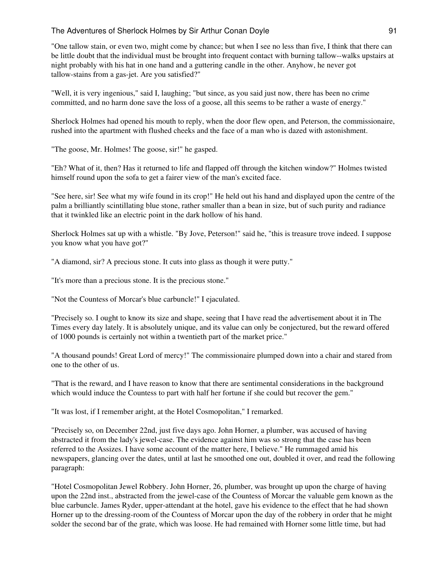"One tallow stain, or even two, might come by chance; but when I see no less than five, I think that there can be little doubt that the individual must be brought into frequent contact with burning tallow--walks upstairs at night probably with his hat in one hand and a guttering candle in the other. Anyhow, he never got tallow-stains from a gas-jet. Are you satisfied?"

"Well, it is very ingenious," said I, laughing; "but since, as you said just now, there has been no crime committed, and no harm done save the loss of a goose, all this seems to be rather a waste of energy."

Sherlock Holmes had opened his mouth to reply, when the door flew open, and Peterson, the commissionaire, rushed into the apartment with flushed cheeks and the face of a man who is dazed with astonishment.

"The goose, Mr. Holmes! The goose, sir!" he gasped.

"Eh? What of it, then? Has it returned to life and flapped off through the kitchen window?" Holmes twisted himself round upon the sofa to get a fairer view of the man's excited face.

"See here, sir! See what my wife found in its crop!" He held out his hand and displayed upon the centre of the palm a brilliantly scintillating blue stone, rather smaller than a bean in size, but of such purity and radiance that it twinkled like an electric point in the dark hollow of his hand.

Sherlock Holmes sat up with a whistle. "By Jove, Peterson!" said he, "this is treasure trove indeed. I suppose you know what you have got?"

"A diamond, sir? A precious stone. It cuts into glass as though it were putty."

"It's more than a precious stone. It is the precious stone."

"Not the Countess of Morcar's blue carbuncle!" I ejaculated.

"Precisely so. I ought to know its size and shape, seeing that I have read the advertisement about it in The Times every day lately. It is absolutely unique, and its value can only be conjectured, but the reward offered of 1000 pounds is certainly not within a twentieth part of the market price."

"A thousand pounds! Great Lord of mercy!" The commissionaire plumped down into a chair and stared from one to the other of us.

"That is the reward, and I have reason to know that there are sentimental considerations in the background which would induce the Countess to part with half her fortune if she could but recover the gem."

"It was lost, if I remember aright, at the Hotel Cosmopolitan," I remarked.

"Precisely so, on December 22nd, just five days ago. John Horner, a plumber, was accused of having abstracted it from the lady's jewel-case. The evidence against him was so strong that the case has been referred to the Assizes. I have some account of the matter here, I believe." He rummaged amid his newspapers, glancing over the dates, until at last he smoothed one out, doubled it over, and read the following paragraph:

"Hotel Cosmopolitan Jewel Robbery. John Horner, 26, plumber, was brought up upon the charge of having upon the 22nd inst., abstracted from the jewel-case of the Countess of Morcar the valuable gem known as the blue carbuncle. James Ryder, upper-attendant at the hotel, gave his evidence to the effect that he had shown Horner up to the dressing-room of the Countess of Morcar upon the day of the robbery in order that he might solder the second bar of the grate, which was loose. He had remained with Horner some little time, but had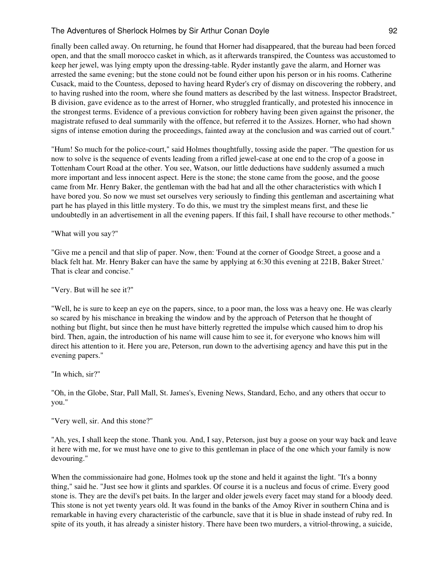finally been called away. On returning, he found that Horner had disappeared, that the bureau had been forced open, and that the small morocco casket in which, as it afterwards transpired, the Countess was accustomed to keep her jewel, was lying empty upon the dressing-table. Ryder instantly gave the alarm, and Horner was arrested the same evening; but the stone could not be found either upon his person or in his rooms. Catherine Cusack, maid to the Countess, deposed to having heard Ryder's cry of dismay on discovering the robbery, and to having rushed into the room, where she found matters as described by the last witness. Inspector Bradstreet, B division, gave evidence as to the arrest of Horner, who struggled frantically, and protested his innocence in the strongest terms. Evidence of a previous conviction for robbery having been given against the prisoner, the magistrate refused to deal summarily with the offence, but referred it to the Assizes. Horner, who had shown signs of intense emotion during the proceedings, fainted away at the conclusion and was carried out of court."

"Hum! So much for the police-court," said Holmes thoughtfully, tossing aside the paper. "The question for us now to solve is the sequence of events leading from a rifled jewel-case at one end to the crop of a goose in Tottenham Court Road at the other. You see, Watson, our little deductions have suddenly assumed a much more important and less innocent aspect. Here is the stone; the stone came from the goose, and the goose came from Mr. Henry Baker, the gentleman with the bad hat and all the other characteristics with which I have bored you. So now we must set ourselves very seriously to finding this gentleman and ascertaining what part he has played in this little mystery. To do this, we must try the simplest means first, and these lie undoubtedly in an advertisement in all the evening papers. If this fail, I shall have recourse to other methods."

"What will you say?"

"Give me a pencil and that slip of paper. Now, then: 'Found at the corner of Goodge Street, a goose and a black felt hat. Mr. Henry Baker can have the same by applying at 6:30 this evening at 221B, Baker Street.' That is clear and concise."

"Very. But will he see it?"

"Well, he is sure to keep an eye on the papers, since, to a poor man, the loss was a heavy one. He was clearly so scared by his mischance in breaking the window and by the approach of Peterson that he thought of nothing but flight, but since then he must have bitterly regretted the impulse which caused him to drop his bird. Then, again, the introduction of his name will cause him to see it, for everyone who knows him will direct his attention to it. Here you are, Peterson, run down to the advertising agency and have this put in the evening papers."

"In which, sir?"

"Oh, in the Globe, Star, Pall Mall, St. James's, Evening News, Standard, Echo, and any others that occur to you."

"Very well, sir. And this stone?"

"Ah, yes, I shall keep the stone. Thank you. And, I say, Peterson, just buy a goose on your way back and leave it here with me, for we must have one to give to this gentleman in place of the one which your family is now devouring."

When the commissionaire had gone, Holmes took up the stone and held it against the light. "It's a bonny thing," said he. "Just see how it glints and sparkles. Of course it is a nucleus and focus of crime. Every good stone is. They are the devil's pet baits. In the larger and older jewels every facet may stand for a bloody deed. This stone is not yet twenty years old. It was found in the banks of the Amoy River in southern China and is remarkable in having every characteristic of the carbuncle, save that it is blue in shade instead of ruby red. In spite of its youth, it has already a sinister history. There have been two murders, a vitriol-throwing, a suicide,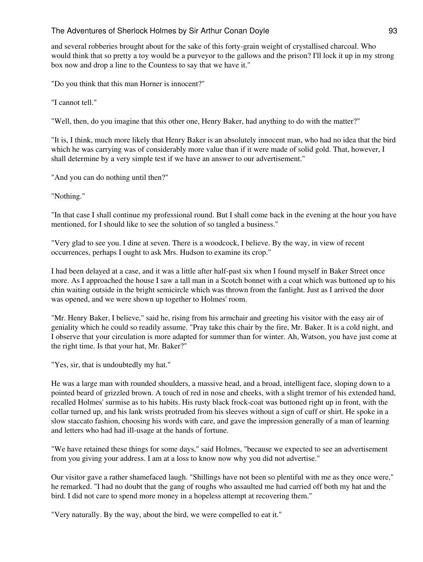and several robberies brought about for the sake of this forty-grain weight of crystallised charcoal. Who would think that so pretty a toy would be a purveyor to the gallows and the prison? I'll lock it up in my strong box now and drop a line to the Countess to say that we have it."

"Do you think that this man Horner is innocent?"

"I cannot tell."

"Well, then, do you imagine that this other one, Henry Baker, had anything to do with the matter?"

"It is, I think, much more likely that Henry Baker is an absolutely innocent man, who had no idea that the bird which he was carrying was of considerably more value than if it were made of solid gold. That, however, I shall determine by a very simple test if we have an answer to our advertisement."

"And you can do nothing until then?"

"Nothing."

"In that case I shall continue my professional round. But I shall come back in the evening at the hour you have mentioned, for I should like to see the solution of so tangled a business."

"Very glad to see you. I dine at seven. There is a woodcock, I believe. By the way, in view of recent occurrences, perhaps I ought to ask Mrs. Hudson to examine its crop."

I had been delayed at a case, and it was a little after half-past six when I found myself in Baker Street once more. As I approached the house I saw a tall man in a Scotch bonnet with a coat which was buttoned up to his chin waiting outside in the bright semicircle which was thrown from the fanlight. Just as I arrived the door was opened, and we were shown up together to Holmes' room.

"Mr. Henry Baker, I believe," said he, rising from his armchair and greeting his visitor with the easy air of geniality which he could so readily assume. "Pray take this chair by the fire, Mr. Baker. It is a cold night, and I observe that your circulation is more adapted for summer than for winter. Ah, Watson, you have just come at the right time. Is that your hat, Mr. Baker?"

"Yes, sir, that is undoubtedly my hat."

He was a large man with rounded shoulders, a massive head, and a broad, intelligent face, sloping down to a pointed beard of grizzled brown. A touch of red in nose and cheeks, with a slight tremor of his extended hand, recalled Holmes' surmise as to his habits. His rusty black frock-coat was buttoned right up in front, with the collar turned up, and his lank wrists protruded from his sleeves without a sign of cuff or shirt. He spoke in a slow staccato fashion, choosing his words with care, and gave the impression generally of a man of learning and letters who had had ill-usage at the hands of fortune.

"We have retained these things for some days," said Holmes, "because we expected to see an advertisement from you giving your address. I am at a loss to know now why you did not advertise."

Our visitor gave a rather shamefaced laugh. "Shillings have not been so plentiful with me as they once were," he remarked. "I had no doubt that the gang of roughs who assaulted me had carried off both my hat and the bird. I did not care to spend more money in a hopeless attempt at recovering them."

"Very naturally. By the way, about the bird, we were compelled to eat it."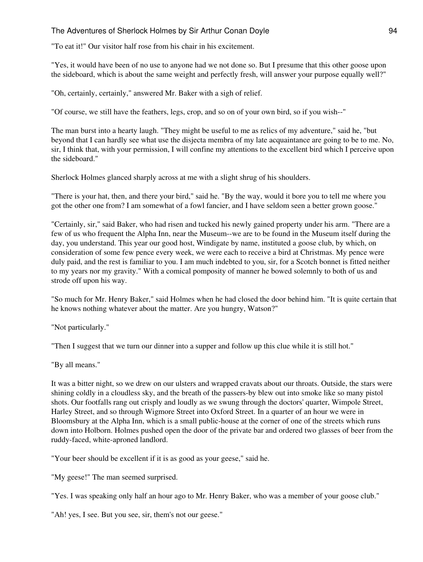"To eat it!" Our visitor half rose from his chair in his excitement.

"Yes, it would have been of no use to anyone had we not done so. But I presume that this other goose upon the sideboard, which is about the same weight and perfectly fresh, will answer your purpose equally well?"

"Oh, certainly, certainly," answered Mr. Baker with a sigh of relief.

"Of course, we still have the feathers, legs, crop, and so on of your own bird, so if you wish--"

The man burst into a hearty laugh. "They might be useful to me as relics of my adventure," said he, "but beyond that I can hardly see what use the disjecta membra of my late acquaintance are going to be to me. No, sir, I think that, with your permission, I will confine my attentions to the excellent bird which I perceive upon the sideboard."

Sherlock Holmes glanced sharply across at me with a slight shrug of his shoulders.

"There is your hat, then, and there your bird," said he. "By the way, would it bore you to tell me where you got the other one from? I am somewhat of a fowl fancier, and I have seldom seen a better grown goose."

"Certainly, sir," said Baker, who had risen and tucked his newly gained property under his arm. "There are a few of us who frequent the Alpha Inn, near the Museum--we are to be found in the Museum itself during the day, you understand. This year our good host, Windigate by name, instituted a goose club, by which, on consideration of some few pence every week, we were each to receive a bird at Christmas. My pence were duly paid, and the rest is familiar to you. I am much indebted to you, sir, for a Scotch bonnet is fitted neither to my years nor my gravity." With a comical pomposity of manner he bowed solemnly to both of us and strode off upon his way.

"So much for Mr. Henry Baker," said Holmes when he had closed the door behind him. "It is quite certain that he knows nothing whatever about the matter. Are you hungry, Watson?"

"Not particularly."

"Then I suggest that we turn our dinner into a supper and follow up this clue while it is still hot."

"By all means."

It was a bitter night, so we drew on our ulsters and wrapped cravats about our throats. Outside, the stars were shining coldly in a cloudless sky, and the breath of the passers-by blew out into smoke like so many pistol shots. Our footfalls rang out crisply and loudly as we swung through the doctors' quarter, Wimpole Street, Harley Street, and so through Wigmore Street into Oxford Street. In a quarter of an hour we were in Bloomsbury at the Alpha Inn, which is a small public-house at the corner of one of the streets which runs down into Holborn. Holmes pushed open the door of the private bar and ordered two glasses of beer from the ruddy-faced, white-aproned landlord.

"Your beer should be excellent if it is as good as your geese," said he.

"My geese!" The man seemed surprised.

"Yes. I was speaking only half an hour ago to Mr. Henry Baker, who was a member of your goose club."

"Ah! yes, I see. But you see, sir, them's not our geese."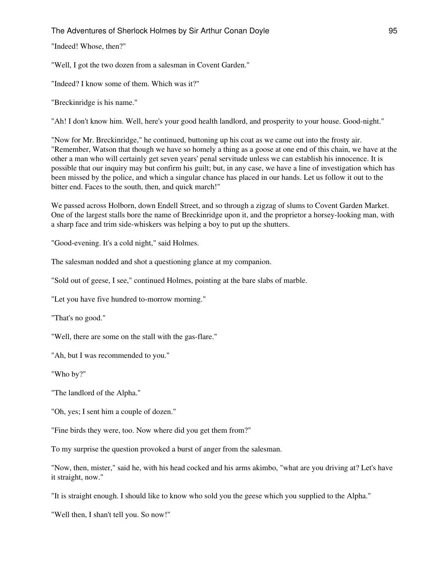"Indeed! Whose, then?"

"Well, I got the two dozen from a salesman in Covent Garden."

"Indeed? I know some of them. Which was it?"

"Breckinridge is his name."

"Ah! I don't know him. Well, here's your good health landlord, and prosperity to your house. Good-night."

"Now for Mr. Breckinridge," he continued, buttoning up his coat as we came out into the frosty air. "Remember, Watson that though we have so homely a thing as a goose at one end of this chain, we have at the other a man who will certainly get seven years' penal servitude unless we can establish his innocence. It is possible that our inquiry may but confirm his guilt; but, in any case, we have a line of investigation which has been missed by the police, and which a singular chance has placed in our hands. Let us follow it out to the bitter end. Faces to the south, then, and quick march!"

We passed across Holborn, down Endell Street, and so through a zigzag of slums to Covent Garden Market. One of the largest stalls bore the name of Breckinridge upon it, and the proprietor a horsey-looking man, with a sharp face and trim side-whiskers was helping a boy to put up the shutters.

"Good-evening. It's a cold night," said Holmes.

The salesman nodded and shot a questioning glance at my companion.

"Sold out of geese, I see," continued Holmes, pointing at the bare slabs of marble.

"Let you have five hundred to-morrow morning."

"That's no good."

"Well, there are some on the stall with the gas-flare."

"Ah, but I was recommended to you."

"Who by?"

"The landlord of the Alpha."

"Oh, yes; I sent him a couple of dozen."

"Fine birds they were, too. Now where did you get them from?"

To my surprise the question provoked a burst of anger from the salesman.

"Now, then, mister," said he, with his head cocked and his arms akimbo, "what are you driving at? Let's have it straight, now."

"It is straight enough. I should like to know who sold you the geese which you supplied to the Alpha."

"Well then, I shan't tell you. So now!"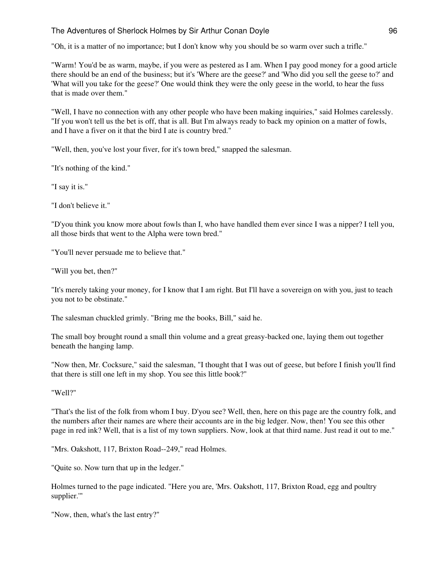"Oh, it is a matter of no importance; but I don't know why you should be so warm over such a trifle."

"Warm! You'd be as warm, maybe, if you were as pestered as I am. When I pay good money for a good article there should be an end of the business; but it's 'Where are the geese?' and 'Who did you sell the geese to?' and 'What will you take for the geese?' One would think they were the only geese in the world, to hear the fuss that is made over them."

"Well, I have no connection with any other people who have been making inquiries," said Holmes carelessly. "If you won't tell us the bet is off, that is all. But I'm always ready to back my opinion on a matter of fowls, and I have a fiver on it that the bird I ate is country bred."

"Well, then, you've lost your fiver, for it's town bred," snapped the salesman.

"It's nothing of the kind."

"I say it is."

"I don't believe it."

"D'you think you know more about fowls than I, who have handled them ever since I was a nipper? I tell you, all those birds that went to the Alpha were town bred."

"You'll never persuade me to believe that."

"Will you bet, then?"

"It's merely taking your money, for I know that I am right. But I'll have a sovereign on with you, just to teach you not to be obstinate."

The salesman chuckled grimly. "Bring me the books, Bill," said he.

The small boy brought round a small thin volume and a great greasy-backed one, laying them out together beneath the hanging lamp.

"Now then, Mr. Cocksure," said the salesman, "I thought that I was out of geese, but before I finish you'll find that there is still one left in my shop. You see this little book?"

"Well?"

"That's the list of the folk from whom I buy. D'you see? Well, then, here on this page are the country folk, and the numbers after their names are where their accounts are in the big ledger. Now, then! You see this other page in red ink? Well, that is a list of my town suppliers. Now, look at that third name. Just read it out to me."

"Mrs. Oakshott, 117, Brixton Road--249," read Holmes.

"Quite so. Now turn that up in the ledger."

Holmes turned to the page indicated. "Here you are, 'Mrs. Oakshott, 117, Brixton Road, egg and poultry supplier.'"

"Now, then, what's the last entry?"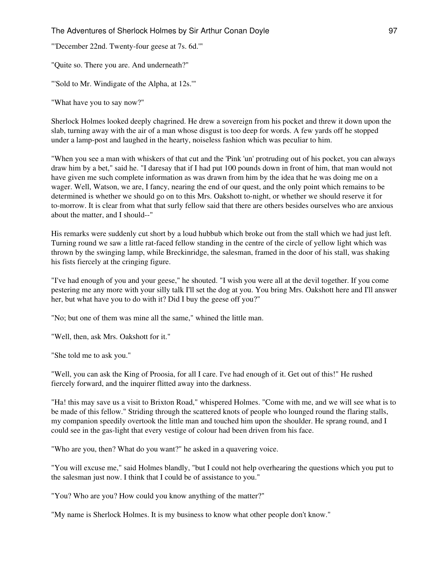"'December 22nd. Twenty-four geese at 7s. 6d.'"

"Quite so. There you are. And underneath?"

"'Sold to Mr. Windigate of the Alpha, at 12s.'"

"What have you to say now?"

Sherlock Holmes looked deeply chagrined. He drew a sovereign from his pocket and threw it down upon the slab, turning away with the air of a man whose disgust is too deep for words. A few yards off he stopped under a lamp-post and laughed in the hearty, noiseless fashion which was peculiar to him.

"When you see a man with whiskers of that cut and the 'Pink 'un' protruding out of his pocket, you can always draw him by a bet," said he. "I daresay that if I had put 100 pounds down in front of him, that man would not have given me such complete information as was drawn from him by the idea that he was doing me on a wager. Well, Watson, we are, I fancy, nearing the end of our quest, and the only point which remains to be determined is whether we should go on to this Mrs. Oakshott to-night, or whether we should reserve it for to-morrow. It is clear from what that surly fellow said that there are others besides ourselves who are anxious about the matter, and I should--"

His remarks were suddenly cut short by a loud hubbub which broke out from the stall which we had just left. Turning round we saw a little rat-faced fellow standing in the centre of the circle of yellow light which was thrown by the swinging lamp, while Breckinridge, the salesman, framed in the door of his stall, was shaking his fists fiercely at the cringing figure.

"I've had enough of you and your geese," he shouted. "I wish you were all at the devil together. If you come pestering me any more with your silly talk I'll set the dog at you. You bring Mrs. Oakshott here and I'll answer her, but what have you to do with it? Did I buy the geese off you?"

"No; but one of them was mine all the same," whined the little man.

"Well, then, ask Mrs. Oakshott for it."

"She told me to ask you."

"Well, you can ask the King of Proosia, for all I care. I've had enough of it. Get out of this!" He rushed fiercely forward, and the inquirer flitted away into the darkness.

"Ha! this may save us a visit to Brixton Road," whispered Holmes. "Come with me, and we will see what is to be made of this fellow." Striding through the scattered knots of people who lounged round the flaring stalls, my companion speedily overtook the little man and touched him upon the shoulder. He sprang round, and I could see in the gas-light that every vestige of colour had been driven from his face.

"Who are you, then? What do you want?" he asked in a quavering voice.

"You will excuse me," said Holmes blandly, "but I could not help overhearing the questions which you put to the salesman just now. I think that I could be of assistance to you."

"You? Who are you? How could you know anything of the matter?"

"My name is Sherlock Holmes. It is my business to know what other people don't know."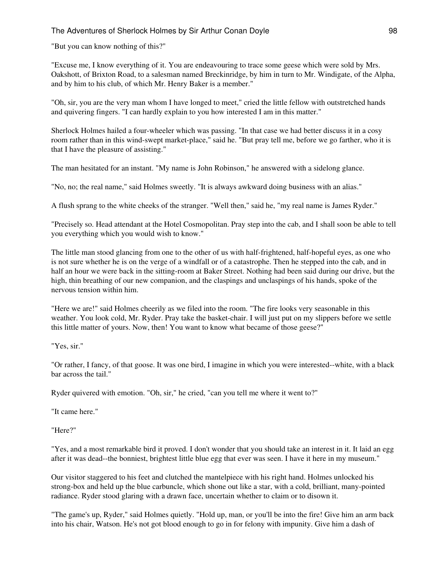"But you can know nothing of this?"

"Excuse me, I know everything of it. You are endeavouring to trace some geese which were sold by Mrs. Oakshott, of Brixton Road, to a salesman named Breckinridge, by him in turn to Mr. Windigate, of the Alpha, and by him to his club, of which Mr. Henry Baker is a member."

"Oh, sir, you are the very man whom I have longed to meet," cried the little fellow with outstretched hands and quivering fingers. "I can hardly explain to you how interested I am in this matter."

Sherlock Holmes hailed a four-wheeler which was passing. "In that case we had better discuss it in a cosy room rather than in this wind-swept market-place," said he. "But pray tell me, before we go farther, who it is that I have the pleasure of assisting."

The man hesitated for an instant. "My name is John Robinson," he answered with a sidelong glance.

"No, no; the real name," said Holmes sweetly. "It is always awkward doing business with an alias."

A flush sprang to the white cheeks of the stranger. "Well then," said he, "my real name is James Ryder."

"Precisely so. Head attendant at the Hotel Cosmopolitan. Pray step into the cab, and I shall soon be able to tell you everything which you would wish to know."

The little man stood glancing from one to the other of us with half-frightened, half-hopeful eyes, as one who is not sure whether he is on the verge of a windfall or of a catastrophe. Then he stepped into the cab, and in half an hour we were back in the sitting-room at Baker Street. Nothing had been said during our drive, but the high, thin breathing of our new companion, and the claspings and unclaspings of his hands, spoke of the nervous tension within him.

"Here we are!" said Holmes cheerily as we filed into the room. "The fire looks very seasonable in this weather. You look cold, Mr. Ryder. Pray take the basket-chair. I will just put on my slippers before we settle this little matter of yours. Now, then! You want to know what became of those geese?"

"Yes, sir."

"Or rather, I fancy, of that goose. It was one bird, I imagine in which you were interested--white, with a black bar across the tail."

Ryder quivered with emotion. "Oh, sir," he cried, "can you tell me where it went to?"

"It came here."

"Here?"

"Yes, and a most remarkable bird it proved. I don't wonder that you should take an interest in it. It laid an egg after it was dead--the bonniest, brightest little blue egg that ever was seen. I have it here in my museum."

Our visitor staggered to his feet and clutched the mantelpiece with his right hand. Holmes unlocked his strong-box and held up the blue carbuncle, which shone out like a star, with a cold, brilliant, many-pointed radiance. Ryder stood glaring with a drawn face, uncertain whether to claim or to disown it.

"The game's up, Ryder," said Holmes quietly. "Hold up, man, or you'll be into the fire! Give him an arm back into his chair, Watson. He's not got blood enough to go in for felony with impunity. Give him a dash of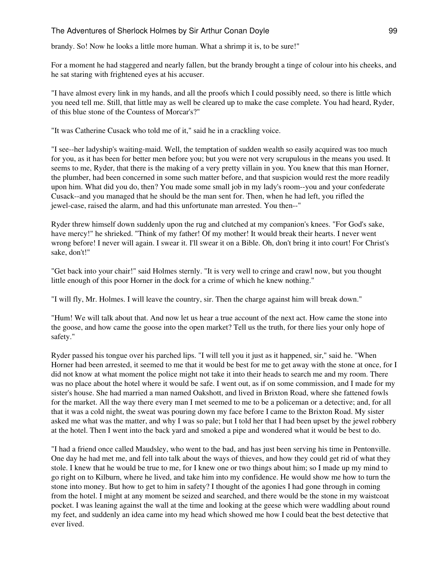brandy. So! Now he looks a little more human. What a shrimp it is, to be sure!"

For a moment he had staggered and nearly fallen, but the brandy brought a tinge of colour into his cheeks, and he sat staring with frightened eyes at his accuser.

"I have almost every link in my hands, and all the proofs which I could possibly need, so there is little which you need tell me. Still, that little may as well be cleared up to make the case complete. You had heard, Ryder, of this blue stone of the Countess of Morcar's?"

"It was Catherine Cusack who told me of it," said he in a crackling voice.

"I see--her ladyship's waiting-maid. Well, the temptation of sudden wealth so easily acquired was too much for you, as it has been for better men before you; but you were not very scrupulous in the means you used. It seems to me, Ryder, that there is the making of a very pretty villain in you. You knew that this man Horner, the plumber, had been concerned in some such matter before, and that suspicion would rest the more readily upon him. What did you do, then? You made some small job in my lady's room--you and your confederate Cusack--and you managed that he should be the man sent for. Then, when he had left, you rifled the jewel-case, raised the alarm, and had this unfortunate man arrested. You then--"

Ryder threw himself down suddenly upon the rug and clutched at my companion's knees. "For God's sake, have mercy!" he shrieked. "Think of my father! Of my mother! It would break their hearts. I never went wrong before! I never will again. I swear it. I'll swear it on a Bible. Oh, don't bring it into court! For Christ's sake, don't!"

"Get back into your chair!" said Holmes sternly. "It is very well to cringe and crawl now, but you thought little enough of this poor Horner in the dock for a crime of which he knew nothing."

"I will fly, Mr. Holmes. I will leave the country, sir. Then the charge against him will break down."

"Hum! We will talk about that. And now let us hear a true account of the next act. How came the stone into the goose, and how came the goose into the open market? Tell us the truth, for there lies your only hope of safety."

Ryder passed his tongue over his parched lips. "I will tell you it just as it happened, sir," said he. "When Horner had been arrested, it seemed to me that it would be best for me to get away with the stone at once, for I did not know at what moment the police might not take it into their heads to search me and my room. There was no place about the hotel where it would be safe. I went out, as if on some commission, and I made for my sister's house. She had married a man named Oakshott, and lived in Brixton Road, where she fattened fowls for the market. All the way there every man I met seemed to me to be a policeman or a detective; and, for all that it was a cold night, the sweat was pouring down my face before I came to the Brixton Road. My sister asked me what was the matter, and why I was so pale; but I told her that I had been upset by the jewel robbery at the hotel. Then I went into the back yard and smoked a pipe and wondered what it would be best to do.

"I had a friend once called Maudsley, who went to the bad, and has just been serving his time in Pentonville. One day he had met me, and fell into talk about the ways of thieves, and how they could get rid of what they stole. I knew that he would be true to me, for I knew one or two things about him; so I made up my mind to go right on to Kilburn, where he lived, and take him into my confidence. He would show me how to turn the stone into money. But how to get to him in safety? I thought of the agonies I had gone through in coming from the hotel. I might at any moment be seized and searched, and there would be the stone in my waistcoat pocket. I was leaning against the wall at the time and looking at the geese which were waddling about round my feet, and suddenly an idea came into my head which showed me how I could beat the best detective that ever lived.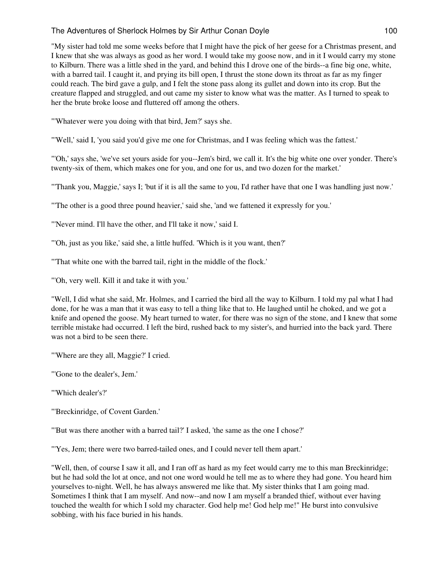"My sister had told me some weeks before that I might have the pick of her geese for a Christmas present, and I knew that she was always as good as her word. I would take my goose now, and in it I would carry my stone to Kilburn. There was a little shed in the yard, and behind this I drove one of the birds--a fine big one, white, with a barred tail. I caught it, and prying its bill open, I thrust the stone down its throat as far as my finger could reach. The bird gave a gulp, and I felt the stone pass along its gullet and down into its crop. But the creature flapped and struggled, and out came my sister to know what was the matter. As I turned to speak to her the brute broke loose and fluttered off among the others.

"'Whatever were you doing with that bird, Jem?' says she.

"'Well,' said I, 'you said you'd give me one for Christmas, and I was feeling which was the fattest.'

"'Oh,' says she, 'we've set yours aside for you--Jem's bird, we call it. It's the big white one over yonder. There's twenty-six of them, which makes one for you, and one for us, and two dozen for the market.'

"'Thank you, Maggie,' says I; 'but if it is all the same to you, I'd rather have that one I was handling just now.'

"'The other is a good three pound heavier,' said she, 'and we fattened it expressly for you.'

"'Never mind. I'll have the other, and I'll take it now,' said I.

"'Oh, just as you like,' said she, a little huffed. 'Which is it you want, then?'

"'That white one with the barred tail, right in the middle of the flock.'

"'Oh, very well. Kill it and take it with you.'

"Well, I did what she said, Mr. Holmes, and I carried the bird all the way to Kilburn. I told my pal what I had done, for he was a man that it was easy to tell a thing like that to. He laughed until he choked, and we got a knife and opened the goose. My heart turned to water, for there was no sign of the stone, and I knew that some terrible mistake had occurred. I left the bird, rushed back to my sister's, and hurried into the back yard. There was not a bird to be seen there.

"'Where are they all, Maggie?' I cried.

"'Gone to the dealer's, Jem.'

"'Which dealer's?'

"'Breckinridge, of Covent Garden.'

"'But was there another with a barred tail?' I asked, 'the same as the one I chose?'

"'Yes, Jem; there were two barred-tailed ones, and I could never tell them apart.'

"Well, then, of course I saw it all, and I ran off as hard as my feet would carry me to this man Breckinridge; but he had sold the lot at once, and not one word would he tell me as to where they had gone. You heard him yourselves to-night. Well, he has always answered me like that. My sister thinks that I am going mad. Sometimes I think that I am myself. And now--and now I am myself a branded thief, without ever having touched the wealth for which I sold my character. God help me! God help me!" He burst into convulsive sobbing, with his face buried in his hands.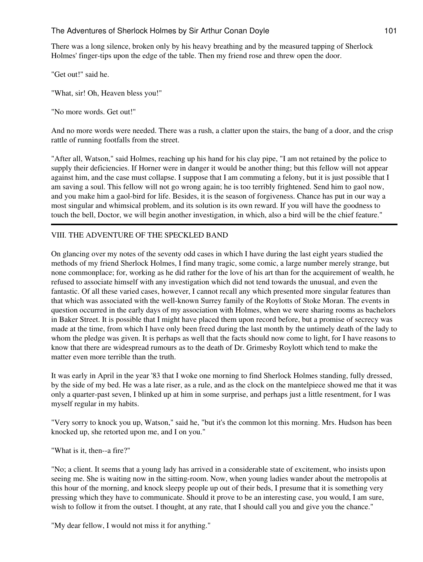There was a long silence, broken only by his heavy breathing and by the measured tapping of Sherlock Holmes' finger-tips upon the edge of the table. Then my friend rose and threw open the door.

"Get out!" said he.

"What, sir! Oh, Heaven bless you!"

"No more words. Get out!"

And no more words were needed. There was a rush, a clatter upon the stairs, the bang of a door, and the crisp rattle of running footfalls from the street.

"After all, Watson," said Holmes, reaching up his hand for his clay pipe, "I am not retained by the police to supply their deficiencies. If Horner were in danger it would be another thing; but this fellow will not appear against him, and the case must collapse. I suppose that I am commuting a felony, but it is just possible that I am saving a soul. This fellow will not go wrong again; he is too terribly frightened. Send him to gaol now, and you make him a gaol-bird for life. Besides, it is the season of forgiveness. Chance has put in our way a most singular and whimsical problem, and its solution is its own reward. If you will have the goodness to touch the bell, Doctor, we will begin another investigation, in which, also a bird will be the chief feature."

# VIII. THE ADVENTURE OF THE SPECKLED BAND

On glancing over my notes of the seventy odd cases in which I have during the last eight years studied the methods of my friend Sherlock Holmes, I find many tragic, some comic, a large number merely strange, but none commonplace; for, working as he did rather for the love of his art than for the acquirement of wealth, he refused to associate himself with any investigation which did not tend towards the unusual, and even the fantastic. Of all these varied cases, however, I cannot recall any which presented more singular features than that which was associated with the well-known Surrey family of the Roylotts of Stoke Moran. The events in question occurred in the early days of my association with Holmes, when we were sharing rooms as bachelors in Baker Street. It is possible that I might have placed them upon record before, but a promise of secrecy was made at the time, from which I have only been freed during the last month by the untimely death of the lady to whom the pledge was given. It is perhaps as well that the facts should now come to light, for I have reasons to know that there are widespread rumours as to the death of Dr. Grimesby Roylott which tend to make the matter even more terrible than the truth.

It was early in April in the year '83 that I woke one morning to find Sherlock Holmes standing, fully dressed, by the side of my bed. He was a late riser, as a rule, and as the clock on the mantelpiece showed me that it was only a quarter-past seven, I blinked up at him in some surprise, and perhaps just a little resentment, for I was myself regular in my habits.

"Very sorry to knock you up, Watson," said he, "but it's the common lot this morning. Mrs. Hudson has been knocked up, she retorted upon me, and I on you."

"What is it, then--a fire?"

"No; a client. It seems that a young lady has arrived in a considerable state of excitement, who insists upon seeing me. She is waiting now in the sitting-room. Now, when young ladies wander about the metropolis at this hour of the morning, and knock sleepy people up out of their beds, I presume that it is something very pressing which they have to communicate. Should it prove to be an interesting case, you would, I am sure, wish to follow it from the outset. I thought, at any rate, that I should call you and give you the chance."

"My dear fellow, I would not miss it for anything."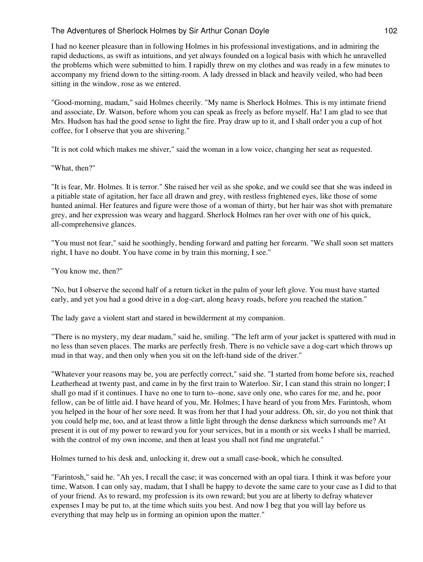I had no keener pleasure than in following Holmes in his professional investigations, and in admiring the rapid deductions, as swift as intuitions, and yet always founded on a logical basis with which he unravelled the problems which were submitted to him. I rapidly threw on my clothes and was ready in a few minutes to accompany my friend down to the sitting-room. A lady dressed in black and heavily veiled, who had been sitting in the window, rose as we entered.

"Good-morning, madam," said Holmes cheerily. "My name is Sherlock Holmes. This is my intimate friend and associate, Dr. Watson, before whom you can speak as freely as before myself. Ha! I am glad to see that Mrs. Hudson has had the good sense to light the fire. Pray draw up to it, and I shall order you a cup of hot coffee, for I observe that you are shivering."

"It is not cold which makes me shiver," said the woman in a low voice, changing her seat as requested.

#### "What, then?"

"It is fear, Mr. Holmes. It is terror." She raised her veil as she spoke, and we could see that she was indeed in a pitiable state of agitation, her face all drawn and grey, with restless frightened eyes, like those of some hunted animal. Her features and figure were those of a woman of thirty, but her hair was shot with premature grey, and her expression was weary and haggard. Sherlock Holmes ran her over with one of his quick, all-comprehensive glances.

"You must not fear," said he soothingly, bending forward and patting her forearm. "We shall soon set matters right, I have no doubt. You have come in by train this morning, I see."

"You know me, then?"

"No, but I observe the second half of a return ticket in the palm of your left glove. You must have started early, and yet you had a good drive in a dog-cart, along heavy roads, before you reached the station."

The lady gave a violent start and stared in bewilderment at my companion.

"There is no mystery, my dear madam," said he, smiling. "The left arm of your jacket is spattered with mud in no less than seven places. The marks are perfectly fresh. There is no vehicle save a dog-cart which throws up mud in that way, and then only when you sit on the left-hand side of the driver."

"Whatever your reasons may be, you are perfectly correct," said she. "I started from home before six, reached Leatherhead at twenty past, and came in by the first train to Waterloo. Sir, I can stand this strain no longer; I shall go mad if it continues. I have no one to turn to--none, save only one, who cares for me, and he, poor fellow, can be of little aid. I have heard of you, Mr. Holmes; I have heard of you from Mrs. Farintosh, whom you helped in the hour of her sore need. It was from her that I had your address. Oh, sir, do you not think that you could help me, too, and at least throw a little light through the dense darkness which surrounds me? At present it is out of my power to reward you for your services, but in a month or six weeks I shall be married, with the control of my own income, and then at least you shall not find me ungrateful."

Holmes turned to his desk and, unlocking it, drew out a small case-book, which he consulted.

"Farintosh," said he. "Ah yes, I recall the case; it was concerned with an opal tiara. I think it was before your time, Watson. I can only say, madam, that I shall be happy to devote the same care to your case as I did to that of your friend. As to reward, my profession is its own reward; but you are at liberty to defray whatever expenses I may be put to, at the time which suits you best. And now I beg that you will lay before us everything that may help us in forming an opinion upon the matter."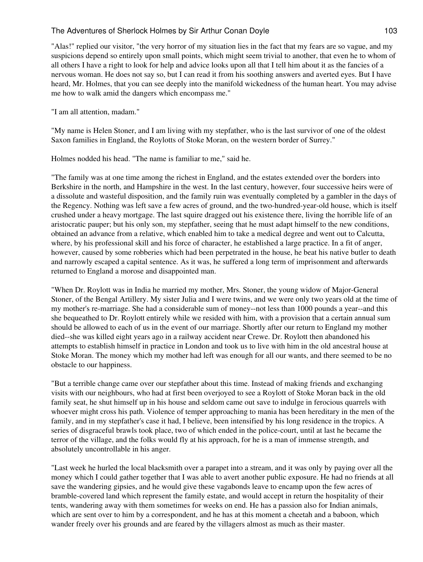"Alas!" replied our visitor, "the very horror of my situation lies in the fact that my fears are so vague, and my suspicions depend so entirely upon small points, which might seem trivial to another, that even he to whom of all others I have a right to look for help and advice looks upon all that I tell him about it as the fancies of a nervous woman. He does not say so, but I can read it from his soothing answers and averted eyes. But I have heard, Mr. Holmes, that you can see deeply into the manifold wickedness of the human heart. You may advise me how to walk amid the dangers which encompass me."

"I am all attention, madam."

"My name is Helen Stoner, and I am living with my stepfather, who is the last survivor of one of the oldest Saxon families in England, the Roylotts of Stoke Moran, on the western border of Surrey."

Holmes nodded his head. "The name is familiar to me," said he.

"The family was at one time among the richest in England, and the estates extended over the borders into Berkshire in the north, and Hampshire in the west. In the last century, however, four successive heirs were of a dissolute and wasteful disposition, and the family ruin was eventually completed by a gambler in the days of the Regency. Nothing was left save a few acres of ground, and the two-hundred-year-old house, which is itself crushed under a heavy mortgage. The last squire dragged out his existence there, living the horrible life of an aristocratic pauper; but his only son, my stepfather, seeing that he must adapt himself to the new conditions, obtained an advance from a relative, which enabled him to take a medical degree and went out to Calcutta, where, by his professional skill and his force of character, he established a large practice. In a fit of anger, however, caused by some robberies which had been perpetrated in the house, he beat his native butler to death and narrowly escaped a capital sentence. As it was, he suffered a long term of imprisonment and afterwards returned to England a morose and disappointed man.

"When Dr. Roylott was in India he married my mother, Mrs. Stoner, the young widow of Major-General Stoner, of the Bengal Artillery. My sister Julia and I were twins, and we were only two years old at the time of my mother's re-marriage. She had a considerable sum of money--not less than 1000 pounds a year--and this she bequeathed to Dr. Roylott entirely while we resided with him, with a provision that a certain annual sum should be allowed to each of us in the event of our marriage. Shortly after our return to England my mother died--she was killed eight years ago in a railway accident near Crewe. Dr. Roylott then abandoned his attempts to establish himself in practice in London and took us to live with him in the old ancestral house at Stoke Moran. The money which my mother had left was enough for all our wants, and there seemed to be no obstacle to our happiness.

"But a terrible change came over our stepfather about this time. Instead of making friends and exchanging visits with our neighbours, who had at first been overjoyed to see a Roylott of Stoke Moran back in the old family seat, he shut himself up in his house and seldom came out save to indulge in ferocious quarrels with whoever might cross his path. Violence of temper approaching to mania has been hereditary in the men of the family, and in my stepfather's case it had, I believe, been intensified by his long residence in the tropics. A series of disgraceful brawls took place, two of which ended in the police-court, until at last he became the terror of the village, and the folks would fly at his approach, for he is a man of immense strength, and absolutely uncontrollable in his anger.

"Last week he hurled the local blacksmith over a parapet into a stream, and it was only by paying over all the money which I could gather together that I was able to avert another public exposure. He had no friends at all save the wandering gipsies, and he would give these vagabonds leave to encamp upon the few acres of bramble-covered land which represent the family estate, and would accept in return the hospitality of their tents, wandering away with them sometimes for weeks on end. He has a passion also for Indian animals, which are sent over to him by a correspondent, and he has at this moment a cheetah and a baboon, which wander freely over his grounds and are feared by the villagers almost as much as their master.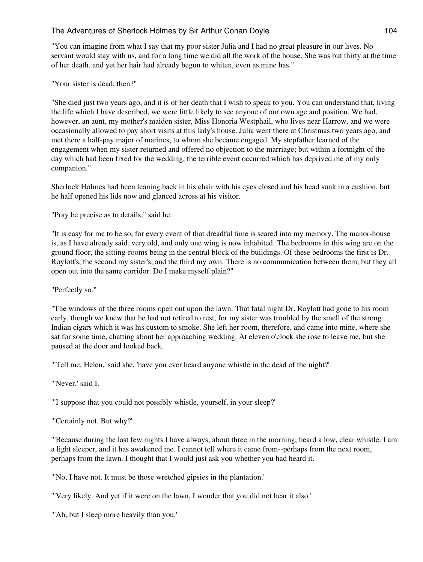"You can imagine from what I say that my poor sister Julia and I had no great pleasure in our lives. No servant would stay with us, and for a long time we did all the work of the house. She was but thirty at the time of her death, and yet her hair had already begun to whiten, even as mine has."

"Your sister is dead, then?"

"She died just two years ago, and it is of her death that I wish to speak to you. You can understand that, living the life which I have described, we were little likely to see anyone of our own age and position. We had, however, an aunt, my mother's maiden sister, Miss Honoria Westphail, who lives near Harrow, and we were occasionally allowed to pay short visits at this lady's house. Julia went there at Christmas two years ago, and met there a half-pay major of marines, to whom she became engaged. My stepfather learned of the engagement when my sister returned and offered no objection to the marriage; but within a fortnight of the day which had been fixed for the wedding, the terrible event occurred which has deprived me of my only companion."

Sherlock Holmes had been leaning back in his chair with his eyes closed and his head sunk in a cushion, but he half opened his lids now and glanced across at his visitor.

"Pray be precise as to details," said he.

"It is easy for me to be so, for every event of that dreadful time is seared into my memory. The manor-house is, as I have already said, very old, and only one wing is now inhabited. The bedrooms in this wing are on the ground floor, the sitting-rooms being in the central block of the buildings. Of these bedrooms the first is Dr. Roylott's, the second my sister's, and the third my own. There is no communication between them, but they all open out into the same corridor. Do I make myself plain?"

"Perfectly so."

"The windows of the three rooms open out upon the lawn. That fatal night Dr. Roylott had gone to his room early, though we knew that he had not retired to rest, for my sister was troubled by the smell of the strong Indian cigars which it was his custom to smoke. She left her room, therefore, and came into mine, where she sat for some time, chatting about her approaching wedding. At eleven o'clock she rose to leave me, but she paused at the door and looked back.

"'Tell me, Helen,' said she, 'have you ever heard anyone whistle in the dead of the night?'

"'Never,' said I.

"'I suppose that you could not possibly whistle, yourself, in your sleep?'

"'Certainly not. But why?'

"'Because during the last few nights I have always, about three in the morning, heard a low, clear whistle. I am a light sleeper, and it has awakened me. I cannot tell where it came from--perhaps from the next room, perhaps from the lawn. I thought that I would just ask you whether you had heard it.'

"'No, I have not. It must be those wretched gipsies in the plantation.'

"'Very likely. And yet if it were on the lawn, I wonder that you did not hear it also.'

"'Ah, but I sleep more heavily than you."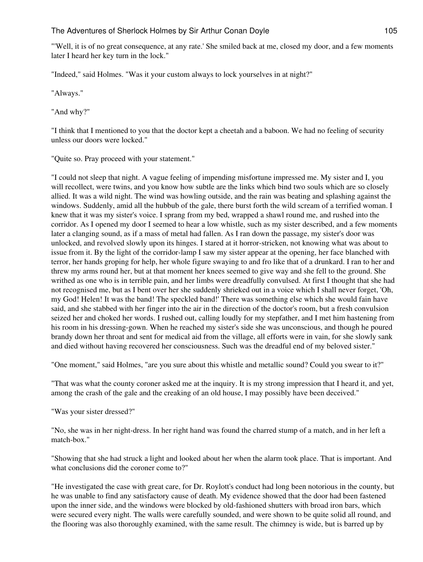"'Well, it is of no great consequence, at any rate.' She smiled back at me, closed my door, and a few moments later I heard her key turn in the lock."

"Indeed," said Holmes. "Was it your custom always to lock yourselves in at night?"

"Always."

"And why?"

"I think that I mentioned to you that the doctor kept a cheetah and a baboon. We had no feeling of security unless our doors were locked."

"Quite so. Pray proceed with your statement."

"I could not sleep that night. A vague feeling of impending misfortune impressed me. My sister and I, you will recollect, were twins, and you know how subtle are the links which bind two souls which are so closely allied. It was a wild night. The wind was howling outside, and the rain was beating and splashing against the windows. Suddenly, amid all the hubbub of the gale, there burst forth the wild scream of a terrified woman. I knew that it was my sister's voice. I sprang from my bed, wrapped a shawl round me, and rushed into the corridor. As I opened my door I seemed to hear a low whistle, such as my sister described, and a few moments later a clanging sound, as if a mass of metal had fallen. As I ran down the passage, my sister's door was unlocked, and revolved slowly upon its hinges. I stared at it horror-stricken, not knowing what was about to issue from it. By the light of the corridor-lamp I saw my sister appear at the opening, her face blanched with terror, her hands groping for help, her whole figure swaying to and fro like that of a drunkard. I ran to her and threw my arms round her, but at that moment her knees seemed to give way and she fell to the ground. She writhed as one who is in terrible pain, and her limbs were dreadfully convulsed. At first I thought that she had not recognised me, but as I bent over her she suddenly shrieked out in a voice which I shall never forget, 'Oh, my God! Helen! It was the band! The speckled band!' There was something else which she would fain have said, and she stabbed with her finger into the air in the direction of the doctor's room, but a fresh convulsion seized her and choked her words. I rushed out, calling loudly for my stepfather, and I met him hastening from his room in his dressing-gown. When he reached my sister's side she was unconscious, and though he poured brandy down her throat and sent for medical aid from the village, all efforts were in vain, for she slowly sank and died without having recovered her consciousness. Such was the dreadful end of my beloved sister."

"One moment," said Holmes, "are you sure about this whistle and metallic sound? Could you swear to it?"

"That was what the county coroner asked me at the inquiry. It is my strong impression that I heard it, and yet, among the crash of the gale and the creaking of an old house, I may possibly have been deceived."

"Was your sister dressed?"

"No, she was in her night-dress. In her right hand was found the charred stump of a match, and in her left a match-box."

"Showing that she had struck a light and looked about her when the alarm took place. That is important. And what conclusions did the coroner come to?"

"He investigated the case with great care, for Dr. Roylott's conduct had long been notorious in the county, but he was unable to find any satisfactory cause of death. My evidence showed that the door had been fastened upon the inner side, and the windows were blocked by old-fashioned shutters with broad iron bars, which were secured every night. The walls were carefully sounded, and were shown to be quite solid all round, and the flooring was also thoroughly examined, with the same result. The chimney is wide, but is barred up by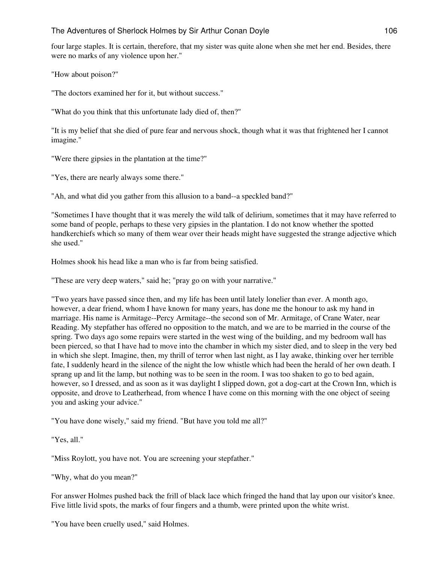four large staples. It is certain, therefore, that my sister was quite alone when she met her end. Besides, there were no marks of any violence upon her."

"How about poison?"

"The doctors examined her for it, but without success."

"What do you think that this unfortunate lady died of, then?"

"It is my belief that she died of pure fear and nervous shock, though what it was that frightened her I cannot imagine."

"Were there gipsies in the plantation at the time?"

"Yes, there are nearly always some there."

"Ah, and what did you gather from this allusion to a band--a speckled band?"

"Sometimes I have thought that it was merely the wild talk of delirium, sometimes that it may have referred to some band of people, perhaps to these very gipsies in the plantation. I do not know whether the spotted handkerchiefs which so many of them wear over their heads might have suggested the strange adjective which she used."

Holmes shook his head like a man who is far from being satisfied.

"These are very deep waters," said he; "pray go on with your narrative."

"Two years have passed since then, and my life has been until lately lonelier than ever. A month ago, however, a dear friend, whom I have known for many years, has done me the honour to ask my hand in marriage. His name is Armitage--Percy Armitage--the second son of Mr. Armitage, of Crane Water, near Reading. My stepfather has offered no opposition to the match, and we are to be married in the course of the spring. Two days ago some repairs were started in the west wing of the building, and my bedroom wall has been pierced, so that I have had to move into the chamber in which my sister died, and to sleep in the very bed in which she slept. Imagine, then, my thrill of terror when last night, as I lay awake, thinking over her terrible fate, I suddenly heard in the silence of the night the low whistle which had been the herald of her own death. I sprang up and lit the lamp, but nothing was to be seen in the room. I was too shaken to go to bed again, however, so I dressed, and as soon as it was daylight I slipped down, got a dog-cart at the Crown Inn, which is opposite, and drove to Leatherhead, from whence I have come on this morning with the one object of seeing you and asking your advice."

"You have done wisely," said my friend. "But have you told me all?"

"Yes, all."

"Miss Roylott, you have not. You are screening your stepfather."

"Why, what do you mean?"

For answer Holmes pushed back the frill of black lace which fringed the hand that lay upon our visitor's knee. Five little livid spots, the marks of four fingers and a thumb, were printed upon the white wrist.

"You have been cruelly used," said Holmes.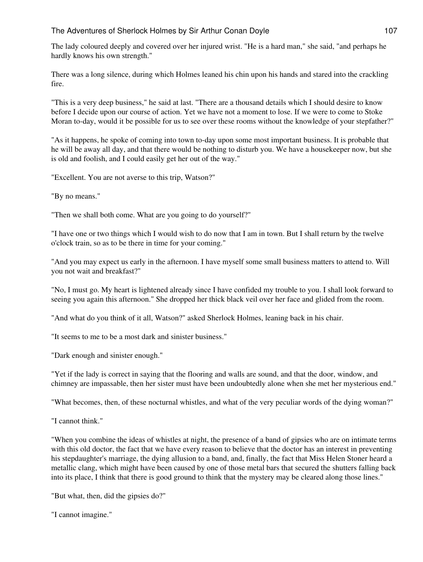The lady coloured deeply and covered over her injured wrist. "He is a hard man," she said, "and perhaps he hardly knows his own strength."

There was a long silence, during which Holmes leaned his chin upon his hands and stared into the crackling fire.

"This is a very deep business," he said at last. "There are a thousand details which I should desire to know before I decide upon our course of action. Yet we have not a moment to lose. If we were to come to Stoke Moran to-day, would it be possible for us to see over these rooms without the knowledge of your stepfather?"

"As it happens, he spoke of coming into town to-day upon some most important business. It is probable that he will be away all day, and that there would be nothing to disturb you. We have a housekeeper now, but she is old and foolish, and I could easily get her out of the way."

"Excellent. You are not averse to this trip, Watson?"

"By no means."

"Then we shall both come. What are you going to do yourself?"

"I have one or two things which I would wish to do now that I am in town. But I shall return by the twelve o'clock train, so as to be there in time for your coming."

"And you may expect us early in the afternoon. I have myself some small business matters to attend to. Will you not wait and breakfast?"

"No, I must go. My heart is lightened already since I have confided my trouble to you. I shall look forward to seeing you again this afternoon." She dropped her thick black veil over her face and glided from the room.

"And what do you think of it all, Watson?" asked Sherlock Holmes, leaning back in his chair.

"It seems to me to be a most dark and sinister business."

"Dark enough and sinister enough."

"Yet if the lady is correct in saying that the flooring and walls are sound, and that the door, window, and chimney are impassable, then her sister must have been undoubtedly alone when she met her mysterious end."

"What becomes, then, of these nocturnal whistles, and what of the very peculiar words of the dying woman?"

"I cannot think."

"When you combine the ideas of whistles at night, the presence of a band of gipsies who are on intimate terms with this old doctor, the fact that we have every reason to believe that the doctor has an interest in preventing his stepdaughter's marriage, the dying allusion to a band, and, finally, the fact that Miss Helen Stoner heard a metallic clang, which might have been caused by one of those metal bars that secured the shutters falling back into its place, I think that there is good ground to think that the mystery may be cleared along those lines."

"But what, then, did the gipsies do?"

"I cannot imagine."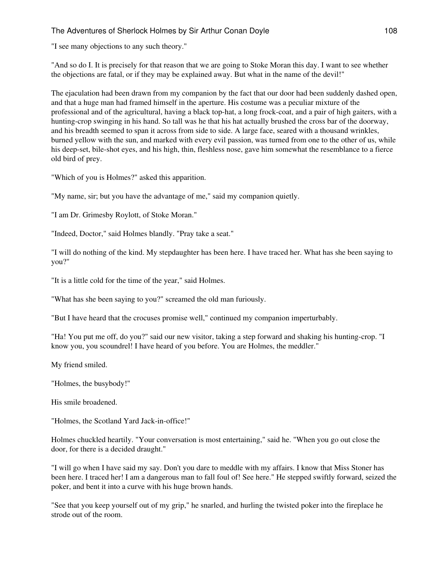"I see many objections to any such theory."

"And so do I. It is precisely for that reason that we are going to Stoke Moran this day. I want to see whether the objections are fatal, or if they may be explained away. But what in the name of the devil!"

The ejaculation had been drawn from my companion by the fact that our door had been suddenly dashed open, and that a huge man had framed himself in the aperture. His costume was a peculiar mixture of the professional and of the agricultural, having a black top-hat, a long frock-coat, and a pair of high gaiters, with a hunting-crop swinging in his hand. So tall was he that his hat actually brushed the cross bar of the doorway, and his breadth seemed to span it across from side to side. A large face, seared with a thousand wrinkles, burned yellow with the sun, and marked with every evil passion, was turned from one to the other of us, while his deep-set, bile-shot eyes, and his high, thin, fleshless nose, gave him somewhat the resemblance to a fierce old bird of prey.

"Which of you is Holmes?" asked this apparition.

"My name, sir; but you have the advantage of me," said my companion quietly.

"I am Dr. Grimesby Roylott, of Stoke Moran."

"Indeed, Doctor," said Holmes blandly. "Pray take a seat."

"I will do nothing of the kind. My stepdaughter has been here. I have traced her. What has she been saying to you?"

"It is a little cold for the time of the year," said Holmes.

"What has she been saying to you?" screamed the old man furiously.

"But I have heard that the crocuses promise well," continued my companion imperturbably.

"Ha! You put me off, do you?" said our new visitor, taking a step forward and shaking his hunting-crop. "I know you, you scoundrel! I have heard of you before. You are Holmes, the meddler."

My friend smiled.

"Holmes, the busybody!"

His smile broadened.

"Holmes, the Scotland Yard Jack-in-office!"

Holmes chuckled heartily. "Your conversation is most entertaining," said he. "When you go out close the door, for there is a decided draught."

"I will go when I have said my say. Don't you dare to meddle with my affairs. I know that Miss Stoner has been here. I traced her! I am a dangerous man to fall foul of! See here." He stepped swiftly forward, seized the poker, and bent it into a curve with his huge brown hands.

"See that you keep yourself out of my grip," he snarled, and hurling the twisted poker into the fireplace he strode out of the room.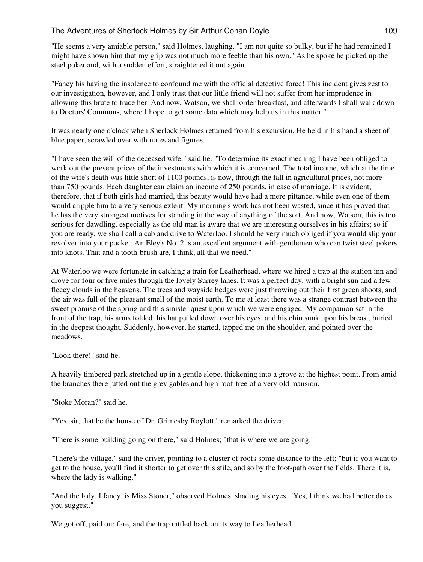"He seems a very amiable person," said Holmes, laughing. "I am not quite so bulky, but if he had remained I might have shown him that my grip was not much more feeble than his own." As he spoke he picked up the steel poker and, with a sudden effort, straightened it out again.

"Fancy his having the insolence to confound me with the official detective force! This incident gives zest to our investigation, however, and I only trust that our little friend will not suffer from her imprudence in allowing this brute to trace her. And now, Watson, we shall order breakfast, and afterwards I shall walk down to Doctors' Commons, where I hope to get some data which may help us in this matter."

It was nearly one o'clock when Sherlock Holmes returned from his excursion. He held in his hand a sheet of blue paper, scrawled over with notes and figures.

"I have seen the will of the deceased wife," said he. "To determine its exact meaning I have been obliged to work out the present prices of the investments with which it is concerned. The total income, which at the time of the wife's death was little short of 1100 pounds, is now, through the fall in agricultural prices, not more than 750 pounds. Each daughter can claim an income of 250 pounds, in case of marriage. It is evident, therefore, that if both girls had married, this beauty would have had a mere pittance, while even one of them would cripple him to a very serious extent. My morning's work has not been wasted, since it has proved that he has the very strongest motives for standing in the way of anything of the sort. And now, Watson, this is too serious for dawdling, especially as the old man is aware that we are interesting ourselves in his affairs; so if you are ready, we shall call a cab and drive to Waterloo. I should be very much obliged if you would slip your revolver into your pocket. An Eley's No. 2 is an excellent argument with gentlemen who can twist steel pokers into knots. That and a tooth-brush are, I think, all that we need."

At Waterloo we were fortunate in catching a train for Leatherhead, where we hired a trap at the station inn and drove for four or five miles through the lovely Surrey lanes. It was a perfect day, with a bright sun and a few fleecy clouds in the heavens. The trees and wayside hedges were just throwing out their first green shoots, and the air was full of the pleasant smell of the moist earth. To me at least there was a strange contrast between the sweet promise of the spring and this sinister quest upon which we were engaged. My companion sat in the front of the trap, his arms folded, his hat pulled down over his eyes, and his chin sunk upon his breast, buried in the deepest thought. Suddenly, however, he started, tapped me on the shoulder, and pointed over the meadows.

"Look there!" said he.

A heavily timbered park stretched up in a gentle slope, thickening into a grove at the highest point. From amid the branches there jutted out the grey gables and high roof-tree of a very old mansion.

"Stoke Moran?" said he.

"Yes, sir, that be the house of Dr. Grimesby Roylott," remarked the driver.

"There is some building going on there," said Holmes; "that is where we are going."

"There's the village," said the driver, pointing to a cluster of roofs some distance to the left; "but if you want to get to the house, you'll find it shorter to get over this stile, and so by the foot-path over the fields. There it is, where the lady is walking."

"And the lady, I fancy, is Miss Stoner," observed Holmes, shading his eyes. "Yes, I think we had better do as you suggest."

We got off, paid our fare, and the trap rattled back on its way to Leatherhead.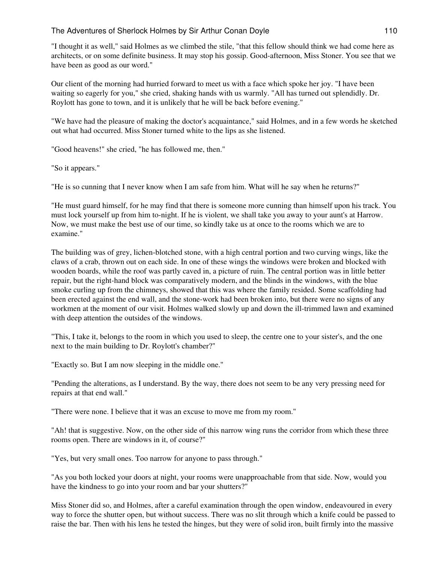"I thought it as well," said Holmes as we climbed the stile, "that this fellow should think we had come here as architects, or on some definite business. It may stop his gossip. Good-afternoon, Miss Stoner. You see that we have been as good as our word."

Our client of the morning had hurried forward to meet us with a face which spoke her joy. "I have been waiting so eagerly for you," she cried, shaking hands with us warmly. "All has turned out splendidly. Dr. Roylott has gone to town, and it is unlikely that he will be back before evening."

"We have had the pleasure of making the doctor's acquaintance," said Holmes, and in a few words he sketched out what had occurred. Miss Stoner turned white to the lips as she listened.

"Good heavens!" she cried, "he has followed me, then."

"So it appears."

"He is so cunning that I never know when I am safe from him. What will he say when he returns?"

"He must guard himself, for he may find that there is someone more cunning than himself upon his track. You must lock yourself up from him to-night. If he is violent, we shall take you away to your aunt's at Harrow. Now, we must make the best use of our time, so kindly take us at once to the rooms which we are to examine."

The building was of grey, lichen-blotched stone, with a high central portion and two curving wings, like the claws of a crab, thrown out on each side. In one of these wings the windows were broken and blocked with wooden boards, while the roof was partly caved in, a picture of ruin. The central portion was in little better repair, but the right-hand block was comparatively modern, and the blinds in the windows, with the blue smoke curling up from the chimneys, showed that this was where the family resided. Some scaffolding had been erected against the end wall, and the stone-work had been broken into, but there were no signs of any workmen at the moment of our visit. Holmes walked slowly up and down the ill-trimmed lawn and examined with deep attention the outsides of the windows.

"This, I take it, belongs to the room in which you used to sleep, the centre one to your sister's, and the one next to the main building to Dr. Roylott's chamber?"

"Exactly so. But I am now sleeping in the middle one."

"Pending the alterations, as I understand. By the way, there does not seem to be any very pressing need for repairs at that end wall."

"There were none. I believe that it was an excuse to move me from my room."

"Ah! that is suggestive. Now, on the other side of this narrow wing runs the corridor from which these three rooms open. There are windows in it, of course?"

"Yes, but very small ones. Too narrow for anyone to pass through."

"As you both locked your doors at night, your rooms were unapproachable from that side. Now, would you have the kindness to go into your room and bar your shutters?"

Miss Stoner did so, and Holmes, after a careful examination through the open window, endeavoured in every way to force the shutter open, but without success. There was no slit through which a knife could be passed to raise the bar. Then with his lens he tested the hinges, but they were of solid iron, built firmly into the massive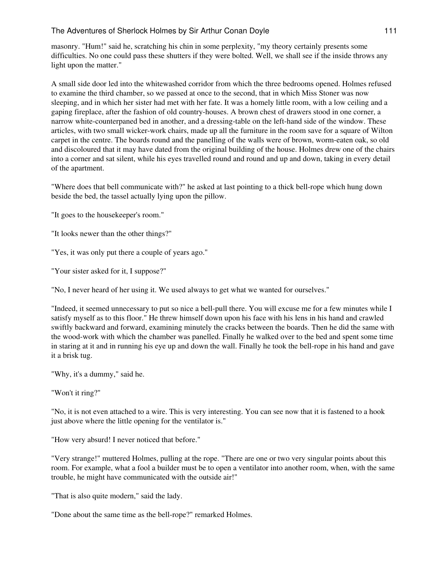masonry. "Hum!" said he, scratching his chin in some perplexity, "my theory certainly presents some difficulties. No one could pass these shutters if they were bolted. Well, we shall see if the inside throws any light upon the matter."

A small side door led into the whitewashed corridor from which the three bedrooms opened. Holmes refused to examine the third chamber, so we passed at once to the second, that in which Miss Stoner was now sleeping, and in which her sister had met with her fate. It was a homely little room, with a low ceiling and a gaping fireplace, after the fashion of old country-houses. A brown chest of drawers stood in one corner, a narrow white-counterpaned bed in another, and a dressing-table on the left-hand side of the window. These articles, with two small wicker-work chairs, made up all the furniture in the room save for a square of Wilton carpet in the centre. The boards round and the panelling of the walls were of brown, worm-eaten oak, so old and discoloured that it may have dated from the original building of the house. Holmes drew one of the chairs into a corner and sat silent, while his eyes travelled round and round and up and down, taking in every detail of the apartment.

"Where does that bell communicate with?" he asked at last pointing to a thick bell-rope which hung down beside the bed, the tassel actually lying upon the pillow.

"It goes to the housekeeper's room."

"It looks newer than the other things?"

"Yes, it was only put there a couple of years ago."

"Your sister asked for it, I suppose?"

"No, I never heard of her using it. We used always to get what we wanted for ourselves."

"Indeed, it seemed unnecessary to put so nice a bell-pull there. You will excuse me for a few minutes while I satisfy myself as to this floor." He threw himself down upon his face with his lens in his hand and crawled swiftly backward and forward, examining minutely the cracks between the boards. Then he did the same with the wood-work with which the chamber was panelled. Finally he walked over to the bed and spent some time in staring at it and in running his eye up and down the wall. Finally he took the bell-rope in his hand and gave it a brisk tug.

"Why, it's a dummy," said he.

"Won't it ring?"

"No, it is not even attached to a wire. This is very interesting. You can see now that it is fastened to a hook just above where the little opening for the ventilator is."

"How very absurd! I never noticed that before."

"Very strange!" muttered Holmes, pulling at the rope. "There are one or two very singular points about this room. For example, what a fool a builder must be to open a ventilator into another room, when, with the same trouble, he might have communicated with the outside air!"

"That is also quite modern," said the lady.

"Done about the same time as the bell-rope?" remarked Holmes.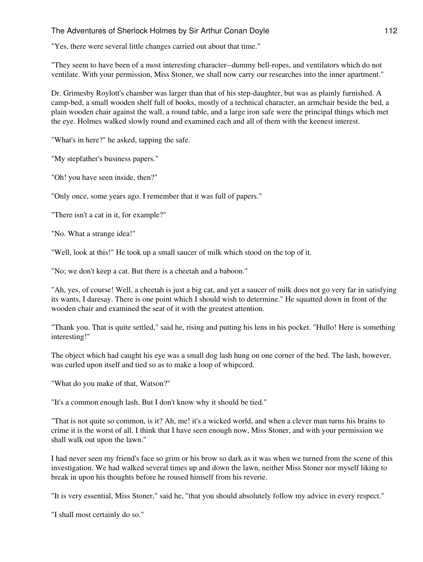"Yes, there were several little changes carried out about that time."

"They seem to have been of a most interesting character--dummy bell-ropes, and ventilators which do not ventilate. With your permission, Miss Stoner, we shall now carry our researches into the inner apartment."

Dr. Grimesby Roylott's chamber was larger than that of his step-daughter, but was as plainly furnished. A camp-bed, a small wooden shelf full of books, mostly of a technical character, an armchair beside the bed, a plain wooden chair against the wall, a round table, and a large iron safe were the principal things which met the eye. Holmes walked slowly round and examined each and all of them with the keenest interest.

"What's in here?" he asked, tapping the safe.

"My stepfather's business papers."

"Oh! you have seen inside, then?"

"Only once, some years ago. I remember that it was full of papers."

"There isn't a cat in it, for example?"

"No. What a strange idea!"

"Well, look at this!" He took up a small saucer of milk which stood on the top of it.

"No; we don't keep a cat. But there is a cheetah and a baboon."

"Ah, yes, of course! Well, a cheetah is just a big cat, and yet a saucer of milk does not go very far in satisfying its wants, I daresay. There is one point which I should wish to determine." He squatted down in front of the wooden chair and examined the seat of it with the greatest attention.

"Thank you. That is quite settled," said he, rising and putting his lens in his pocket. "Hullo! Here is something interesting!"

The object which had caught his eye was a small dog lash hung on one corner of the bed. The lash, however, was curled upon itself and tied so as to make a loop of whipcord.

"What do you make of that, Watson?"

"It's a common enough lash. But I don't know why it should be tied."

"That is not quite so common, is it? Ah, me! it's a wicked world, and when a clever man turns his brains to crime it is the worst of all. I think that I have seen enough now, Miss Stoner, and with your permission we shall walk out upon the lawn."

I had never seen my friend's face so grim or his brow so dark as it was when we turned from the scene of this investigation. We had walked several times up and down the lawn, neither Miss Stoner nor myself liking to break in upon his thoughts before he roused himself from his reverie.

"It is very essential, Miss Stoner," said he, "that you should absolutely follow my advice in every respect."

"I shall most certainly do so."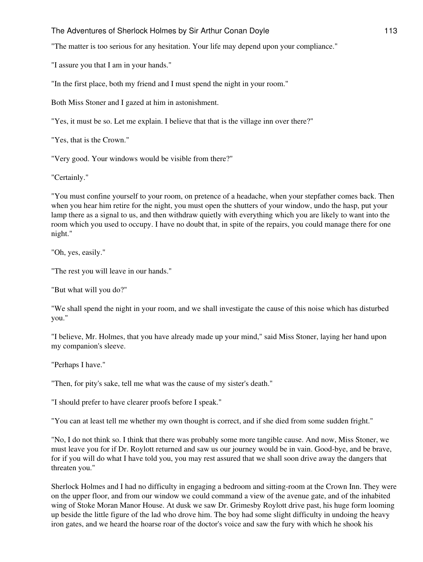"The matter is too serious for any hesitation. Your life may depend upon your compliance."

"I assure you that I am in your hands."

"In the first place, both my friend and I must spend the night in your room."

Both Miss Stoner and I gazed at him in astonishment.

"Yes, it must be so. Let me explain. I believe that that is the village inn over there?"

"Yes, that is the Crown."

"Very good. Your windows would be visible from there?"

"Certainly."

"You must confine yourself to your room, on pretence of a headache, when your stepfather comes back. Then when you hear him retire for the night, you must open the shutters of your window, undo the hasp, put your lamp there as a signal to us, and then withdraw quietly with everything which you are likely to want into the room which you used to occupy. I have no doubt that, in spite of the repairs, you could manage there for one night."

"Oh, yes, easily."

"The rest you will leave in our hands."

"But what will you do?"

"We shall spend the night in your room, and we shall investigate the cause of this noise which has disturbed you."

"I believe, Mr. Holmes, that you have already made up your mind," said Miss Stoner, laying her hand upon my companion's sleeve.

"Perhaps I have."

"Then, for pity's sake, tell me what was the cause of my sister's death."

"I should prefer to have clearer proofs before I speak."

"You can at least tell me whether my own thought is correct, and if she died from some sudden fright."

"No, I do not think so. I think that there was probably some more tangible cause. And now, Miss Stoner, we must leave you for if Dr. Roylott returned and saw us our journey would be in vain. Good-bye, and be brave, for if you will do what I have told you, you may rest assured that we shall soon drive away the dangers that threaten you."

Sherlock Holmes and I had no difficulty in engaging a bedroom and sitting-room at the Crown Inn. They were on the upper floor, and from our window we could command a view of the avenue gate, and of the inhabited wing of Stoke Moran Manor House. At dusk we saw Dr. Grimesby Roylott drive past, his huge form looming up beside the little figure of the lad who drove him. The boy had some slight difficulty in undoing the heavy iron gates, and we heard the hoarse roar of the doctor's voice and saw the fury with which he shook his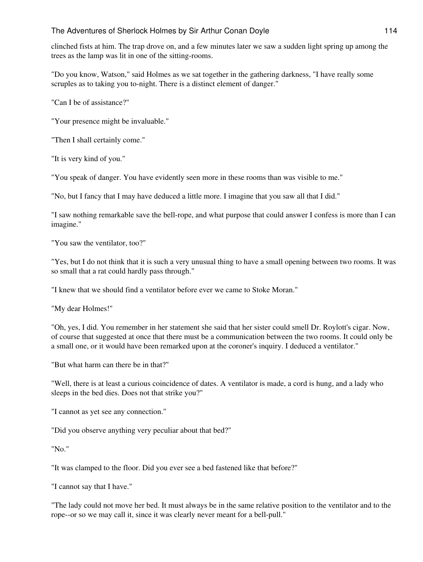clinched fists at him. The trap drove on, and a few minutes later we saw a sudden light spring up among the trees as the lamp was lit in one of the sitting-rooms.

"Do you know, Watson," said Holmes as we sat together in the gathering darkness, "I have really some scruples as to taking you to-night. There is a distinct element of danger."

"Can I be of assistance?"

"Your presence might be invaluable."

"Then I shall certainly come."

"It is very kind of you."

"You speak of danger. You have evidently seen more in these rooms than was visible to me."

"No, but I fancy that I may have deduced a little more. I imagine that you saw all that I did."

"I saw nothing remarkable save the bell-rope, and what purpose that could answer I confess is more than I can imagine."

"You saw the ventilator, too?"

"Yes, but I do not think that it is such a very unusual thing to have a small opening between two rooms. It was so small that a rat could hardly pass through."

"I knew that we should find a ventilator before ever we came to Stoke Moran."

"My dear Holmes!"

"Oh, yes, I did. You remember in her statement she said that her sister could smell Dr. Roylott's cigar. Now, of course that suggested at once that there must be a communication between the two rooms. It could only be a small one, or it would have been remarked upon at the coroner's inquiry. I deduced a ventilator."

"But what harm can there be in that?"

"Well, there is at least a curious coincidence of dates. A ventilator is made, a cord is hung, and a lady who sleeps in the bed dies. Does not that strike you?"

"I cannot as yet see any connection."

"Did you observe anything very peculiar about that bed?"

"No."

"It was clamped to the floor. Did you ever see a bed fastened like that before?"

"I cannot say that I have."

"The lady could not move her bed. It must always be in the same relative position to the ventilator and to the rope--or so we may call it, since it was clearly never meant for a bell-pull."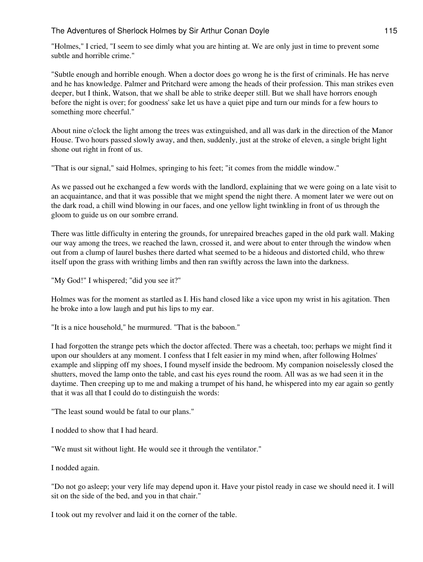"Holmes," I cried, "I seem to see dimly what you are hinting at. We are only just in time to prevent some subtle and horrible crime."

"Subtle enough and horrible enough. When a doctor does go wrong he is the first of criminals. He has nerve and he has knowledge. Palmer and Pritchard were among the heads of their profession. This man strikes even deeper, but I think, Watson, that we shall be able to strike deeper still. But we shall have horrors enough before the night is over; for goodness' sake let us have a quiet pipe and turn our minds for a few hours to something more cheerful."

About nine o'clock the light among the trees was extinguished, and all was dark in the direction of the Manor House. Two hours passed slowly away, and then, suddenly, just at the stroke of eleven, a single bright light shone out right in front of us.

"That is our signal," said Holmes, springing to his feet; "it comes from the middle window."

As we passed out he exchanged a few words with the landlord, explaining that we were going on a late visit to an acquaintance, and that it was possible that we might spend the night there. A moment later we were out on the dark road, a chill wind blowing in our faces, and one yellow light twinkling in front of us through the gloom to guide us on our sombre errand.

There was little difficulty in entering the grounds, for unrepaired breaches gaped in the old park wall. Making our way among the trees, we reached the lawn, crossed it, and were about to enter through the window when out from a clump of laurel bushes there darted what seemed to be a hideous and distorted child, who threw itself upon the grass with writhing limbs and then ran swiftly across the lawn into the darkness.

"My God!" I whispered; "did you see it?"

Holmes was for the moment as startled as I. His hand closed like a vice upon my wrist in his agitation. Then he broke into a low laugh and put his lips to my ear.

"It is a nice household," he murmured. "That is the baboon."

I had forgotten the strange pets which the doctor affected. There was a cheetah, too; perhaps we might find it upon our shoulders at any moment. I confess that I felt easier in my mind when, after following Holmes' example and slipping off my shoes, I found myself inside the bedroom. My companion noiselessly closed the shutters, moved the lamp onto the table, and cast his eyes round the room. All was as we had seen it in the daytime. Then creeping up to me and making a trumpet of his hand, he whispered into my ear again so gently that it was all that I could do to distinguish the words:

"The least sound would be fatal to our plans."

I nodded to show that I had heard.

"We must sit without light. He would see it through the ventilator."

I nodded again.

"Do not go asleep; your very life may depend upon it. Have your pistol ready in case we should need it. I will sit on the side of the bed, and you in that chair."

I took out my revolver and laid it on the corner of the table.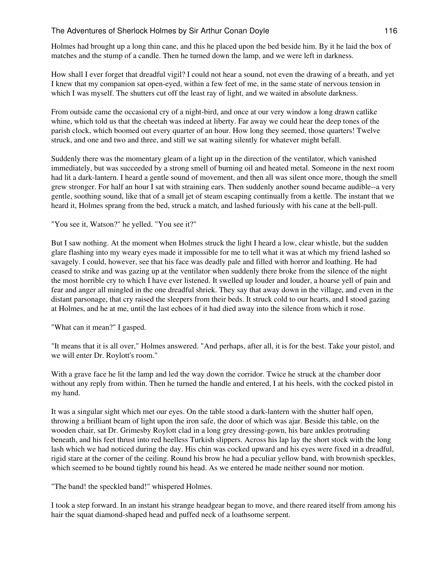Holmes had brought up a long thin cane, and this he placed upon the bed beside him. By it he laid the box of matches and the stump of a candle. Then he turned down the lamp, and we were left in darkness.

How shall I ever forget that dreadful vigil? I could not hear a sound, not even the drawing of a breath, and yet I knew that my companion sat open-eyed, within a few feet of me, in the same state of nervous tension in which I was myself. The shutters cut off the least ray of light, and we waited in absolute darkness.

From outside came the occasional cry of a night-bird, and once at our very window a long drawn catlike whine, which told us that the cheetah was indeed at liberty. Far away we could hear the deep tones of the parish clock, which boomed out every quarter of an hour. How long they seemed, those quarters! Twelve struck, and one and two and three, and still we sat waiting silently for whatever might befall.

Suddenly there was the momentary gleam of a light up in the direction of the ventilator, which vanished immediately, but was succeeded by a strong smell of burning oil and heated metal. Someone in the next room had lit a dark-lantern. I heard a gentle sound of movement, and then all was silent once more, though the smell grew stronger. For half an hour I sat with straining ears. Then suddenly another sound became audible--a very gentle, soothing sound, like that of a small jet of steam escaping continually from a kettle. The instant that we heard it, Holmes sprang from the bed, struck a match, and lashed furiously with his cane at the bell-pull.

"You see it, Watson?" he yelled. "You see it?"

But I saw nothing. At the moment when Holmes struck the light I heard a low, clear whistle, but the sudden glare flashing into my weary eyes made it impossible for me to tell what it was at which my friend lashed so savagely. I could, however, see that his face was deadly pale and filled with horror and loathing. He had ceased to strike and was gazing up at the ventilator when suddenly there broke from the silence of the night the most horrible cry to which I have ever listened. It swelled up louder and louder, a hoarse yell of pain and fear and anger all mingled in the one dreadful shriek. They say that away down in the village, and even in the distant parsonage, that cry raised the sleepers from their beds. It struck cold to our hearts, and I stood gazing at Holmes, and he at me, until the last echoes of it had died away into the silence from which it rose.

"What can it mean?" I gasped.

"It means that it is all over," Holmes answered. "And perhaps, after all, it is for the best. Take your pistol, and we will enter Dr. Roylott's room."

With a grave face he lit the lamp and led the way down the corridor. Twice he struck at the chamber door without any reply from within. Then he turned the handle and entered, I at his heels, with the cocked pistol in my hand.

It was a singular sight which met our eyes. On the table stood a dark-lantern with the shutter half open, throwing a brilliant beam of light upon the iron safe, the door of which was ajar. Beside this table, on the wooden chair, sat Dr. Grimesby Roylott clad in a long grey dressing-gown, his bare ankles protruding beneath, and his feet thrust into red heelless Turkish slippers. Across his lap lay the short stock with the long lash which we had noticed during the day. His chin was cocked upward and his eyes were fixed in a dreadful, rigid stare at the corner of the ceiling. Round his brow he had a peculiar yellow band, with brownish speckles, which seemed to be bound tightly round his head. As we entered he made neither sound nor motion.

"The band! the speckled band!" whispered Holmes.

I took a step forward. In an instant his strange headgear began to move, and there reared itself from among his hair the squat diamond-shaped head and puffed neck of a loathsome serpent.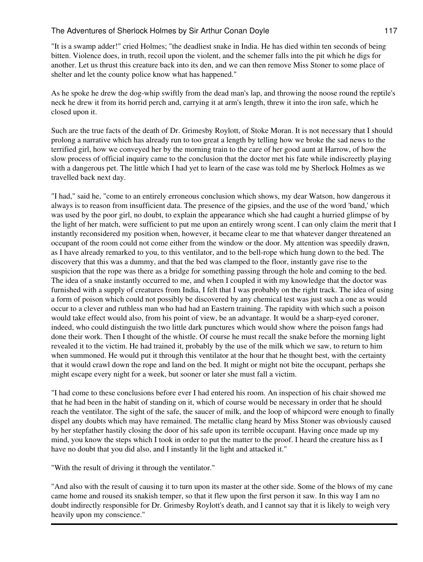"It is a swamp adder!" cried Holmes; "the deadliest snake in India. He has died within ten seconds of being bitten. Violence does, in truth, recoil upon the violent, and the schemer falls into the pit which he digs for another. Let us thrust this creature back into its den, and we can then remove Miss Stoner to some place of shelter and let the county police know what has happened."

As he spoke he drew the dog-whip swiftly from the dead man's lap, and throwing the noose round the reptile's neck he drew it from its horrid perch and, carrying it at arm's length, threw it into the iron safe, which he closed upon it.

Such are the true facts of the death of Dr. Grimesby Roylott, of Stoke Moran. It is not necessary that I should prolong a narrative which has already run to too great a length by telling how we broke the sad news to the terrified girl, how we conveyed her by the morning train to the care of her good aunt at Harrow, of how the slow process of official inquiry came to the conclusion that the doctor met his fate while indiscreetly playing with a dangerous pet. The little which I had yet to learn of the case was told me by Sherlock Holmes as we travelled back next day.

"I had," said he, "come to an entirely erroneous conclusion which shows, my dear Watson, how dangerous it always is to reason from insufficient data. The presence of the gipsies, and the use of the word 'band,' which was used by the poor girl, no doubt, to explain the appearance which she had caught a hurried glimpse of by the light of her match, were sufficient to put me upon an entirely wrong scent. I can only claim the merit that I instantly reconsidered my position when, however, it became clear to me that whatever danger threatened an occupant of the room could not come either from the window or the door. My attention was speedily drawn, as I have already remarked to you, to this ventilator, and to the bell-rope which hung down to the bed. The discovery that this was a dummy, and that the bed was clamped to the floor, instantly gave rise to the suspicion that the rope was there as a bridge for something passing through the hole and coming to the bed. The idea of a snake instantly occurred to me, and when I coupled it with my knowledge that the doctor was furnished with a supply of creatures from India, I felt that I was probably on the right track. The idea of using a form of poison which could not possibly be discovered by any chemical test was just such a one as would occur to a clever and ruthless man who had had an Eastern training. The rapidity with which such a poison would take effect would also, from his point of view, be an advantage. It would be a sharp-eyed coroner, indeed, who could distinguish the two little dark punctures which would show where the poison fangs had done their work. Then I thought of the whistle. Of course he must recall the snake before the morning light revealed it to the victim. He had trained it, probably by the use of the milk which we saw, to return to him when summoned. He would put it through this ventilator at the hour that he thought best, with the certainty that it would crawl down the rope and land on the bed. It might or might not bite the occupant, perhaps she might escape every night for a week, but sooner or later she must fall a victim.

"I had come to these conclusions before ever I had entered his room. An inspection of his chair showed me that he had been in the habit of standing on it, which of course would be necessary in order that he should reach the ventilator. The sight of the safe, the saucer of milk, and the loop of whipcord were enough to finally dispel any doubts which may have remained. The metallic clang heard by Miss Stoner was obviously caused by her stepfather hastily closing the door of his safe upon its terrible occupant. Having once made up my mind, you know the steps which I took in order to put the matter to the proof. I heard the creature hiss as I have no doubt that you did also, and I instantly lit the light and attacked it."

"With the result of driving it through the ventilator."

"And also with the result of causing it to turn upon its master at the other side. Some of the blows of my cane came home and roused its snakish temper, so that it flew upon the first person it saw. In this way I am no doubt indirectly responsible for Dr. Grimesby Roylott's death, and I cannot say that it is likely to weigh very heavily upon my conscience."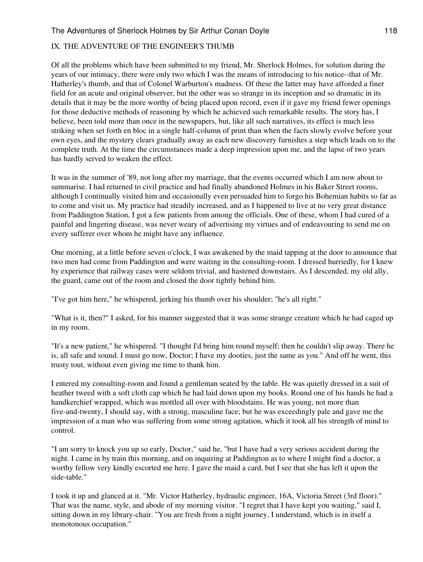### IX. THE ADVENTURE OF THE ENGINEER'S THUMB

Of all the problems which have been submitted to my friend, Mr. Sherlock Holmes, for solution during the years of our intimacy, there were only two which I was the means of introducing to his notice--that of Mr. Hatherley's thumb, and that of Colonel Warburton's madness. Of these the latter may have afforded a finer field for an acute and original observer, but the other was so strange in its inception and so dramatic in its details that it may be the more worthy of being placed upon record, even if it gave my friend fewer openings for those deductive methods of reasoning by which he achieved such remarkable results. The story has, I believe, been told more than once in the newspapers, but, like all such narratives, its effect is much less striking when set forth en bloc in a single half-column of print than when the facts slowly evolve before your own eyes, and the mystery clears gradually away as each new discovery furnishes a step which leads on to the complete truth. At the time the circumstances made a deep impression upon me, and the lapse of two years has hardly served to weaken the effect.

It was in the summer of '89, not long after my marriage, that the events occurred which I am now about to summarise. I had returned to civil practice and had finally abandoned Holmes in his Baker Street rooms, although I continually visited him and occasionally even persuaded him to forgo his Bohemian habits so far as to come and visit us. My practice had steadily increased, and as I happened to live at no very great distance from Paddington Station, I got a few patients from among the officials. One of these, whom I had cured of a painful and lingering disease, was never weary of advertising my virtues and of endeavouring to send me on every sufferer over whom he might have any influence.

One morning, at a little before seven o'clock, I was awakened by the maid tapping at the door to announce that two men had come from Paddington and were waiting in the consulting-room. I dressed hurriedly, for I knew by experience that railway cases were seldom trivial, and hastened downstairs. As I descended, my old ally, the guard, came out of the room and closed the door tightly behind him.

"I've got him here," he whispered, jerking his thumb over his shoulder; "he's all right."

"What is it, then?" I asked, for his manner suggested that it was some strange creature which he had caged up in my room.

"It's a new patient," he whispered. "I thought I'd bring him round myself; then he couldn't slip away. There he is, all safe and sound. I must go now, Doctor; I have my dooties, just the same as you." And off he went, this trusty tout, without even giving me time to thank him.

I entered my consulting-room and found a gentleman seated by the table. He was quietly dressed in a suit of heather tweed with a soft cloth cap which he had laid down upon my books. Round one of his hands he had a handkerchief wrapped, which was mottled all over with bloodstains. He was young, not more than five-and-twenty, I should say, with a strong, masculine face; but he was exceedingly pale and gave me the impression of a man who was suffering from some strong agitation, which it took all his strength of mind to control.

"I am sorry to knock you up so early, Doctor," said he, "but I have had a very serious accident during the night. I came in by train this morning, and on inquiring at Paddington as to where I might find a doctor, a worthy fellow very kindly escorted me here. I gave the maid a card, but I see that she has left it upon the side-table."

I took it up and glanced at it. "Mr. Victor Hatherley, hydraulic engineer, 16A, Victoria Street (3rd floor)." That was the name, style, and abode of my morning visitor. "I regret that I have kept you waiting," said I, sitting down in my library-chair. "You are fresh from a night journey, I understand, which is in itself a monotonous occupation."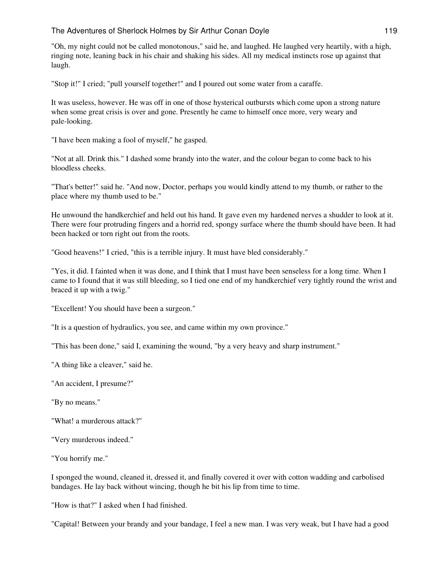"Oh, my night could not be called monotonous," said he, and laughed. He laughed very heartily, with a high, ringing note, leaning back in his chair and shaking his sides. All my medical instincts rose up against that laugh.

"Stop it!" I cried; "pull yourself together!" and I poured out some water from a caraffe.

It was useless, however. He was off in one of those hysterical outbursts which come upon a strong nature when some great crisis is over and gone. Presently he came to himself once more, very weary and pale-looking.

"I have been making a fool of myself," he gasped.

"Not at all. Drink this." I dashed some brandy into the water, and the colour began to come back to his bloodless cheeks.

"That's better!" said he. "And now, Doctor, perhaps you would kindly attend to my thumb, or rather to the place where my thumb used to be."

He unwound the handkerchief and held out his hand. It gave even my hardened nerves a shudder to look at it. There were four protruding fingers and a horrid red, spongy surface where the thumb should have been. It had been hacked or torn right out from the roots.

"Good heavens!" I cried, "this is a terrible injury. It must have bled considerably."

"Yes, it did. I fainted when it was done, and I think that I must have been senseless for a long time. When I came to I found that it was still bleeding, so I tied one end of my handkerchief very tightly round the wrist and braced it up with a twig."

"Excellent! You should have been a surgeon."

"It is a question of hydraulics, you see, and came within my own province."

"This has been done," said I, examining the wound, "by a very heavy and sharp instrument."

"A thing like a cleaver," said he.

"An accident, I presume?"

"By no means."

"What! a murderous attack?"

"Very murderous indeed."

"You horrify me."

I sponged the wound, cleaned it, dressed it, and finally covered it over with cotton wadding and carbolised bandages. He lay back without wincing, though he bit his lip from time to time.

"How is that?" I asked when I had finished.

"Capital! Between your brandy and your bandage, I feel a new man. I was very weak, but I have had a good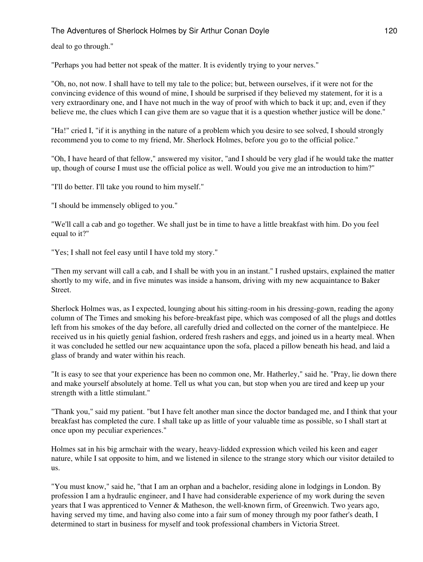deal to go through."

"Perhaps you had better not speak of the matter. It is evidently trying to your nerves."

"Oh, no, not now. I shall have to tell my tale to the police; but, between ourselves, if it were not for the convincing evidence of this wound of mine, I should be surprised if they believed my statement, for it is a very extraordinary one, and I have not much in the way of proof with which to back it up; and, even if they believe me, the clues which I can give them are so vague that it is a question whether justice will be done."

"Ha!" cried I, "if it is anything in the nature of a problem which you desire to see solved, I should strongly recommend you to come to my friend, Mr. Sherlock Holmes, before you go to the official police."

"Oh, I have heard of that fellow," answered my visitor, "and I should be very glad if he would take the matter up, though of course I must use the official police as well. Would you give me an introduction to him?"

"I'll do better. I'll take you round to him myself."

"I should be immensely obliged to you."

"We'll call a cab and go together. We shall just be in time to have a little breakfast with him. Do you feel equal to it?"

"Yes; I shall not feel easy until I have told my story."

"Then my servant will call a cab, and I shall be with you in an instant." I rushed upstairs, explained the matter shortly to my wife, and in five minutes was inside a hansom, driving with my new acquaintance to Baker Street.

Sherlock Holmes was, as I expected, lounging about his sitting-room in his dressing-gown, reading the agony column of The Times and smoking his before-breakfast pipe, which was composed of all the plugs and dottles left from his smokes of the day before, all carefully dried and collected on the corner of the mantelpiece. He received us in his quietly genial fashion, ordered fresh rashers and eggs, and joined us in a hearty meal. When it was concluded he settled our new acquaintance upon the sofa, placed a pillow beneath his head, and laid a glass of brandy and water within his reach.

"It is easy to see that your experience has been no common one, Mr. Hatherley," said he. "Pray, lie down there and make yourself absolutely at home. Tell us what you can, but stop when you are tired and keep up your strength with a little stimulant."

"Thank you," said my patient. "but I have felt another man since the doctor bandaged me, and I think that your breakfast has completed the cure. I shall take up as little of your valuable time as possible, so I shall start at once upon my peculiar experiences."

Holmes sat in his big armchair with the weary, heavy-lidded expression which veiled his keen and eager nature, while I sat opposite to him, and we listened in silence to the strange story which our visitor detailed to us.

"You must know," said he, "that I am an orphan and a bachelor, residing alone in lodgings in London. By profession I am a hydraulic engineer, and I have had considerable experience of my work during the seven years that I was apprenticed to Venner & Matheson, the well-known firm, of Greenwich. Two years ago, having served my time, and having also come into a fair sum of money through my poor father's death, I determined to start in business for myself and took professional chambers in Victoria Street.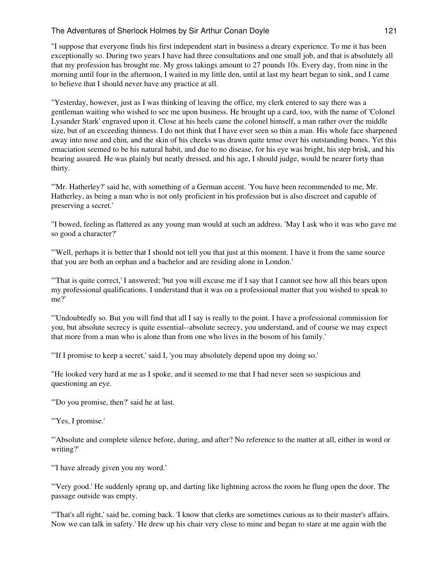"I suppose that everyone finds his first independent start in business a dreary experience. To me it has been exceptionally so. During two years I have had three consultations and one small job, and that is absolutely all that my profession has brought me. My gross takings amount to 27 pounds 10s. Every day, from nine in the morning until four in the afternoon, I waited in my little den, until at last my heart began to sink, and I came to believe that I should never have any practice at all.

"Yesterday, however, just as I was thinking of leaving the office, my clerk entered to say there was a gentleman waiting who wished to see me upon business. He brought up a card, too, with the name of 'Colonel Lysander Stark' engraved upon it. Close at his heels came the colonel himself, a man rather over the middle size, but of an exceeding thinness. I do not think that I have ever seen so thin a man. His whole face sharpened away into nose and chin, and the skin of his cheeks was drawn quite tense over his outstanding bones. Yet this emaciation seemed to be his natural habit, and due to no disease, for his eye was bright, his step brisk, and his bearing assured. He was plainly but neatly dressed, and his age, I should judge, would be nearer forty than thirty.

"'Mr. Hatherley?' said he, with something of a German accent. 'You have been recommended to me, Mr. Hatherley, as being a man who is not only proficient in his profession but is also discreet and capable of preserving a secret.'

"I bowed, feeling as flattered as any young man would at such an address. 'May I ask who it was who gave me so good a character?'

"'Well, perhaps it is better that I should not tell you that just at this moment. I have it from the same source that you are both an orphan and a bachelor and are residing alone in London.'

"'That is quite correct,' I answered; 'but you will excuse me if I say that I cannot see how all this bears upon my professional qualifications. I understand that it was on a professional matter that you wished to speak to me?'

"'Undoubtedly so. But you will find that all I say is really to the point. I have a professional commission for you, but absolute secrecy is quite essential--absolute secrecy, you understand, and of course we may expect that more from a man who is alone than from one who lives in the bosom of his family.'

"'If I promise to keep a secret,' said I, 'you may absolutely depend upon my doing so.'

"He looked very hard at me as I spoke, and it seemed to me that I had never seen so suspicious and questioning an eye.

"'Do you promise, then?' said he at last.

"'Yes, I promise.'

"'Absolute and complete silence before, during, and after? No reference to the matter at all, either in word or writing?'

"'I have already given you my word.'

"'Very good.' He suddenly sprang up, and darting like lightning across the room he flung open the door. The passage outside was empty.

"'That's all right,' said he, coming back. 'I know that clerks are sometimes curious as to their master's affairs. Now we can talk in safety.' He drew up his chair very close to mine and began to stare at me again with the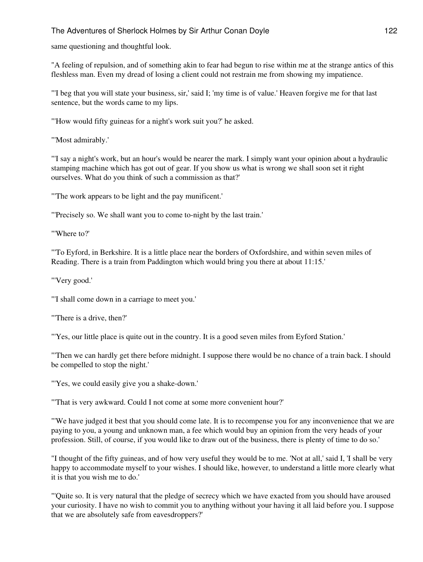same questioning and thoughtful look.

"A feeling of repulsion, and of something akin to fear had begun to rise within me at the strange antics of this fleshless man. Even my dread of losing a client could not restrain me from showing my impatience.

"'I beg that you will state your business, sir,' said I; 'my time is of value.' Heaven forgive me for that last sentence, but the words came to my lips.

"'How would fifty guineas for a night's work suit you?' he asked.

"'Most admirably.'

"'I say a night's work, but an hour's would be nearer the mark. I simply want your opinion about a hydraulic stamping machine which has got out of gear. If you show us what is wrong we shall soon set it right ourselves. What do you think of such a commission as that?'

"'The work appears to be light and the pay munificent.'

"'Precisely so. We shall want you to come to-night by the last train.'

"'Where to?'

"'To Eyford, in Berkshire. It is a little place near the borders of Oxfordshire, and within seven miles of Reading. There is a train from Paddington which would bring you there at about 11:15.'

"'Very good.'

"'I shall come down in a carriage to meet you.'

"'There is a drive, then?'

"'Yes, our little place is quite out in the country. It is a good seven miles from Eyford Station.'

"'Then we can hardly get there before midnight. I suppose there would be no chance of a train back. I should be compelled to stop the night.'

"'Yes, we could easily give you a shake-down.'

"'That is very awkward. Could I not come at some more convenient hour?'

"'We have judged it best that you should come late. It is to recompense you for any inconvenience that we are paying to you, a young and unknown man, a fee which would buy an opinion from the very heads of your profession. Still, of course, if you would like to draw out of the business, there is plenty of time to do so.'

"I thought of the fifty guineas, and of how very useful they would be to me. 'Not at all,' said I, 'I shall be very happy to accommodate myself to your wishes. I should like, however, to understand a little more clearly what it is that you wish me to do.'

"'Quite so. It is very natural that the pledge of secrecy which we have exacted from you should have aroused your curiosity. I have no wish to commit you to anything without your having it all laid before you. I suppose that we are absolutely safe from eavesdroppers?'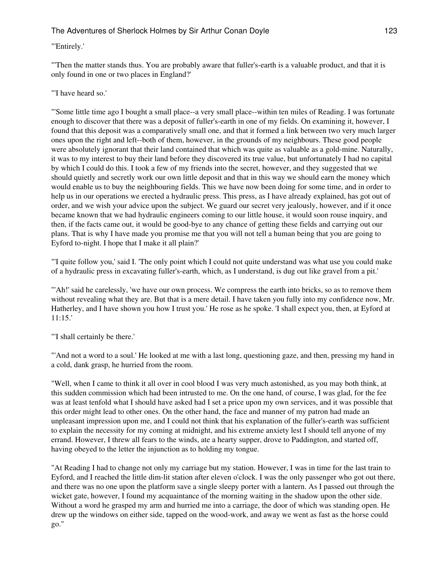## "'Entirely.'

"'Then the matter stands thus. You are probably aware that fuller's-earth is a valuable product, and that it is only found in one or two places in England?'

## "'I have heard so.'

"'Some little time ago I bought a small place--a very small place--within ten miles of Reading. I was fortunate enough to discover that there was a deposit of fuller's-earth in one of my fields. On examining it, however, I found that this deposit was a comparatively small one, and that it formed a link between two very much larger ones upon the right and left--both of them, however, in the grounds of my neighbours. These good people were absolutely ignorant that their land contained that which was quite as valuable as a gold-mine. Naturally, it was to my interest to buy their land before they discovered its true value, but unfortunately I had no capital by which I could do this. I took a few of my friends into the secret, however, and they suggested that we should quietly and secretly work our own little deposit and that in this way we should earn the money which would enable us to buy the neighbouring fields. This we have now been doing for some time, and in order to help us in our operations we erected a hydraulic press. This press, as I have already explained, has got out of order, and we wish your advice upon the subject. We guard our secret very jealously, however, and if it once became known that we had hydraulic engineers coming to our little house, it would soon rouse inquiry, and then, if the facts came out, it would be good-bye to any chance of getting these fields and carrying out our plans. That is why I have made you promise me that you will not tell a human being that you are going to Eyford to-night. I hope that I make it all plain?'

"'I quite follow you,' said I. 'The only point which I could not quite understand was what use you could make of a hydraulic press in excavating fuller's-earth, which, as I understand, is dug out like gravel from a pit.'

"'Ah!' said he carelessly, 'we have our own process. We compress the earth into bricks, so as to remove them without revealing what they are. But that is a mere detail. I have taken you fully into my confidence now, Mr. Hatherley, and I have shown you how I trust you.' He rose as he spoke. 'I shall expect you, then, at Eyford at 11:15.'

"'I shall certainly be there.'

"'And not a word to a soul.' He looked at me with a last long, questioning gaze, and then, pressing my hand in a cold, dank grasp, he hurried from the room.

"Well, when I came to think it all over in cool blood I was very much astonished, as you may both think, at this sudden commission which had been intrusted to me. On the one hand, of course, I was glad, for the fee was at least tenfold what I should have asked had I set a price upon my own services, and it was possible that this order might lead to other ones. On the other hand, the face and manner of my patron had made an unpleasant impression upon me, and I could not think that his explanation of the fuller's-earth was sufficient to explain the necessity for my coming at midnight, and his extreme anxiety lest I should tell anyone of my errand. However, I threw all fears to the winds, ate a hearty supper, drove to Paddington, and started off, having obeyed to the letter the injunction as to holding my tongue.

"At Reading I had to change not only my carriage but my station. However, I was in time for the last train to Eyford, and I reached the little dim-lit station after eleven o'clock. I was the only passenger who got out there, and there was no one upon the platform save a single sleepy porter with a lantern. As I passed out through the wicket gate, however, I found my acquaintance of the morning waiting in the shadow upon the other side. Without a word he grasped my arm and hurried me into a carriage, the door of which was standing open. He drew up the windows on either side, tapped on the wood-work, and away we went as fast as the horse could go."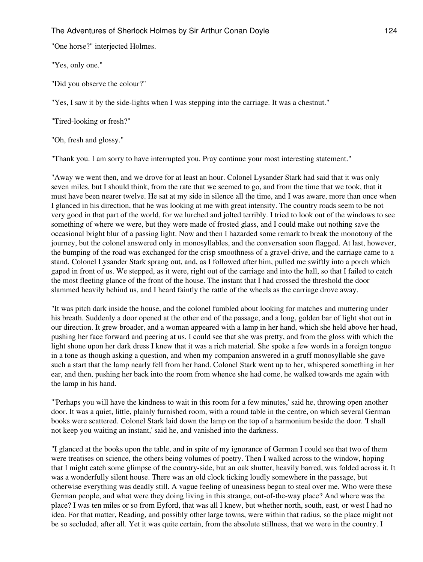"One horse?" interjected Holmes.

"Yes, only one."

"Did you observe the colour?"

"Yes, I saw it by the side-lights when I was stepping into the carriage. It was a chestnut."

"Tired-looking or fresh?"

"Oh, fresh and glossy."

"Thank you. I am sorry to have interrupted you. Pray continue your most interesting statement."

"Away we went then, and we drove for at least an hour. Colonel Lysander Stark had said that it was only seven miles, but I should think, from the rate that we seemed to go, and from the time that we took, that it must have been nearer twelve. He sat at my side in silence all the time, and I was aware, more than once when I glanced in his direction, that he was looking at me with great intensity. The country roads seem to be not very good in that part of the world, for we lurched and jolted terribly. I tried to look out of the windows to see something of where we were, but they were made of frosted glass, and I could make out nothing save the occasional bright blur of a passing light. Now and then I hazarded some remark to break the monotony of the journey, but the colonel answered only in monosyllables, and the conversation soon flagged. At last, however, the bumping of the road was exchanged for the crisp smoothness of a gravel-drive, and the carriage came to a stand. Colonel Lysander Stark sprang out, and, as I followed after him, pulled me swiftly into a porch which gaped in front of us. We stepped, as it were, right out of the carriage and into the hall, so that I failed to catch the most fleeting glance of the front of the house. The instant that I had crossed the threshold the door slammed heavily behind us, and I heard faintly the rattle of the wheels as the carriage drove away.

"It was pitch dark inside the house, and the colonel fumbled about looking for matches and muttering under his breath. Suddenly a door opened at the other end of the passage, and a long, golden bar of light shot out in our direction. It grew broader, and a woman appeared with a lamp in her hand, which she held above her head, pushing her face forward and peering at us. I could see that she was pretty, and from the gloss with which the light shone upon her dark dress I knew that it was a rich material. She spoke a few words in a foreign tongue in a tone as though asking a question, and when my companion answered in a gruff monosyllable she gave such a start that the lamp nearly fell from her hand. Colonel Stark went up to her, whispered something in her ear, and then, pushing her back into the room from whence she had come, he walked towards me again with the lamp in his hand.

"'Perhaps you will have the kindness to wait in this room for a few minutes,' said he, throwing open another door. It was a quiet, little, plainly furnished room, with a round table in the centre, on which several German books were scattered. Colonel Stark laid down the lamp on the top of a harmonium beside the door. 'I shall not keep you waiting an instant,' said he, and vanished into the darkness.

"I glanced at the books upon the table, and in spite of my ignorance of German I could see that two of them were treatises on science, the others being volumes of poetry. Then I walked across to the window, hoping that I might catch some glimpse of the country-side, but an oak shutter, heavily barred, was folded across it. It was a wonderfully silent house. There was an old clock ticking loudly somewhere in the passage, but otherwise everything was deadly still. A vague feeling of uneasiness began to steal over me. Who were these German people, and what were they doing living in this strange, out-of-the-way place? And where was the place? I was ten miles or so from Eyford, that was all I knew, but whether north, south, east, or west I had no idea. For that matter, Reading, and possibly other large towns, were within that radius, so the place might not be so secluded, after all. Yet it was quite certain, from the absolute stillness, that we were in the country. I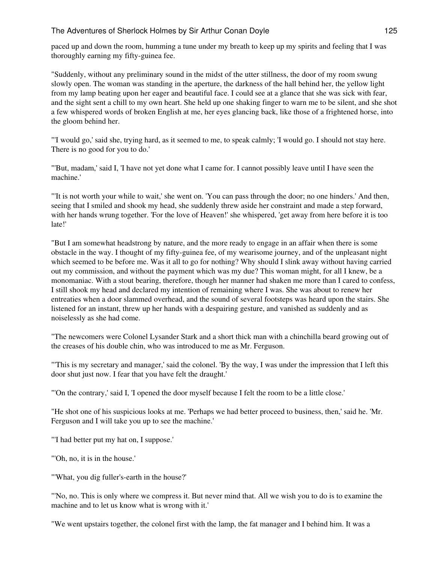paced up and down the room, humming a tune under my breath to keep up my spirits and feeling that I was thoroughly earning my fifty-guinea fee.

"Suddenly, without any preliminary sound in the midst of the utter stillness, the door of my room swung slowly open. The woman was standing in the aperture, the darkness of the hall behind her, the yellow light from my lamp beating upon her eager and beautiful face. I could see at a glance that she was sick with fear, and the sight sent a chill to my own heart. She held up one shaking finger to warn me to be silent, and she shot a few whispered words of broken English at me, her eyes glancing back, like those of a frightened horse, into the gloom behind her.

"'I would go,' said she, trying hard, as it seemed to me, to speak calmly; 'I would go. I should not stay here. There is no good for you to do.'

"'But, madam,' said I, 'I have not yet done what I came for. I cannot possibly leave until I have seen the machine.'

"'It is not worth your while to wait,' she went on. 'You can pass through the door; no one hinders.' And then, seeing that I smiled and shook my head, she suddenly threw aside her constraint and made a step forward, with her hands wrung together. 'For the love of Heaven!' she whispered, 'get away from here before it is too late!'

"But I am somewhat headstrong by nature, and the more ready to engage in an affair when there is some obstacle in the way. I thought of my fifty-guinea fee, of my wearisome journey, and of the unpleasant night which seemed to be before me. Was it all to go for nothing? Why should I slink away without having carried out my commission, and without the payment which was my due? This woman might, for all I knew, be a monomaniac. With a stout bearing, therefore, though her manner had shaken me more than I cared to confess, I still shook my head and declared my intention of remaining where I was. She was about to renew her entreaties when a door slammed overhead, and the sound of several footsteps was heard upon the stairs. She listened for an instant, threw up her hands with a despairing gesture, and vanished as suddenly and as noiselessly as she had come.

"The newcomers were Colonel Lysander Stark and a short thick man with a chinchilla beard growing out of the creases of his double chin, who was introduced to me as Mr. Ferguson.

"'This is my secretary and manager,' said the colonel. 'By the way, I was under the impression that I left this door shut just now. I fear that you have felt the draught.'

"'On the contrary,' said I, 'I opened the door myself because I felt the room to be a little close.'

"He shot one of his suspicious looks at me. 'Perhaps we had better proceed to business, then,' said he. 'Mr. Ferguson and I will take you up to see the machine.'

"'I had better put my hat on, I suppose.'

"'Oh, no, it is in the house.'

"'What, you dig fuller's-earth in the house?'

"'No, no. This is only where we compress it. But never mind that. All we wish you to do is to examine the machine and to let us know what is wrong with it.'

"We went upstairs together, the colonel first with the lamp, the fat manager and I behind him. It was a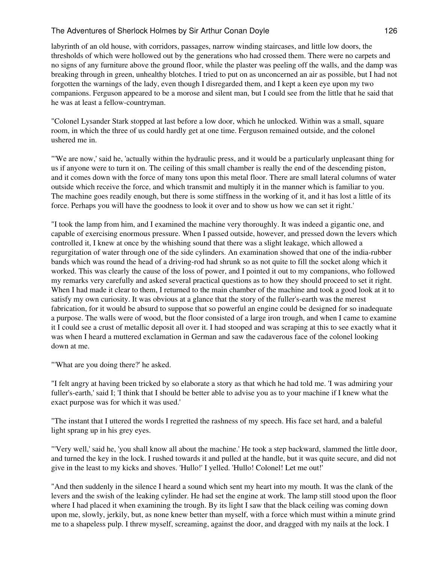labyrinth of an old house, with corridors, passages, narrow winding staircases, and little low doors, the thresholds of which were hollowed out by the generations who had crossed them. There were no carpets and no signs of any furniture above the ground floor, while the plaster was peeling off the walls, and the damp was breaking through in green, unhealthy blotches. I tried to put on as unconcerned an air as possible, but I had not forgotten the warnings of the lady, even though I disregarded them, and I kept a keen eye upon my two companions. Ferguson appeared to be a morose and silent man, but I could see from the little that he said that he was at least a fellow-countryman.

"Colonel Lysander Stark stopped at last before a low door, which he unlocked. Within was a small, square room, in which the three of us could hardly get at one time. Ferguson remained outside, and the colonel ushered me in.

"'We are now,' said he, 'actually within the hydraulic press, and it would be a particularly unpleasant thing for us if anyone were to turn it on. The ceiling of this small chamber is really the end of the descending piston, and it comes down with the force of many tons upon this metal floor. There are small lateral columns of water outside which receive the force, and which transmit and multiply it in the manner which is familiar to you. The machine goes readily enough, but there is some stiffness in the working of it, and it has lost a little of its force. Perhaps you will have the goodness to look it over and to show us how we can set it right.'

"I took the lamp from him, and I examined the machine very thoroughly. It was indeed a gigantic one, and capable of exercising enormous pressure. When I passed outside, however, and pressed down the levers which controlled it, I knew at once by the whishing sound that there was a slight leakage, which allowed a regurgitation of water through one of the side cylinders. An examination showed that one of the india-rubber bands which was round the head of a driving-rod had shrunk so as not quite to fill the socket along which it worked. This was clearly the cause of the loss of power, and I pointed it out to my companions, who followed my remarks very carefully and asked several practical questions as to how they should proceed to set it right. When I had made it clear to them, I returned to the main chamber of the machine and took a good look at it to satisfy my own curiosity. It was obvious at a glance that the story of the fuller's-earth was the merest fabrication, for it would be absurd to suppose that so powerful an engine could be designed for so inadequate a purpose. The walls were of wood, but the floor consisted of a large iron trough, and when I came to examine it I could see a crust of metallic deposit all over it. I had stooped and was scraping at this to see exactly what it was when I heard a muttered exclamation in German and saw the cadaverous face of the colonel looking down at me.

"'What are you doing there?' he asked.

"I felt angry at having been tricked by so elaborate a story as that which he had told me. 'I was admiring your fuller's-earth,' said I; 'I think that I should be better able to advise you as to your machine if I knew what the exact purpose was for which it was used.'

"The instant that I uttered the words I regretted the rashness of my speech. His face set hard, and a baleful light sprang up in his grey eyes.

"'Very well,' said he, 'you shall know all about the machine.' He took a step backward, slammed the little door, and turned the key in the lock. I rushed towards it and pulled at the handle, but it was quite secure, and did not give in the least to my kicks and shoves. 'Hullo!' I yelled. 'Hullo! Colonel! Let me out!'

"And then suddenly in the silence I heard a sound which sent my heart into my mouth. It was the clank of the levers and the swish of the leaking cylinder. He had set the engine at work. The lamp still stood upon the floor where I had placed it when examining the trough. By its light I saw that the black ceiling was coming down upon me, slowly, jerkily, but, as none knew better than myself, with a force which must within a minute grind me to a shapeless pulp. I threw myself, screaming, against the door, and dragged with my nails at the lock. I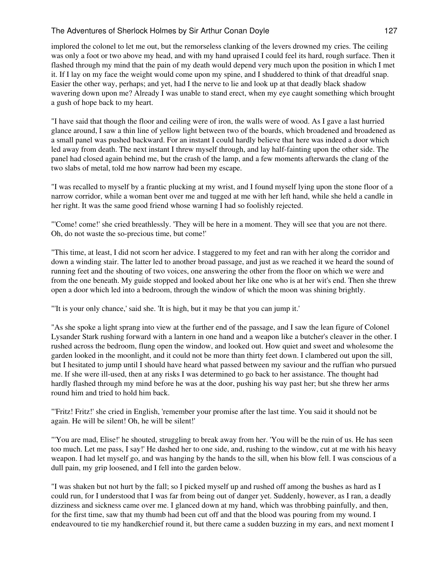implored the colonel to let me out, but the remorseless clanking of the levers drowned my cries. The ceiling was only a foot or two above my head, and with my hand upraised I could feel its hard, rough surface. Then it flashed through my mind that the pain of my death would depend very much upon the position in which I met it. If I lay on my face the weight would come upon my spine, and I shuddered to think of that dreadful snap. Easier the other way, perhaps; and yet, had I the nerve to lie and look up at that deadly black shadow wavering down upon me? Already I was unable to stand erect, when my eye caught something which brought a gush of hope back to my heart.

"I have said that though the floor and ceiling were of iron, the walls were of wood. As I gave a last hurried glance around, I saw a thin line of yellow light between two of the boards, which broadened and broadened as a small panel was pushed backward. For an instant I could hardly believe that here was indeed a door which led away from death. The next instant I threw myself through, and lay half-fainting upon the other side. The panel had closed again behind me, but the crash of the lamp, and a few moments afterwards the clang of the two slabs of metal, told me how narrow had been my escape.

"I was recalled to myself by a frantic plucking at my wrist, and I found myself lying upon the stone floor of a narrow corridor, while a woman bent over me and tugged at me with her left hand, while she held a candle in her right. It was the same good friend whose warning I had so foolishly rejected.

"'Come! come!' she cried breathlessly. 'They will be here in a moment. They will see that you are not there. Oh, do not waste the so-precious time, but come!'

"This time, at least, I did not scorn her advice. I staggered to my feet and ran with her along the corridor and down a winding stair. The latter led to another broad passage, and just as we reached it we heard the sound of running feet and the shouting of two voices, one answering the other from the floor on which we were and from the one beneath. My guide stopped and looked about her like one who is at her wit's end. Then she threw open a door which led into a bedroom, through the window of which the moon was shining brightly.

"'It is your only chance,' said she. 'It is high, but it may be that you can jump it.'

"As she spoke a light sprang into view at the further end of the passage, and I saw the lean figure of Colonel Lysander Stark rushing forward with a lantern in one hand and a weapon like a butcher's cleaver in the other. I rushed across the bedroom, flung open the window, and looked out. How quiet and sweet and wholesome the garden looked in the moonlight, and it could not be more than thirty feet down. I clambered out upon the sill, but I hesitated to jump until I should have heard what passed between my saviour and the ruffian who pursued me. If she were ill-used, then at any risks I was determined to go back to her assistance. The thought had hardly flashed through my mind before he was at the door, pushing his way past her; but she threw her arms round him and tried to hold him back.

"'Fritz! Fritz!' she cried in English, 'remember your promise after the last time. You said it should not be again. He will be silent! Oh, he will be silent!'

"'You are mad, Elise!' he shouted, struggling to break away from her. 'You will be the ruin of us. He has seen too much. Let me pass, I say!' He dashed her to one side, and, rushing to the window, cut at me with his heavy weapon. I had let myself go, and was hanging by the hands to the sill, when his blow fell. I was conscious of a dull pain, my grip loosened, and I fell into the garden below.

"I was shaken but not hurt by the fall; so I picked myself up and rushed off among the bushes as hard as I could run, for I understood that I was far from being out of danger yet. Suddenly, however, as I ran, a deadly dizziness and sickness came over me. I glanced down at my hand, which was throbbing painfully, and then, for the first time, saw that my thumb had been cut off and that the blood was pouring from my wound. I endeavoured to tie my handkerchief round it, but there came a sudden buzzing in my ears, and next moment I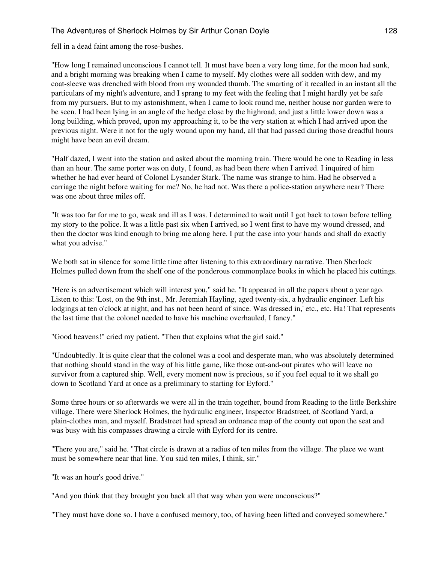fell in a dead faint among the rose-bushes.

"How long I remained unconscious I cannot tell. It must have been a very long time, for the moon had sunk, and a bright morning was breaking when I came to myself. My clothes were all sodden with dew, and my coat-sleeve was drenched with blood from my wounded thumb. The smarting of it recalled in an instant all the particulars of my night's adventure, and I sprang to my feet with the feeling that I might hardly yet be safe from my pursuers. But to my astonishment, when I came to look round me, neither house nor garden were to be seen. I had been lying in an angle of the hedge close by the highroad, and just a little lower down was a long building, which proved, upon my approaching it, to be the very station at which I had arrived upon the previous night. Were it not for the ugly wound upon my hand, all that had passed during those dreadful hours might have been an evil dream.

"Half dazed, I went into the station and asked about the morning train. There would be one to Reading in less than an hour. The same porter was on duty, I found, as had been there when I arrived. I inquired of him whether he had ever heard of Colonel Lysander Stark. The name was strange to him. Had he observed a carriage the night before waiting for me? No, he had not. Was there a police-station anywhere near? There was one about three miles off.

"It was too far for me to go, weak and ill as I was. I determined to wait until I got back to town before telling my story to the police. It was a little past six when I arrived, so I went first to have my wound dressed, and then the doctor was kind enough to bring me along here. I put the case into your hands and shall do exactly what you advise."

We both sat in silence for some little time after listening to this extraordinary narrative. Then Sherlock Holmes pulled down from the shelf one of the ponderous commonplace books in which he placed his cuttings.

"Here is an advertisement which will interest you," said he. "It appeared in all the papers about a year ago. Listen to this: 'Lost, on the 9th inst., Mr. Jeremiah Hayling, aged twenty-six, a hydraulic engineer. Left his lodgings at ten o'clock at night, and has not been heard of since. Was dressed in,' etc., etc. Ha! That represents the last time that the colonel needed to have his machine overhauled, I fancy."

"Good heavens!" cried my patient. "Then that explains what the girl said."

"Undoubtedly. It is quite clear that the colonel was a cool and desperate man, who was absolutely determined that nothing should stand in the way of his little game, like those out-and-out pirates who will leave no survivor from a captured ship. Well, every moment now is precious, so if you feel equal to it we shall go down to Scotland Yard at once as a preliminary to starting for Eyford."

Some three hours or so afterwards we were all in the train together, bound from Reading to the little Berkshire village. There were Sherlock Holmes, the hydraulic engineer, Inspector Bradstreet, of Scotland Yard, a plain-clothes man, and myself. Bradstreet had spread an ordnance map of the county out upon the seat and was busy with his compasses drawing a circle with Eyford for its centre.

"There you are," said he. "That circle is drawn at a radius of ten miles from the village. The place we want must be somewhere near that line. You said ten miles, I think, sir."

"It was an hour's good drive."

"And you think that they brought you back all that way when you were unconscious?"

"They must have done so. I have a confused memory, too, of having been lifted and conveyed somewhere."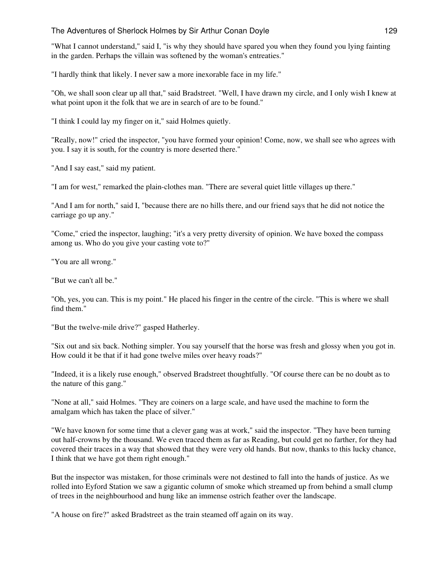"What I cannot understand," said I, "is why they should have spared you when they found you lying fainting in the garden. Perhaps the villain was softened by the woman's entreaties."

"I hardly think that likely. I never saw a more inexorable face in my life."

"Oh, we shall soon clear up all that," said Bradstreet. "Well, I have drawn my circle, and I only wish I knew at what point upon it the folk that we are in search of are to be found."

"I think I could lay my finger on it," said Holmes quietly.

"Really, now!" cried the inspector, "you have formed your opinion! Come, now, we shall see who agrees with you. I say it is south, for the country is more deserted there."

"And I say east," said my patient.

"I am for west," remarked the plain-clothes man. "There are several quiet little villages up there."

"And I am for north," said I, "because there are no hills there, and our friend says that he did not notice the carriage go up any."

"Come," cried the inspector, laughing; "it's a very pretty diversity of opinion. We have boxed the compass among us. Who do you give your casting vote to?"

"You are all wrong."

"But we can't all be."

"Oh, yes, you can. This is my point." He placed his finger in the centre of the circle. "This is where we shall find them."

"But the twelve-mile drive?" gasped Hatherley.

"Six out and six back. Nothing simpler. You say yourself that the horse was fresh and glossy when you got in. How could it be that if it had gone twelve miles over heavy roads?"

"Indeed, it is a likely ruse enough," observed Bradstreet thoughtfully. "Of course there can be no doubt as to the nature of this gang."

"None at all," said Holmes. "They are coiners on a large scale, and have used the machine to form the amalgam which has taken the place of silver."

"We have known for some time that a clever gang was at work," said the inspector. "They have been turning out half-crowns by the thousand. We even traced them as far as Reading, but could get no farther, for they had covered their traces in a way that showed that they were very old hands. But now, thanks to this lucky chance, I think that we have got them right enough."

But the inspector was mistaken, for those criminals were not destined to fall into the hands of justice. As we rolled into Eyford Station we saw a gigantic column of smoke which streamed up from behind a small clump of trees in the neighbourhood and hung like an immense ostrich feather over the landscape.

"A house on fire?" asked Bradstreet as the train steamed off again on its way.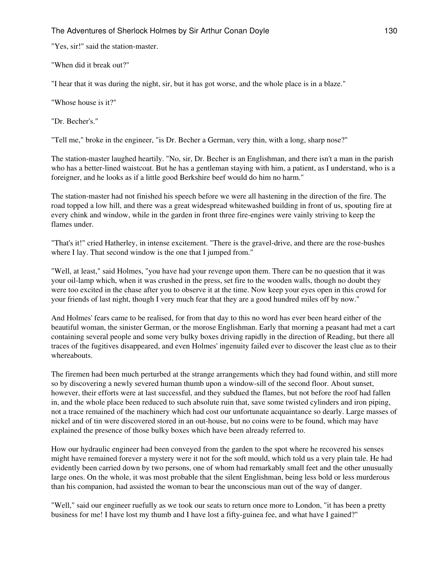"Yes, sir!" said the station-master.

"When did it break out?"

"I hear that it was during the night, sir, but it has got worse, and the whole place is in a blaze."

"Whose house is it?"

"Dr. Becher's."

"Tell me," broke in the engineer, "is Dr. Becher a German, very thin, with a long, sharp nose?"

The station-master laughed heartily. "No, sir, Dr. Becher is an Englishman, and there isn't a man in the parish who has a better-lined waistcoat. But he has a gentleman staying with him, a patient, as I understand, who is a foreigner, and he looks as if a little good Berkshire beef would do him no harm."

The station-master had not finished his speech before we were all hastening in the direction of the fire. The road topped a low hill, and there was a great widespread whitewashed building in front of us, spouting fire at every chink and window, while in the garden in front three fire-engines were vainly striving to keep the flames under.

"That's it!" cried Hatherley, in intense excitement. "There is the gravel-drive, and there are the rose-bushes where I lay. That second window is the one that I jumped from."

"Well, at least," said Holmes, "you have had your revenge upon them. There can be no question that it was your oil-lamp which, when it was crushed in the press, set fire to the wooden walls, though no doubt they were too excited in the chase after you to observe it at the time. Now keep your eyes open in this crowd for your friends of last night, though I very much fear that they are a good hundred miles off by now."

And Holmes' fears came to be realised, for from that day to this no word has ever been heard either of the beautiful woman, the sinister German, or the morose Englishman. Early that morning a peasant had met a cart containing several people and some very bulky boxes driving rapidly in the direction of Reading, but there all traces of the fugitives disappeared, and even Holmes' ingenuity failed ever to discover the least clue as to their whereabouts.

The firemen had been much perturbed at the strange arrangements which they had found within, and still more so by discovering a newly severed human thumb upon a window-sill of the second floor. About sunset, however, their efforts were at last successful, and they subdued the flames, but not before the roof had fallen in, and the whole place been reduced to such absolute ruin that, save some twisted cylinders and iron piping, not a trace remained of the machinery which had cost our unfortunate acquaintance so dearly. Large masses of nickel and of tin were discovered stored in an out-house, but no coins were to be found, which may have explained the presence of those bulky boxes which have been already referred to.

How our hydraulic engineer had been conveyed from the garden to the spot where he recovered his senses might have remained forever a mystery were it not for the soft mould, which told us a very plain tale. He had evidently been carried down by two persons, one of whom had remarkably small feet and the other unusually large ones. On the whole, it was most probable that the silent Englishman, being less bold or less murderous than his companion, had assisted the woman to bear the unconscious man out of the way of danger.

"Well," said our engineer ruefully as we took our seats to return once more to London, "it has been a pretty business for me! I have lost my thumb and I have lost a fifty-guinea fee, and what have I gained?"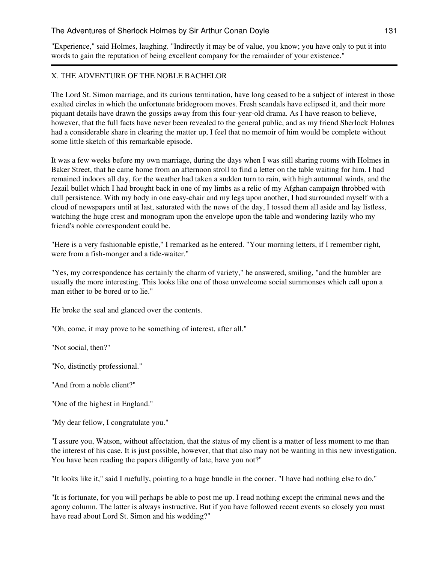"Experience," said Holmes, laughing. "Indirectly it may be of value, you know; you have only to put it into words to gain the reputation of being excellent company for the remainder of your existence."

## X. THE ADVENTURE OF THE NOBLE BACHELOR

The Lord St. Simon marriage, and its curious termination, have long ceased to be a subject of interest in those exalted circles in which the unfortunate bridegroom moves. Fresh scandals have eclipsed it, and their more piquant details have drawn the gossips away from this four-year-old drama. As I have reason to believe, however, that the full facts have never been revealed to the general public, and as my friend Sherlock Holmes had a considerable share in clearing the matter up, I feel that no memoir of him would be complete without some little sketch of this remarkable episode.

It was a few weeks before my own marriage, during the days when I was still sharing rooms with Holmes in Baker Street, that he came home from an afternoon stroll to find a letter on the table waiting for him. I had remained indoors all day, for the weather had taken a sudden turn to rain, with high autumnal winds, and the Jezail bullet which I had brought back in one of my limbs as a relic of my Afghan campaign throbbed with dull persistence. With my body in one easy-chair and my legs upon another, I had surrounded myself with a cloud of newspapers until at last, saturated with the news of the day, I tossed them all aside and lay listless, watching the huge crest and monogram upon the envelope upon the table and wondering lazily who my friend's noble correspondent could be.

"Here is a very fashionable epistle," I remarked as he entered. "Your morning letters, if I remember right, were from a fish-monger and a tide-waiter."

"Yes, my correspondence has certainly the charm of variety," he answered, smiling, "and the humbler are usually the more interesting. This looks like one of those unwelcome social summonses which call upon a man either to be bored or to lie."

He broke the seal and glanced over the contents.

"Oh, come, it may prove to be something of interest, after all."

"Not social, then?"

"No, distinctly professional."

"And from a noble client?"

"One of the highest in England."

"My dear fellow, I congratulate you."

"I assure you, Watson, without affectation, that the status of my client is a matter of less moment to me than the interest of his case. It is just possible, however, that that also may not be wanting in this new investigation. You have been reading the papers diligently of late, have you not?"

"It looks like it," said I ruefully, pointing to a huge bundle in the corner. "I have had nothing else to do."

"It is fortunate, for you will perhaps be able to post me up. I read nothing except the criminal news and the agony column. The latter is always instructive. But if you have followed recent events so closely you must have read about Lord St. Simon and his wedding?"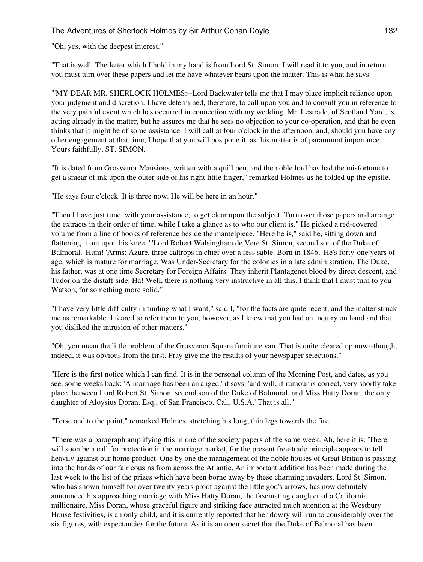"Oh, yes, with the deepest interest."

"That is well. The letter which I hold in my hand is from Lord St. Simon. I will read it to you, and in return you must turn over these papers and let me have whatever bears upon the matter. This is what he says:

"'MY DEAR MR. SHERLOCK HOLMES:--Lord Backwater tells me that I may place implicit reliance upon your judgment and discretion. I have determined, therefore, to call upon you and to consult you in reference to the very painful event which has occurred in connection with my wedding. Mr. Lestrade, of Scotland Yard, is acting already in the matter, but he assures me that he sees no objection to your co-operation, and that he even thinks that it might be of some assistance. I will call at four o'clock in the afternoon, and, should you have any other engagement at that time, I hope that you will postpone it, as this matter is of paramount importance. Yours faithfully, ST. SIMON.'

"It is dated from Grosvenor Mansions, written with a quill pen, and the noble lord has had the misfortune to get a smear of ink upon the outer side of his right little finger," remarked Holmes as he folded up the epistle.

"He says four o'clock. It is three now. He will be here in an hour."

"Then I have just time, with your assistance, to get clear upon the subject. Turn over those papers and arrange the extracts in their order of time, while I take a glance as to who our client is." He picked a red-covered volume from a line of books of reference beside the mantelpiece. "Here he is," said he, sitting down and flattening it out upon his knee. "'Lord Robert Walsingham de Vere St. Simon, second son of the Duke of Balmoral.' Hum! 'Arms: Azure, three caltrops in chief over a fess sable. Born in 1846.' He's forty-one years of age, which is mature for marriage. Was Under-Secretary for the colonies in a late administration. The Duke, his father, was at one time Secretary for Foreign Affairs. They inherit Plantagenet blood by direct descent, and Tudor on the distaff side. Ha! Well, there is nothing very instructive in all this. I think that I must turn to you Watson, for something more solid."

"I have very little difficulty in finding what I want," said I, "for the facts are quite recent, and the matter struck me as remarkable. I feared to refer them to you, however, as I knew that you had an inquiry on hand and that you disliked the intrusion of other matters."

"Oh, you mean the little problem of the Grosvenor Square furniture van. That is quite cleared up now--though, indeed, it was obvious from the first. Pray give me the results of your newspaper selections."

"Here is the first notice which I can find. It is in the personal column of the Morning Post, and dates, as you see, some weeks back: 'A marriage has been arranged,' it says, 'and will, if rumour is correct, very shortly take place, between Lord Robert St. Simon, second son of the Duke of Balmoral, and Miss Hatty Doran, the only daughter of Aloysius Doran. Esq., of San Francisco, Cal., U.S.A.' That is all."

"Terse and to the point," remarked Holmes, stretching his long, thin legs towards the fire.

"There was a paragraph amplifying this in one of the society papers of the same week. Ah, here it is: 'There will soon be a call for protection in the marriage market, for the present free-trade principle appears to tell heavily against our home product. One by one the management of the noble houses of Great Britain is passing into the hands of our fair cousins from across the Atlantic. An important addition has been made during the last week to the list of the prizes which have been borne away by these charming invaders. Lord St. Simon, who has shown himself for over twenty years proof against the little god's arrows, has now definitely announced his approaching marriage with Miss Hatty Doran, the fascinating daughter of a California millionaire. Miss Doran, whose graceful figure and striking face attracted much attention at the Westbury House festivities, is an only child, and it is currently reported that her dowry will run to considerably over the six figures, with expectancies for the future. As it is an open secret that the Duke of Balmoral has been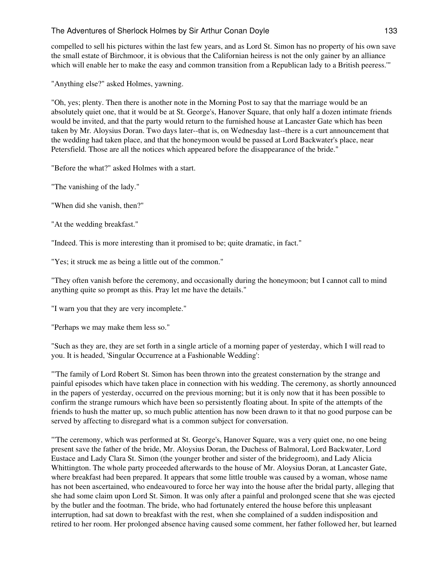compelled to sell his pictures within the last few years, and as Lord St. Simon has no property of his own save the small estate of Birchmoor, it is obvious that the Californian heiress is not the only gainer by an alliance which will enable her to make the easy and common transition from a Republican lady to a British peeress."

"Anything else?" asked Holmes, yawning.

"Oh, yes; plenty. Then there is another note in the Morning Post to say that the marriage would be an absolutely quiet one, that it would be at St. George's, Hanover Square, that only half a dozen intimate friends would be invited, and that the party would return to the furnished house at Lancaster Gate which has been taken by Mr. Aloysius Doran. Two days later--that is, on Wednesday last--there is a curt announcement that the wedding had taken place, and that the honeymoon would be passed at Lord Backwater's place, near Petersfield. Those are all the notices which appeared before the disappearance of the bride."

"Before the what?" asked Holmes with a start.

"The vanishing of the lady."

"When did she vanish, then?"

"At the wedding breakfast."

"Indeed. This is more interesting than it promised to be; quite dramatic, in fact."

"Yes; it struck me as being a little out of the common."

"They often vanish before the ceremony, and occasionally during the honeymoon; but I cannot call to mind anything quite so prompt as this. Pray let me have the details."

"I warn you that they are very incomplete."

"Perhaps we may make them less so."

"Such as they are, they are set forth in a single article of a morning paper of yesterday, which I will read to you. It is headed, 'Singular Occurrence at a Fashionable Wedding':

"'The family of Lord Robert St. Simon has been thrown into the greatest consternation by the strange and painful episodes which have taken place in connection with his wedding. The ceremony, as shortly announced in the papers of yesterday, occurred on the previous morning; but it is only now that it has been possible to confirm the strange rumours which have been so persistently floating about. In spite of the attempts of the friends to hush the matter up, so much public attention has now been drawn to it that no good purpose can be served by affecting to disregard what is a common subject for conversation.

"'The ceremony, which was performed at St. George's, Hanover Square, was a very quiet one, no one being present save the father of the bride, Mr. Aloysius Doran, the Duchess of Balmoral, Lord Backwater, Lord Eustace and Lady Clara St. Simon (the younger brother and sister of the bridegroom), and Lady Alicia Whittington. The whole party proceeded afterwards to the house of Mr. Aloysius Doran, at Lancaster Gate, where breakfast had been prepared. It appears that some little trouble was caused by a woman, whose name has not been ascertained, who endeavoured to force her way into the house after the bridal party, alleging that she had some claim upon Lord St. Simon. It was only after a painful and prolonged scene that she was ejected by the butler and the footman. The bride, who had fortunately entered the house before this unpleasant interruption, had sat down to breakfast with the rest, when she complained of a sudden indisposition and retired to her room. Her prolonged absence having caused some comment, her father followed her, but learned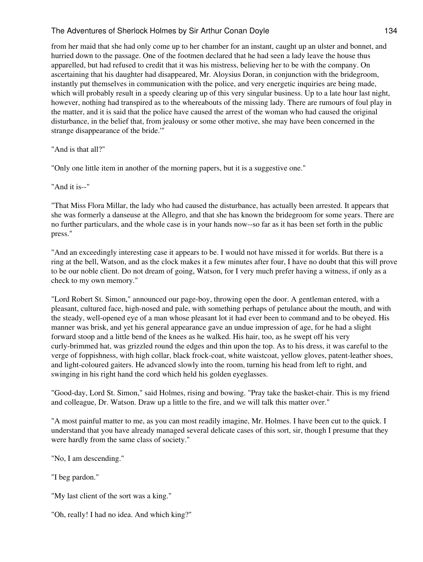from her maid that she had only come up to her chamber for an instant, caught up an ulster and bonnet, and hurried down to the passage. One of the footmen declared that he had seen a lady leave the house thus apparelled, but had refused to credit that it was his mistress, believing her to be with the company. On ascertaining that his daughter had disappeared, Mr. Aloysius Doran, in conjunction with the bridegroom, instantly put themselves in communication with the police, and very energetic inquiries are being made, which will probably result in a speedy clearing up of this very singular business. Up to a late hour last night, however, nothing had transpired as to the whereabouts of the missing lady. There are rumours of foul play in the matter, and it is said that the police have caused the arrest of the woman who had caused the original disturbance, in the belief that, from jealousy or some other motive, she may have been concerned in the strange disappearance of the bride.'"

"And is that all?"

"Only one little item in another of the morning papers, but it is a suggestive one."

"And it is--"

"That Miss Flora Millar, the lady who had caused the disturbance, has actually been arrested. It appears that she was formerly a danseuse at the Allegro, and that she has known the bridegroom for some years. There are no further particulars, and the whole case is in your hands now--so far as it has been set forth in the public press."

"And an exceedingly interesting case it appears to be. I would not have missed it for worlds. But there is a ring at the bell, Watson, and as the clock makes it a few minutes after four, I have no doubt that this will prove to be our noble client. Do not dream of going, Watson, for I very much prefer having a witness, if only as a check to my own memory."

"Lord Robert St. Simon," announced our page-boy, throwing open the door. A gentleman entered, with a pleasant, cultured face, high-nosed and pale, with something perhaps of petulance about the mouth, and with the steady, well-opened eye of a man whose pleasant lot it had ever been to command and to be obeyed. His manner was brisk, and yet his general appearance gave an undue impression of age, for he had a slight forward stoop and a little bend of the knees as he walked. His hair, too, as he swept off his very curly-brimmed hat, was grizzled round the edges and thin upon the top. As to his dress, it was careful to the verge of foppishness, with high collar, black frock-coat, white waistcoat, yellow gloves, patent-leather shoes, and light-coloured gaiters. He advanced slowly into the room, turning his head from left to right, and swinging in his right hand the cord which held his golden eyeglasses.

"Good-day, Lord St. Simon," said Holmes, rising and bowing. "Pray take the basket-chair. This is my friend and colleague, Dr. Watson. Draw up a little to the fire, and we will talk this matter over."

"A most painful matter to me, as you can most readily imagine, Mr. Holmes. I have been cut to the quick. I understand that you have already managed several delicate cases of this sort, sir, though I presume that they were hardly from the same class of society."

"No, I am descending."

"I beg pardon."

"My last client of the sort was a king."

"Oh, really! I had no idea. And which king?"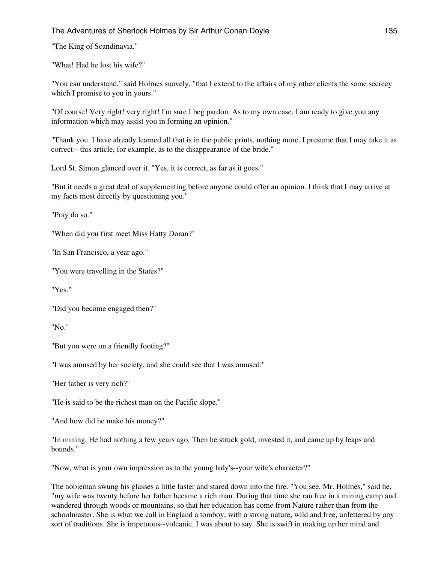"The King of Scandinavia."

"What! Had he lost his wife?"

"You can understand," said Holmes suavely, "that I extend to the affairs of my other clients the same secrecy which I promise to you in yours."

"Of course! Very right! very right! I'm sure I beg pardon. As to my own case, I am ready to give you any information which may assist you in forming an opinion."

"Thank you. I have already learned all that is in the public prints, nothing more. I presume that I may take it as correct-- this article, for example, as to the disappearance of the bride."

Lord St. Simon glanced over it. "Yes, it is correct, as far as it goes."

"But it needs a great deal of supplementing before anyone could offer an opinion. I think that I may arrive at my facts most directly by questioning you."

"Pray do so."

"When did you first meet Miss Hatty Doran?"

"In San Francisco, a year ago."

"You were travelling in the States?"

"Yes."

"Did you become engaged then?"

"No."

"But you were on a friendly footing?"

"I was amused by her society, and she could see that I was amused."

"Her father is very rich?"

"He is said to be the richest man on the Pacific slope."

"And how did he make his money?"

"In mining. He had nothing a few years ago. Then he struck gold, invested it, and came up by leaps and bounds."

"Now, what is your own impression as to the young lady's--your wife's character?"

The nobleman swung his glasses a little faster and stared down into the fire. "You see, Mr. Holmes," said he, "my wife was twenty before her father became a rich man. During that time she ran free in a mining camp and wandered through woods or mountains, so that her education has come from Nature rather than from the schoolmaster. She is what we call in England a tomboy, with a strong nature, wild and free, unfettered by any sort of traditions. She is impetuous--volcanic, I was about to say. She is swift in making up her mind and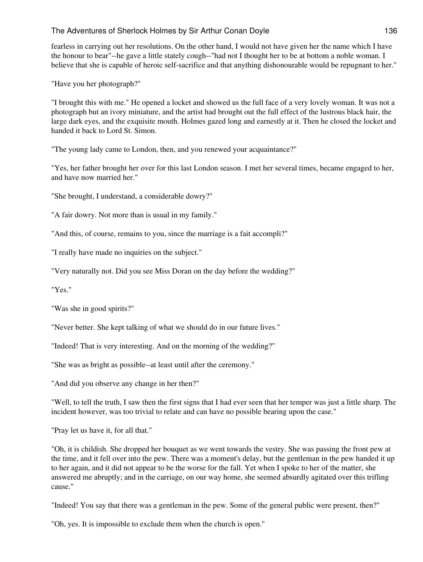fearless in carrying out her resolutions. On the other hand, I would not have given her the name which I have the honour to bear"--he gave a little stately cough--"had not I thought her to be at bottom a noble woman. I believe that she is capable of heroic self-sacrifice and that anything dishonourable would be repugnant to her."

"Have you her photograph?"

"I brought this with me." He opened a locket and showed us the full face of a very lovely woman. It was not a photograph but an ivory miniature, and the artist had brought out the full effect of the lustrous black hair, the large dark eyes, and the exquisite mouth. Holmes gazed long and earnestly at it. Then he closed the locket and handed it back to Lord St. Simon.

"The young lady came to London, then, and you renewed your acquaintance?"

"Yes, her father brought her over for this last London season. I met her several times, became engaged to her, and have now married her."

"She brought, I understand, a considerable dowry?"

"A fair dowry. Not more than is usual in my family."

"And this, of course, remains to you, since the marriage is a fait accompli?"

"I really have made no inquiries on the subject."

"Very naturally not. Did you see Miss Doran on the day before the wedding?"

"Yes."

"Was she in good spirits?"

"Never better. She kept talking of what we should do in our future lives."

"Indeed! That is very interesting. And on the morning of the wedding?"

"She was as bright as possible--at least until after the ceremony."

"And did you observe any change in her then?"

"Well, to tell the truth, I saw then the first signs that I had ever seen that her temper was just a little sharp. The incident however, was too trivial to relate and can have no possible bearing upon the case."

"Pray let us have it, for all that."

"Oh, it is childish. She dropped her bouquet as we went towards the vestry. She was passing the front pew at the time, and it fell over into the pew. There was a moment's delay, but the gentleman in the pew handed it up to her again, and it did not appear to be the worse for the fall. Yet when I spoke to her of the matter, she answered me abruptly; and in the carriage, on our way home, she seemed absurdly agitated over this trifling cause."

"Indeed! You say that there was a gentleman in the pew. Some of the general public were present, then?"

"Oh, yes. It is impossible to exclude them when the church is open."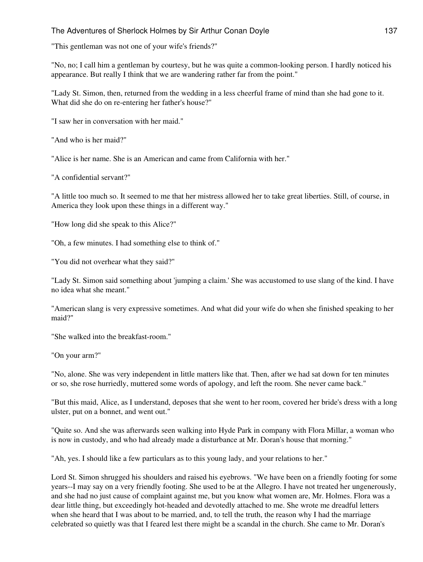"This gentleman was not one of your wife's friends?"

"No, no; I call him a gentleman by courtesy, but he was quite a common-looking person. I hardly noticed his appearance. But really I think that we are wandering rather far from the point."

"Lady St. Simon, then, returned from the wedding in a less cheerful frame of mind than she had gone to it. What did she do on re-entering her father's house?"

"I saw her in conversation with her maid."

"And who is her maid?"

"Alice is her name. She is an American and came from California with her."

"A confidential servant?"

"A little too much so. It seemed to me that her mistress allowed her to take great liberties. Still, of course, in America they look upon these things in a different way."

"How long did she speak to this Alice?"

"Oh, a few minutes. I had something else to think of."

"You did not overhear what they said?"

"Lady St. Simon said something about 'jumping a claim.' She was accustomed to use slang of the kind. I have no idea what she meant."

"American slang is very expressive sometimes. And what did your wife do when she finished speaking to her maid?"

"She walked into the breakfast-room."

"On your arm?"

"No, alone. She was very independent in little matters like that. Then, after we had sat down for ten minutes or so, she rose hurriedly, muttered some words of apology, and left the room. She never came back."

"But this maid, Alice, as I understand, deposes that she went to her room, covered her bride's dress with a long ulster, put on a bonnet, and went out."

"Quite so. And she was afterwards seen walking into Hyde Park in company with Flora Millar, a woman who is now in custody, and who had already made a disturbance at Mr. Doran's house that morning."

"Ah, yes. I should like a few particulars as to this young lady, and your relations to her."

Lord St. Simon shrugged his shoulders and raised his eyebrows. "We have been on a friendly footing for some years--I may say on a very friendly footing. She used to be at the Allegro. I have not treated her ungenerously, and she had no just cause of complaint against me, but you know what women are, Mr. Holmes. Flora was a dear little thing, but exceedingly hot-headed and devotedly attached to me. She wrote me dreadful letters when she heard that I was about to be married, and, to tell the truth, the reason why I had the marriage celebrated so quietly was that I feared lest there might be a scandal in the church. She came to Mr. Doran's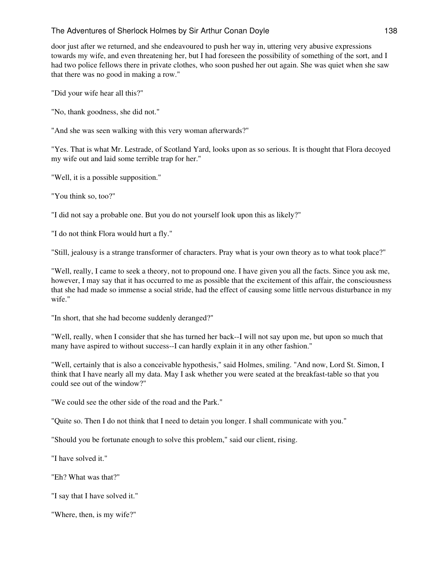door just after we returned, and she endeavoured to push her way in, uttering very abusive expressions towards my wife, and even threatening her, but I had foreseen the possibility of something of the sort, and I had two police fellows there in private clothes, who soon pushed her out again. She was quiet when she saw that there was no good in making a row."

"Did your wife hear all this?"

"No, thank goodness, she did not."

"And she was seen walking with this very woman afterwards?"

"Yes. That is what Mr. Lestrade, of Scotland Yard, looks upon as so serious. It is thought that Flora decoyed my wife out and laid some terrible trap for her."

"Well, it is a possible supposition."

"You think so, too?"

"I did not say a probable one. But you do not yourself look upon this as likely?"

"I do not think Flora would hurt a fly."

"Still, jealousy is a strange transformer of characters. Pray what is your own theory as to what took place?"

"Well, really, I came to seek a theory, not to propound one. I have given you all the facts. Since you ask me, however, I may say that it has occurred to me as possible that the excitement of this affair, the consciousness that she had made so immense a social stride, had the effect of causing some little nervous disturbance in my wife."

"In short, that she had become suddenly deranged?"

"Well, really, when I consider that she has turned her back--I will not say upon me, but upon so much that many have aspired to without success--I can hardly explain it in any other fashion."

"Well, certainly that is also a conceivable hypothesis," said Holmes, smiling. "And now, Lord St. Simon, I think that I have nearly all my data. May I ask whether you were seated at the breakfast-table so that you could see out of the window?"

"We could see the other side of the road and the Park."

"Quite so. Then I do not think that I need to detain you longer. I shall communicate with you."

"Should you be fortunate enough to solve this problem," said our client, rising.

"I have solved it."

"Eh? What was that?"

"I say that I have solved it."

"Where, then, is my wife?"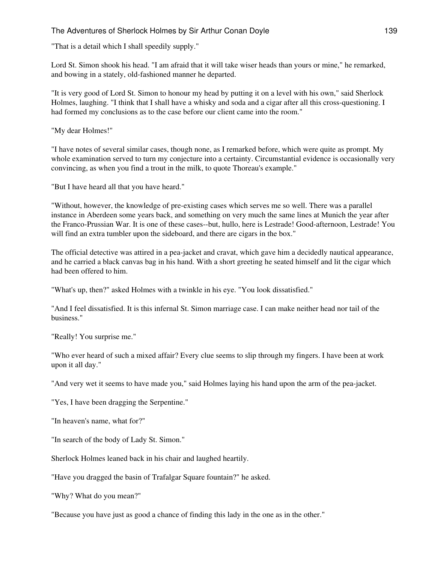"That is a detail which I shall speedily supply."

Lord St. Simon shook his head. "I am afraid that it will take wiser heads than yours or mine," he remarked, and bowing in a stately, old-fashioned manner he departed.

"It is very good of Lord St. Simon to honour my head by putting it on a level with his own," said Sherlock Holmes, laughing. "I think that I shall have a whisky and soda and a cigar after all this cross-questioning. I had formed my conclusions as to the case before our client came into the room."

"My dear Holmes!"

"I have notes of several similar cases, though none, as I remarked before, which were quite as prompt. My whole examination served to turn my conjecture into a certainty. Circumstantial evidence is occasionally very convincing, as when you find a trout in the milk, to quote Thoreau's example."

"But I have heard all that you have heard."

"Without, however, the knowledge of pre-existing cases which serves me so well. There was a parallel instance in Aberdeen some years back, and something on very much the same lines at Munich the year after the Franco-Prussian War. It is one of these cases--but, hullo, here is Lestrade! Good-afternoon, Lestrade! You will find an extra tumbler upon the sideboard, and there are cigars in the box."

The official detective was attired in a pea-jacket and cravat, which gave him a decidedly nautical appearance, and he carried a black canvas bag in his hand. With a short greeting he seated himself and lit the cigar which had been offered to him.

"What's up, then?" asked Holmes with a twinkle in his eye. "You look dissatisfied."

"And I feel dissatisfied. It is this infernal St. Simon marriage case. I can make neither head nor tail of the business."

"Really! You surprise me."

"Who ever heard of such a mixed affair? Every clue seems to slip through my fingers. I have been at work upon it all day."

"And very wet it seems to have made you," said Holmes laying his hand upon the arm of the pea-jacket.

"Yes, I have been dragging the Serpentine."

"In heaven's name, what for?"

"In search of the body of Lady St. Simon."

Sherlock Holmes leaned back in his chair and laughed heartily.

"Have you dragged the basin of Trafalgar Square fountain?" he asked.

"Why? What do you mean?"

"Because you have just as good a chance of finding this lady in the one as in the other."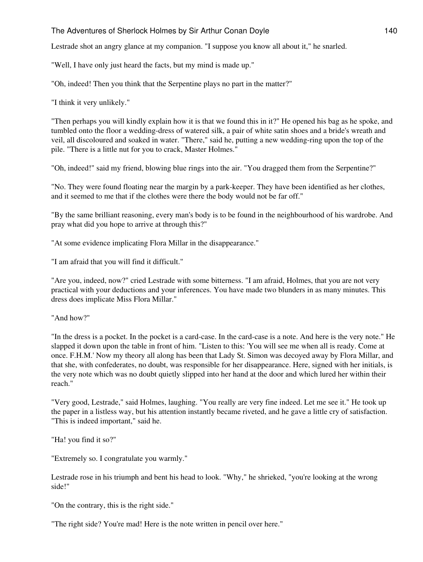Lestrade shot an angry glance at my companion. "I suppose you know all about it," he snarled.

"Well, I have only just heard the facts, but my mind is made up."

"Oh, indeed! Then you think that the Serpentine plays no part in the matter?"

"I think it very unlikely."

"Then perhaps you will kindly explain how it is that we found this in it?" He opened his bag as he spoke, and tumbled onto the floor a wedding-dress of watered silk, a pair of white satin shoes and a bride's wreath and veil, all discoloured and soaked in water. "There," said he, putting a new wedding-ring upon the top of the pile. "There is a little nut for you to crack, Master Holmes."

"Oh, indeed!" said my friend, blowing blue rings into the air. "You dragged them from the Serpentine?"

"No. They were found floating near the margin by a park-keeper. They have been identified as her clothes, and it seemed to me that if the clothes were there the body would not be far off."

"By the same brilliant reasoning, every man's body is to be found in the neighbourhood of his wardrobe. And pray what did you hope to arrive at through this?"

"At some evidence implicating Flora Millar in the disappearance."

"I am afraid that you will find it difficult."

"Are you, indeed, now?" cried Lestrade with some bitterness. "I am afraid, Holmes, that you are not very practical with your deductions and your inferences. You have made two blunders in as many minutes. This dress does implicate Miss Flora Millar."

"And how?"

"In the dress is a pocket. In the pocket is a card-case. In the card-case is a note. And here is the very note." He slapped it down upon the table in front of him. "Listen to this: 'You will see me when all is ready. Come at once. F.H.M.' Now my theory all along has been that Lady St. Simon was decoyed away by Flora Millar, and that she, with confederates, no doubt, was responsible for her disappearance. Here, signed with her initials, is the very note which was no doubt quietly slipped into her hand at the door and which lured her within their reach."

"Very good, Lestrade," said Holmes, laughing. "You really are very fine indeed. Let me see it." He took up the paper in a listless way, but his attention instantly became riveted, and he gave a little cry of satisfaction. "This is indeed important," said he.

"Ha! you find it so?"

"Extremely so. I congratulate you warmly."

Lestrade rose in his triumph and bent his head to look. "Why," he shrieked, "you're looking at the wrong side!"

"On the contrary, this is the right side."

"The right side? You're mad! Here is the note written in pencil over here."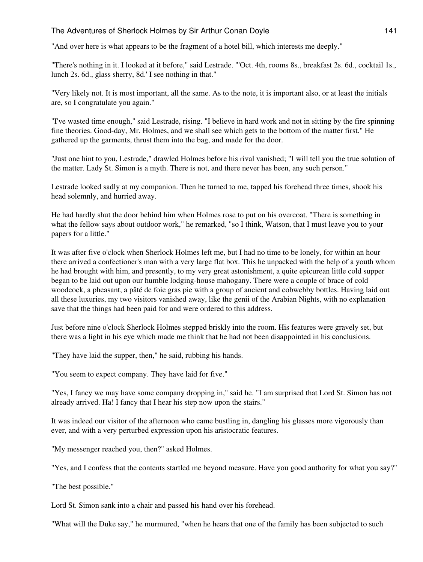"And over here is what appears to be the fragment of a hotel bill, which interests me deeply."

"There's nothing in it. I looked at it before," said Lestrade. "'Oct. 4th, rooms 8s., breakfast 2s. 6d., cocktail 1s., lunch 2s. 6d., glass sherry, 8d.' I see nothing in that."

"Very likely not. It is most important, all the same. As to the note, it is important also, or at least the initials are, so I congratulate you again."

"I've wasted time enough," said Lestrade, rising. "I believe in hard work and not in sitting by the fire spinning fine theories. Good-day, Mr. Holmes, and we shall see which gets to the bottom of the matter first." He gathered up the garments, thrust them into the bag, and made for the door.

"Just one hint to you, Lestrade," drawled Holmes before his rival vanished; "I will tell you the true solution of the matter. Lady St. Simon is a myth. There is not, and there never has been, any such person."

Lestrade looked sadly at my companion. Then he turned to me, tapped his forehead three times, shook his head solemnly, and hurried away.

He had hardly shut the door behind him when Holmes rose to put on his overcoat. "There is something in what the fellow says about outdoor work," he remarked, "so I think, Watson, that I must leave you to your papers for a little."

It was after five o'clock when Sherlock Holmes left me, but I had no time to be lonely, for within an hour there arrived a confectioner's man with a very large flat box. This he unpacked with the help of a youth whom he had brought with him, and presently, to my very great astonishment, a quite epicurean little cold supper began to be laid out upon our humble lodging-house mahogany. There were a couple of brace of cold woodcock, a pheasant, a pâté de foie gras pie with a group of ancient and cobwebby bottles. Having laid out all these luxuries, my two visitors vanished away, like the genii of the Arabian Nights, with no explanation save that the things had been paid for and were ordered to this address.

Just before nine o'clock Sherlock Holmes stepped briskly into the room. His features were gravely set, but there was a light in his eye which made me think that he had not been disappointed in his conclusions.

"They have laid the supper, then," he said, rubbing his hands.

"You seem to expect company. They have laid for five."

"Yes, I fancy we may have some company dropping in," said he. "I am surprised that Lord St. Simon has not already arrived. Ha! I fancy that I hear his step now upon the stairs."

It was indeed our visitor of the afternoon who came bustling in, dangling his glasses more vigorously than ever, and with a very perturbed expression upon his aristocratic features.

"My messenger reached you, then?" asked Holmes.

"Yes, and I confess that the contents startled me beyond measure. Have you good authority for what you say?"

"The best possible."

Lord St. Simon sank into a chair and passed his hand over his forehead.

"What will the Duke say," he murmured, "when he hears that one of the family has been subjected to such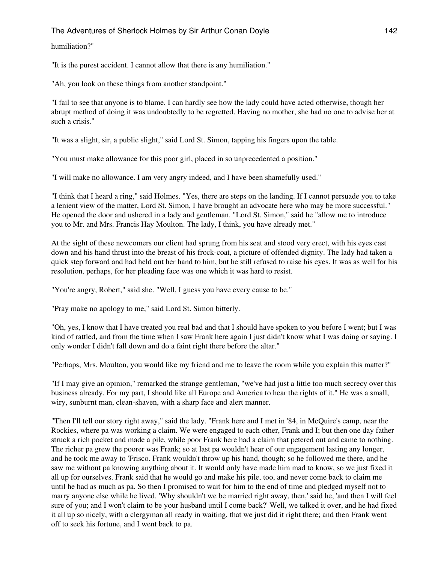humiliation?"

"It is the purest accident. I cannot allow that there is any humiliation."

"Ah, you look on these things from another standpoint."

"I fail to see that anyone is to blame. I can hardly see how the lady could have acted otherwise, though her abrupt method of doing it was undoubtedly to be regretted. Having no mother, she had no one to advise her at such a crisis."

"It was a slight, sir, a public slight," said Lord St. Simon, tapping his fingers upon the table.

"You must make allowance for this poor girl, placed in so unprecedented a position."

"I will make no allowance. I am very angry indeed, and I have been shamefully used."

"I think that I heard a ring," said Holmes. "Yes, there are steps on the landing. If I cannot persuade you to take a lenient view of the matter, Lord St. Simon, I have brought an advocate here who may be more successful." He opened the door and ushered in a lady and gentleman. "Lord St. Simon," said he "allow me to introduce you to Mr. and Mrs. Francis Hay Moulton. The lady, I think, you have already met."

At the sight of these newcomers our client had sprung from his seat and stood very erect, with his eyes cast down and his hand thrust into the breast of his frock-coat, a picture of offended dignity. The lady had taken a quick step forward and had held out her hand to him, but he still refused to raise his eyes. It was as well for his resolution, perhaps, for her pleading face was one which it was hard to resist.

"You're angry, Robert," said she. "Well, I guess you have every cause to be."

"Pray make no apology to me," said Lord St. Simon bitterly.

"Oh, yes, I know that I have treated you real bad and that I should have spoken to you before I went; but I was kind of rattled, and from the time when I saw Frank here again I just didn't know what I was doing or saying. I only wonder I didn't fall down and do a faint right there before the altar."

"Perhaps, Mrs. Moulton, you would like my friend and me to leave the room while you explain this matter?"

"If I may give an opinion," remarked the strange gentleman, "we've had just a little too much secrecy over this business already. For my part, I should like all Europe and America to hear the rights of it." He was a small, wiry, sunburnt man, clean-shaven, with a sharp face and alert manner.

"Then I'll tell our story right away," said the lady. "Frank here and I met in '84, in McQuire's camp, near the Rockies, where pa was working a claim. We were engaged to each other, Frank and I; but then one day father struck a rich pocket and made a pile, while poor Frank here had a claim that petered out and came to nothing. The richer pa grew the poorer was Frank; so at last pa wouldn't hear of our engagement lasting any longer, and he took me away to 'Frisco. Frank wouldn't throw up his hand, though; so he followed me there, and he saw me without pa knowing anything about it. It would only have made him mad to know, so we just fixed it all up for ourselves. Frank said that he would go and make his pile, too, and never come back to claim me until he had as much as pa. So then I promised to wait for him to the end of time and pledged myself not to marry anyone else while he lived. 'Why shouldn't we be married right away, then,' said he, 'and then I will feel sure of you; and I won't claim to be your husband until I come back?' Well, we talked it over, and he had fixed it all up so nicely, with a clergyman all ready in waiting, that we just did it right there; and then Frank went off to seek his fortune, and I went back to pa.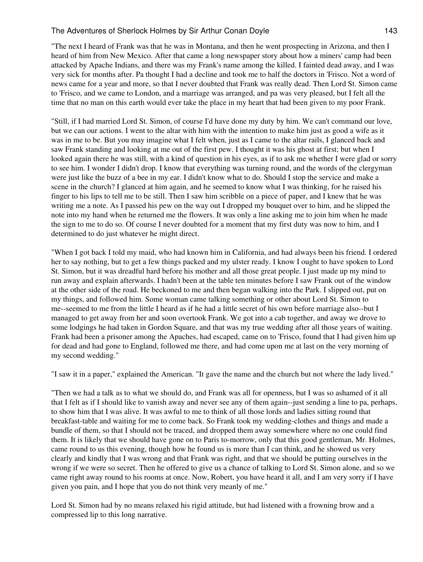"The next I heard of Frank was that he was in Montana, and then he went prospecting in Arizona, and then I heard of him from New Mexico. After that came a long newspaper story about how a miners' camp had been attacked by Apache Indians, and there was my Frank's name among the killed. I fainted dead away, and I was very sick for months after. Pa thought I had a decline and took me to half the doctors in 'Frisco. Not a word of news came for a year and more, so that I never doubted that Frank was really dead. Then Lord St. Simon came to 'Frisco, and we came to London, and a marriage was arranged, and pa was very pleased, but I felt all the time that no man on this earth would ever take the place in my heart that had been given to my poor Frank.

"Still, if I had married Lord St. Simon, of course I'd have done my duty by him. We can't command our love, but we can our actions. I went to the altar with him with the intention to make him just as good a wife as it was in me to be. But you may imagine what I felt when, just as I came to the altar rails, I glanced back and saw Frank standing and looking at me out of the first pew. I thought it was his ghost at first; but when I looked again there he was still, with a kind of question in his eyes, as if to ask me whether I were glad or sorry to see him. I wonder I didn't drop. I know that everything was turning round, and the words of the clergyman were just like the buzz of a bee in my ear. I didn't know what to do. Should I stop the service and make a scene in the church? I glanced at him again, and he seemed to know what I was thinking, for he raised his finger to his lips to tell me to be still. Then I saw him scribble on a piece of paper, and I knew that he was writing me a note. As I passed his pew on the way out I dropped my bouquet over to him, and he slipped the note into my hand when he returned me the flowers. It was only a line asking me to join him when he made the sign to me to do so. Of course I never doubted for a moment that my first duty was now to him, and I determined to do just whatever he might direct.

"When I got back I told my maid, who had known him in California, and had always been his friend. I ordered her to say nothing, but to get a few things packed and my ulster ready. I know I ought to have spoken to Lord St. Simon, but it was dreadful hard before his mother and all those great people. I just made up my mind to run away and explain afterwards. I hadn't been at the table ten minutes before I saw Frank out of the window at the other side of the road. He beckoned to me and then began walking into the Park. I slipped out, put on my things, and followed him. Some woman came talking something or other about Lord St. Simon to me--seemed to me from the little I heard as if he had a little secret of his own before marriage also--but I managed to get away from her and soon overtook Frank. We got into a cab together, and away we drove to some lodgings he had taken in Gordon Square, and that was my true wedding after all those years of waiting. Frank had been a prisoner among the Apaches, had escaped, came on to 'Frisco, found that I had given him up for dead and had gone to England, followed me there, and had come upon me at last on the very morning of my second wedding."

"I saw it in a paper," explained the American. "It gave the name and the church but not where the lady lived."

"Then we had a talk as to what we should do, and Frank was all for openness, but I was so ashamed of it all that I felt as if I should like to vanish away and never see any of them again--just sending a line to pa, perhaps, to show him that I was alive. It was awful to me to think of all those lords and ladies sitting round that breakfast-table and waiting for me to come back. So Frank took my wedding-clothes and things and made a bundle of them, so that I should not be traced, and dropped them away somewhere where no one could find them. It is likely that we should have gone on to Paris to-morrow, only that this good gentleman, Mr. Holmes, came round to us this evening, though how he found us is more than I can think, and he showed us very clearly and kindly that I was wrong and that Frank was right, and that we should be putting ourselves in the wrong if we were so secret. Then he offered to give us a chance of talking to Lord St. Simon alone, and so we came right away round to his rooms at once. Now, Robert, you have heard it all, and I am very sorry if I have given you pain, and I hope that you do not think very meanly of me."

Lord St. Simon had by no means relaxed his rigid attitude, but had listened with a frowning brow and a compressed lip to this long narrative.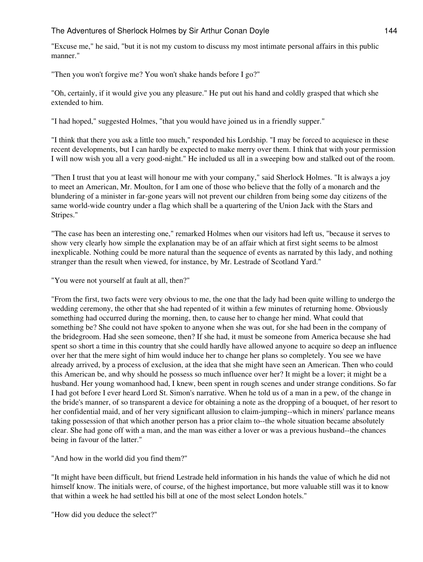"Excuse me," he said, "but it is not my custom to discuss my most intimate personal affairs in this public manner."

"Then you won't forgive me? You won't shake hands before I go?"

"Oh, certainly, if it would give you any pleasure." He put out his hand and coldly grasped that which she extended to him.

"I had hoped," suggested Holmes, "that you would have joined us in a friendly supper."

"I think that there you ask a little too much," responded his Lordship. "I may be forced to acquiesce in these recent developments, but I can hardly be expected to make merry over them. I think that with your permission I will now wish you all a very good-night." He included us all in a sweeping bow and stalked out of the room.

"Then I trust that you at least will honour me with your company," said Sherlock Holmes. "It is always a joy to meet an American, Mr. Moulton, for I am one of those who believe that the folly of a monarch and the blundering of a minister in far-gone years will not prevent our children from being some day citizens of the same world-wide country under a flag which shall be a quartering of the Union Jack with the Stars and Stripes."

"The case has been an interesting one," remarked Holmes when our visitors had left us, "because it serves to show very clearly how simple the explanation may be of an affair which at first sight seems to be almost inexplicable. Nothing could be more natural than the sequence of events as narrated by this lady, and nothing stranger than the result when viewed, for instance, by Mr. Lestrade of Scotland Yard."

"You were not yourself at fault at all, then?"

"From the first, two facts were very obvious to me, the one that the lady had been quite willing to undergo the wedding ceremony, the other that she had repented of it within a few minutes of returning home. Obviously something had occurred during the morning, then, to cause her to change her mind. What could that something be? She could not have spoken to anyone when she was out, for she had been in the company of the bridegroom. Had she seen someone, then? If she had, it must be someone from America because she had spent so short a time in this country that she could hardly have allowed anyone to acquire so deep an influence over her that the mere sight of him would induce her to change her plans so completely. You see we have already arrived, by a process of exclusion, at the idea that she might have seen an American. Then who could this American be, and why should he possess so much influence over her? It might be a lover; it might be a husband. Her young womanhood had, I knew, been spent in rough scenes and under strange conditions. So far I had got before I ever heard Lord St. Simon's narrative. When he told us of a man in a pew, of the change in the bride's manner, of so transparent a device for obtaining a note as the dropping of a bouquet, of her resort to her confidential maid, and of her very significant allusion to claim-jumping--which in miners' parlance means taking possession of that which another person has a prior claim to--the whole situation became absolutely clear. She had gone off with a man, and the man was either a lover or was a previous husband--the chances being in favour of the latter."

"And how in the world did you find them?"

"It might have been difficult, but friend Lestrade held information in his hands the value of which he did not himself know. The initials were, of course, of the highest importance, but more valuable still was it to know that within a week he had settled his bill at one of the most select London hotels."

"How did you deduce the select?"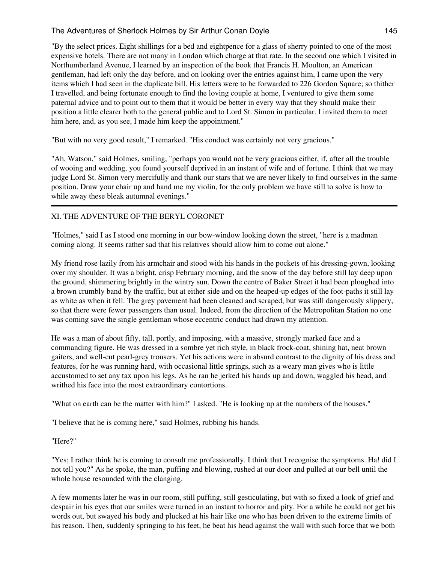"By the select prices. Eight shillings for a bed and eightpence for a glass of sherry pointed to one of the most expensive hotels. There are not many in London which charge at that rate. In the second one which I visited in Northumberland Avenue, I learned by an inspection of the book that Francis H. Moulton, an American gentleman, had left only the day before, and on looking over the entries against him, I came upon the very items which I had seen in the duplicate bill. His letters were to be forwarded to 226 Gordon Square; so thither I travelled, and being fortunate enough to find the loving couple at home, I ventured to give them some paternal advice and to point out to them that it would be better in every way that they should make their position a little clearer both to the general public and to Lord St. Simon in particular. I invited them to meet him here, and, as you see, I made him keep the appointment."

"But with no very good result," I remarked. "His conduct was certainly not very gracious."

"Ah, Watson," said Holmes, smiling, "perhaps you would not be very gracious either, if, after all the trouble of wooing and wedding, you found yourself deprived in an instant of wife and of fortune. I think that we may judge Lord St. Simon very mercifully and thank our stars that we are never likely to find ourselves in the same position. Draw your chair up and hand me my violin, for the only problem we have still to solve is how to while away these bleak autumnal evenings."

# XI. THE ADVENTURE OF THE BERYL CORONET

"Holmes," said I as I stood one morning in our bow-window looking down the street, "here is a madman coming along. It seems rather sad that his relatives should allow him to come out alone."

My friend rose lazily from his armchair and stood with his hands in the pockets of his dressing-gown, looking over my shoulder. It was a bright, crisp February morning, and the snow of the day before still lay deep upon the ground, shimmering brightly in the wintry sun. Down the centre of Baker Street it had been ploughed into a brown crumbly band by the traffic, but at either side and on the heaped-up edges of the foot-paths it still lay as white as when it fell. The grey pavement had been cleaned and scraped, but was still dangerously slippery, so that there were fewer passengers than usual. Indeed, from the direction of the Metropolitan Station no one was coming save the single gentleman whose eccentric conduct had drawn my attention.

He was a man of about fifty, tall, portly, and imposing, with a massive, strongly marked face and a commanding figure. He was dressed in a sombre yet rich style, in black frock-coat, shining hat, neat brown gaiters, and well-cut pearl-grey trousers. Yet his actions were in absurd contrast to the dignity of his dress and features, for he was running hard, with occasional little springs, such as a weary man gives who is little accustomed to set any tax upon his legs. As he ran he jerked his hands up and down, waggled his head, and writhed his face into the most extraordinary contortions.

"What on earth can be the matter with him?" I asked. "He is looking up at the numbers of the houses."

"I believe that he is coming here," said Holmes, rubbing his hands.

"Here?"

"Yes; I rather think he is coming to consult me professionally. I think that I recognise the symptoms. Ha! did I not tell you?" As he spoke, the man, puffing and blowing, rushed at our door and pulled at our bell until the whole house resounded with the clanging.

A few moments later he was in our room, still puffing, still gesticulating, but with so fixed a look of grief and despair in his eyes that our smiles were turned in an instant to horror and pity. For a while he could not get his words out, but swayed his body and plucked at his hair like one who has been driven to the extreme limits of his reason. Then, suddenly springing to his feet, he beat his head against the wall with such force that we both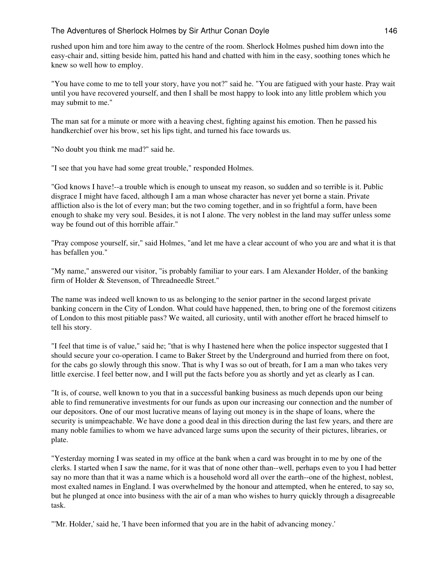rushed upon him and tore him away to the centre of the room. Sherlock Holmes pushed him down into the easy-chair and, sitting beside him, patted his hand and chatted with him in the easy, soothing tones which he knew so well how to employ.

"You have come to me to tell your story, have you not?" said he. "You are fatigued with your haste. Pray wait until you have recovered yourself, and then I shall be most happy to look into any little problem which you may submit to me."

The man sat for a minute or more with a heaving chest, fighting against his emotion. Then he passed his handkerchief over his brow, set his lips tight, and turned his face towards us.

"No doubt you think me mad?" said he.

"I see that you have had some great trouble," responded Holmes.

"God knows I have!--a trouble which is enough to unseat my reason, so sudden and so terrible is it. Public disgrace I might have faced, although I am a man whose character has never yet borne a stain. Private affliction also is the lot of every man; but the two coming together, and in so frightful a form, have been enough to shake my very soul. Besides, it is not I alone. The very noblest in the land may suffer unless some way be found out of this horrible affair."

"Pray compose yourself, sir," said Holmes, "and let me have a clear account of who you are and what it is that has befallen you."

"My name," answered our visitor, "is probably familiar to your ears. I am Alexander Holder, of the banking firm of Holder & Stevenson, of Threadneedle Street."

The name was indeed well known to us as belonging to the senior partner in the second largest private banking concern in the City of London. What could have happened, then, to bring one of the foremost citizens of London to this most pitiable pass? We waited, all curiosity, until with another effort he braced himself to tell his story.

"I feel that time is of value," said he; "that is why I hastened here when the police inspector suggested that I should secure your co-operation. I came to Baker Street by the Underground and hurried from there on foot, for the cabs go slowly through this snow. That is why I was so out of breath, for I am a man who takes very little exercise. I feel better now, and I will put the facts before you as shortly and yet as clearly as I can.

"It is, of course, well known to you that in a successful banking business as much depends upon our being able to find remunerative investments for our funds as upon our increasing our connection and the number of our depositors. One of our most lucrative means of laying out money is in the shape of loans, where the security is unimpeachable. We have done a good deal in this direction during the last few years, and there are many noble families to whom we have advanced large sums upon the security of their pictures, libraries, or plate.

"Yesterday morning I was seated in my office at the bank when a card was brought in to me by one of the clerks. I started when I saw the name, for it was that of none other than--well, perhaps even to you I had better say no more than that it was a name which is a household word all over the earth--one of the highest, noblest, most exalted names in England. I was overwhelmed by the honour and attempted, when he entered, to say so, but he plunged at once into business with the air of a man who wishes to hurry quickly through a disagreeable task.

"'Mr. Holder,' said he, 'I have been informed that you are in the habit of advancing money.'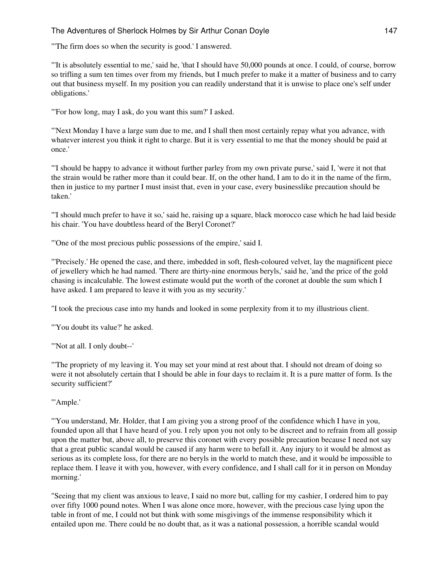"'The firm does so when the security is good.' I answered.

"'It is absolutely essential to me,' said he, 'that I should have 50,000 pounds at once. I could, of course, borrow so trifling a sum ten times over from my friends, but I much prefer to make it a matter of business and to carry out that business myself. In my position you can readily understand that it is unwise to place one's self under obligations.'

"'For how long, may I ask, do you want this sum?' I asked.

"'Next Monday I have a large sum due to me, and I shall then most certainly repay what you advance, with whatever interest you think it right to charge. But it is very essential to me that the money should be paid at once.'

"'I should be happy to advance it without further parley from my own private purse,' said I, 'were it not that the strain would be rather more than it could bear. If, on the other hand, I am to do it in the name of the firm, then in justice to my partner I must insist that, even in your case, every businesslike precaution should be taken.'

"'I should much prefer to have it so,' said he, raising up a square, black morocco case which he had laid beside his chair. 'You have doubtless heard of the Beryl Coronet?'

"'One of the most precious public possessions of the empire,' said I.

"'Precisely.' He opened the case, and there, imbedded in soft, flesh-coloured velvet, lay the magnificent piece of jewellery which he had named. 'There are thirty-nine enormous beryls,' said he, 'and the price of the gold chasing is incalculable. The lowest estimate would put the worth of the coronet at double the sum which I have asked. I am prepared to leave it with you as my security.'

"I took the precious case into my hands and looked in some perplexity from it to my illustrious client.

"'You doubt its value?' he asked.

"'Not at all. I only doubt--'

"'The propriety of my leaving it. You may set your mind at rest about that. I should not dream of doing so were it not absolutely certain that I should be able in four days to reclaim it. It is a pure matter of form. Is the security sufficient?'

"'Ample.'

"'You understand, Mr. Holder, that I am giving you a strong proof of the confidence which I have in you, founded upon all that I have heard of you. I rely upon you not only to be discreet and to refrain from all gossip upon the matter but, above all, to preserve this coronet with every possible precaution because I need not say that a great public scandal would be caused if any harm were to befall it. Any injury to it would be almost as serious as its complete loss, for there are no beryls in the world to match these, and it would be impossible to replace them. I leave it with you, however, with every confidence, and I shall call for it in person on Monday morning.'

"Seeing that my client was anxious to leave, I said no more but, calling for my cashier, I ordered him to pay over fifty 1000 pound notes. When I was alone once more, however, with the precious case lying upon the table in front of me, I could not but think with some misgivings of the immense responsibility which it entailed upon me. There could be no doubt that, as it was a national possession, a horrible scandal would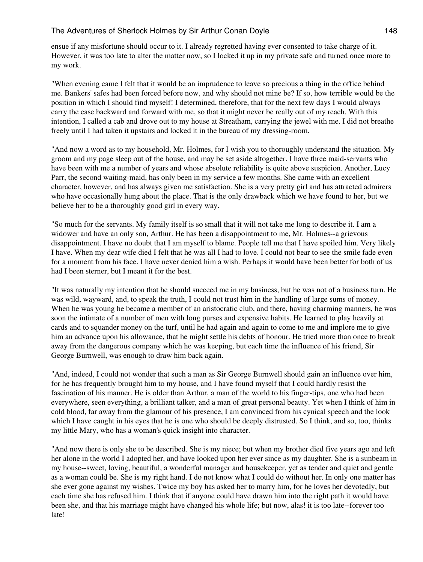ensue if any misfortune should occur to it. I already regretted having ever consented to take charge of it. However, it was too late to alter the matter now, so I locked it up in my private safe and turned once more to my work.

"When evening came I felt that it would be an imprudence to leave so precious a thing in the office behind me. Bankers' safes had been forced before now, and why should not mine be? If so, how terrible would be the position in which I should find myself! I determined, therefore, that for the next few days I would always carry the case backward and forward with me, so that it might never be really out of my reach. With this intention, I called a cab and drove out to my house at Streatham, carrying the jewel with me. I did not breathe freely until I had taken it upstairs and locked it in the bureau of my dressing-room.

"And now a word as to my household, Mr. Holmes, for I wish you to thoroughly understand the situation. My groom and my page sleep out of the house, and may be set aside altogether. I have three maid-servants who have been with me a number of years and whose absolute reliability is quite above suspicion. Another, Lucy Parr, the second waiting-maid, has only been in my service a few months. She came with an excellent character, however, and has always given me satisfaction. She is a very pretty girl and has attracted admirers who have occasionally hung about the place. That is the only drawback which we have found to her, but we believe her to be a thoroughly good girl in every way.

"So much for the servants. My family itself is so small that it will not take me long to describe it. I am a widower and have an only son, Arthur. He has been a disappointment to me, Mr. Holmes--a grievous disappointment. I have no doubt that I am myself to blame. People tell me that I have spoiled him. Very likely I have. When my dear wife died I felt that he was all I had to love. I could not bear to see the smile fade even for a moment from his face. I have never denied him a wish. Perhaps it would have been better for both of us had I been sterner, but I meant it for the best.

"It was naturally my intention that he should succeed me in my business, but he was not of a business turn. He was wild, wayward, and, to speak the truth, I could not trust him in the handling of large sums of money. When he was young he became a member of an aristocratic club, and there, having charming manners, he was soon the intimate of a number of men with long purses and expensive habits. He learned to play heavily at cards and to squander money on the turf, until he had again and again to come to me and implore me to give him an advance upon his allowance, that he might settle his debts of honour. He tried more than once to break away from the dangerous company which he was keeping, but each time the influence of his friend, Sir George Burnwell, was enough to draw him back again.

"And, indeed, I could not wonder that such a man as Sir George Burnwell should gain an influence over him, for he has frequently brought him to my house, and I have found myself that I could hardly resist the fascination of his manner. He is older than Arthur, a man of the world to his finger-tips, one who had been everywhere, seen everything, a brilliant talker, and a man of great personal beauty. Yet when I think of him in cold blood, far away from the glamour of his presence, I am convinced from his cynical speech and the look which I have caught in his eyes that he is one who should be deeply distrusted. So I think, and so, too, thinks my little Mary, who has a woman's quick insight into character.

"And now there is only she to be described. She is my niece; but when my brother died five years ago and left her alone in the world I adopted her, and have looked upon her ever since as my daughter. She is a sunbeam in my house--sweet, loving, beautiful, a wonderful manager and housekeeper, yet as tender and quiet and gentle as a woman could be. She is my right hand. I do not know what I could do without her. In only one matter has she ever gone against my wishes. Twice my boy has asked her to marry him, for he loves her devotedly, but each time she has refused him. I think that if anyone could have drawn him into the right path it would have been she, and that his marriage might have changed his whole life; but now, alas! it is too late--forever too late!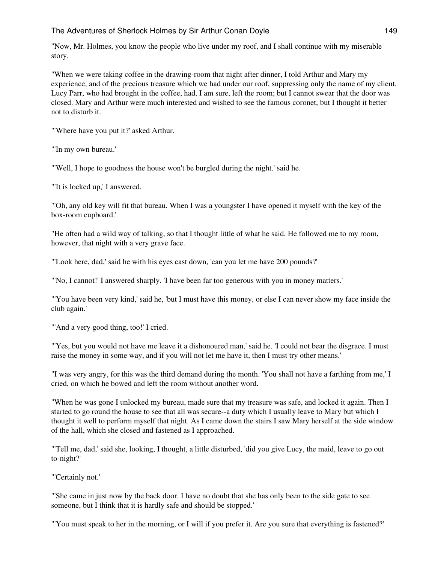"Now, Mr. Holmes, you know the people who live under my roof, and I shall continue with my miserable story.

"When we were taking coffee in the drawing-room that night after dinner, I told Arthur and Mary my experience, and of the precious treasure which we had under our roof, suppressing only the name of my client. Lucy Parr, who had brought in the coffee, had, I am sure, left the room; but I cannot swear that the door was closed. Mary and Arthur were much interested and wished to see the famous coronet, but I thought it better not to disturb it.

"'Where have you put it?' asked Arthur.

"'In my own bureau.'

"'Well, I hope to goodness the house won't be burgled during the night.' said he.

"'It is locked up,' I answered.

"'Oh, any old key will fit that bureau. When I was a youngster I have opened it myself with the key of the box-room cupboard.'

"He often had a wild way of talking, so that I thought little of what he said. He followed me to my room, however, that night with a very grave face.

"'Look here, dad,' said he with his eyes cast down, 'can you let me have 200 pounds?'

"'No, I cannot!' I answered sharply. 'I have been far too generous with you in money matters.'

"'You have been very kind,' said he, 'but I must have this money, or else I can never show my face inside the club again.'

"'And a very good thing, too!' I cried.

"'Yes, but you would not have me leave it a dishonoured man,' said he. 'I could not bear the disgrace. I must raise the money in some way, and if you will not let me have it, then I must try other means.'

"I was very angry, for this was the third demand during the month. 'You shall not have a farthing from me,' I cried, on which he bowed and left the room without another word.

"When he was gone I unlocked my bureau, made sure that my treasure was safe, and locked it again. Then I started to go round the house to see that all was secure--a duty which I usually leave to Mary but which I thought it well to perform myself that night. As I came down the stairs I saw Mary herself at the side window of the hall, which she closed and fastened as I approached.

"'Tell me, dad,' said she, looking, I thought, a little disturbed, 'did you give Lucy, the maid, leave to go out to-night?'

"'Certainly not.'

"'She came in just now by the back door. I have no doubt that she has only been to the side gate to see someone, but I think that it is hardly safe and should be stopped.'

"'You must speak to her in the morning, or I will if you prefer it. Are you sure that everything is fastened?'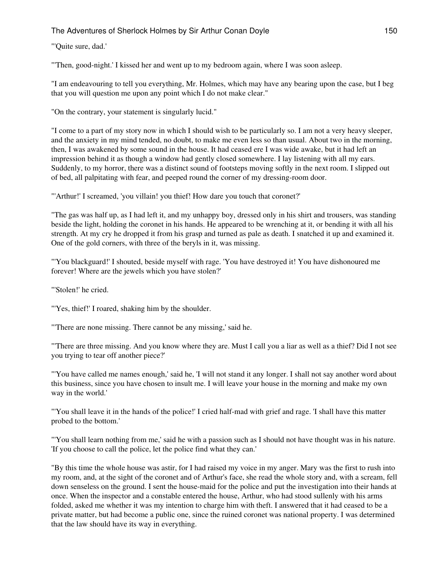#### "'Quite sure, dad.'

"'Then, good-night.' I kissed her and went up to my bedroom again, where I was soon asleep.

"I am endeavouring to tell you everything, Mr. Holmes, which may have any bearing upon the case, but I beg that you will question me upon any point which I do not make clear."

"On the contrary, your statement is singularly lucid."

"I come to a part of my story now in which I should wish to be particularly so. I am not a very heavy sleeper, and the anxiety in my mind tended, no doubt, to make me even less so than usual. About two in the morning, then, I was awakened by some sound in the house. It had ceased ere I was wide awake, but it had left an impression behind it as though a window had gently closed somewhere. I lay listening with all my ears. Suddenly, to my horror, there was a distinct sound of footsteps moving softly in the next room. I slipped out of bed, all palpitating with fear, and peeped round the corner of my dressing-room door.

"'Arthur!' I screamed, 'you villain! you thief! How dare you touch that coronet?'

"The gas was half up, as I had left it, and my unhappy boy, dressed only in his shirt and trousers, was standing beside the light, holding the coronet in his hands. He appeared to be wrenching at it, or bending it with all his strength. At my cry he dropped it from his grasp and turned as pale as death. I snatched it up and examined it. One of the gold corners, with three of the beryls in it, was missing.

"'You blackguard!' I shouted, beside myself with rage. 'You have destroyed it! You have dishonoured me forever! Where are the jewels which you have stolen?'

"'Stolen!' he cried.

"'Yes, thief!' I roared, shaking him by the shoulder.

"'There are none missing. There cannot be any missing,' said he.

"'There are three missing. And you know where they are. Must I call you a liar as well as a thief? Did I not see you trying to tear off another piece?'

"'You have called me names enough,' said he, 'I will not stand it any longer. I shall not say another word about this business, since you have chosen to insult me. I will leave your house in the morning and make my own way in the world.'

"'You shall leave it in the hands of the police!' I cried half-mad with grief and rage. 'I shall have this matter probed to the bottom.'

"'You shall learn nothing from me,' said he with a passion such as I should not have thought was in his nature. 'If you choose to call the police, let the police find what they can.'

"By this time the whole house was astir, for I had raised my voice in my anger. Mary was the first to rush into my room, and, at the sight of the coronet and of Arthur's face, she read the whole story and, with a scream, fell down senseless on the ground. I sent the house-maid for the police and put the investigation into their hands at once. When the inspector and a constable entered the house, Arthur, who had stood sullenly with his arms folded, asked me whether it was my intention to charge him with theft. I answered that it had ceased to be a private matter, but had become a public one, since the ruined coronet was national property. I was determined that the law should have its way in everything.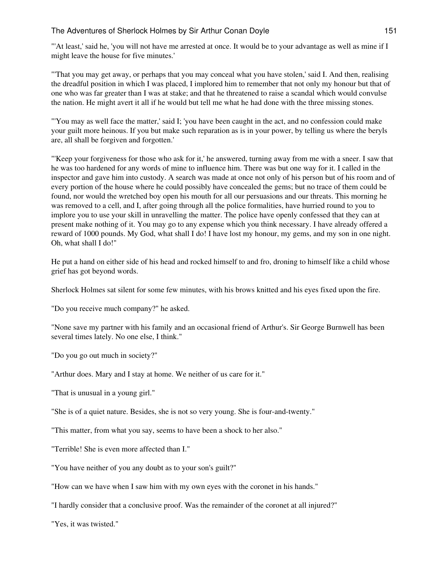"'At least,' said he, 'you will not have me arrested at once. It would be to your advantage as well as mine if I might leave the house for five minutes.'

"'That you may get away, or perhaps that you may conceal what you have stolen,' said I. And then, realising the dreadful position in which I was placed, I implored him to remember that not only my honour but that of one who was far greater than I was at stake; and that he threatened to raise a scandal which would convulse the nation. He might avert it all if he would but tell me what he had done with the three missing stones.

"'You may as well face the matter,' said I; 'you have been caught in the act, and no confession could make your guilt more heinous. If you but make such reparation as is in your power, by telling us where the beryls are, all shall be forgiven and forgotten.'

"'Keep your forgiveness for those who ask for it,' he answered, turning away from me with a sneer. I saw that he was too hardened for any words of mine to influence him. There was but one way for it. I called in the inspector and gave him into custody. A search was made at once not only of his person but of his room and of every portion of the house where he could possibly have concealed the gems; but no trace of them could be found, nor would the wretched boy open his mouth for all our persuasions and our threats. This morning he was removed to a cell, and I, after going through all the police formalities, have hurried round to you to implore you to use your skill in unravelling the matter. The police have openly confessed that they can at present make nothing of it. You may go to any expense which you think necessary. I have already offered a reward of 1000 pounds. My God, what shall I do! I have lost my honour, my gems, and my son in one night. Oh, what shall I do!"

He put a hand on either side of his head and rocked himself to and fro, droning to himself like a child whose grief has got beyond words.

Sherlock Holmes sat silent for some few minutes, with his brows knitted and his eyes fixed upon the fire.

"Do you receive much company?" he asked.

"None save my partner with his family and an occasional friend of Arthur's. Sir George Burnwell has been several times lately. No one else, I think."

"Do you go out much in society?"

"Arthur does. Mary and I stay at home. We neither of us care for it."

"That is unusual in a young girl."

"She is of a quiet nature. Besides, she is not so very young. She is four-and-twenty."

"This matter, from what you say, seems to have been a shock to her also."

"Terrible! She is even more affected than I."

"You have neither of you any doubt as to your son's guilt?"

"How can we have when I saw him with my own eyes with the coronet in his hands."

"I hardly consider that a conclusive proof. Was the remainder of the coronet at all injured?"

"Yes, it was twisted."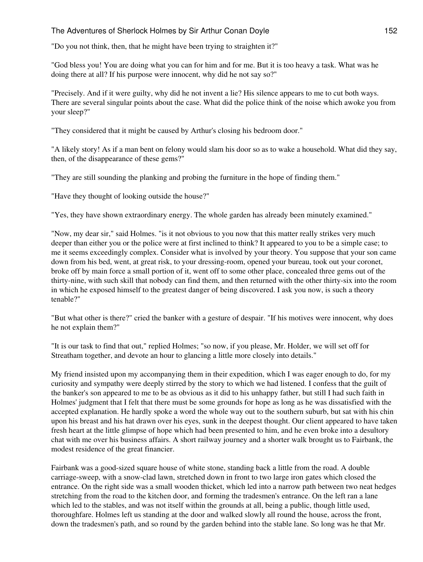"Do you not think, then, that he might have been trying to straighten it?"

"God bless you! You are doing what you can for him and for me. But it is too heavy a task. What was he doing there at all? If his purpose were innocent, why did he not say so?"

"Precisely. And if it were guilty, why did he not invent a lie? His silence appears to me to cut both ways. There are several singular points about the case. What did the police think of the noise which awoke you from your sleep?"

"They considered that it might be caused by Arthur's closing his bedroom door."

"A likely story! As if a man bent on felony would slam his door so as to wake a household. What did they say, then, of the disappearance of these gems?"

"They are still sounding the planking and probing the furniture in the hope of finding them."

"Have they thought of looking outside the house?"

"Yes, they have shown extraordinary energy. The whole garden has already been minutely examined."

"Now, my dear sir," said Holmes. "is it not obvious to you now that this matter really strikes very much deeper than either you or the police were at first inclined to think? It appeared to you to be a simple case; to me it seems exceedingly complex. Consider what is involved by your theory. You suppose that your son came down from his bed, went, at great risk, to your dressing-room, opened your bureau, took out your coronet, broke off by main force a small portion of it, went off to some other place, concealed three gems out of the thirty-nine, with such skill that nobody can find them, and then returned with the other thirty-six into the room in which he exposed himself to the greatest danger of being discovered. I ask you now, is such a theory tenable?"

"But what other is there?" cried the banker with a gesture of despair. "If his motives were innocent, why does he not explain them?"

"It is our task to find that out," replied Holmes; "so now, if you please, Mr. Holder, we will set off for Streatham together, and devote an hour to glancing a little more closely into details."

My friend insisted upon my accompanying them in their expedition, which I was eager enough to do, for my curiosity and sympathy were deeply stirred by the story to which we had listened. I confess that the guilt of the banker's son appeared to me to be as obvious as it did to his unhappy father, but still I had such faith in Holmes' judgment that I felt that there must be some grounds for hope as long as he was dissatisfied with the accepted explanation. He hardly spoke a word the whole way out to the southern suburb, but sat with his chin upon his breast and his hat drawn over his eyes, sunk in the deepest thought. Our client appeared to have taken fresh heart at the little glimpse of hope which had been presented to him, and he even broke into a desultory chat with me over his business affairs. A short railway journey and a shorter walk brought us to Fairbank, the modest residence of the great financier.

Fairbank was a good-sized square house of white stone, standing back a little from the road. A double carriage-sweep, with a snow-clad lawn, stretched down in front to two large iron gates which closed the entrance. On the right side was a small wooden thicket, which led into a narrow path between two neat hedges stretching from the road to the kitchen door, and forming the tradesmen's entrance. On the left ran a lane which led to the stables, and was not itself within the grounds at all, being a public, though little used, thoroughfare. Holmes left us standing at the door and walked slowly all round the house, across the front, down the tradesmen's path, and so round by the garden behind into the stable lane. So long was he that Mr.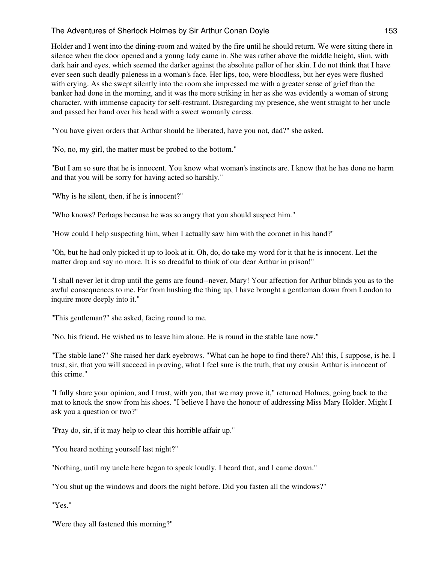Holder and I went into the dining-room and waited by the fire until he should return. We were sitting there in silence when the door opened and a young lady came in. She was rather above the middle height, slim, with dark hair and eyes, which seemed the darker against the absolute pallor of her skin. I do not think that I have ever seen such deadly paleness in a woman's face. Her lips, too, were bloodless, but her eyes were flushed with crying. As she swept silently into the room she impressed me with a greater sense of grief than the banker had done in the morning, and it was the more striking in her as she was evidently a woman of strong character, with immense capacity for self-restraint. Disregarding my presence, she went straight to her uncle and passed her hand over his head with a sweet womanly caress.

"You have given orders that Arthur should be liberated, have you not, dad?" she asked.

"No, no, my girl, the matter must be probed to the bottom."

"But I am so sure that he is innocent. You know what woman's instincts are. I know that he has done no harm and that you will be sorry for having acted so harshly."

"Why is he silent, then, if he is innocent?"

"Who knows? Perhaps because he was so angry that you should suspect him."

"How could I help suspecting him, when I actually saw him with the coronet in his hand?"

"Oh, but he had only picked it up to look at it. Oh, do, do take my word for it that he is innocent. Let the matter drop and say no more. It is so dreadful to think of our dear Arthur in prison!"

"I shall never let it drop until the gems are found--never, Mary! Your affection for Arthur blinds you as to the awful consequences to me. Far from hushing the thing up, I have brought a gentleman down from London to inquire more deeply into it."

"This gentleman?" she asked, facing round to me.

"No, his friend. He wished us to leave him alone. He is round in the stable lane now."

"The stable lane?" She raised her dark eyebrows. "What can he hope to find there? Ah! this, I suppose, is he. I trust, sir, that you will succeed in proving, what I feel sure is the truth, that my cousin Arthur is innocent of this crime."

"I fully share your opinion, and I trust, with you, that we may prove it," returned Holmes, going back to the mat to knock the snow from his shoes. "I believe I have the honour of addressing Miss Mary Holder. Might I ask you a question or two?"

"Pray do, sir, if it may help to clear this horrible affair up."

"You heard nothing yourself last night?"

"Nothing, until my uncle here began to speak loudly. I heard that, and I came down."

"You shut up the windows and doors the night before. Did you fasten all the windows?"

"Yes."

"Were they all fastened this morning?"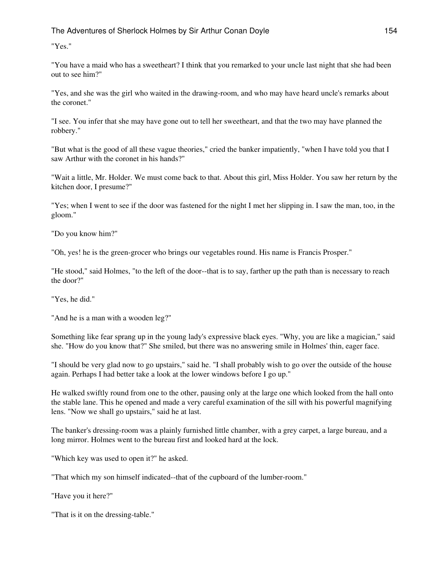"Yes."

"You have a maid who has a sweetheart? I think that you remarked to your uncle last night that she had been out to see him?"

"Yes, and she was the girl who waited in the drawing-room, and who may have heard uncle's remarks about the coronet."

"I see. You infer that she may have gone out to tell her sweetheart, and that the two may have planned the robbery."

"But what is the good of all these vague theories," cried the banker impatiently, "when I have told you that I saw Arthur with the coronet in his hands?"

"Wait a little, Mr. Holder. We must come back to that. About this girl, Miss Holder. You saw her return by the kitchen door, I presume?"

"Yes; when I went to see if the door was fastened for the night I met her slipping in. I saw the man, too, in the gloom."

"Do you know him?"

"Oh, yes! he is the green-grocer who brings our vegetables round. His name is Francis Prosper."

"He stood," said Holmes, "to the left of the door--that is to say, farther up the path than is necessary to reach the door?"

"Yes, he did."

"And he is a man with a wooden leg?"

Something like fear sprang up in the young lady's expressive black eyes. "Why, you are like a magician," said she. "How do you know that?" She smiled, but there was no answering smile in Holmes' thin, eager face.

"I should be very glad now to go upstairs," said he. "I shall probably wish to go over the outside of the house again. Perhaps I had better take a look at the lower windows before I go up."

He walked swiftly round from one to the other, pausing only at the large one which looked from the hall onto the stable lane. This he opened and made a very careful examination of the sill with his powerful magnifying lens. "Now we shall go upstairs," said he at last.

The banker's dressing-room was a plainly furnished little chamber, with a grey carpet, a large bureau, and a long mirror. Holmes went to the bureau first and looked hard at the lock.

"Which key was used to open it?" he asked.

"That which my son himself indicated--that of the cupboard of the lumber-room."

"Have you it here?"

"That is it on the dressing-table."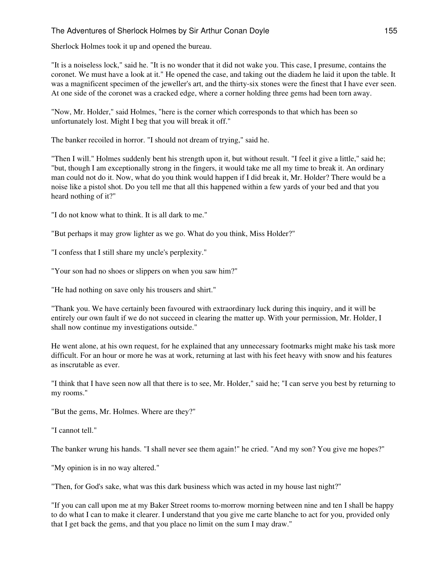Sherlock Holmes took it up and opened the bureau.

"It is a noiseless lock," said he. "It is no wonder that it did not wake you. This case, I presume, contains the coronet. We must have a look at it." He opened the case, and taking out the diadem he laid it upon the table. It was a magnificent specimen of the jeweller's art, and the thirty-six stones were the finest that I have ever seen. At one side of the coronet was a cracked edge, where a corner holding three gems had been torn away.

"Now, Mr. Holder," said Holmes, "here is the corner which corresponds to that which has been so unfortunately lost. Might I beg that you will break it off."

The banker recoiled in horror. "I should not dream of trying," said he.

"Then I will." Holmes suddenly bent his strength upon it, but without result. "I feel it give a little," said he; "but, though I am exceptionally strong in the fingers, it would take me all my time to break it. An ordinary man could not do it. Now, what do you think would happen if I did break it, Mr. Holder? There would be a noise like a pistol shot. Do you tell me that all this happened within a few yards of your bed and that you heard nothing of it?"

"I do not know what to think. It is all dark to me."

"But perhaps it may grow lighter as we go. What do you think, Miss Holder?"

"I confess that I still share my uncle's perplexity."

"Your son had no shoes or slippers on when you saw him?"

"He had nothing on save only his trousers and shirt."

"Thank you. We have certainly been favoured with extraordinary luck during this inquiry, and it will be entirely our own fault if we do not succeed in clearing the matter up. With your permission, Mr. Holder, I shall now continue my investigations outside."

He went alone, at his own request, for he explained that any unnecessary footmarks might make his task more difficult. For an hour or more he was at work, returning at last with his feet heavy with snow and his features as inscrutable as ever.

"I think that I have seen now all that there is to see, Mr. Holder," said he; "I can serve you best by returning to my rooms."

"But the gems, Mr. Holmes. Where are they?"

"I cannot tell."

The banker wrung his hands. "I shall never see them again!" he cried. "And my son? You give me hopes?"

"My opinion is in no way altered."

"Then, for God's sake, what was this dark business which was acted in my house last night?"

"If you can call upon me at my Baker Street rooms to-morrow morning between nine and ten I shall be happy to do what I can to make it clearer. I understand that you give me carte blanche to act for you, provided only that I get back the gems, and that you place no limit on the sum I may draw."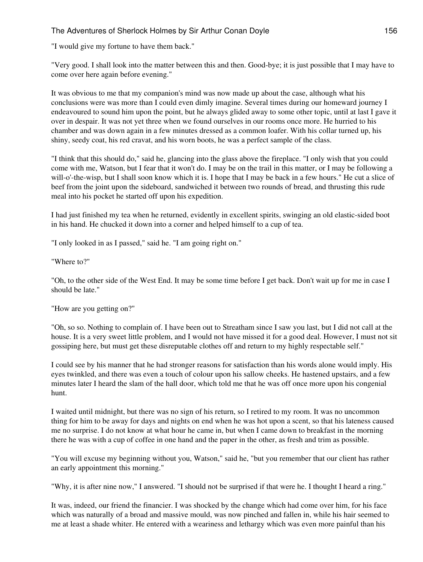"I would give my fortune to have them back."

"Very good. I shall look into the matter between this and then. Good-bye; it is just possible that I may have to come over here again before evening."

It was obvious to me that my companion's mind was now made up about the case, although what his conclusions were was more than I could even dimly imagine. Several times during our homeward journey I endeavoured to sound him upon the point, but he always glided away to some other topic, until at last I gave it over in despair. It was not yet three when we found ourselves in our rooms once more. He hurried to his chamber and was down again in a few minutes dressed as a common loafer. With his collar turned up, his shiny, seedy coat, his red cravat, and his worn boots, he was a perfect sample of the class.

"I think that this should do," said he, glancing into the glass above the fireplace. "I only wish that you could come with me, Watson, but I fear that it won't do. I may be on the trail in this matter, or I may be following a will-o'-the-wisp, but I shall soon know which it is. I hope that I may be back in a few hours." He cut a slice of beef from the joint upon the sideboard, sandwiched it between two rounds of bread, and thrusting this rude meal into his pocket he started off upon his expedition.

I had just finished my tea when he returned, evidently in excellent spirits, swinging an old elastic-sided boot in his hand. He chucked it down into a corner and helped himself to a cup of tea.

"I only looked in as I passed," said he. "I am going right on."

"Where to?"

"Oh, to the other side of the West End. It may be some time before I get back. Don't wait up for me in case I should be late."

"How are you getting on?"

"Oh, so so. Nothing to complain of. I have been out to Streatham since I saw you last, but I did not call at the house. It is a very sweet little problem, and I would not have missed it for a good deal. However, I must not sit gossiping here, but must get these disreputable clothes off and return to my highly respectable self."

I could see by his manner that he had stronger reasons for satisfaction than his words alone would imply. His eyes twinkled, and there was even a touch of colour upon his sallow cheeks. He hastened upstairs, and a few minutes later I heard the slam of the hall door, which told me that he was off once more upon his congenial hunt.

I waited until midnight, but there was no sign of his return, so I retired to my room. It was no uncommon thing for him to be away for days and nights on end when he was hot upon a scent, so that his lateness caused me no surprise. I do not know at what hour he came in, but when I came down to breakfast in the morning there he was with a cup of coffee in one hand and the paper in the other, as fresh and trim as possible.

"You will excuse my beginning without you, Watson," said he, "but you remember that our client has rather an early appointment this morning."

"Why, it is after nine now," I answered. "I should not be surprised if that were he. I thought I heard a ring."

It was, indeed, our friend the financier. I was shocked by the change which had come over him, for his face which was naturally of a broad and massive mould, was now pinched and fallen in, while his hair seemed to me at least a shade whiter. He entered with a weariness and lethargy which was even more painful than his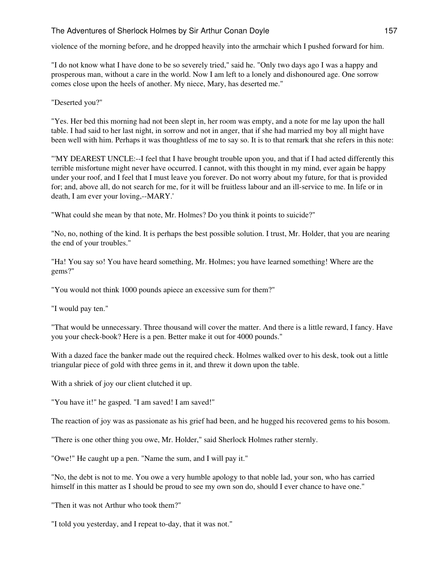violence of the morning before, and he dropped heavily into the armchair which I pushed forward for him.

"I do not know what I have done to be so severely tried," said he. "Only two days ago I was a happy and prosperous man, without a care in the world. Now I am left to a lonely and dishonoured age. One sorrow comes close upon the heels of another. My niece, Mary, has deserted me."

"Deserted you?"

"Yes. Her bed this morning had not been slept in, her room was empty, and a note for me lay upon the hall table. I had said to her last night, in sorrow and not in anger, that if she had married my boy all might have been well with him. Perhaps it was thoughtless of me to say so. It is to that remark that she refers in this note:

"'MY DEAREST UNCLE:--I feel that I have brought trouble upon you, and that if I had acted differently this terrible misfortune might never have occurred. I cannot, with this thought in my mind, ever again be happy under your roof, and I feel that I must leave you forever. Do not worry about my future, for that is provided for; and, above all, do not search for me, for it will be fruitless labour and an ill-service to me. In life or in death, I am ever your loving,--MARY.'

"What could she mean by that note, Mr. Holmes? Do you think it points to suicide?"

"No, no, nothing of the kind. It is perhaps the best possible solution. I trust, Mr. Holder, that you are nearing the end of your troubles."

"Ha! You say so! You have heard something, Mr. Holmes; you have learned something! Where are the gems?"

"You would not think 1000 pounds apiece an excessive sum for them?"

"I would pay ten."

"That would be unnecessary. Three thousand will cover the matter. And there is a little reward, I fancy. Have you your check-book? Here is a pen. Better make it out for 4000 pounds."

With a dazed face the banker made out the required check. Holmes walked over to his desk, took out a little triangular piece of gold with three gems in it, and threw it down upon the table.

With a shriek of joy our client clutched it up.

"You have it!" he gasped. "I am saved! I am saved!"

The reaction of joy was as passionate as his grief had been, and he hugged his recovered gems to his bosom.

"There is one other thing you owe, Mr. Holder," said Sherlock Holmes rather sternly.

"Owe!" He caught up a pen. "Name the sum, and I will pay it."

"No, the debt is not to me. You owe a very humble apology to that noble lad, your son, who has carried himself in this matter as I should be proud to see my own son do, should I ever chance to have one."

"Then it was not Arthur who took them?"

"I told you yesterday, and I repeat to-day, that it was not."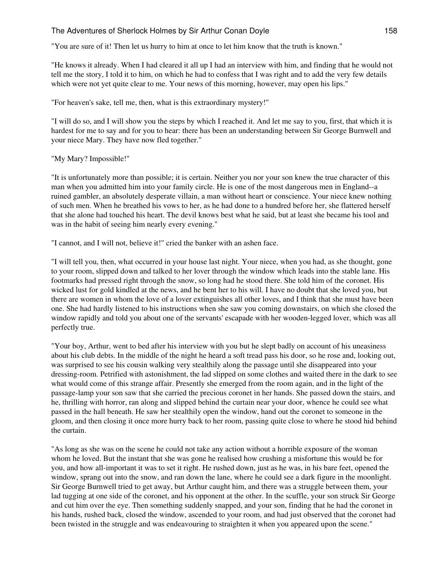"You are sure of it! Then let us hurry to him at once to let him know that the truth is known."

"He knows it already. When I had cleared it all up I had an interview with him, and finding that he would not tell me the story, I told it to him, on which he had to confess that I was right and to add the very few details which were not yet quite clear to me. Your news of this morning, however, may open his lips."

"For heaven's sake, tell me, then, what is this extraordinary mystery!"

"I will do so, and I will show you the steps by which I reached it. And let me say to you, first, that which it is hardest for me to say and for you to hear: there has been an understanding between Sir George Burnwell and your niece Mary. They have now fled together."

#### "My Mary? Impossible!"

"It is unfortunately more than possible; it is certain. Neither you nor your son knew the true character of this man when you admitted him into your family circle. He is one of the most dangerous men in England--a ruined gambler, an absolutely desperate villain, a man without heart or conscience. Your niece knew nothing of such men. When he breathed his vows to her, as he had done to a hundred before her, she flattered herself that she alone had touched his heart. The devil knows best what he said, but at least she became his tool and was in the habit of seeing him nearly every evening."

"I cannot, and I will not, believe it!" cried the banker with an ashen face.

"I will tell you, then, what occurred in your house last night. Your niece, when you had, as she thought, gone to your room, slipped down and talked to her lover through the window which leads into the stable lane. His footmarks had pressed right through the snow, so long had he stood there. She told him of the coronet. His wicked lust for gold kindled at the news, and he bent her to his will. I have no doubt that she loved you, but there are women in whom the love of a lover extinguishes all other loves, and I think that she must have been one. She had hardly listened to his instructions when she saw you coming downstairs, on which she closed the window rapidly and told you about one of the servants' escapade with her wooden-legged lover, which was all perfectly true.

"Your boy, Arthur, went to bed after his interview with you but he slept badly on account of his uneasiness about his club debts. In the middle of the night he heard a soft tread pass his door, so he rose and, looking out, was surprised to see his cousin walking very stealthily along the passage until she disappeared into your dressing-room. Petrified with astonishment, the lad slipped on some clothes and waited there in the dark to see what would come of this strange affair. Presently she emerged from the room again, and in the light of the passage-lamp your son saw that she carried the precious coronet in her hands. She passed down the stairs, and he, thrilling with horror, ran along and slipped behind the curtain near your door, whence he could see what passed in the hall beneath. He saw her stealthily open the window, hand out the coronet to someone in the gloom, and then closing it once more hurry back to her room, passing quite close to where he stood hid behind the curtain.

"As long as she was on the scene he could not take any action without a horrible exposure of the woman whom he loved. But the instant that she was gone he realised how crushing a misfortune this would be for you, and how all-important it was to set it right. He rushed down, just as he was, in his bare feet, opened the window, sprang out into the snow, and ran down the lane, where he could see a dark figure in the moonlight. Sir George Burnwell tried to get away, but Arthur caught him, and there was a struggle between them, your lad tugging at one side of the coronet, and his opponent at the other. In the scuffle, your son struck Sir George and cut him over the eye. Then something suddenly snapped, and your son, finding that he had the coronet in his hands, rushed back, closed the window, ascended to your room, and had just observed that the coronet had been twisted in the struggle and was endeavouring to straighten it when you appeared upon the scene."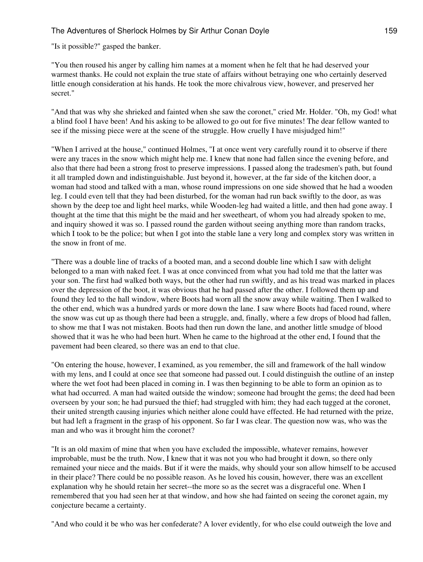"Is it possible?" gasped the banker.

"You then roused his anger by calling him names at a moment when he felt that he had deserved your warmest thanks. He could not explain the true state of affairs without betraying one who certainly deserved little enough consideration at his hands. He took the more chivalrous view, however, and preserved her secret."

"And that was why she shrieked and fainted when she saw the coronet," cried Mr. Holder. "Oh, my God! what a blind fool I have been! And his asking to be allowed to go out for five minutes! The dear fellow wanted to see if the missing piece were at the scene of the struggle. How cruelly I have misjudged him!"

"When I arrived at the house," continued Holmes, "I at once went very carefully round it to observe if there were any traces in the snow which might help me. I knew that none had fallen since the evening before, and also that there had been a strong frost to preserve impressions. I passed along the tradesmen's path, but found it all trampled down and indistinguishable. Just beyond it, however, at the far side of the kitchen door, a woman had stood and talked with a man, whose round impressions on one side showed that he had a wooden leg. I could even tell that they had been disturbed, for the woman had run back swiftly to the door, as was shown by the deep toe and light heel marks, while Wooden-leg had waited a little, and then had gone away. I thought at the time that this might be the maid and her sweetheart, of whom you had already spoken to me, and inquiry showed it was so. I passed round the garden without seeing anything more than random tracks, which I took to be the police; but when I got into the stable lane a very long and complex story was written in the snow in front of me.

"There was a double line of tracks of a booted man, and a second double line which I saw with delight belonged to a man with naked feet. I was at once convinced from what you had told me that the latter was your son. The first had walked both ways, but the other had run swiftly, and as his tread was marked in places over the depression of the boot, it was obvious that he had passed after the other. I followed them up and found they led to the hall window, where Boots had worn all the snow away while waiting. Then I walked to the other end, which was a hundred yards or more down the lane. I saw where Boots had faced round, where the snow was cut up as though there had been a struggle, and, finally, where a few drops of blood had fallen, to show me that I was not mistaken. Boots had then run down the lane, and another little smudge of blood showed that it was he who had been hurt. When he came to the highroad at the other end, I found that the pavement had been cleared, so there was an end to that clue.

"On entering the house, however, I examined, as you remember, the sill and framework of the hall window with my lens, and I could at once see that someone had passed out. I could distinguish the outline of an instep where the wet foot had been placed in coming in. I was then beginning to be able to form an opinion as to what had occurred. A man had waited outside the window; someone had brought the gems; the deed had been overseen by your son; he had pursued the thief; had struggled with him; they had each tugged at the coronet, their united strength causing injuries which neither alone could have effected. He had returned with the prize, but had left a fragment in the grasp of his opponent. So far I was clear. The question now was, who was the man and who was it brought him the coronet?

"It is an old maxim of mine that when you have excluded the impossible, whatever remains, however improbable, must be the truth. Now, I knew that it was not you who had brought it down, so there only remained your niece and the maids. But if it were the maids, why should your son allow himself to be accused in their place? There could be no possible reason. As he loved his cousin, however, there was an excellent explanation why he should retain her secret--the more so as the secret was a disgraceful one. When I remembered that you had seen her at that window, and how she had fainted on seeing the coronet again, my conjecture became a certainty.

"And who could it be who was her confederate? A lover evidently, for who else could outweigh the love and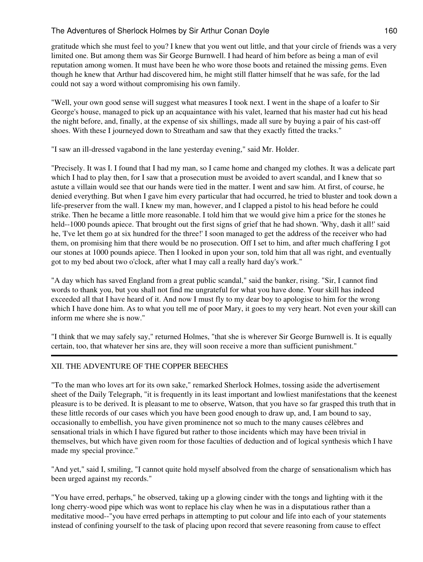gratitude which she must feel to you? I knew that you went out little, and that your circle of friends was a very limited one. But among them was Sir George Burnwell. I had heard of him before as being a man of evil reputation among women. It must have been he who wore those boots and retained the missing gems. Even though he knew that Arthur had discovered him, he might still flatter himself that he was safe, for the lad could not say a word without compromising his own family.

"Well, your own good sense will suggest what measures I took next. I went in the shape of a loafer to Sir George's house, managed to pick up an acquaintance with his valet, learned that his master had cut his head the night before, and, finally, at the expense of six shillings, made all sure by buying a pair of his cast-off shoes. With these I journeyed down to Streatham and saw that they exactly fitted the tracks."

"I saw an ill-dressed vagabond in the lane yesterday evening," said Mr. Holder.

"Precisely. It was I. I found that I had my man, so I came home and changed my clothes. It was a delicate part which I had to play then, for I saw that a prosecution must be avoided to avert scandal, and I knew that so astute a villain would see that our hands were tied in the matter. I went and saw him. At first, of course, he denied everything. But when I gave him every particular that had occurred, he tried to bluster and took down a life-preserver from the wall. I knew my man, however, and I clapped a pistol to his head before he could strike. Then he became a little more reasonable. I told him that we would give him a price for the stones he held--1000 pounds apiece. That brought out the first signs of grief that he had shown. 'Why, dash it all!' said he, 'I've let them go at six hundred for the three!' I soon managed to get the address of the receiver who had them, on promising him that there would be no prosecution. Off I set to him, and after much chaffering I got our stones at 1000 pounds apiece. Then I looked in upon your son, told him that all was right, and eventually got to my bed about two o'clock, after what I may call a really hard day's work."

"A day which has saved England from a great public scandal," said the banker, rising. "Sir, I cannot find words to thank you, but you shall not find me ungrateful for what you have done. Your skill has indeed exceeded all that I have heard of it. And now I must fly to my dear boy to apologise to him for the wrong which I have done him. As to what you tell me of poor Mary, it goes to my very heart. Not even your skill can inform me where she is now."

"I think that we may safely say," returned Holmes, "that she is wherever Sir George Burnwell is. It is equally certain, too, that whatever her sins are, they will soon receive a more than sufficient punishment."

# XII. THE ADVENTURE OF THE COPPER BEECHES

"To the man who loves art for its own sake," remarked Sherlock Holmes, tossing aside the advertisement sheet of the Daily Telegraph, "it is frequently in its least important and lowliest manifestations that the keenest pleasure is to be derived. It is pleasant to me to observe, Watson, that you have so far grasped this truth that in these little records of our cases which you have been good enough to draw up, and, I am bound to say, occasionally to embellish, you have given prominence not so much to the many causes célèbres and sensational trials in which I have figured but rather to those incidents which may have been trivial in themselves, but which have given room for those faculties of deduction and of logical synthesis which I have made my special province."

"And yet," said I, smiling, "I cannot quite hold myself absolved from the charge of sensationalism which has been urged against my records."

"You have erred, perhaps," he observed, taking up a glowing cinder with the tongs and lighting with it the long cherry-wood pipe which was wont to replace his clay when he was in a disputatious rather than a meditative mood--"you have erred perhaps in attempting to put colour and life into each of your statements instead of confining yourself to the task of placing upon record that severe reasoning from cause to effect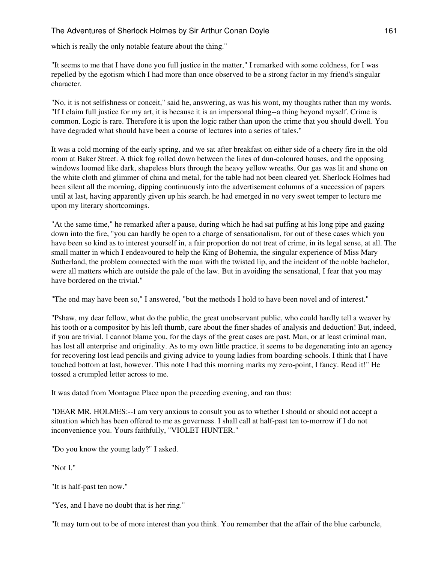which is really the only notable feature about the thing."

"It seems to me that I have done you full justice in the matter," I remarked with some coldness, for I was repelled by the egotism which I had more than once observed to be a strong factor in my friend's singular character.

"No, it is not selfishness or conceit," said he, answering, as was his wont, my thoughts rather than my words. "If I claim full justice for my art, it is because it is an impersonal thing--a thing beyond myself. Crime is common. Logic is rare. Therefore it is upon the logic rather than upon the crime that you should dwell. You have degraded what should have been a course of lectures into a series of tales."

It was a cold morning of the early spring, and we sat after breakfast on either side of a cheery fire in the old room at Baker Street. A thick fog rolled down between the lines of dun-coloured houses, and the opposing windows loomed like dark, shapeless blurs through the heavy yellow wreaths. Our gas was lit and shone on the white cloth and glimmer of china and metal, for the table had not been cleared yet. Sherlock Holmes had been silent all the morning, dipping continuously into the advertisement columns of a succession of papers until at last, having apparently given up his search, he had emerged in no very sweet temper to lecture me upon my literary shortcomings.

"At the same time," he remarked after a pause, during which he had sat puffing at his long pipe and gazing down into the fire, "you can hardly be open to a charge of sensationalism, for out of these cases which you have been so kind as to interest yourself in, a fair proportion do not treat of crime, in its legal sense, at all. The small matter in which I endeavoured to help the King of Bohemia, the singular experience of Miss Mary Sutherland, the problem connected with the man with the twisted lip, and the incident of the noble bachelor, were all matters which are outside the pale of the law. But in avoiding the sensational, I fear that you may have bordered on the trivial."

"The end may have been so," I answered, "but the methods I hold to have been novel and of interest."

"Pshaw, my dear fellow, what do the public, the great unobservant public, who could hardly tell a weaver by his tooth or a compositor by his left thumb, care about the finer shades of analysis and deduction! But, indeed, if you are trivial. I cannot blame you, for the days of the great cases are past. Man, or at least criminal man, has lost all enterprise and originality. As to my own little practice, it seems to be degenerating into an agency for recovering lost lead pencils and giving advice to young ladies from boarding-schools. I think that I have touched bottom at last, however. This note I had this morning marks my zero-point, I fancy. Read it!" He tossed a crumpled letter across to me.

It was dated from Montague Place upon the preceding evening, and ran thus:

"DEAR MR. HOLMES:--I am very anxious to consult you as to whether I should or should not accept a situation which has been offered to me as governess. I shall call at half-past ten to-morrow if I do not inconvenience you. Yours faithfully, "VIOLET HUNTER."

"Do you know the young lady?" I asked.

"Not I."

"It is half-past ten now."

"Yes, and I have no doubt that is her ring."

"It may turn out to be of more interest than you think. You remember that the affair of the blue carbuncle,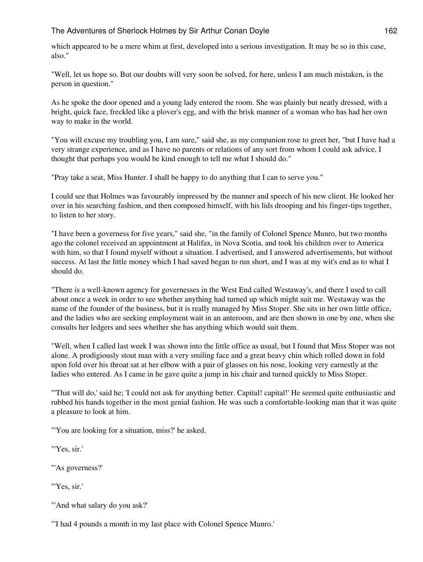which appeared to be a mere whim at first, developed into a serious investigation. It may be so in this case, also."

"Well, let us hope so. But our doubts will very soon be solved, for here, unless I am much mistaken, is the person in question."

As he spoke the door opened and a young lady entered the room. She was plainly but neatly dressed, with a bright, quick face, freckled like a plover's egg, and with the brisk manner of a woman who has had her own way to make in the world.

"You will excuse my troubling you, I am sure," said she, as my companion rose to greet her, "but I have had a very strange experience, and as I have no parents or relations of any sort from whom I could ask advice, I thought that perhaps you would be kind enough to tell me what I should do."

"Pray take a seat, Miss Hunter. I shall be happy to do anything that I can to serve you."

I could see that Holmes was favourably impressed by the manner and speech of his new client. He looked her over in his searching fashion, and then composed himself, with his lids drooping and his finger-tips together, to listen to her story.

"I have been a governess for five years," said she, "in the family of Colonel Spence Munro, but two months ago the colonel received an appointment at Halifax, in Nova Scotia, and took his children over to America with him, so that I found myself without a situation. I advertised, and I answered advertisements, but without success. At last the little money which I had saved began to run short, and I was at my wit's end as to what I should do.

"There is a well-known agency for governesses in the West End called Westaway's, and there I used to call about once a week in order to see whether anything had turned up which might suit me. Westaway was the name of the founder of the business, but it is really managed by Miss Stoper. She sits in her own little office, and the ladies who are seeking employment wait in an anteroom, and are then shown in one by one, when she consults her ledgers and sees whether she has anything which would suit them.

"Well, when I called last week I was shown into the little office as usual, but I found that Miss Stoper was not alone. A prodigiously stout man with a very smiling face and a great heavy chin which rolled down in fold upon fold over his throat sat at her elbow with a pair of glasses on his nose, looking very earnestly at the ladies who entered. As I came in he gave quite a jump in his chair and turned quickly to Miss Stoper.

"'That will do,' said he; 'I could not ask for anything better. Capital! capital!' He seemed quite enthusiastic and rubbed his hands together in the most genial fashion. He was such a comfortable-looking man that it was quite a pleasure to look at him.

"'You are looking for a situation, miss?' he asked.

"'Yes, sir.'

"'As governess?"

"'Yes, sir.'

"'And what salary do you ask?'

"'I had 4 pounds a month in my last place with Colonel Spence Munro.'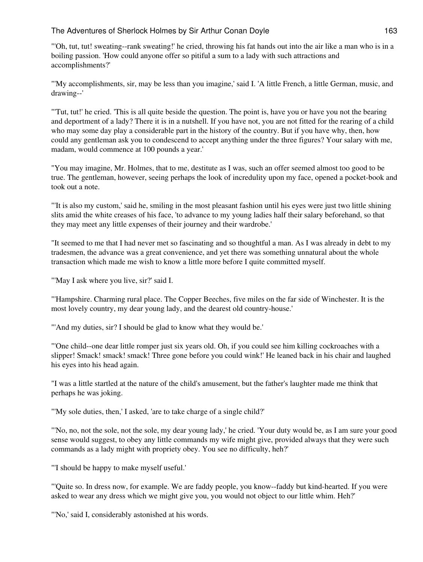"'Oh, tut, tut! sweating--rank sweating!' he cried, throwing his fat hands out into the air like a man who is in a boiling passion. 'How could anyone offer so pitiful a sum to a lady with such attractions and accomplishments?'

"'My accomplishments, sir, may be less than you imagine,' said I. 'A little French, a little German, music, and drawing--'

"'Tut, tut!' he cried. 'This is all quite beside the question. The point is, have you or have you not the bearing and deportment of a lady? There it is in a nutshell. If you have not, you are not fitted for the rearing of a child who may some day play a considerable part in the history of the country. But if you have why, then, how could any gentleman ask you to condescend to accept anything under the three figures? Your salary with me, madam, would commence at 100 pounds a year.'

"You may imagine, Mr. Holmes, that to me, destitute as I was, such an offer seemed almost too good to be true. The gentleman, however, seeing perhaps the look of incredulity upon my face, opened a pocket-book and took out a note.

"'It is also my custom,' said he, smiling in the most pleasant fashion until his eyes were just two little shining slits amid the white creases of his face, 'to advance to my young ladies half their salary beforehand, so that they may meet any little expenses of their journey and their wardrobe.'

"It seemed to me that I had never met so fascinating and so thoughtful a man. As I was already in debt to my tradesmen, the advance was a great convenience, and yet there was something unnatural about the whole transaction which made me wish to know a little more before I quite committed myself.

"'May I ask where you live, sir?' said I.

"'Hampshire. Charming rural place. The Copper Beeches, five miles on the far side of Winchester. It is the most lovely country, my dear young lady, and the dearest old country-house.'

"'And my duties, sir? I should be glad to know what they would be.'

"'One child--one dear little romper just six years old. Oh, if you could see him killing cockroaches with a slipper! Smack! smack! smack! Three gone before you could wink!' He leaned back in his chair and laughed his eyes into his head again.

"I was a little startled at the nature of the child's amusement, but the father's laughter made me think that perhaps he was joking.

"'My sole duties, then,' I asked, 'are to take charge of a single child?'

"'No, no, not the sole, not the sole, my dear young lady,' he cried. 'Your duty would be, as I am sure your good sense would suggest, to obey any little commands my wife might give, provided always that they were such commands as a lady might with propriety obey. You see no difficulty, heh?'

"'I should be happy to make myself useful.'

"'Quite so. In dress now, for example. We are faddy people, you know--faddy but kind-hearted. If you were asked to wear any dress which we might give you, you would not object to our little whim. Heh?'

"'No,' said I, considerably astonished at his words.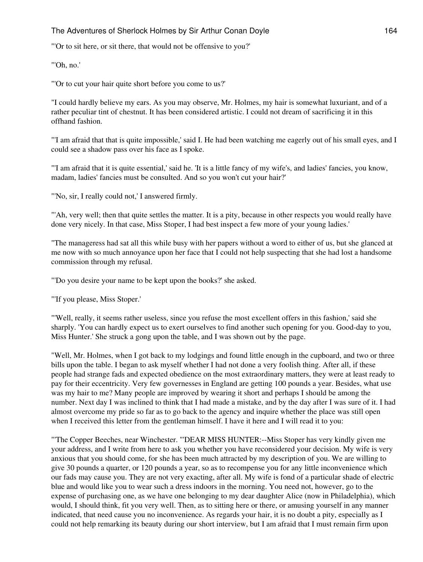"'Or to sit here, or sit there, that would not be offensive to you?'

"'Oh, no.'

"'Or to cut your hair quite short before you come to us?'

"I could hardly believe my ears. As you may observe, Mr. Holmes, my hair is somewhat luxuriant, and of a rather peculiar tint of chestnut. It has been considered artistic. I could not dream of sacrificing it in this offhand fashion.

"'I am afraid that that is quite impossible,' said I. He had been watching me eagerly out of his small eyes, and I could see a shadow pass over his face as I spoke.

"'I am afraid that it is quite essential,' said he. 'It is a little fancy of my wife's, and ladies' fancies, you know, madam, ladies' fancies must be consulted. And so you won't cut your hair?'

"'No, sir, I really could not,' I answered firmly.

"'Ah, very well; then that quite settles the matter. It is a pity, because in other respects you would really have done very nicely. In that case, Miss Stoper, I had best inspect a few more of your young ladies.'

"The manageress had sat all this while busy with her papers without a word to either of us, but she glanced at me now with so much annoyance upon her face that I could not help suspecting that she had lost a handsome commission through my refusal.

"'Do you desire your name to be kept upon the books?' she asked.

"'If you please, Miss Stoper.'

"'Well, really, it seems rather useless, since you refuse the most excellent offers in this fashion,' said she sharply. 'You can hardly expect us to exert ourselves to find another such opening for you. Good-day to you, Miss Hunter.' She struck a gong upon the table, and I was shown out by the page.

"Well, Mr. Holmes, when I got back to my lodgings and found little enough in the cupboard, and two or three bills upon the table. I began to ask myself whether I had not done a very foolish thing. After all, if these people had strange fads and expected obedience on the most extraordinary matters, they were at least ready to pay for their eccentricity. Very few governesses in England are getting 100 pounds a year. Besides, what use was my hair to me? Many people are improved by wearing it short and perhaps I should be among the number. Next day I was inclined to think that I had made a mistake, and by the day after I was sure of it. I had almost overcome my pride so far as to go back to the agency and inquire whether the place was still open when I received this letter from the gentleman himself. I have it here and I will read it to you:

"'The Copper Beeches, near Winchester. "'DEAR MISS HUNTER:--Miss Stoper has very kindly given me your address, and I write from here to ask you whether you have reconsidered your decision. My wife is very anxious that you should come, for she has been much attracted by my description of you. We are willing to give 30 pounds a quarter, or 120 pounds a year, so as to recompense you for any little inconvenience which our fads may cause you. They are not very exacting, after all. My wife is fond of a particular shade of electric blue and would like you to wear such a dress indoors in the morning. You need not, however, go to the expense of purchasing one, as we have one belonging to my dear daughter Alice (now in Philadelphia), which would, I should think, fit you very well. Then, as to sitting here or there, or amusing yourself in any manner indicated, that need cause you no inconvenience. As regards your hair, it is no doubt a pity, especially as I could not help remarking its beauty during our short interview, but I am afraid that I must remain firm upon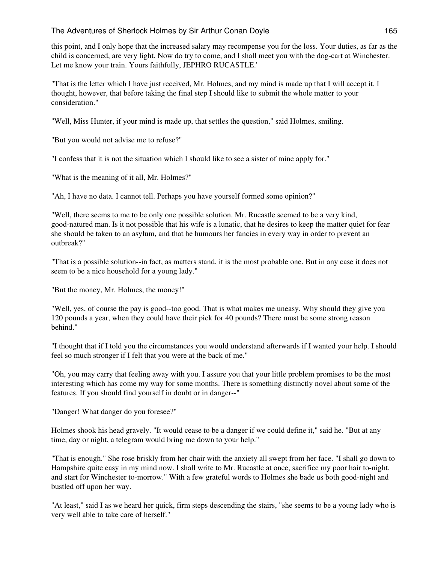this point, and I only hope that the increased salary may recompense you for the loss. Your duties, as far as the child is concerned, are very light. Now do try to come, and I shall meet you with the dog-cart at Winchester. Let me know your train. Yours faithfully, JEPHRO RUCASTLE.'

"That is the letter which I have just received, Mr. Holmes, and my mind is made up that I will accept it. I thought, however, that before taking the final step I should like to submit the whole matter to your consideration."

"Well, Miss Hunter, if your mind is made up, that settles the question," said Holmes, smiling.

"But you would not advise me to refuse?"

"I confess that it is not the situation which I should like to see a sister of mine apply for."

"What is the meaning of it all, Mr. Holmes?"

"Ah, I have no data. I cannot tell. Perhaps you have yourself formed some opinion?"

"Well, there seems to me to be only one possible solution. Mr. Rucastle seemed to be a very kind, good-natured man. Is it not possible that his wife is a lunatic, that he desires to keep the matter quiet for fear she should be taken to an asylum, and that he humours her fancies in every way in order to prevent an outbreak?"

"That is a possible solution--in fact, as matters stand, it is the most probable one. But in any case it does not seem to be a nice household for a young lady."

"But the money, Mr. Holmes, the money!"

"Well, yes, of course the pay is good--too good. That is what makes me uneasy. Why should they give you 120 pounds a year, when they could have their pick for 40 pounds? There must be some strong reason behind."

"I thought that if I told you the circumstances you would understand afterwards if I wanted your help. I should feel so much stronger if I felt that you were at the back of me."

"Oh, you may carry that feeling away with you. I assure you that your little problem promises to be the most interesting which has come my way for some months. There is something distinctly novel about some of the features. If you should find yourself in doubt or in danger--"

"Danger! What danger do you foresee?"

Holmes shook his head gravely. "It would cease to be a danger if we could define it," said he. "But at any time, day or night, a telegram would bring me down to your help."

"That is enough." She rose briskly from her chair with the anxiety all swept from her face. "I shall go down to Hampshire quite easy in my mind now. I shall write to Mr. Rucastle at once, sacrifice my poor hair to-night, and start for Winchester to-morrow." With a few grateful words to Holmes she bade us both good-night and bustled off upon her way.

"At least," said I as we heard her quick, firm steps descending the stairs, "she seems to be a young lady who is very well able to take care of herself."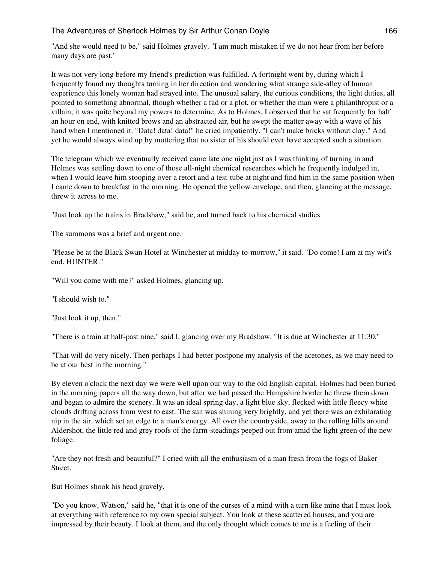"And she would need to be," said Holmes gravely. "I am much mistaken if we do not hear from her before many days are past."

It was not very long before my friend's prediction was fulfilled. A fortnight went by, during which I frequently found my thoughts turning in her direction and wondering what strange side-alley of human experience this lonely woman had strayed into. The unusual salary, the curious conditions, the light duties, all pointed to something abnormal, though whether a fad or a plot, or whether the man were a philanthropist or a villain, it was quite beyond my powers to determine. As to Holmes, I observed that he sat frequently for half an hour on end, with knitted brows and an abstracted air, but he swept the matter away with a wave of his hand when I mentioned it. "Data! data! data!" he cried impatiently. "I can't make bricks without clay." And yet he would always wind up by muttering that no sister of his should ever have accepted such a situation.

The telegram which we eventually received came late one night just as I was thinking of turning in and Holmes was settling down to one of those all-night chemical researches which he frequently indulged in, when I would leave him stooping over a retort and a test-tube at night and find him in the same position when I came down to breakfast in the morning. He opened the yellow envelope, and then, glancing at the message, threw it across to me.

"Just look up the trains in Bradshaw," said he, and turned back to his chemical studies.

The summons was a brief and urgent one.

"Please be at the Black Swan Hotel at Winchester at midday to-morrow," it said. "Do come! I am at my wit's end. HUNTER."

"Will you come with me?" asked Holmes, glancing up.

"I should wish to."

"Just look it up, then."

"There is a train at half-past nine," said I, glancing over my Bradshaw. "It is due at Winchester at 11:30."

"That will do very nicely. Then perhaps I had better postpone my analysis of the acetones, as we may need to be at our best in the morning."

By eleven o'clock the next day we were well upon our way to the old English capital. Holmes had been buried in the morning papers all the way down, but after we had passed the Hampshire border he threw them down and began to admire the scenery. It was an ideal spring day, a light blue sky, flecked with little fleecy white clouds drifting across from west to east. The sun was shining very brightly, and yet there was an exhilarating nip in the air, which set an edge to a man's energy. All over the countryside, away to the rolling hills around Aldershot, the little red and grey roofs of the farm-steadings peeped out from amid the light green of the new foliage.

"Are they not fresh and beautiful?" I cried with all the enthusiasm of a man fresh from the fogs of Baker Street.

But Holmes shook his head gravely.

"Do you know, Watson," said he, "that it is one of the curses of a mind with a turn like mine that I must look at everything with reference to my own special subject. You look at these scattered houses, and you are impressed by their beauty. I look at them, and the only thought which comes to me is a feeling of their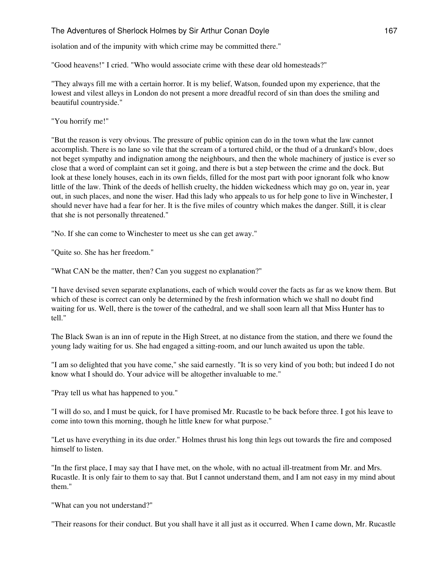isolation and of the impunity with which crime may be committed there."

"Good heavens!" I cried. "Who would associate crime with these dear old homesteads?"

"They always fill me with a certain horror. It is my belief, Watson, founded upon my experience, that the lowest and vilest alleys in London do not present a more dreadful record of sin than does the smiling and beautiful countryside."

"You horrify me!"

"But the reason is very obvious. The pressure of public opinion can do in the town what the law cannot accomplish. There is no lane so vile that the scream of a tortured child, or the thud of a drunkard's blow, does not beget sympathy and indignation among the neighbours, and then the whole machinery of justice is ever so close that a word of complaint can set it going, and there is but a step between the crime and the dock. But look at these lonely houses, each in its own fields, filled for the most part with poor ignorant folk who know little of the law. Think of the deeds of hellish cruelty, the hidden wickedness which may go on, year in, year out, in such places, and none the wiser. Had this lady who appeals to us for help gone to live in Winchester, I should never have had a fear for her. It is the five miles of country which makes the danger. Still, it is clear that she is not personally threatened."

"No. If she can come to Winchester to meet us she can get away."

"Quite so. She has her freedom."

"What CAN be the matter, then? Can you suggest no explanation?"

"I have devised seven separate explanations, each of which would cover the facts as far as we know them. But which of these is correct can only be determined by the fresh information which we shall no doubt find waiting for us. Well, there is the tower of the cathedral, and we shall soon learn all that Miss Hunter has to tell."

The Black Swan is an inn of repute in the High Street, at no distance from the station, and there we found the young lady waiting for us. She had engaged a sitting-room, and our lunch awaited us upon the table.

"I am so delighted that you have come," she said earnestly. "It is so very kind of you both; but indeed I do not know what I should do. Your advice will be altogether invaluable to me."

"Pray tell us what has happened to you."

"I will do so, and I must be quick, for I have promised Mr. Rucastle to be back before three. I got his leave to come into town this morning, though he little knew for what purpose."

"Let us have everything in its due order." Holmes thrust his long thin legs out towards the fire and composed himself to listen.

"In the first place, I may say that I have met, on the whole, with no actual ill-treatment from Mr. and Mrs. Rucastle. It is only fair to them to say that. But I cannot understand them, and I am not easy in my mind about them."

"What can you not understand?"

"Their reasons for their conduct. But you shall have it all just as it occurred. When I came down, Mr. Rucastle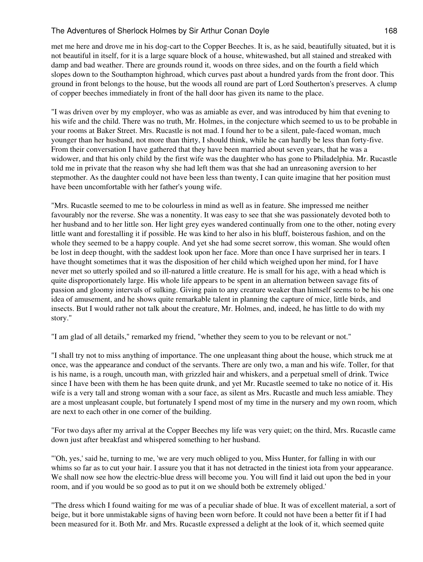met me here and drove me in his dog-cart to the Copper Beeches. It is, as he said, beautifully situated, but it is not beautiful in itself, for it is a large square block of a house, whitewashed, but all stained and streaked with damp and bad weather. There are grounds round it, woods on three sides, and on the fourth a field which slopes down to the Southampton highroad, which curves past about a hundred yards from the front door. This ground in front belongs to the house, but the woods all round are part of Lord Southerton's preserves. A clump of copper beeches immediately in front of the hall door has given its name to the place.

"I was driven over by my employer, who was as amiable as ever, and was introduced by him that evening to his wife and the child. There was no truth, Mr. Holmes, in the conjecture which seemed to us to be probable in your rooms at Baker Street. Mrs. Rucastle is not mad. I found her to be a silent, pale-faced woman, much younger than her husband, not more than thirty, I should think, while he can hardly be less than forty-five. From their conversation I have gathered that they have been married about seven years, that he was a widower, and that his only child by the first wife was the daughter who has gone to Philadelphia. Mr. Rucastle told me in private that the reason why she had left them was that she had an unreasoning aversion to her stepmother. As the daughter could not have been less than twenty, I can quite imagine that her position must have been uncomfortable with her father's young wife.

"Mrs. Rucastle seemed to me to be colourless in mind as well as in feature. She impressed me neither favourably nor the reverse. She was a nonentity. It was easy to see that she was passionately devoted both to her husband and to her little son. Her light grey eyes wandered continually from one to the other, noting every little want and forestalling it if possible. He was kind to her also in his bluff, boisterous fashion, and on the whole they seemed to be a happy couple. And yet she had some secret sorrow, this woman. She would often be lost in deep thought, with the saddest look upon her face. More than once I have surprised her in tears. I have thought sometimes that it was the disposition of her child which weighed upon her mind, for I have never met so utterly spoiled and so ill-natured a little creature. He is small for his age, with a head which is quite disproportionately large. His whole life appears to be spent in an alternation between savage fits of passion and gloomy intervals of sulking. Giving pain to any creature weaker than himself seems to be his one idea of amusement, and he shows quite remarkable talent in planning the capture of mice, little birds, and insects. But I would rather not talk about the creature, Mr. Holmes, and, indeed, he has little to do with my story."

"I am glad of all details," remarked my friend, "whether they seem to you to be relevant or not."

"I shall try not to miss anything of importance. The one unpleasant thing about the house, which struck me at once, was the appearance and conduct of the servants. There are only two, a man and his wife. Toller, for that is his name, is a rough, uncouth man, with grizzled hair and whiskers, and a perpetual smell of drink. Twice since I have been with them he has been quite drunk, and yet Mr. Rucastle seemed to take no notice of it. His wife is a very tall and strong woman with a sour face, as silent as Mrs. Rucastle and much less amiable. They are a most unpleasant couple, but fortunately I spend most of my time in the nursery and my own room, which are next to each other in one corner of the building.

"For two days after my arrival at the Copper Beeches my life was very quiet; on the third, Mrs. Rucastle came down just after breakfast and whispered something to her husband.

"'Oh, yes,' said he, turning to me, 'we are very much obliged to you, Miss Hunter, for falling in with our whims so far as to cut your hair. I assure you that it has not detracted in the tiniest iota from your appearance. We shall now see how the electric-blue dress will become you. You will find it laid out upon the bed in your room, and if you would be so good as to put it on we should both be extremely obliged.'

"The dress which I found waiting for me was of a peculiar shade of blue. It was of excellent material, a sort of beige, but it bore unmistakable signs of having been worn before. It could not have been a better fit if I had been measured for it. Both Mr. and Mrs. Rucastle expressed a delight at the look of it, which seemed quite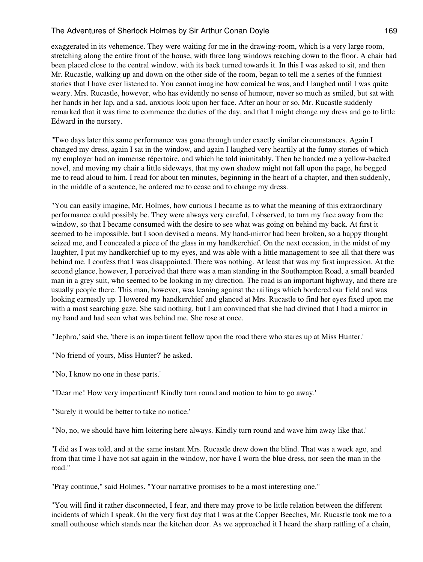exaggerated in its vehemence. They were waiting for me in the drawing-room, which is a very large room, stretching along the entire front of the house, with three long windows reaching down to the floor. A chair had been placed close to the central window, with its back turned towards it. In this I was asked to sit, and then Mr. Rucastle, walking up and down on the other side of the room, began to tell me a series of the funniest stories that I have ever listened to. You cannot imagine how comical he was, and I laughed until I was quite weary. Mrs. Rucastle, however, who has evidently no sense of humour, never so much as smiled, but sat with her hands in her lap, and a sad, anxious look upon her face. After an hour or so, Mr. Rucastle suddenly remarked that it was time to commence the duties of the day, and that I might change my dress and go to little Edward in the nursery.

"Two days later this same performance was gone through under exactly similar circumstances. Again I changed my dress, again I sat in the window, and again I laughed very heartily at the funny stories of which my employer had an immense répertoire, and which he told inimitably. Then he handed me a yellow-backed novel, and moving my chair a little sideways, that my own shadow might not fall upon the page, he begged me to read aloud to him. I read for about ten minutes, beginning in the heart of a chapter, and then suddenly, in the middle of a sentence, he ordered me to cease and to change my dress.

"You can easily imagine, Mr. Holmes, how curious I became as to what the meaning of this extraordinary performance could possibly be. They were always very careful, I observed, to turn my face away from the window, so that I became consumed with the desire to see what was going on behind my back. At first it seemed to be impossible, but I soon devised a means. My hand-mirror had been broken, so a happy thought seized me, and I concealed a piece of the glass in my handkerchief. On the next occasion, in the midst of my laughter, I put my handkerchief up to my eyes, and was able with a little management to see all that there was behind me. I confess that I was disappointed. There was nothing. At least that was my first impression. At the second glance, however, I perceived that there was a man standing in the Southampton Road, a small bearded man in a grey suit, who seemed to be looking in my direction. The road is an important highway, and there are usually people there. This man, however, was leaning against the railings which bordered our field and was looking earnestly up. I lowered my handkerchief and glanced at Mrs. Rucastle to find her eyes fixed upon me with a most searching gaze. She said nothing, but I am convinced that she had divined that I had a mirror in my hand and had seen what was behind me. She rose at once.

"'Jephro,' said she, 'there is an impertinent fellow upon the road there who stares up at Miss Hunter.'

"'No friend of yours, Miss Hunter?' he asked.

"'No, I know no one in these parts.'

"'Dear me! How very impertinent! Kindly turn round and motion to him to go away.'

"'Surely it would be better to take no notice.'

"'No, no, we should have him loitering here always. Kindly turn round and wave him away like that.'

"I did as I was told, and at the same instant Mrs. Rucastle drew down the blind. That was a week ago, and from that time I have not sat again in the window, nor have I worn the blue dress, nor seen the man in the road."

"Pray continue," said Holmes. "Your narrative promises to be a most interesting one."

"You will find it rather disconnected, I fear, and there may prove to be little relation between the different incidents of which I speak. On the very first day that I was at the Copper Beeches, Mr. Rucastle took me to a small outhouse which stands near the kitchen door. As we approached it I heard the sharp rattling of a chain,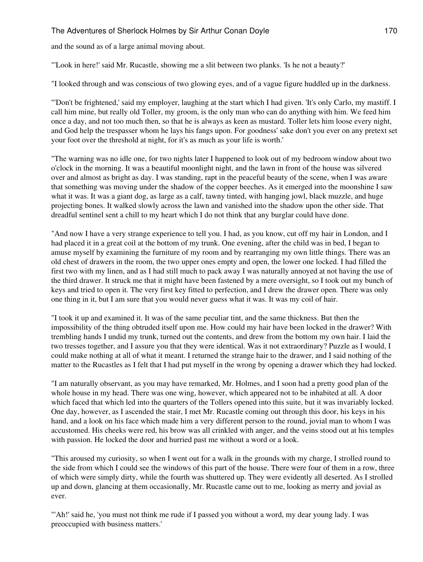and the sound as of a large animal moving about.

"'Look in here!' said Mr. Rucastle, showing me a slit between two planks. 'Is he not a beauty?'

"I looked through and was conscious of two glowing eyes, and of a vague figure huddled up in the darkness.

"'Don't be frightened,' said my employer, laughing at the start which I had given. 'It's only Carlo, my mastiff. I call him mine, but really old Toller, my groom, is the only man who can do anything with him. We feed him once a day, and not too much then, so that he is always as keen as mustard. Toller lets him loose every night, and God help the trespasser whom he lays his fangs upon. For goodness' sake don't you ever on any pretext set your foot over the threshold at night, for it's as much as your life is worth.'

"The warning was no idle one, for two nights later I happened to look out of my bedroom window about two o'clock in the morning. It was a beautiful moonlight night, and the lawn in front of the house was silvered over and almost as bright as day. I was standing, rapt in the peaceful beauty of the scene, when I was aware that something was moving under the shadow of the copper beeches. As it emerged into the moonshine I saw what it was. It was a giant dog, as large as a calf, tawny tinted, with hanging jowl, black muzzle, and huge projecting bones. It walked slowly across the lawn and vanished into the shadow upon the other side. That dreadful sentinel sent a chill to my heart which I do not think that any burglar could have done.

"And now I have a very strange experience to tell you. I had, as you know, cut off my hair in London, and I had placed it in a great coil at the bottom of my trunk. One evening, after the child was in bed, I began to amuse myself by examining the furniture of my room and by rearranging my own little things. There was an old chest of drawers in the room, the two upper ones empty and open, the lower one locked. I had filled the first two with my linen, and as I had still much to pack away I was naturally annoyed at not having the use of the third drawer. It struck me that it might have been fastened by a mere oversight, so I took out my bunch of keys and tried to open it. The very first key fitted to perfection, and I drew the drawer open. There was only one thing in it, but I am sure that you would never guess what it was. It was my coil of hair.

"I took it up and examined it. It was of the same peculiar tint, and the same thickness. But then the impossibility of the thing obtruded itself upon me. How could my hair have been locked in the drawer? With trembling hands I undid my trunk, turned out the contents, and drew from the bottom my own hair. I laid the two tresses together, and I assure you that they were identical. Was it not extraordinary? Puzzle as I would, I could make nothing at all of what it meant. I returned the strange hair to the drawer, and I said nothing of the matter to the Rucastles as I felt that I had put myself in the wrong by opening a drawer which they had locked.

"I am naturally observant, as you may have remarked, Mr. Holmes, and I soon had a pretty good plan of the whole house in my head. There was one wing, however, which appeared not to be inhabited at all. A door which faced that which led into the quarters of the Tollers opened into this suite, but it was invariably locked. One day, however, as I ascended the stair, I met Mr. Rucastle coming out through this door, his keys in his hand, and a look on his face which made him a very different person to the round, jovial man to whom I was accustomed. His cheeks were red, his brow was all crinkled with anger, and the veins stood out at his temples with passion. He locked the door and hurried past me without a word or a look.

"This aroused my curiosity, so when I went out for a walk in the grounds with my charge, I strolled round to the side from which I could see the windows of this part of the house. There were four of them in a row, three of which were simply dirty, while the fourth was shuttered up. They were evidently all deserted. As I strolled up and down, glancing at them occasionally, Mr. Rucastle came out to me, looking as merry and jovial as ever.

"'Ah!' said he, 'you must not think me rude if I passed you without a word, my dear young lady. I was preoccupied with business matters.'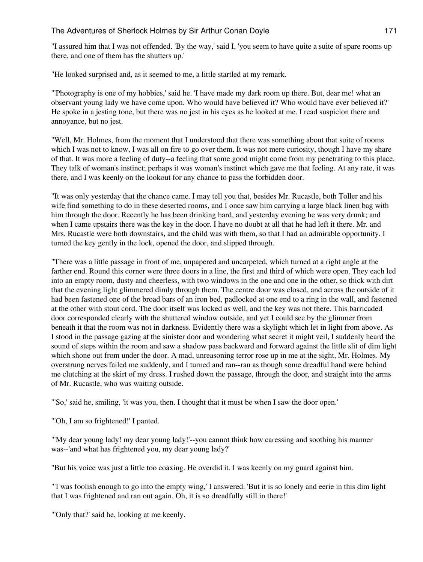"I assured him that I was not offended. 'By the way,' said I, 'you seem to have quite a suite of spare rooms up there, and one of them has the shutters up.'

"He looked surprised and, as it seemed to me, a little startled at my remark.

"'Photography is one of my hobbies,' said he. 'I have made my dark room up there. But, dear me! what an observant young lady we have come upon. Who would have believed it? Who would have ever believed it?' He spoke in a jesting tone, but there was no jest in his eyes as he looked at me. I read suspicion there and annoyance, but no jest.

"Well, Mr. Holmes, from the moment that I understood that there was something about that suite of rooms which I was not to know, I was all on fire to go over them. It was not mere curiosity, though I have my share of that. It was more a feeling of duty--a feeling that some good might come from my penetrating to this place. They talk of woman's instinct; perhaps it was woman's instinct which gave me that feeling. At any rate, it was there, and I was keenly on the lookout for any chance to pass the forbidden door.

"It was only yesterday that the chance came. I may tell you that, besides Mr. Rucastle, both Toller and his wife find something to do in these deserted rooms, and I once saw him carrying a large black linen bag with him through the door. Recently he has been drinking hard, and yesterday evening he was very drunk; and when I came upstairs there was the key in the door. I have no doubt at all that he had left it there. Mr. and Mrs. Rucastle were both downstairs, and the child was with them, so that I had an admirable opportunity. I turned the key gently in the lock, opened the door, and slipped through.

"There was a little passage in front of me, unpapered and uncarpeted, which turned at a right angle at the farther end. Round this corner were three doors in a line, the first and third of which were open. They each led into an empty room, dusty and cheerless, with two windows in the one and one in the other, so thick with dirt that the evening light glimmered dimly through them. The centre door was closed, and across the outside of it had been fastened one of the broad bars of an iron bed, padlocked at one end to a ring in the wall, and fastened at the other with stout cord. The door itself was locked as well, and the key was not there. This barricaded door corresponded clearly with the shuttered window outside, and yet I could see by the glimmer from beneath it that the room was not in darkness. Evidently there was a skylight which let in light from above. As I stood in the passage gazing at the sinister door and wondering what secret it might veil, I suddenly heard the sound of steps within the room and saw a shadow pass backward and forward against the little slit of dim light which shone out from under the door. A mad, unreasoning terror rose up in me at the sight, Mr. Holmes. My overstrung nerves failed me suddenly, and I turned and ran--ran as though some dreadful hand were behind me clutching at the skirt of my dress. I rushed down the passage, through the door, and straight into the arms of Mr. Rucastle, who was waiting outside.

"'So,' said he, smiling, 'it was you, then. I thought that it must be when I saw the door open.'

"'Oh, I am so frightened!' I panted.

"'My dear young lady! my dear young lady!'--you cannot think how caressing and soothing his manner was--'and what has frightened you, my dear young lady?'

"But his voice was just a little too coaxing. He overdid it. I was keenly on my guard against him.

"'I was foolish enough to go into the empty wing,' I answered. 'But it is so lonely and eerie in this dim light that I was frightened and ran out again. Oh, it is so dreadfully still in there!'

"'Only that?' said he, looking at me keenly.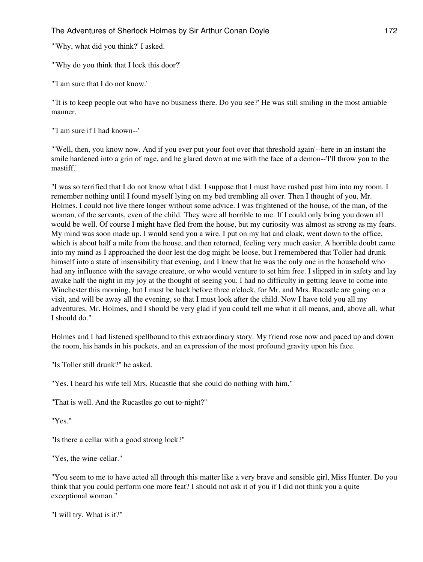"'Why, what did you think?' I asked.

"'Why do you think that I lock this door?'

"'I am sure that I do not know.'

"'It is to keep people out who have no business there. Do you see?' He was still smiling in the most amiable manner.

"'I am sure if I had known--'

"'Well, then, you know now. And if you ever put your foot over that threshold again'--here in an instant the smile hardened into a grin of rage, and he glared down at me with the face of a demon--'I'll throw you to the mastiff.'

"I was so terrified that I do not know what I did. I suppose that I must have rushed past him into my room. I remember nothing until I found myself lying on my bed trembling all over. Then I thought of you, Mr. Holmes. I could not live there longer without some advice. I was frightened of the house, of the man, of the woman, of the servants, even of the child. They were all horrible to me. If I could only bring you down all would be well. Of course I might have fled from the house, but my curiosity was almost as strong as my fears. My mind was soon made up. I would send you a wire. I put on my hat and cloak, went down to the office, which is about half a mile from the house, and then returned, feeling very much easier. A horrible doubt came into my mind as I approached the door lest the dog might be loose, but I remembered that Toller had drunk himself into a state of insensibility that evening, and I knew that he was the only one in the household who had any influence with the savage creature, or who would venture to set him free. I slipped in in safety and lay awake half the night in my joy at the thought of seeing you. I had no difficulty in getting leave to come into Winchester this morning, but I must be back before three o'clock, for Mr. and Mrs. Rucastle are going on a visit, and will be away all the evening, so that I must look after the child. Now I have told you all my adventures, Mr. Holmes, and I should be very glad if you could tell me what it all means, and, above all, what I should do."

Holmes and I had listened spellbound to this extraordinary story. My friend rose now and paced up and down the room, his hands in his pockets, and an expression of the most profound gravity upon his face.

"Is Toller still drunk?" he asked.

"Yes. I heard his wife tell Mrs. Rucastle that she could do nothing with him."

"That is well. And the Rucastles go out to-night?"

"Yes."

"Is there a cellar with a good strong lock?"

"Yes, the wine-cellar."

"You seem to me to have acted all through this matter like a very brave and sensible girl, Miss Hunter. Do you think that you could perform one more feat? I should not ask it of you if I did not think you a quite exceptional woman."

"I will try. What is it?"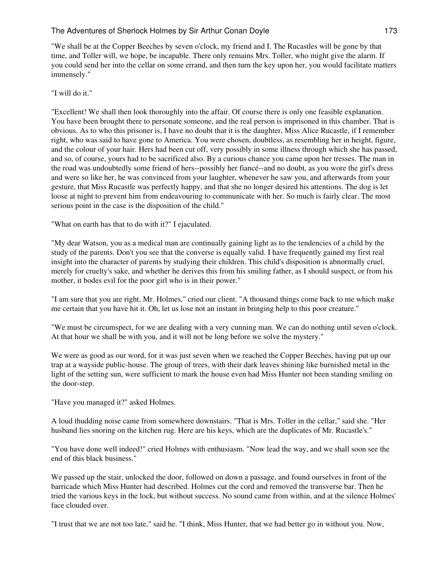"We shall be at the Copper Beeches by seven o'clock, my friend and I. The Rucastles will be gone by that time, and Toller will, we hope, be incapable. There only remains Mrs. Toller, who might give the alarm. If you could send her into the cellar on some errand, and then turn the key upon her, you would facilitate matters immensely."

#### "I will do it."

"Excellent! We shall then look thoroughly into the affair. Of course there is only one feasible explanation. You have been brought there to personate someone, and the real person is imprisoned in this chamber. That is obvious. As to who this prisoner is, I have no doubt that it is the daughter, Miss Alice Rucastle, if I remember right, who was said to have gone to America. You were chosen, doubtless, as resembling her in height, figure, and the colour of your hair. Hers had been cut off, very possibly in some illness through which she has passed, and so, of course, yours had to be sacrificed also. By a curious chance you came upon her tresses. The man in the road was undoubtedly some friend of hers--possibly her fiancé--and no doubt, as you wore the girl's dress and were so like her, he was convinced from your laughter, whenever he saw you, and afterwards from your gesture, that Miss Rucastle was perfectly happy, and that she no longer desired his attentions. The dog is let loose at night to prevent him from endeavouring to communicate with her. So much is fairly clear. The most serious point in the case is the disposition of the child."

"What on earth has that to do with it?" I ejaculated.

"My dear Watson, you as a medical man are continually gaining light as to the tendencies of a child by the study of the parents. Don't you see that the converse is equally valid. I have frequently gained my first real insight into the character of parents by studying their children. This child's disposition is abnormally cruel, merely for cruelty's sake, and whether he derives this from his smiling father, as I should suspect, or from his mother, it bodes evil for the poor girl who is in their power."

"I am sure that you are right, Mr. Holmes," cried our client. "A thousand things come back to me which make me certain that you have hit it. Oh, let us lose not an instant in bringing help to this poor creature."

"We must be circumspect, for we are dealing with a very cunning man. We can do nothing until seven o'clock. At that hour we shall be with you, and it will not be long before we solve the mystery."

We were as good as our word, for it was just seven when we reached the Copper Beeches, having put up our trap at a wayside public-house. The group of trees, with their dark leaves shining like burnished metal in the light of the setting sun, were sufficient to mark the house even had Miss Hunter not been standing smiling on the door-step.

"Have you managed it?" asked Holmes.

A loud thudding noise came from somewhere downstairs. "That is Mrs. Toller in the cellar," said she. "Her husband lies snoring on the kitchen rug. Here are his keys, which are the duplicates of Mr. Rucastle's."

"You have done well indeed!" cried Holmes with enthusiasm. "Now lead the way, and we shall soon see the end of this black business."

We passed up the stair, unlocked the door, followed on down a passage, and found ourselves in front of the barricade which Miss Hunter had described. Holmes cut the cord and removed the transverse bar. Then he tried the various keys in the lock, but without success. No sound came from within, and at the silence Holmes' face clouded over.

"I trust that we are not too late," said he. "I think, Miss Hunter, that we had better go in without you. Now,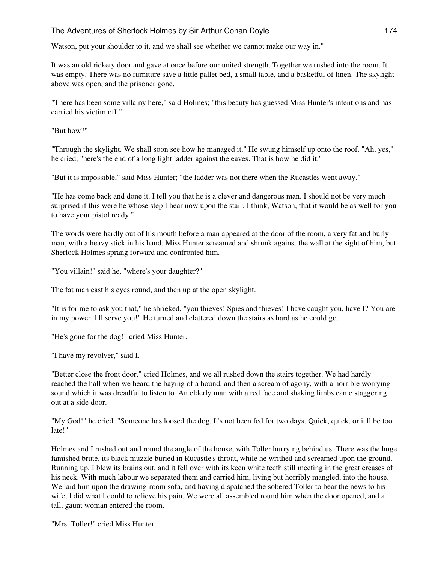Watson, put your shoulder to it, and we shall see whether we cannot make our way in."

It was an old rickety door and gave at once before our united strength. Together we rushed into the room. It was empty. There was no furniture save a little pallet bed, a small table, and a basketful of linen. The skylight above was open, and the prisoner gone.

"There has been some villainy here," said Holmes; "this beauty has guessed Miss Hunter's intentions and has carried his victim off."

"But how?"

"Through the skylight. We shall soon see how he managed it." He swung himself up onto the roof. "Ah, yes," he cried, "here's the end of a long light ladder against the eaves. That is how he did it."

"But it is impossible," said Miss Hunter; "the ladder was not there when the Rucastles went away."

"He has come back and done it. I tell you that he is a clever and dangerous man. I should not be very much surprised if this were he whose step I hear now upon the stair. I think, Watson, that it would be as well for you to have your pistol ready."

The words were hardly out of his mouth before a man appeared at the door of the room, a very fat and burly man, with a heavy stick in his hand. Miss Hunter screamed and shrunk against the wall at the sight of him, but Sherlock Holmes sprang forward and confronted him.

"You villain!" said he, "where's your daughter?"

The fat man cast his eyes round, and then up at the open skylight.

"It is for me to ask you that," he shrieked, "you thieves! Spies and thieves! I have caught you, have I? You are in my power. I'll serve you!" He turned and clattered down the stairs as hard as he could go.

"He's gone for the dog!" cried Miss Hunter.

"I have my revolver," said I.

"Better close the front door," cried Holmes, and we all rushed down the stairs together. We had hardly reached the hall when we heard the baying of a hound, and then a scream of agony, with a horrible worrying sound which it was dreadful to listen to. An elderly man with a red face and shaking limbs came staggering out at a side door.

"My God!" he cried. "Someone has loosed the dog. It's not been fed for two days. Quick, quick, or it'll be too late!"

Holmes and I rushed out and round the angle of the house, with Toller hurrying behind us. There was the huge famished brute, its black muzzle buried in Rucastle's throat, while he writhed and screamed upon the ground. Running up, I blew its brains out, and it fell over with its keen white teeth still meeting in the great creases of his neck. With much labour we separated them and carried him, living but horribly mangled, into the house. We laid him upon the drawing-room sofa, and having dispatched the sobered Toller to bear the news to his wife, I did what I could to relieve his pain. We were all assembled round him when the door opened, and a tall, gaunt woman entered the room.

"Mrs. Toller!" cried Miss Hunter.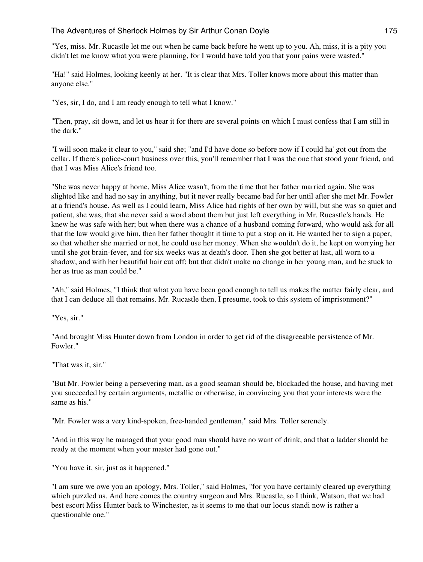"Yes, miss. Mr. Rucastle let me out when he came back before he went up to you. Ah, miss, it is a pity you didn't let me know what you were planning, for I would have told you that your pains were wasted."

"Ha!" said Holmes, looking keenly at her. "It is clear that Mrs. Toller knows more about this matter than anyone else."

"Yes, sir, I do, and I am ready enough to tell what I know."

"Then, pray, sit down, and let us hear it for there are several points on which I must confess that I am still in the dark."

"I will soon make it clear to you," said she; "and I'd have done so before now if I could ha' got out from the cellar. If there's police-court business over this, you'll remember that I was the one that stood your friend, and that I was Miss Alice's friend too.

"She was never happy at home, Miss Alice wasn't, from the time that her father married again. She was slighted like and had no say in anything, but it never really became bad for her until after she met Mr. Fowler at a friend's house. As well as I could learn, Miss Alice had rights of her own by will, but she was so quiet and patient, she was, that she never said a word about them but just left everything in Mr. Rucastle's hands. He knew he was safe with her; but when there was a chance of a husband coming forward, who would ask for all that the law would give him, then her father thought it time to put a stop on it. He wanted her to sign a paper, so that whether she married or not, he could use her money. When she wouldn't do it, he kept on worrying her until she got brain-fever, and for six weeks was at death's door. Then she got better at last, all worn to a shadow, and with her beautiful hair cut off; but that didn't make no change in her young man, and he stuck to her as true as man could be."

"Ah," said Holmes, "I think that what you have been good enough to tell us makes the matter fairly clear, and that I can deduce all that remains. Mr. Rucastle then, I presume, took to this system of imprisonment?"

"Yes, sir."

"And brought Miss Hunter down from London in order to get rid of the disagreeable persistence of Mr. Fowler."

"That was it, sir."

"But Mr. Fowler being a persevering man, as a good seaman should be, blockaded the house, and having met you succeeded by certain arguments, metallic or otherwise, in convincing you that your interests were the same as his."

"Mr. Fowler was a very kind-spoken, free-handed gentleman," said Mrs. Toller serenely.

"And in this way he managed that your good man should have no want of drink, and that a ladder should be ready at the moment when your master had gone out."

"You have it, sir, just as it happened."

"I am sure we owe you an apology, Mrs. Toller," said Holmes, "for you have certainly cleared up everything which puzzled us. And here comes the country surgeon and Mrs. Rucastle, so I think, Watson, that we had best escort Miss Hunter back to Winchester, as it seems to me that our locus standi now is rather a questionable one."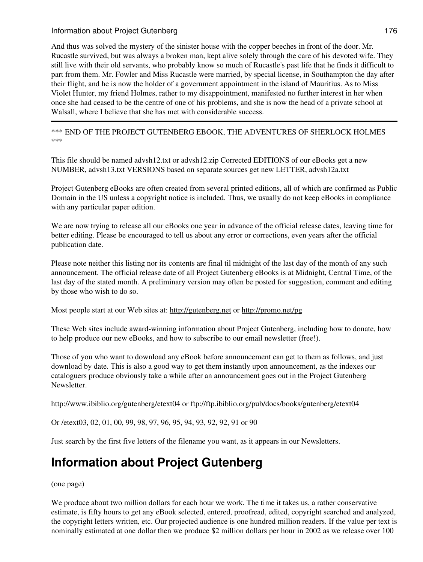# Information about Project Gutenberg 176

And thus was solved the mystery of the sinister house with the copper beeches in front of the door. Mr. Rucastle survived, but was always a broken man, kept alive solely through the care of his devoted wife. They still live with their old servants, who probably know so much of Rucastle's past life that he finds it difficult to part from them. Mr. Fowler and Miss Rucastle were married, by special license, in Southampton the day after their flight, and he is now the holder of a government appointment in the island of Mauritius. As to Miss Violet Hunter, my friend Holmes, rather to my disappointment, manifested no further interest in her when once she had ceased to be the centre of one of his problems, and she is now the head of a private school at Walsall, where I believe that she has met with considerable success.

\*\*\* END OF THE PROJECT GUTENBERG EBOOK, THE ADVENTURES OF SHERLOCK HOLMES \*\*\*

This file should be named advsh12.txt or advsh12.zip Corrected EDITIONS of our eBooks get a new NUMBER, advsh13.txt VERSIONS based on separate sources get new LETTER, advsh12a.txt

Project Gutenberg eBooks are often created from several printed editions, all of which are confirmed as Public Domain in the US unless a copyright notice is included. Thus, we usually do not keep eBooks in compliance with any particular paper edition.

We are now trying to release all our eBooks one year in advance of the official release dates, leaving time for better editing. Please be encouraged to tell us about any error or corrections, even years after the official publication date.

Please note neither this listing nor its contents are final til midnight of the last day of the month of any such announcement. The official release date of all Project Gutenberg eBooks is at Midnight, Central Time, of the last day of the stated month. A preliminary version may often be posted for suggestion, comment and editing by those who wish to do so.

Most people start at our Web sites at: <http://gutenberg.net> or <http://promo.net/pg>

These Web sites include award-winning information about Project Gutenberg, including how to donate, how to help produce our new eBooks, and how to subscribe to our email newsletter (free!).

Those of you who want to download any eBook before announcement can get to them as follows, and just download by date. This is also a good way to get them instantly upon announcement, as the indexes our cataloguers produce obviously take a while after an announcement goes out in the Project Gutenberg **Newsletter** 

http://www.ibiblio.org/gutenberg/etext04 or ftp://ftp.ibiblio.org/pub/docs/books/gutenberg/etext04

Or /etext03, 02, 01, 00, 99, 98, 97, 96, 95, 94, 93, 92, 92, 91 or 90

Just search by the first five letters of the filename you want, as it appears in our Newsletters.

# **Information about Project Gutenberg**

(one page)

We produce about two million dollars for each hour we work. The time it takes us, a rather conservative estimate, is fifty hours to get any eBook selected, entered, proofread, edited, copyright searched and analyzed, the copyright letters written, etc. Our projected audience is one hundred million readers. If the value per text is nominally estimated at one dollar then we produce \$2 million dollars per hour in 2002 as we release over 100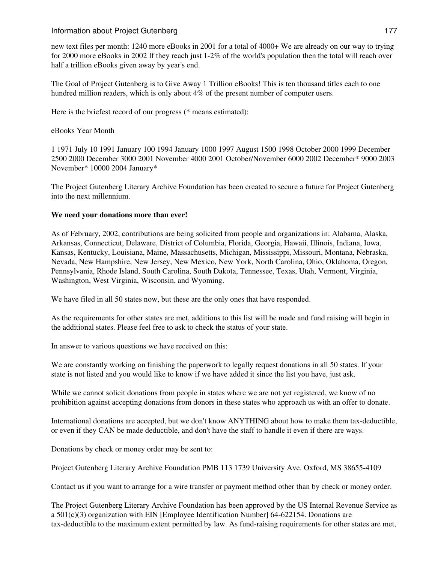#### Information about Project Gutenberg 177

new text files per month: 1240 more eBooks in 2001 for a total of 4000+ We are already on our way to trying for 2000 more eBooks in 2002 If they reach just 1-2% of the world's population then the total will reach over half a trillion eBooks given away by year's end.

The Goal of Project Gutenberg is to Give Away 1 Trillion eBooks! This is ten thousand titles each to one hundred million readers, which is only about 4% of the present number of computer users.

Here is the briefest record of our progress (\* means estimated):

#### eBooks Year Month

1 1971 July 10 1991 January 100 1994 January 1000 1997 August 1500 1998 October 2000 1999 December 2500 2000 December 3000 2001 November 4000 2001 October/November 6000 2002 December\* 9000 2003 November\* 10000 2004 January\*

The Project Gutenberg Literary Archive Foundation has been created to secure a future for Project Gutenberg into the next millennium.

#### **We need your donations more than ever!**

As of February, 2002, contributions are being solicited from people and organizations in: Alabama, Alaska, Arkansas, Connecticut, Delaware, District of Columbia, Florida, Georgia, Hawaii, Illinois, Indiana, Iowa, Kansas, Kentucky, Louisiana, Maine, Massachusetts, Michigan, Mississippi, Missouri, Montana, Nebraska, Nevada, New Hampshire, New Jersey, New Mexico, New York, North Carolina, Ohio, Oklahoma, Oregon, Pennsylvania, Rhode Island, South Carolina, South Dakota, Tennessee, Texas, Utah, Vermont, Virginia, Washington, West Virginia, Wisconsin, and Wyoming.

We have filed in all 50 states now, but these are the only ones that have responded.

As the requirements for other states are met, additions to this list will be made and fund raising will begin in the additional states. Please feel free to ask to check the status of your state.

In answer to various questions we have received on this:

We are constantly working on finishing the paperwork to legally request donations in all 50 states. If your state is not listed and you would like to know if we have added it since the list you have, just ask.

While we cannot solicit donations from people in states where we are not yet registered, we know of no prohibition against accepting donations from donors in these states who approach us with an offer to donate.

International donations are accepted, but we don't know ANYTHING about how to make them tax-deductible, or even if they CAN be made deductible, and don't have the staff to handle it even if there are ways.

Donations by check or money order may be sent to:

Project Gutenberg Literary Archive Foundation PMB 113 1739 University Ave. Oxford, MS 38655-4109

Contact us if you want to arrange for a wire transfer or payment method other than by check or money order.

The Project Gutenberg Literary Archive Foundation has been approved by the US Internal Revenue Service as a 501(c)(3) organization with EIN [Employee Identification Number] 64-622154. Donations are tax-deductible to the maximum extent permitted by law. As fund-raising requirements for other states are met,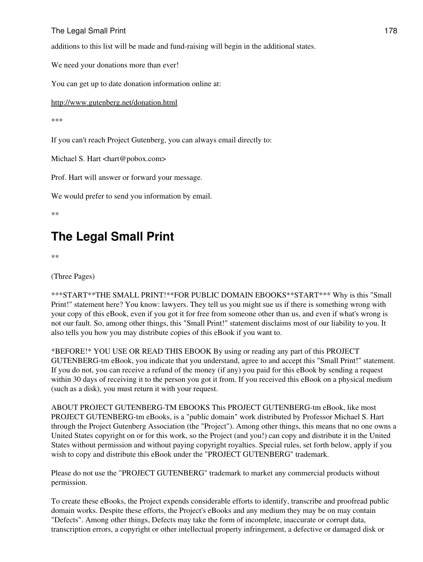# The Legal Small Print 178

additions to this list will be made and fund-raising will begin in the additional states.

We need your donations more than ever!

You can get up to date donation information online at:

<http://www.gutenberg.net/donation.html>

\*\*\*

If you can't reach Project Gutenberg, you can always email directly to:

Michael S. Hart <hart@pobox.com>

Prof. Hart will answer or forward your message.

We would prefer to send you information by email.

\*\*

# **The Legal Small Print**

\*\*

(Three Pages)

\*\*\*START\*\*THE SMALL PRINT!\*\*FOR PUBLIC DOMAIN EBOOKS\*\*START\*\*\* Why is this "Small Print!" statement here? You know: lawyers. They tell us you might sue us if there is something wrong with your copy of this eBook, even if you got it for free from someone other than us, and even if what's wrong is not our fault. So, among other things, this "Small Print!" statement disclaims most of our liability to you. It also tells you how you may distribute copies of this eBook if you want to.

\*BEFORE!\* YOU USE OR READ THIS EBOOK By using or reading any part of this PROJECT GUTENBERG-tm eBook, you indicate that you understand, agree to and accept this "Small Print!" statement. If you do not, you can receive a refund of the money (if any) you paid for this eBook by sending a request within 30 days of receiving it to the person you got it from. If you received this eBook on a physical medium (such as a disk), you must return it with your request.

ABOUT PROJECT GUTENBERG-TM EBOOKS This PROJECT GUTENBERG-tm eBook, like most PROJECT GUTENBERG-tm eBooks, is a "public domain" work distributed by Professor Michael S. Hart through the Project Gutenberg Association (the "Project"). Among other things, this means that no one owns a United States copyright on or for this work, so the Project (and you!) can copy and distribute it in the United States without permission and without paying copyright royalties. Special rules, set forth below, apply if you wish to copy and distribute this eBook under the "PROJECT GUTENBERG" trademark.

Please do not use the "PROJECT GUTENBERG" trademark to market any commercial products without permission.

To create these eBooks, the Project expends considerable efforts to identify, transcribe and proofread public domain works. Despite these efforts, the Project's eBooks and any medium they may be on may contain "Defects". Among other things, Defects may take the form of incomplete, inaccurate or corrupt data, transcription errors, a copyright or other intellectual property infringement, a defective or damaged disk or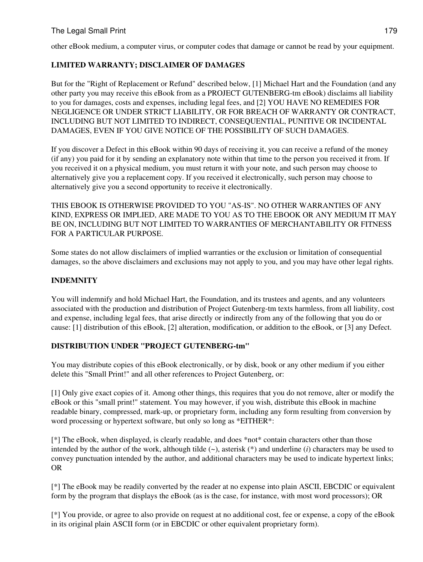# The Legal Small Print 179

other eBook medium, a computer virus, or computer codes that damage or cannot be read by your equipment.

# **LIMITED WARRANTY; DISCLAIMER OF DAMAGES**

But for the "Right of Replacement or Refund" described below, [1] Michael Hart and the Foundation (and any other party you may receive this eBook from as a PROJECT GUTENBERG-tm eBook) disclaims all liability to you for damages, costs and expenses, including legal fees, and [2] YOU HAVE NO REMEDIES FOR NEGLIGENCE OR UNDER STRICT LIABILITY, OR FOR BREACH OF WARRANTY OR CONTRACT, INCLUDING BUT NOT LIMITED TO INDIRECT, CONSEQUENTIAL, PUNITIVE OR INCIDENTAL DAMAGES, EVEN IF YOU GIVE NOTICE OF THE POSSIBILITY OF SUCH DAMAGES.

If you discover a Defect in this eBook within 90 days of receiving it, you can receive a refund of the money (if any) you paid for it by sending an explanatory note within that time to the person you received it from. If you received it on a physical medium, you must return it with your note, and such person may choose to alternatively give you a replacement copy. If you received it electronically, such person may choose to alternatively give you a second opportunity to receive it electronically.

THIS EBOOK IS OTHERWISE PROVIDED TO YOU "AS-IS". NO OTHER WARRANTIES OF ANY KIND, EXPRESS OR IMPLIED, ARE MADE TO YOU AS TO THE EBOOK OR ANY MEDIUM IT MAY BE ON, INCLUDING BUT NOT LIMITED TO WARRANTIES OF MERCHANTABILITY OR FITNESS FOR A PARTICULAR PURPOSE.

Some states do not allow disclaimers of implied warranties or the exclusion or limitation of consequential damages, so the above disclaimers and exclusions may not apply to you, and you may have other legal rights.

# **INDEMNITY**

You will indemnify and hold Michael Hart, the Foundation, and its trustees and agents, and any volunteers associated with the production and distribution of Project Gutenberg-tm texts harmless, from all liability, cost and expense, including legal fees, that arise directly or indirectly from any of the following that you do or cause: [1] distribution of this eBook, [2] alteration, modification, or addition to the eBook, or [3] any Defect.

# **DISTRIBUTION UNDER "PROJECT GUTENBERG-tm"**

You may distribute copies of this eBook electronically, or by disk, book or any other medium if you either delete this "Small Print!" and all other references to Project Gutenberg, or:

[1] Only give exact copies of it. Among other things, this requires that you do not remove, alter or modify the eBook or this "small print!" statement. You may however, if you wish, distribute this eBook in machine readable binary, compressed, mark-up, or proprietary form, including any form resulting from conversion by word processing or hypertext software, but only so long as \*EITHER\*:

[\*] The eBook, when displayed, is clearly readable, and does \*not\* contain characters other than those intended by the author of the work, although tilde (~), asterisk (\*) and underline (*i*) characters may be used to convey punctuation intended by the author, and additional characters may be used to indicate hypertext links; OR

[\*] The eBook may be readily converted by the reader at no expense into plain ASCII, EBCDIC or equivalent form by the program that displays the eBook (as is the case, for instance, with most word processors); OR

[\*] You provide, or agree to also provide on request at no additional cost, fee or expense, a copy of the eBook in its original plain ASCII form (or in EBCDIC or other equivalent proprietary form).